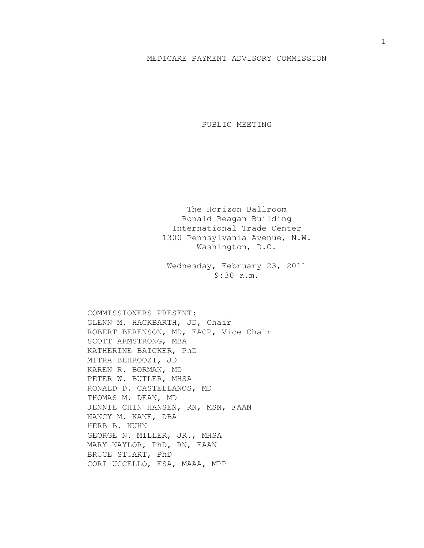## MEDICARE PAYMENT ADVISORY COMMISSION

PUBLIC MEETING

The Horizon Ballroom Ronald Reagan Building International Trade Center 1300 Pennsylvania Avenue, N.W. Washington, D.C.

Wednesday, February 23, 2011 9:30 a.m.

COMMISSIONERS PRESENT: GLENN M. HACKBARTH, JD, Chair ROBERT BERENSON, MD, FACP, Vice Chair SCOTT ARMSTRONG, MBA KATHERINE BAICKER, PhD MITRA BEHROOZI, JD KAREN R. BORMAN, MD PETER W. BUTLER, MHSA RONALD D. CASTELLANOS, MD THOMAS M. DEAN, MD JENNIE CHIN HANSEN, RN, MSN, FAAN NANCY M. KANE, DBA HERB B. KUHN GEORGE N. MILLER, JR., MHSA MARY NAYLOR, PhD, RN, FAAN BRUCE STUART, PhD CORI UCCELLO, FSA, MAAA, MPP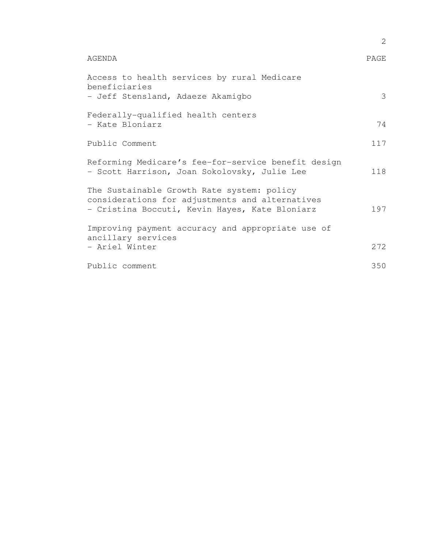|                                                                                                                                                 | 2    |
|-------------------------------------------------------------------------------------------------------------------------------------------------|------|
| AGENDA                                                                                                                                          | PAGE |
| Access to health services by rural Medicare<br>beneficiaries<br>- Jeff Stensland, Adaeze Akamigbo                                               | 3    |
| Federally-qualified health centers<br>- Kate Bloniarz                                                                                           | 74   |
| Public Comment                                                                                                                                  | 117  |
| Reforming Medicare's fee-for-service benefit design<br>- Scott Harrison, Joan Sokolovsky, Julie Lee                                             | 118  |
| The Sustainable Growth Rate system: policy<br>considerations for adjustments and alternatives<br>- Cristina Boccuti, Kevin Hayes, Kate Bloniarz | 197  |
| Improving payment accuracy and appropriate use of<br>ancillary services                                                                         |      |
| - Ariel Winter                                                                                                                                  | 272  |
| Public comment                                                                                                                                  | 350  |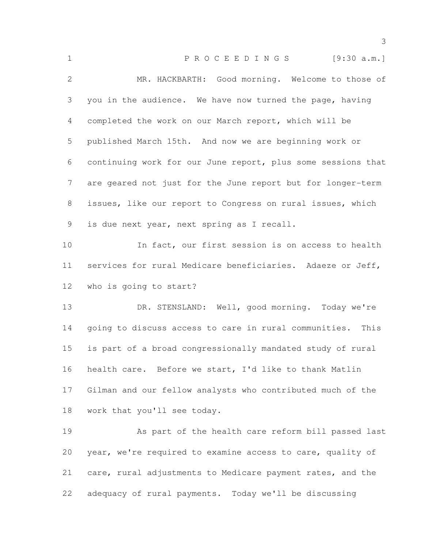| $\mathbf 1$  | PROCEEDINGS [9:30 a.m.]                                      |
|--------------|--------------------------------------------------------------|
| $\mathbf{2}$ | MR. HACKBARTH: Good morning. Welcome to those of             |
| 3            | you in the audience. We have now turned the page, having     |
| 4            | completed the work on our March report, which will be        |
| 5            | published March 15th. And now we are beginning work or       |
| 6            | continuing work for our June report, plus some sessions that |
| 7            | are geared not just for the June report but for longer-term  |
| 8            | issues, like our report to Congress on rural issues, which   |
| 9            | is due next year, next spring as I recall.                   |
| 10           | In fact, our first session is on access to health            |
| 11           | services for rural Medicare beneficiaries. Adaeze or Jeff,   |
| 12           | who is going to start?                                       |
| 13           | DR. STENSLAND: Well, good morning. Today we're               |
| 14           | going to discuss access to care in rural communities. This   |
| 15           | is part of a broad congressionally mandated study of rural   |
| 16           | health care. Before we start, I'd like to thank Matlin       |
| 17           | Gilman and our fellow analysts who contributed much of the   |
| 18           | work that you'll see today.                                  |
| 19           | As part of the health care reform bill passed last           |
| 20           | year, we're required to examine access to care, quality of   |
| 21           | care, rural adjustments to Medicare payment rates, and the   |
| 22           | adequacy of rural payments. Today we'll be discussing        |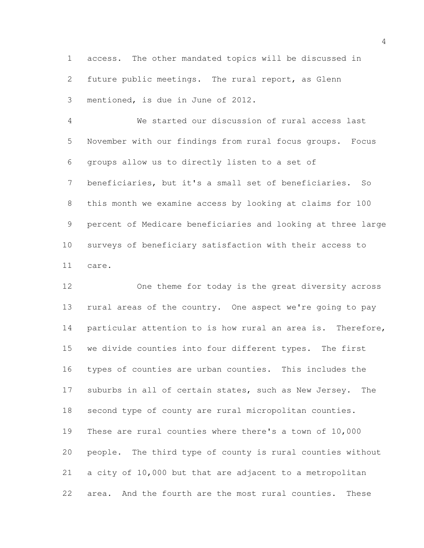access. The other mandated topics will be discussed in future public meetings. The rural report, as Glenn mentioned, is due in June of 2012.

 We started our discussion of rural access last November with our findings from rural focus groups. Focus groups allow us to directly listen to a set of beneficiaries, but it's a small set of beneficiaries. So this month we examine access by looking at claims for 100 percent of Medicare beneficiaries and looking at three large surveys of beneficiary satisfaction with their access to care.

 One theme for today is the great diversity across rural areas of the country. One aspect we're going to pay 14 particular attention to is how rural an area is. Therefore, we divide counties into four different types. The first types of counties are urban counties. This includes the 17 suburbs in all of certain states, such as New Jersey. The second type of county are rural micropolitan counties. These are rural counties where there's a town of 10,000 people. The third type of county is rural counties without a city of 10,000 but that are adjacent to a metropolitan area. And the fourth are the most rural counties. These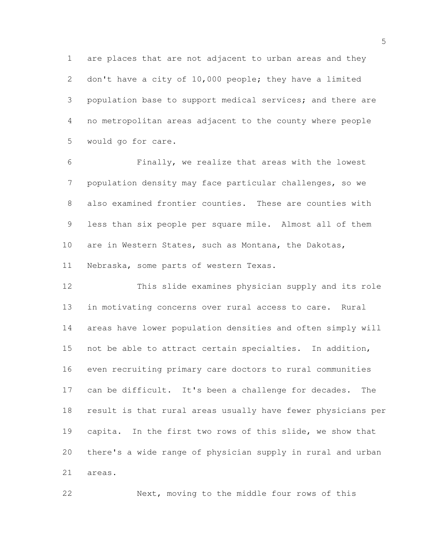are places that are not adjacent to urban areas and they don't have a city of 10,000 people; they have a limited population base to support medical services; and there are no metropolitan areas adjacent to the county where people would go for care.

 Finally, we realize that areas with the lowest population density may face particular challenges, so we also examined frontier counties. These are counties with less than six people per square mile. Almost all of them are in Western States, such as Montana, the Dakotas, Nebraska, some parts of western Texas.

 This slide examines physician supply and its role in motivating concerns over rural access to care. Rural areas have lower population densities and often simply will not be able to attract certain specialties. In addition, even recruiting primary care doctors to rural communities can be difficult. It's been a challenge for decades. The result is that rural areas usually have fewer physicians per capita. In the first two rows of this slide, we show that there's a wide range of physician supply in rural and urban areas.

Next, moving to the middle four rows of this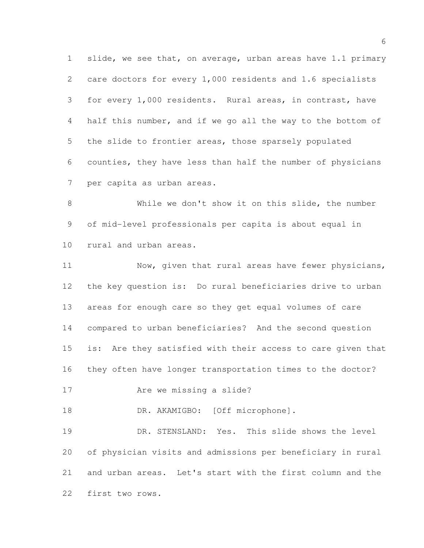1 slide, we see that, on average, urban areas have 1.1 primary care doctors for every 1,000 residents and 1.6 specialists for every 1,000 residents. Rural areas, in contrast, have half this number, and if we go all the way to the bottom of the slide to frontier areas, those sparsely populated counties, they have less than half the number of physicians per capita as urban areas.

 While we don't show it on this slide, the number of mid-level professionals per capita is about equal in rural and urban areas.

11 Now, given that rural areas have fewer physicians, the key question is: Do rural beneficiaries drive to urban areas for enough care so they get equal volumes of care compared to urban beneficiaries? And the second question is: Are they satisfied with their access to care given that they often have longer transportation times to the doctor? Are we missing a slide? 18 DR. AKAMIGBO: [Off microphone]. DR. STENSLAND: Yes. This slide shows the level

 of physician visits and admissions per beneficiary in rural and urban areas. Let's start with the first column and the first two rows.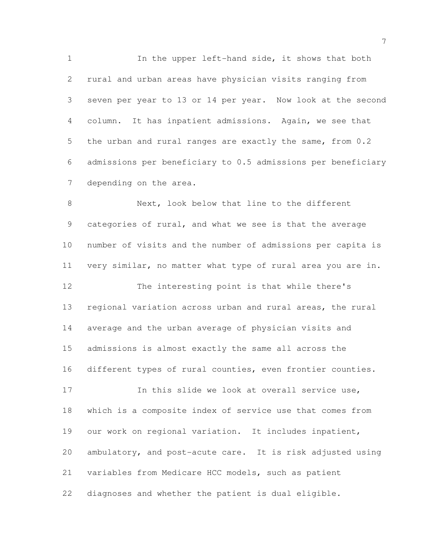1 In the upper left-hand side, it shows that both rural and urban areas have physician visits ranging from seven per year to 13 or 14 per year. Now look at the second column. It has inpatient admissions. Again, we see that the urban and rural ranges are exactly the same, from 0.2 admissions per beneficiary to 0.5 admissions per beneficiary depending on the area.

 Next, look below that line to the different categories of rural, and what we see is that the average number of visits and the number of admissions per capita is very similar, no matter what type of rural area you are in.

 The interesting point is that while there's regional variation across urban and rural areas, the rural average and the urban average of physician visits and admissions is almost exactly the same all across the different types of rural counties, even frontier counties.

 In this slide we look at overall service use, which is a composite index of service use that comes from our work on regional variation. It includes inpatient, ambulatory, and post-acute care. It is risk adjusted using variables from Medicare HCC models, such as patient diagnoses and whether the patient is dual eligible.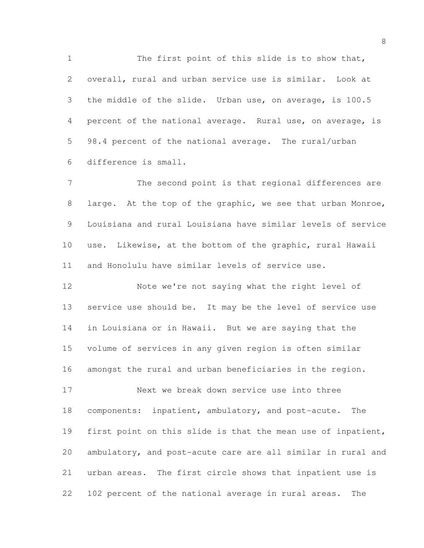The first point of this slide is to show that, overall, rural and urban service use is similar. Look at the middle of the slide. Urban use, on average, is 100.5 percent of the national average. Rural use, on average, is 98.4 percent of the national average. The rural/urban difference is small.

7 The second point is that regional differences are 8 large. At the top of the graphic, we see that urban Monroe, Louisiana and rural Louisiana have similar levels of service use. Likewise, at the bottom of the graphic, rural Hawaii and Honolulu have similar levels of service use.

 Note we're not saying what the right level of service use should be. It may be the level of service use in Louisiana or in Hawaii. But we are saying that the volume of services in any given region is often similar amongst the rural and urban beneficiaries in the region.

 Next we break down service use into three components: inpatient, ambulatory, and post-acute. The first point on this slide is that the mean use of inpatient, ambulatory, and post-acute care are all similar in rural and urban areas. The first circle shows that inpatient use is 102 percent of the national average in rural areas. The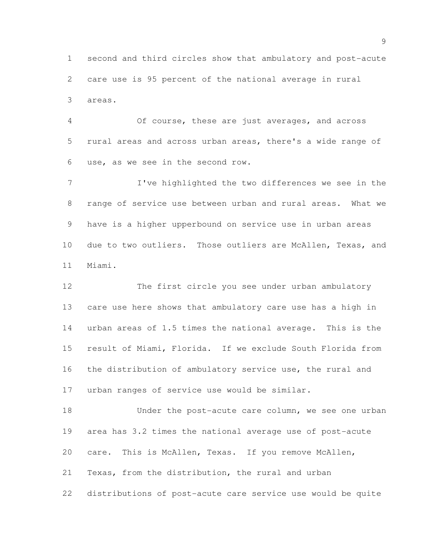second and third circles show that ambulatory and post-acute care use is 95 percent of the national average in rural areas.

 Of course, these are just averages, and across rural areas and across urban areas, there's a wide range of use, as we see in the second row.

 I've highlighted the two differences we see in the range of service use between urban and rural areas. What we have is a higher upperbound on service use in urban areas due to two outliers. Those outliers are McAllen, Texas, and Miami.

 The first circle you see under urban ambulatory care use here shows that ambulatory care use has a high in urban areas of 1.5 times the national average. This is the result of Miami, Florida. If we exclude South Florida from the distribution of ambulatory service use, the rural and urban ranges of service use would be similar.

 Under the post-acute care column, we see one urban area has 3.2 times the national average use of post-acute care. This is McAllen, Texas. If you remove McAllen, Texas, from the distribution, the rural and urban distributions of post-acute care service use would be quite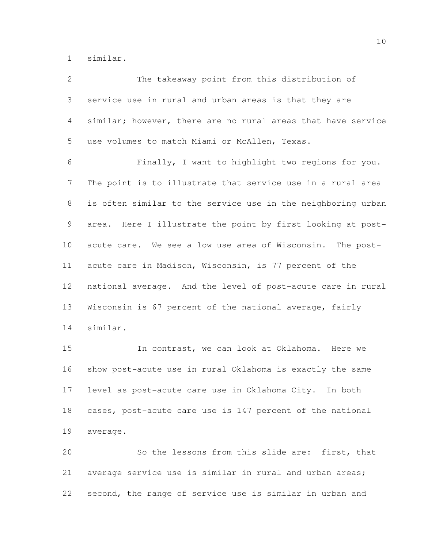similar.

| $\overline{2}$ | The takeaway point from this distribution of                 |
|----------------|--------------------------------------------------------------|
| 3              | service use in rural and urban areas is that they are        |
| $\overline{4}$ | similar; however, there are no rural areas that have service |
| 5              | use volumes to match Miami or McAllen, Texas.                |
| 6              | Finally, I want to highlight two regions for you.            |
| $7\phantom{.}$ | The point is to illustrate that service use in a rural area  |
| 8              | is often similar to the service use in the neighboring urban |
| 9              | area. Here I illustrate the point by first looking at post-  |
| 10             | acute care. We see a low use area of Wisconsin. The post-    |
| 11             | acute care in Madison, Wisconsin, is 77 percent of the       |
| 12             | national average. And the level of post-acute care in rural  |
| 13             | Wisconsin is 67 percent of the national average, fairly      |
| 14             | similar.                                                     |
| 15             | In contrast, we can look at Oklahoma. Here we                |
| 16             | show post-acute use in rural Oklahoma is exactly the same    |
| 17             | level as post-acute care use in Oklahoma City. In both       |
| 18             | cases, post-acute care use is 147 percent of the national    |

average.

 So the lessons from this slide are: first, that average service use is similar in rural and urban areas; second, the range of service use is similar in urban and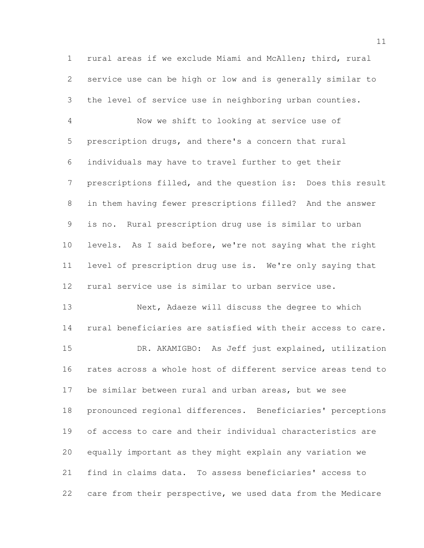rural areas if we exclude Miami and McAllen; third, rural service use can be high or low and is generally similar to the level of service use in neighboring urban counties.

 Now we shift to looking at service use of prescription drugs, and there's a concern that rural individuals may have to travel further to get their prescriptions filled, and the question is: Does this result in them having fewer prescriptions filled? And the answer is no. Rural prescription drug use is similar to urban levels. As I said before, we're not saying what the right level of prescription drug use is. We're only saying that rural service use is similar to urban service use.

 Next, Adaeze will discuss the degree to which rural beneficiaries are satisfied with their access to care. DR. AKAMIGBO: As Jeff just explained, utilization rates across a whole host of different service areas tend to be similar between rural and urban areas, but we see pronounced regional differences. Beneficiaries' perceptions of access to care and their individual characteristics are equally important as they might explain any variation we find in claims data. To assess beneficiaries' access to care from their perspective, we used data from the Medicare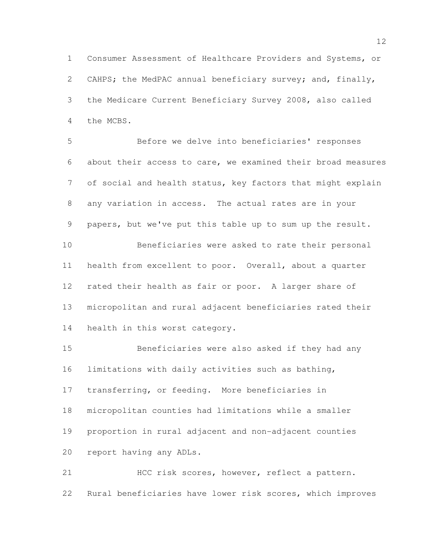Consumer Assessment of Healthcare Providers and Systems, or CAHPS; the MedPAC annual beneficiary survey; and, finally, the Medicare Current Beneficiary Survey 2008, also called the MCBS.

 Before we delve into beneficiaries' responses about their access to care, we examined their broad measures of social and health status, key factors that might explain any variation in access. The actual rates are in your papers, but we've put this table up to sum up the result. Beneficiaries were asked to rate their personal health from excellent to poor. Overall, about a quarter

 rated their health as fair or poor. A larger share of micropolitan and rural adjacent beneficiaries rated their health in this worst category.

 Beneficiaries were also asked if they had any limitations with daily activities such as bathing, transferring, or feeding. More beneficiaries in micropolitan counties had limitations while a smaller proportion in rural adjacent and non-adjacent counties report having any ADLs.

 HCC risk scores, however, reflect a pattern. Rural beneficiaries have lower risk scores, which improves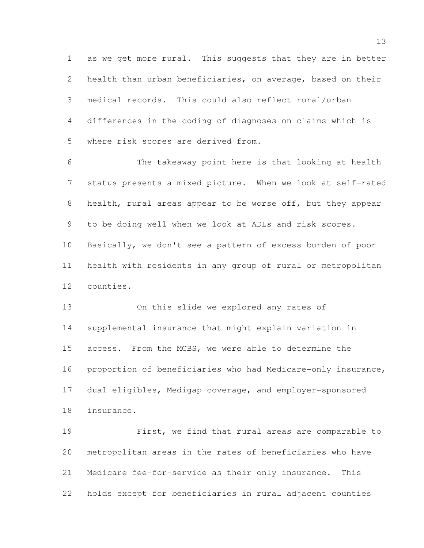as we get more rural. This suggests that they are in better health than urban beneficiaries, on average, based on their medical records. This could also reflect rural/urban differences in the coding of diagnoses on claims which is where risk scores are derived from.

 The takeaway point here is that looking at health status presents a mixed picture. When we look at self-rated health, rural areas appear to be worse off, but they appear to be doing well when we look at ADLs and risk scores. Basically, we don't see a pattern of excess burden of poor health with residents in any group of rural or metropolitan counties.

 On this slide we explored any rates of supplemental insurance that might explain variation in access. From the MCBS, we were able to determine the proportion of beneficiaries who had Medicare-only insurance, dual eligibles, Medigap coverage, and employer-sponsored insurance.

 First, we find that rural areas are comparable to metropolitan areas in the rates of beneficiaries who have Medicare fee-for-service as their only insurance. This holds except for beneficiaries in rural adjacent counties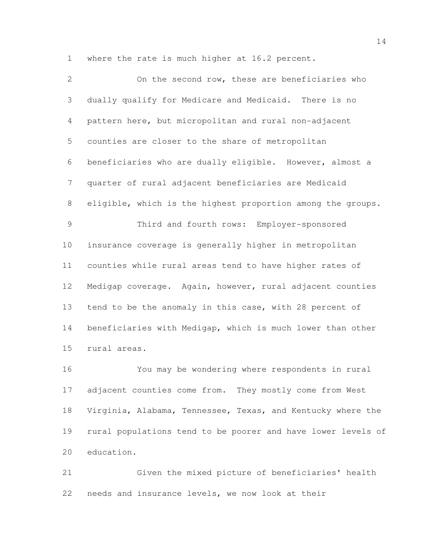where the rate is much higher at 16.2 percent.

| $\overline{2}$ | On the second row, these are beneficiaries who              |
|----------------|-------------------------------------------------------------|
| 3              | dually qualify for Medicare and Medicaid. There is no       |
| $\overline{4}$ | pattern here, but micropolitan and rural non-adjacent       |
| 5              | counties are closer to the share of metropolitan            |
| 6              | beneficiaries who are dually eligible. However, almost a    |
| $7\phantom{.}$ | quarter of rural adjacent beneficiaries are Medicaid        |
| 8              | eligible, which is the highest proportion among the groups. |
| 9              | Third and fourth rows: Employer-sponsored                   |
| 10             | insurance coverage is generally higher in metropolitan      |
| 11             | counties while rural areas tend to have higher rates of     |
| 12             | Medigap coverage. Again, however, rural adjacent counties   |
| 13             | tend to be the anomaly in this case, with 28 percent of     |
| 14             | beneficiaries with Medigap, which is much lower than other  |
| 15             | rural areas.                                                |
| 16             | Vou may be wondering where respendents in rural             |

 You may be wondering where respondents in rural adjacent counties come from. They mostly come from West Virginia, Alabama, Tennessee, Texas, and Kentucky where the rural populations tend to be poorer and have lower levels of education.

 Given the mixed picture of beneficiaries' health needs and insurance levels, we now look at their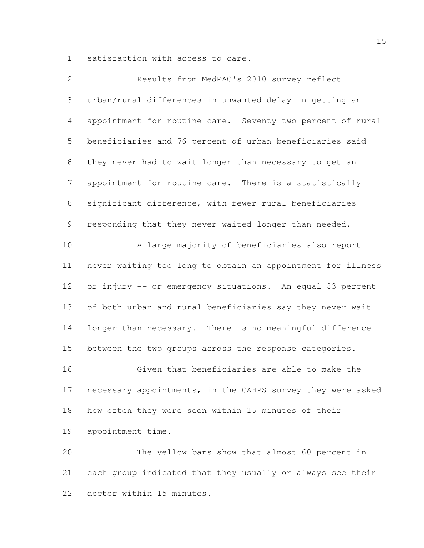satisfaction with access to care.

| 2               | Results from MedPAC's 2010 survey reflect                   |
|-----------------|-------------------------------------------------------------|
| 3               | urban/rural differences in unwanted delay in getting an     |
| $\overline{4}$  | appointment for routine care. Seventy two percent of rural  |
| 5               | beneficiaries and 76 percent of urban beneficiaries said    |
| 6               | they never had to wait longer than necessary to get an      |
| $\overline{7}$  | appointment for routine care. There is a statistically      |
| 8               | significant difference, with fewer rural beneficiaries      |
| 9               | responding that they never waited longer than needed.       |
| 10              | A large majority of beneficiaries also report               |
| 11              | never waiting too long to obtain an appointment for illness |
| 12 <sup>°</sup> | or injury -- or emergency situations. An equal 83 percent   |
| 13              | of both urban and rural beneficiaries say they never wait   |
| 14              | longer than necessary. There is no meaningful difference    |
| 15              | between the two groups across the response categories.      |
| 16              | Given that beneficiaries are able to make the               |
| 17              | necessary appointments, in the CAHPS survey they were asked |
| 18              | how often they were seen within 15 minutes of their         |
| 19              | appointment time.                                           |
| 20              | The yellow bars show that almost 60 percent in              |
| 21              | each group indicated that they usually or always see their  |
| 22              | doctor within 15 minutes.                                   |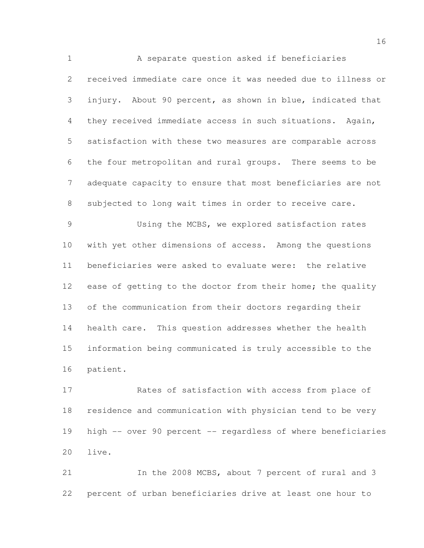1 A separate question asked if beneficiaries received immediate care once it was needed due to illness or injury. About 90 percent, as shown in blue, indicated that they received immediate access in such situations. Again, satisfaction with these two measures are comparable across the four metropolitan and rural groups. There seems to be adequate capacity to ensure that most beneficiaries are not subjected to long wait times in order to receive care. Using the MCBS, we explored satisfaction rates with yet other dimensions of access. Among the questions beneficiaries were asked to evaluate were: the relative

12 ease of getting to the doctor from their home; the quality of the communication from their doctors regarding their health care. This question addresses whether the health information being communicated is truly accessible to the patient.

 Rates of satisfaction with access from place of residence and communication with physician tend to be very high -- over 90 percent -- regardless of where beneficiaries live.

21 In the 2008 MCBS, about 7 percent of rural and 3 percent of urban beneficiaries drive at least one hour to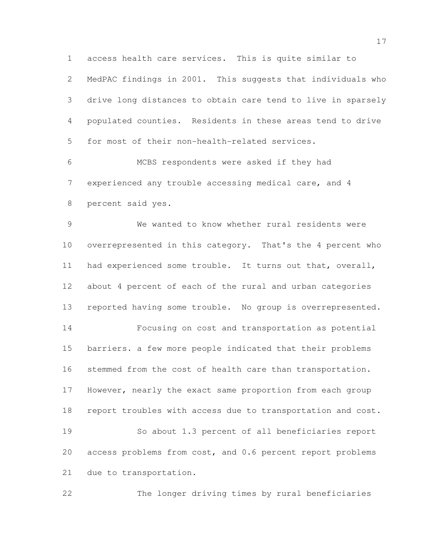access health care services. This is quite similar to MedPAC findings in 2001. This suggests that individuals who drive long distances to obtain care tend to live in sparsely populated counties. Residents in these areas tend to drive for most of their non-health-related services.

 MCBS respondents were asked if they had experienced any trouble accessing medical care, and 4 percent said yes.

 We wanted to know whether rural residents were overrepresented in this category. That's the 4 percent who had experienced some trouble. It turns out that, overall, about 4 percent of each of the rural and urban categories reported having some trouble. No group is overrepresented. Focusing on cost and transportation as potential barriers. a few more people indicated that their problems stemmed from the cost of health care than transportation. However, nearly the exact same proportion from each group report troubles with access due to transportation and cost. So about 1.3 percent of all beneficiaries report access problems from cost, and 0.6 percent report problems due to transportation.

The longer driving times by rural beneficiaries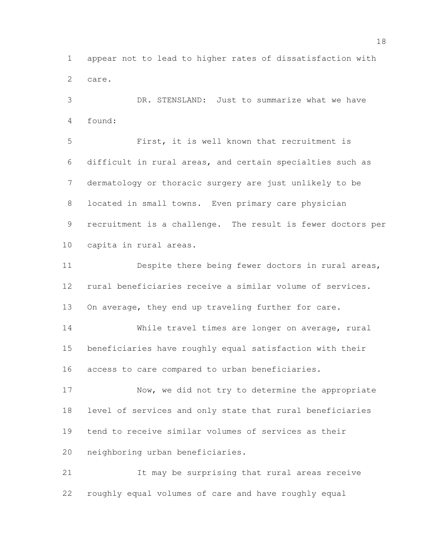appear not to lead to higher rates of dissatisfaction with care.

 DR. STENSLAND: Just to summarize what we have found:

 First, it is well known that recruitment is difficult in rural areas, and certain specialties such as dermatology or thoracic surgery are just unlikely to be located in small towns. Even primary care physician recruitment is a challenge. The result is fewer doctors per capita in rural areas.

 Despite there being fewer doctors in rural areas, rural beneficiaries receive a similar volume of services. 13 On average, they end up traveling further for care.

 While travel times are longer on average, rural beneficiaries have roughly equal satisfaction with their access to care compared to urban beneficiaries.

17 Now, we did not try to determine the appropriate level of services and only state that rural beneficiaries tend to receive similar volumes of services as their neighboring urban beneficiaries.

 It may be surprising that rural areas receive roughly equal volumes of care and have roughly equal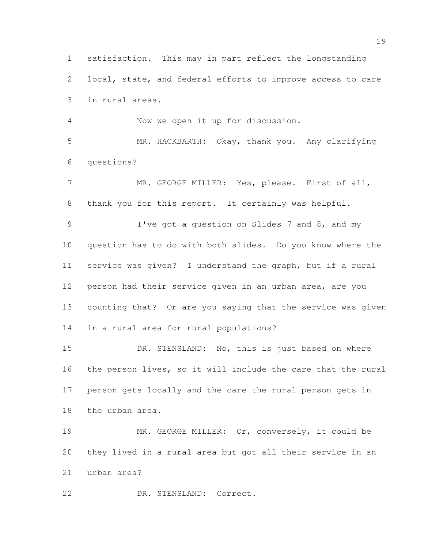satisfaction. This may in part reflect the longstanding local, state, and federal efforts to improve access to care in rural areas.

Now we open it up for discussion.

 MR. HACKBARTH: Okay, thank you. Any clarifying questions?

 MR. GEORGE MILLER: Yes, please. First of all, thank you for this report. It certainly was helpful.

9 I've got a question on Slides 7 and 8, and my question has to do with both slides. Do you know where the service was given? I understand the graph, but if a rural person had their service given in an urban area, are you counting that? Or are you saying that the service was given in a rural area for rural populations?

15 DR. STENSLAND: No, this is just based on where the person lives, so it will include the care that the rural person gets locally and the care the rural person gets in the urban area.

19 MR. GEORGE MILLER: Or, conversely, it could be they lived in a rural area but got all their service in an urban area?

DR. STENSLAND: Correct.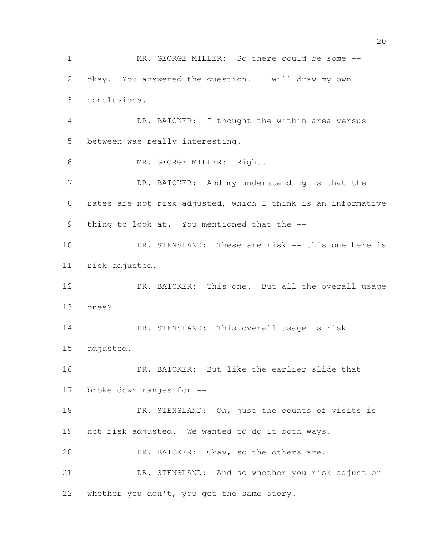MR. GEORGE MILLER: So there could be some -- okay. You answered the question. I will draw my own conclusions. DR. BAICKER: I thought the within area versus between was really interesting. MR. GEORGE MILLER: Right. DR. BAICKER: And my understanding is that the rates are not risk adjusted, which I think is an informative thing to look at. You mentioned that the -- DR. STENSLAND: These are risk -- this one here is risk adjusted. 12 DR. BAICKER: This one. But all the overall usage ones? DR. STENSLAND: This overall usage is risk adjusted. DR. BAICKER: But like the earlier slide that broke down ranges for -- 18 DR. STENSLAND: Oh, just the counts of visits is not risk adjusted. We wanted to do it both ways. DR. BAICKER: Okay, so the others are. DR. STENSLAND: And so whether you risk adjust or whether you don't, you get the same story.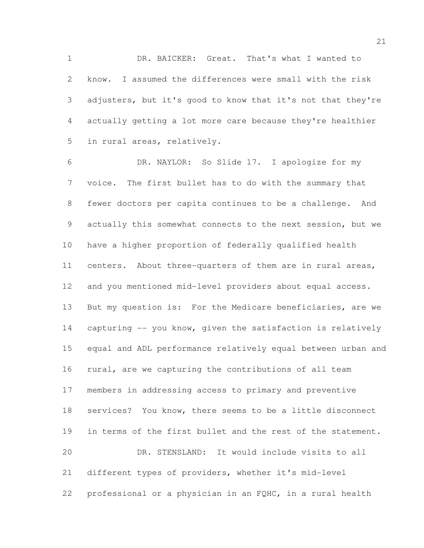DR. BAICKER: Great. That's what I wanted to know. I assumed the differences were small with the risk adjusters, but it's good to know that it's not that they're actually getting a lot more care because they're healthier in rural areas, relatively.

 DR. NAYLOR: So Slide 17. I apologize for my voice. The first bullet has to do with the summary that fewer doctors per capita continues to be a challenge. And actually this somewhat connects to the next session, but we have a higher proportion of federally qualified health centers. About three-quarters of them are in rural areas, and you mentioned mid-level providers about equal access. But my question is: For the Medicare beneficiaries, are we capturing -- you know, given the satisfaction is relatively equal and ADL performance relatively equal between urban and rural, are we capturing the contributions of all team members in addressing access to primary and preventive services? You know, there seems to be a little disconnect in terms of the first bullet and the rest of the statement. DR. STENSLAND: It would include visits to all different types of providers, whether it's mid-level professional or a physician in an FQHC, in a rural health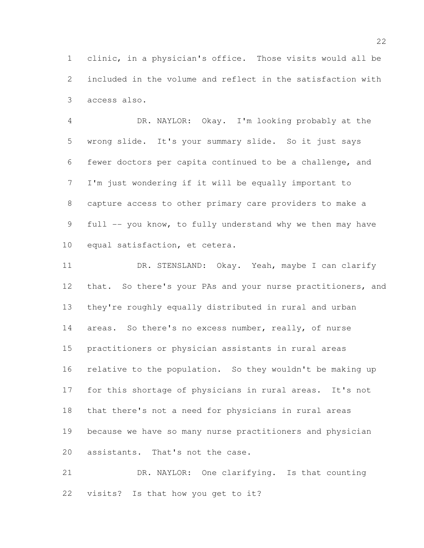clinic, in a physician's office. Those visits would all be included in the volume and reflect in the satisfaction with access also.

 DR. NAYLOR: Okay. I'm looking probably at the wrong slide. It's your summary slide. So it just says fewer doctors per capita continued to be a challenge, and I'm just wondering if it will be equally important to capture access to other primary care providers to make a full -- you know, to fully understand why we then may have equal satisfaction, et cetera.

11 DR. STENSLAND: Okay. Yeah, maybe I can clarify 12 that. So there's your PAs and your nurse practitioners, and they're roughly equally distributed in rural and urban 14 areas. So there's no excess number, really, of nurse practitioners or physician assistants in rural areas relative to the population. So they wouldn't be making up for this shortage of physicians in rural areas. It's not that there's not a need for physicians in rural areas because we have so many nurse practitioners and physician assistants. That's not the case.

 DR. NAYLOR: One clarifying. Is that counting visits? Is that how you get to it?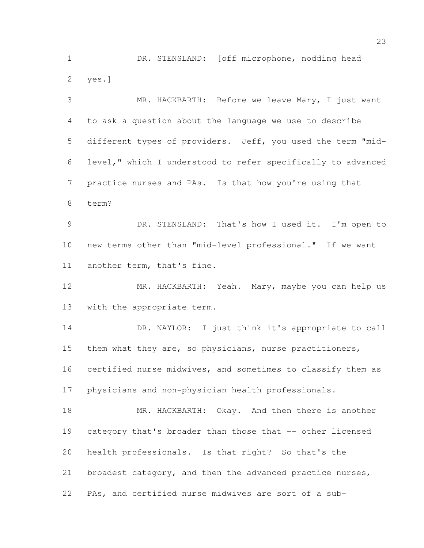DR. STENSLAND: [off microphone, nodding head yes.]

 MR. HACKBARTH: Before we leave Mary, I just want to ask a question about the language we use to describe different types of providers. Jeff, you used the term "mid- level," which I understood to refer specifically to advanced practice nurses and PAs. Is that how you're using that term?

 DR. STENSLAND: That's how I used it. I'm open to new terms other than "mid-level professional." If we want another term, that's fine.

12 MR. HACKBARTH: Yeah. Mary, maybe you can help us with the appropriate term.

14 DR. NAYLOR: I just think it's appropriate to call them what they are, so physicians, nurse practitioners, certified nurse midwives, and sometimes to classify them as physicians and non-physician health professionals.

18 MR. HACKBARTH: Okay. And then there is another category that's broader than those that -- other licensed health professionals. Is that right? So that's the broadest category, and then the advanced practice nurses, PAs, and certified nurse midwives are sort of a sub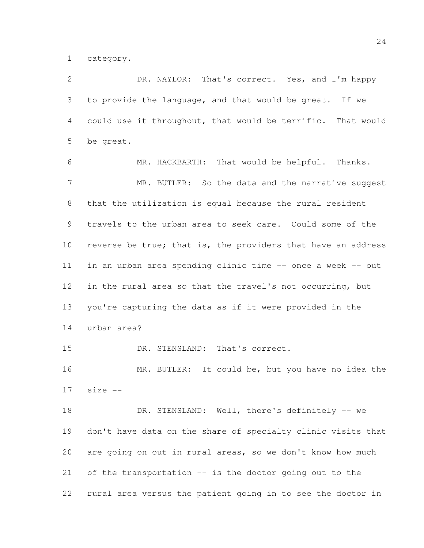category.

 DR. NAYLOR: That's correct. Yes, and I'm happy to provide the language, and that would be great. If we could use it throughout, that would be terrific. That would be great.

 MR. HACKBARTH: That would be helpful. Thanks. 7 MR. BUTLER: So the data and the narrative suggest that the utilization is equal because the rural resident travels to the urban area to seek care. Could some of the 10 reverse be true; that is, the providers that have an address in an urban area spending clinic time -- once a week -- out in the rural area so that the travel's not occurring, but you're capturing the data as if it were provided in the urban area?

DR. STENSLAND: That's correct.

 MR. BUTLER: It could be, but you have no idea the size  $-$ 

18 DR. STENSLAND: Well, there's definitely -- we don't have data on the share of specialty clinic visits that are going on out in rural areas, so we don't know how much of the transportation -- is the doctor going out to the rural area versus the patient going in to see the doctor in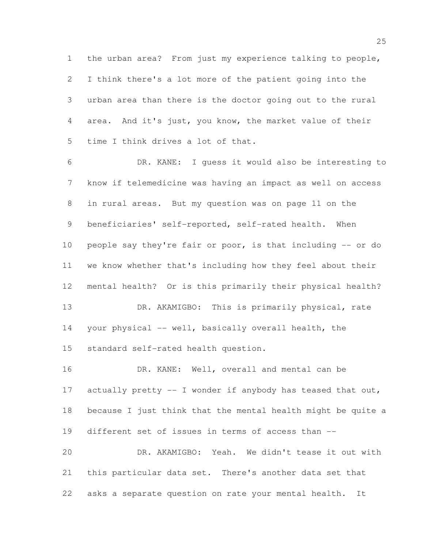the urban area? From just my experience talking to people, I think there's a lot more of the patient going into the urban area than there is the doctor going out to the rural area. And it's just, you know, the market value of their time I think drives a lot of that.

 DR. KANE: I guess it would also be interesting to know if telemedicine was having an impact as well on access in rural areas. But my question was on page 11 on the 9 beneficiaries' self-reported, self-rated health. When people say they're fair or poor, is that including -- or do we know whether that's including how they feel about their mental health? Or is this primarily their physical health? 13 DR. AKAMIGBO: This is primarily physical, rate your physical -- well, basically overall health, the standard self-rated health question.

 DR. KANE: Well, overall and mental can be 17 actually pretty -- I wonder if anybody has teased that out, because I just think that the mental health might be quite a different set of issues in terms of access than -- DR. AKAMIGBO: Yeah. We didn't tease it out with this particular data set. There's another data set that

asks a separate question on rate your mental health. It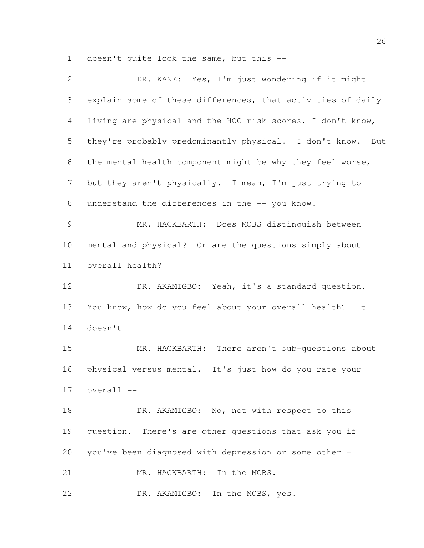doesn't quite look the same, but this --

| $\mathbf{2}$   | DR. KANE: Yes, I'm just wondering if it might               |
|----------------|-------------------------------------------------------------|
| 3              | explain some of these differences, that activities of daily |
| $\overline{4}$ | living are physical and the HCC risk scores, I don't know,  |
| 5              | they're probably predominantly physical. I don't know. But  |
| 6              | the mental health component might be why they feel worse,   |
| $\overline{7}$ | but they aren't physically. I mean, I'm just trying to      |
| $8\,$          | understand the differences in the -- you know.              |
| $\mathcal{G}$  | MR. HACKBARTH: Does MCBS distinguish between                |
| 10             | mental and physical? Or are the questions simply about      |
| 11             | overall health?                                             |
| 12             | DR. AKAMIGBO: Yeah, it's a standard question.               |
| 13             | You know, how do you feel about your overall health? It     |
| 14             | $doesn't --$                                                |
| 15             | MR. HACKBARTH: There aren't sub-questions about             |
| 16             | physical versus mental. It's just how do you rate your      |
| 17             | overall --                                                  |
| 18             | DR. AKAMIGBO: No, not with respect to this                  |
| 19             | question. There's are other questions that ask you if       |
| 20             | you've been diagnosed with depression or some other -       |
| 21             | MR. HACKBARTH: In the MCBS.                                 |
| 22             | DR. AKAMIGBO: In the MCBS, yes.                             |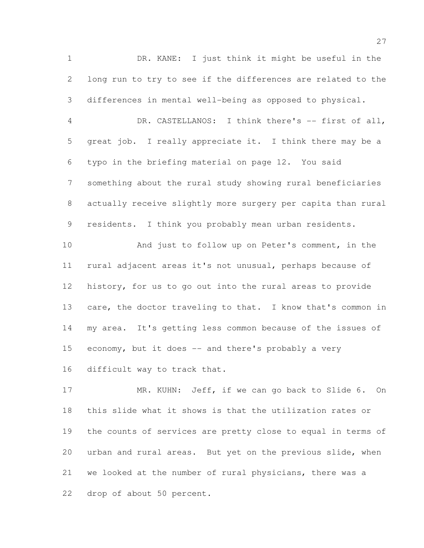DR. KANE: I just think it might be useful in the long run to try to see if the differences are related to the differences in mental well-being as opposed to physical.

 DR. CASTELLANOS: I think there's -- first of all, great job. I really appreciate it. I think there may be a typo in the briefing material on page 12. You said something about the rural study showing rural beneficiaries actually receive slightly more surgery per capita than rural residents. I think you probably mean urban residents.

 And just to follow up on Peter's comment, in the rural adjacent areas it's not unusual, perhaps because of history, for us to go out into the rural areas to provide 13 care, the doctor traveling to that. I know that's common in my area. It's getting less common because of the issues of economy, but it does -- and there's probably a very difficult way to track that.

 MR. KUHN: Jeff, if we can go back to Slide 6. On this slide what it shows is that the utilization rates or the counts of services are pretty close to equal in terms of urban and rural areas. But yet on the previous slide, when we looked at the number of rural physicians, there was a drop of about 50 percent.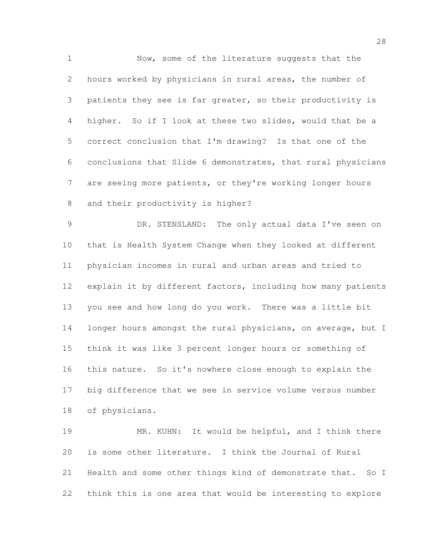Now, some of the literature suggests that the hours worked by physicians in rural areas, the number of patients they see is far greater, so their productivity is higher. So if I look at these two slides, would that be a correct conclusion that I'm drawing? Is that one of the conclusions that Slide 6 demonstrates, that rural physicians are seeing more patients, or they're working longer hours and their productivity is higher?

 DR. STENSLAND: The only actual data I've seen on that is Health System Change when they looked at different physician incomes in rural and urban areas and tried to explain it by different factors, including how many patients you see and how long do you work. There was a little bit longer hours amongst the rural physicians, on average, but I think it was like 3 percent longer hours or something of this nature. So it's nowhere close enough to explain the big difference that we see in service volume versus number of physicians.

19 MR. KUHN: It would be helpful, and I think there is some other literature. I think the Journal of Rural Health and some other things kind of demonstrate that. So I think this is one area that would be interesting to explore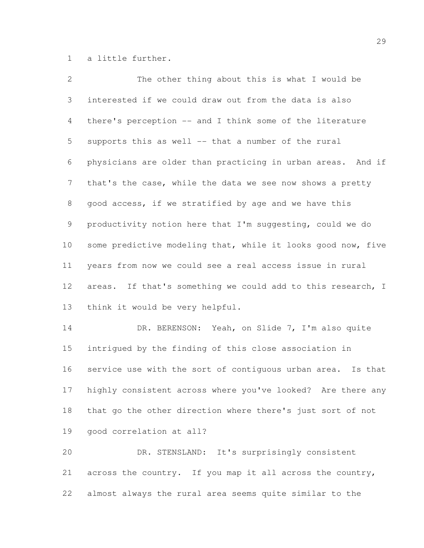a little further.

| $\overline{2}$  | The other thing about this is what I would be                |
|-----------------|--------------------------------------------------------------|
| 3               | interested if we could draw out from the data is also        |
| $\overline{4}$  | there's perception -- and I think some of the literature     |
| 5               | supports this as well -- that a number of the rural          |
| 6               | physicians are older than practicing in urban areas. And if  |
| 7               | that's the case, while the data we see now shows a pretty    |
| 8               | good access, if we stratified by age and we have this        |
| 9               | productivity notion here that I'm suggesting, could we do    |
| 10 <sub>o</sub> | some predictive modeling that, while it looks good now, five |
| 11              | years from now we could see a real access issue in rural     |
| 12              | areas. If that's something we could add to this research, I  |
| 13              | think it would be very helpful.                              |
| 14              | DR. BERENSON: Yeah, on Slide 7, I'm also quite               |
| 15              | intrigued by the finding of this close association in        |
| 16              | service use with the sort of contiguous urban area. Is that  |
| 17              | highly consistent across where you've looked? Are there any  |
| 18              | that go the other direction where there's just sort of not   |
| 19              | good correlation at all?                                     |
| 20              | DR. STENSLAND: It's surprisingly consistent                  |

 across the country. If you map it all across the country, almost always the rural area seems quite similar to the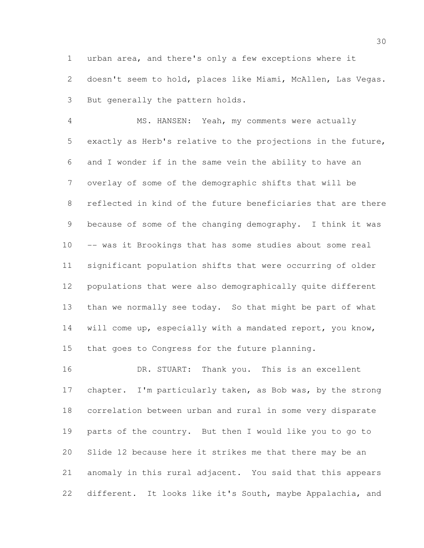urban area, and there's only a few exceptions where it doesn't seem to hold, places like Miami, McAllen, Las Vegas. But generally the pattern holds.

 MS. HANSEN: Yeah, my comments were actually exactly as Herb's relative to the projections in the future, and I wonder if in the same vein the ability to have an overlay of some of the demographic shifts that will be reflected in kind of the future beneficiaries that are there because of some of the changing demography. I think it was -- was it Brookings that has some studies about some real significant population shifts that were occurring of older populations that were also demographically quite different than we normally see today. So that might be part of what 14 will come up, especially with a mandated report, you know, that goes to Congress for the future planning.

 DR. STUART: Thank you. This is an excellent 17 chapter. I'm particularly taken, as Bob was, by the strong correlation between urban and rural in some very disparate parts of the country. But then I would like you to go to Slide 12 because here it strikes me that there may be an anomaly in this rural adjacent. You said that this appears different. It looks like it's South, maybe Appalachia, and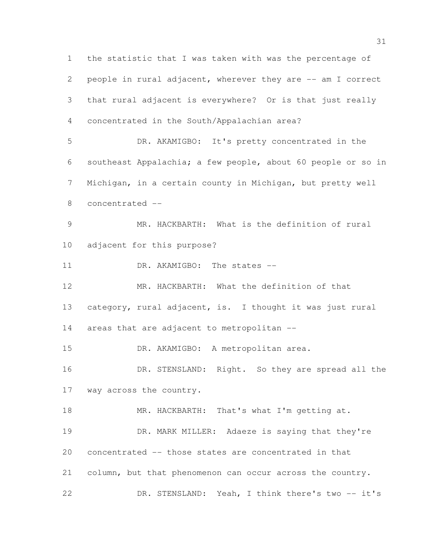the statistic that I was taken with was the percentage of people in rural adjacent, wherever they are -- am I correct that rural adjacent is everywhere? Or is that just really concentrated in the South/Appalachian area? DR. AKAMIGBO: It's pretty concentrated in the southeast Appalachia; a few people, about 60 people or so in Michigan, in a certain county in Michigan, but pretty well concentrated -- MR. HACKBARTH: What is the definition of rural adjacent for this purpose? 11 DR. AKAMIGBO: The states -- MR. HACKBARTH: What the definition of that category, rural adjacent, is. I thought it was just rural areas that are adjacent to metropolitan -- 15 DR. AKAMIGBO: A metropolitan area. 16 DR. STENSLAND: Right. So they are spread all the way across the country. 18 MR. HACKBARTH: That's what I'm getting at. 19 DR. MARK MILLER: Adaeze is saying that they're concentrated -- those states are concentrated in that column, but that phenomenon can occur across the country. DR. STENSLAND: Yeah, I think there's two -- it's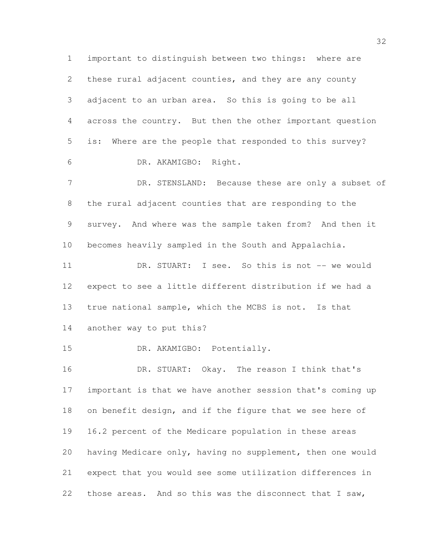important to distinguish between two things: where are 2 these rural adjacent counties, and they are any county adjacent to an urban area. So this is going to be all across the country. But then the other important question is: Where are the people that responded to this survey? DR. AKAMIGBO: Right. 7 DR. STENSLAND: Because these are only a subset of the rural adjacent counties that are responding to the survey. And where was the sample taken from? And then it becomes heavily sampled in the South and Appalachia. DR. STUART: I see. So this is not -- we would expect to see a little different distribution if we had a true national sample, which the MCBS is not. Is that another way to put this? 15 DR. AKAMIGBO: Potentially. 16 DR. STUART: Okay. The reason I think that's important is that we have another session that's coming up on benefit design, and if the figure that we see here of 16.2 percent of the Medicare population in these areas having Medicare only, having no supplement, then one would expect that you would see some utilization differences in those areas. And so this was the disconnect that I saw,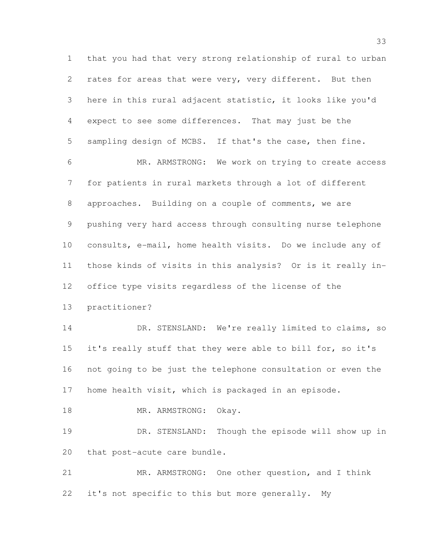that you had that very strong relationship of rural to urban 2 rates for areas that were very, very different. But then here in this rural adjacent statistic, it looks like you'd expect to see some differences. That may just be the sampling design of MCBS. If that's the case, then fine. MR. ARMSTRONG: We work on trying to create access

 for patients in rural markets through a lot of different approaches. Building on a couple of comments, we are pushing very hard access through consulting nurse telephone consults, e-mail, home health visits. Do we include any of those kinds of visits in this analysis? Or is it really in- office type visits regardless of the license of the practitioner?

14 DR. STENSLAND: We're really limited to claims, so it's really stuff that they were able to bill for, so it's not going to be just the telephone consultation or even the home health visit, which is packaged in an episode.

18 MR. ARMSTRONG: Okay.

 DR. STENSLAND: Though the episode will show up in that post-acute care bundle.

 MR. ARMSTRONG: One other question, and I think it's not specific to this but more generally. My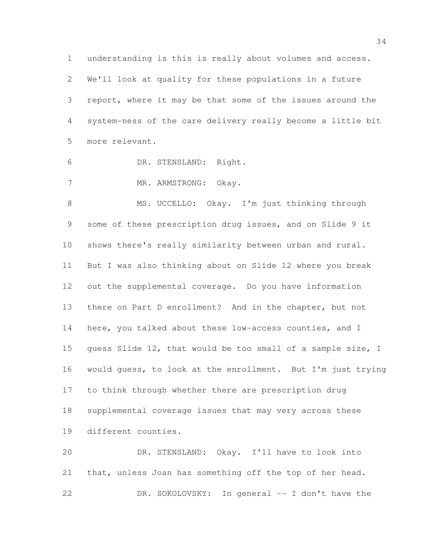understanding is this is really about volumes and access.

 We'll look at quality for these populations in a future report, where it may be that some of the issues around the system-ness of the care delivery really become a little bit more relevant.

DR. STENSLAND: Right.

7 MR. ARMSTRONG: Okay.

8 MS. UCCELLO: Okay. I'm just thinking through some of these prescription drug issues, and on Slide 9 it shows there's really similarity between urban and rural. But I was also thinking about on Slide 12 where you break out the supplemental coverage. Do you have information 13 there on Part D enrollment? And in the chapter, but not 14 here, you talked about these low-access counties, and I guess Slide 12, that would be too small of a sample size, I would guess, to look at the enrollment. But I'm just trying to think through whether there are prescription drug supplemental coverage issues that may very across these different counties.

 DR. STENSLAND: Okay. I'll have to look into that, unless Joan has something off the top of her head. 22 DR. SOKOLOVSKY: In general -- I don't have the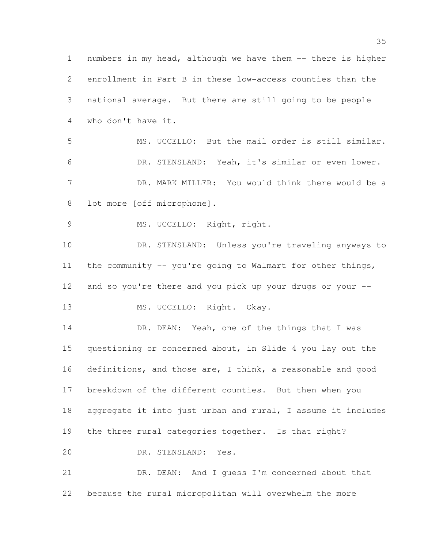numbers in my head, although we have them -- there is higher enrollment in Part B in these low-access counties than the national average. But there are still going to be people who don't have it. MS. UCCELLO: But the mail order is still similar. DR. STENSLAND: Yeah, it's similar or even lower. DR. MARK MILLER: You would think there would be a lot more [off microphone]. 9 MS. UCCELLO: Right, right. DR. STENSLAND: Unless you're traveling anyways to the community -- you're going to Walmart for other things, 12 and so you're there and you pick up your drugs or your --13 MS. UCCELLO: Right. Okay. 14 DR. DEAN: Yeah, one of the things that I was questioning or concerned about, in Slide 4 you lay out the definitions, and those are, I think, a reasonable and good breakdown of the different counties. But then when you aggregate it into just urban and rural, I assume it includes the three rural categories together. Is that right? DR. STENSLAND: Yes. DR. DEAN: And I guess I'm concerned about that because the rural micropolitan will overwhelm the more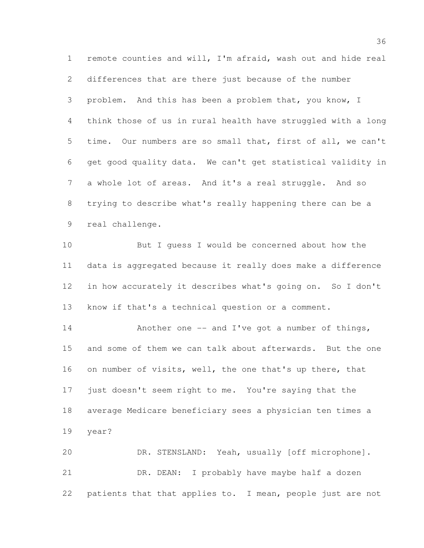remote counties and will, I'm afraid, wash out and hide real differences that are there just because of the number problem. And this has been a problem that, you know, I think those of us in rural health have struggled with a long time. Our numbers are so small that, first of all, we can't get good quality data. We can't get statistical validity in a whole lot of areas. And it's a real struggle. And so trying to describe what's really happening there can be a real challenge.

 But I guess I would be concerned about how the data is aggregated because it really does make a difference in how accurately it describes what's going on. So I don't know if that's a technical question or a comment.

14 Another one -- and I've got a number of things, and some of them we can talk about afterwards. But the one 16 on number of visits, well, the one that's up there, that just doesn't seem right to me. You're saying that the average Medicare beneficiary sees a physician ten times a year?

 DR. STENSLAND: Yeah, usually [off microphone]. DR. DEAN: I probably have maybe half a dozen patients that that applies to. I mean, people just are not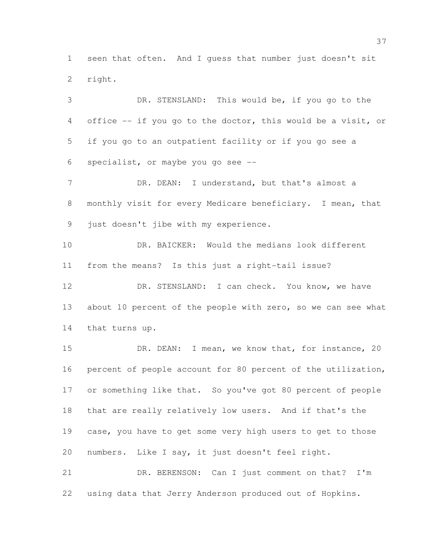seen that often. And I guess that number just doesn't sit right.

 DR. STENSLAND: This would be, if you go to the office -- if you go to the doctor, this would be a visit, or if you go to an outpatient facility or if you go see a specialist, or maybe you go see --

7 DR. DEAN: I understand, but that's almost a monthly visit for every Medicare beneficiary. I mean, that just doesn't jibe with my experience.

 DR. BAICKER: Would the medians look different from the means? Is this just a right-tail issue?

 DR. STENSLAND: I can check. You know, we have about 10 percent of the people with zero, so we can see what that turns up.

15 DR. DEAN: I mean, we know that, for instance, 20 percent of people account for 80 percent of the utilization, or something like that. So you've got 80 percent of people that are really relatively low users. And if that's the case, you have to get some very high users to get to those numbers. Like I say, it just doesn't feel right.

 DR. BERENSON: Can I just comment on that? I'm using data that Jerry Anderson produced out of Hopkins.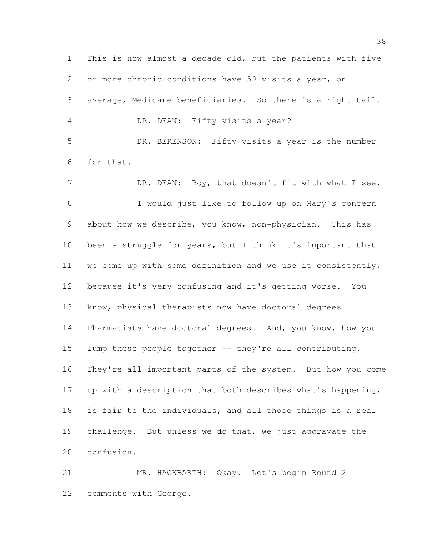This is now almost a decade old, but the patients with five or more chronic conditions have 50 visits a year, on average, Medicare beneficiaries. So there is a right tail. DR. DEAN: Fifty visits a year? DR. BERENSON: Fifty visits a year is the number for that. 7 DR. DEAN: Boy, that doesn't fit with what I see. I would just like to follow up on Mary's concern about how we describe, you know, non-physician. This has 10 been a struggle for years, but I think it's important that we come up with some definition and we use it consistently, because it's very confusing and it's getting worse. You know, physical therapists now have doctoral degrees. Pharmacists have doctoral degrees. And, you know, how you lump these people together -- they're all contributing. They're all important parts of the system. But how you come up with a description that both describes what's happening, is fair to the individuals, and all those things is a real challenge. But unless we do that, we just aggravate the confusion.

 MR. HACKBARTH: Okay. Let's begin Round 2 comments with George.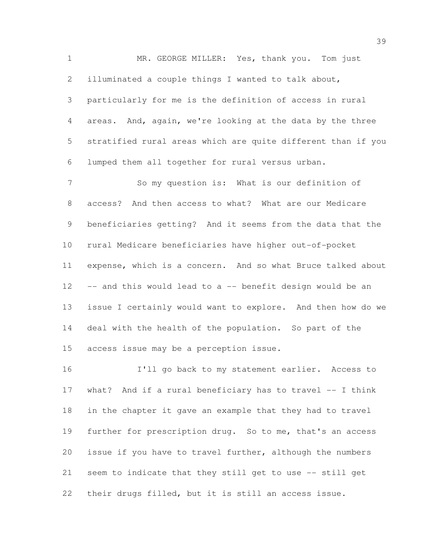MR. GEORGE MILLER: Yes, thank you. Tom just illuminated a couple things I wanted to talk about, particularly for me is the definition of access in rural areas. And, again, we're looking at the data by the three stratified rural areas which are quite different than if you lumped them all together for rural versus urban.

 So my question is: What is our definition of access? And then access to what? What are our Medicare beneficiaries getting? And it seems from the data that the rural Medicare beneficiaries have higher out-of-pocket expense, which is a concern. And so what Bruce talked about -- and this would lead to a -- benefit design would be an issue I certainly would want to explore. And then how do we deal with the health of the population. So part of the access issue may be a perception issue.

 I'll go back to my statement earlier. Access to what? And if a rural beneficiary has to travel -- I think in the chapter it gave an example that they had to travel further for prescription drug. So to me, that's an access issue if you have to travel further, although the numbers seem to indicate that they still get to use -- still get their drugs filled, but it is still an access issue.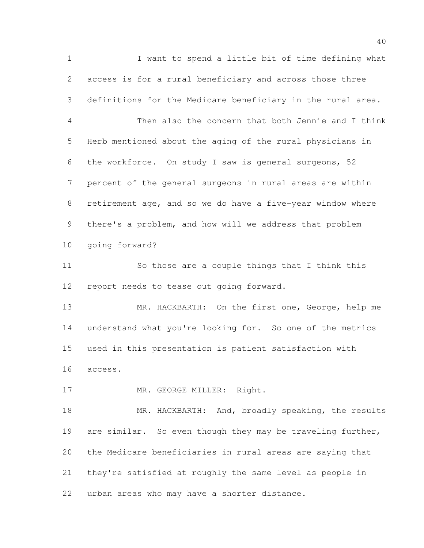I want to spend a little bit of time defining what access is for a rural beneficiary and across those three definitions for the Medicare beneficiary in the rural area. Then also the concern that both Jennie and I think Herb mentioned about the aging of the rural physicians in the workforce. On study I saw is general surgeons, 52 percent of the general surgeons in rural areas are within retirement age, and so we do have a five-year window where there's a problem, and how will we address that problem going forward? So those are a couple things that I think this 12 report needs to tease out going forward. 13 MR. HACKBARTH: On the first one, George, help me understand what you're looking for. So one of the metrics used in this presentation is patient satisfaction with access. 17 MR. GEORGE MILLER: Right. 18 MR. HACKBARTH: And, broadly speaking, the results 19 are similar. So even though they may be traveling further, the Medicare beneficiaries in rural areas are saying that they're satisfied at roughly the same level as people in

urban areas who may have a shorter distance.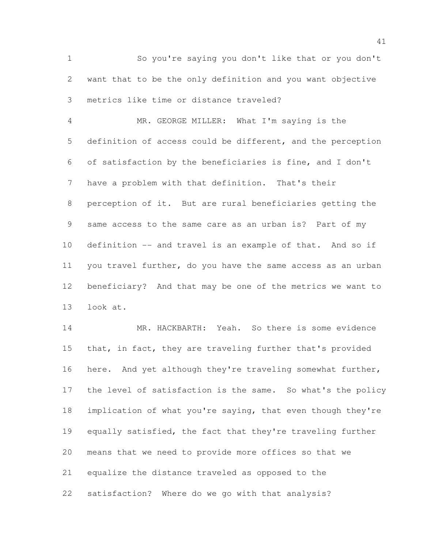So you're saying you don't like that or you don't want that to be the only definition and you want objective metrics like time or distance traveled?

 MR. GEORGE MILLER: What I'm saying is the definition of access could be different, and the perception of satisfaction by the beneficiaries is fine, and I don't have a problem with that definition. That's their perception of it. But are rural beneficiaries getting the same access to the same care as an urban is? Part of my definition -- and travel is an example of that. And so if you travel further, do you have the same access as an urban beneficiary? And that may be one of the metrics we want to look at.

 MR. HACKBARTH: Yeah. So there is some evidence 15 that, in fact, they are traveling further that's provided 16 here. And yet although they're traveling somewhat further, the level of satisfaction is the same. So what's the policy implication of what you're saying, that even though they're equally satisfied, the fact that they're traveling further means that we need to provide more offices so that we equalize the distance traveled as opposed to the satisfaction? Where do we go with that analysis?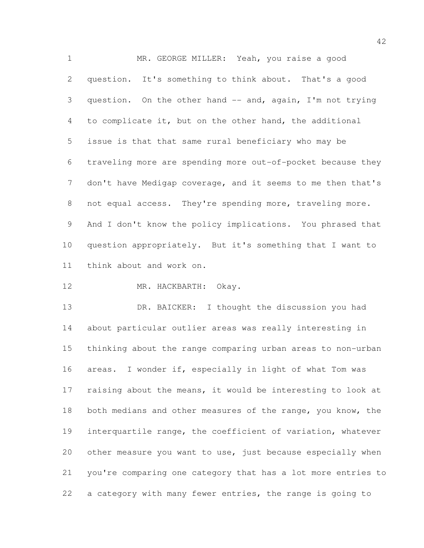MR. GEORGE MILLER: Yeah, you raise a good question. It's something to think about. That's a good question. On the other hand -- and, again, I'm not trying to complicate it, but on the other hand, the additional issue is that that same rural beneficiary who may be traveling more are spending more out-of-pocket because they don't have Medigap coverage, and it seems to me then that's not equal access. They're spending more, traveling more. And I don't know the policy implications. You phrased that question appropriately. But it's something that I want to think about and work on.

MR. HACKBARTH: Okay.

13 DR. BAICKER: I thought the discussion you had about particular outlier areas was really interesting in thinking about the range comparing urban areas to non-urban areas. I wonder if, especially in light of what Tom was 17 raising about the means, it would be interesting to look at 18 both medians and other measures of the range, you know, the interquartile range, the coefficient of variation, whatever 20 other measure you want to use, just because especially when you're comparing one category that has a lot more entries to a category with many fewer entries, the range is going to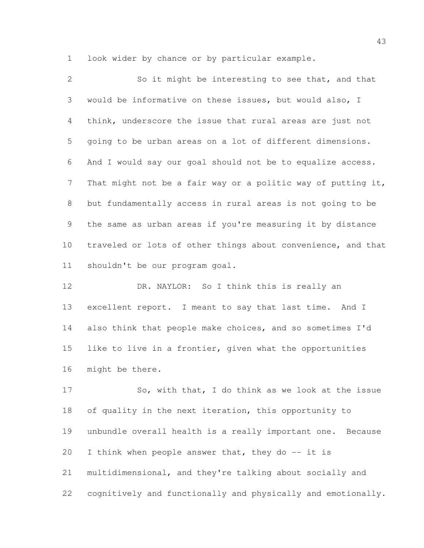look wider by chance or by particular example.

 So it might be interesting to see that, and that would be informative on these issues, but would also, I think, underscore the issue that rural areas are just not going to be urban areas on a lot of different dimensions. And I would say our goal should not be to equalize access. That might not be a fair way or a politic way of putting it, but fundamentally access in rural areas is not going to be the same as urban areas if you're measuring it by distance traveled or lots of other things about convenience, and that shouldn't be our program goal.

 DR. NAYLOR: So I think this is really an excellent report. I meant to say that last time. And I also think that people make choices, and so sometimes I'd like to live in a frontier, given what the opportunities might be there.

17 So, with that, I do think as we look at the issue of quality in the next iteration, this opportunity to unbundle overall health is a really important one. Because I think when people answer that, they do -- it is multidimensional, and they're talking about socially and cognitively and functionally and physically and emotionally.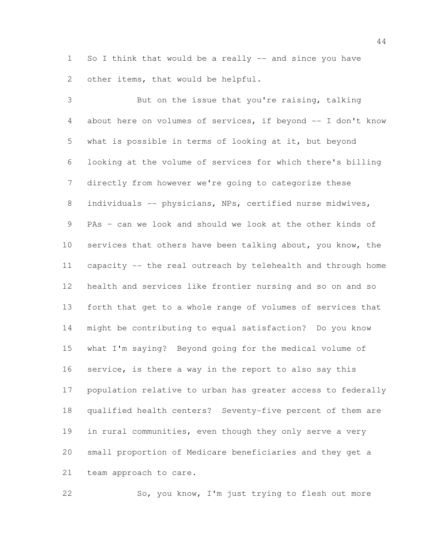So I think that would be a really -- and since you have 2 other items, that would be helpful.

 But on the issue that you're raising, talking about here on volumes of services, if beyond -- I don't know what is possible in terms of looking at it, but beyond looking at the volume of services for which there's billing directly from however we're going to categorize these 8 individuals -- physicians, NPs, certified nurse midwives, PAs – can we look and should we look at the other kinds of 10 services that others have been talking about, you know, the capacity -- the real outreach by telehealth and through home health and services like frontier nursing and so on and so forth that get to a whole range of volumes of services that might be contributing to equal satisfaction? Do you know what I'm saying? Beyond going for the medical volume of service, is there a way in the report to also say this population relative to urban has greater access to federally qualified health centers? Seventy-five percent of them are in rural communities, even though they only serve a very small proportion of Medicare beneficiaries and they get a team approach to care.

So, you know, I'm just trying to flesh out more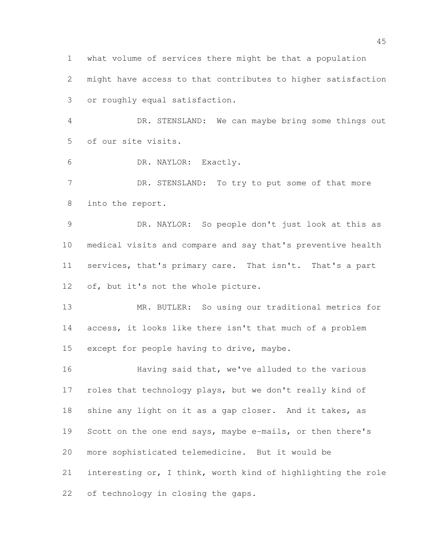what volume of services there might be that a population

 might have access to that contributes to higher satisfaction or roughly equal satisfaction.

 DR. STENSLAND: We can maybe bring some things out of our site visits.

DR. NAYLOR: Exactly.

7 DR. STENSLAND: To try to put some of that more into the report.

 DR. NAYLOR: So people don't just look at this as medical visits and compare and say that's preventive health services, that's primary care. That isn't. That's a part of, but it's not the whole picture.

 MR. BUTLER: So using our traditional metrics for access, it looks like there isn't that much of a problem except for people having to drive, maybe.

 Having said that, we've alluded to the various roles that technology plays, but we don't really kind of shine any light on it as a gap closer. And it takes, as 19 Scott on the one end says, maybe e-mails, or then there's more sophisticated telemedicine. But it would be interesting or, I think, worth kind of highlighting the role of technology in closing the gaps.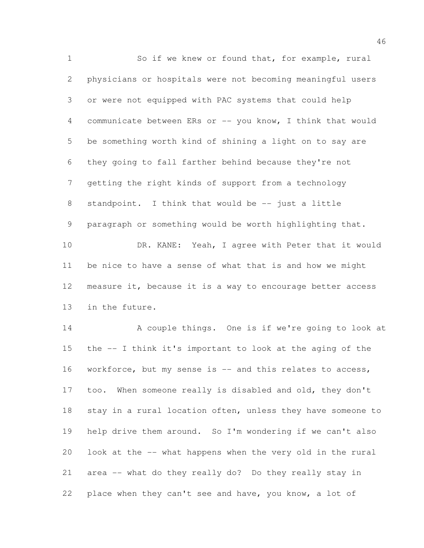1 So if we knew or found that, for example, rural physicians or hospitals were not becoming meaningful users or were not equipped with PAC systems that could help communicate between ERs or -- you know, I think that would be something worth kind of shining a light on to say are they going to fall farther behind because they're not getting the right kinds of support from a technology 8 standpoint. I think that would be -- just a little paragraph or something would be worth highlighting that. 10 DR. KANE: Yeah, I agree with Peter that it would be nice to have a sense of what that is and how we might measure it, because it is a way to encourage better access in the future.

14 A couple things. One is if we're going to look at the -- I think it's important to look at the aging of the workforce, but my sense is -- and this relates to access, too. When someone really is disabled and old, they don't 18 stay in a rural location often, unless they have someone to help drive them around. So I'm wondering if we can't also look at the -- what happens when the very old in the rural area -- what do they really do? Do they really stay in place when they can't see and have, you know, a lot of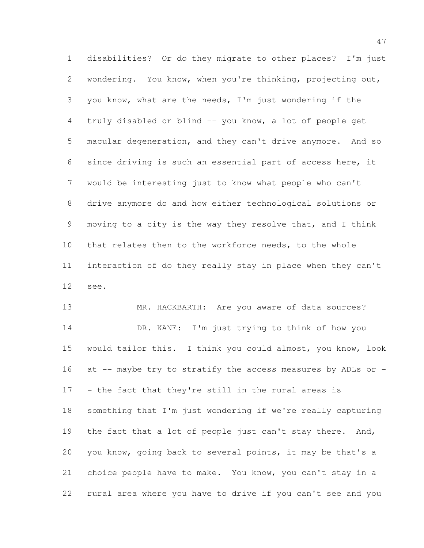disabilities? Or do they migrate to other places? I'm just wondering. You know, when you're thinking, projecting out, you know, what are the needs, I'm just wondering if the truly disabled or blind -- you know, a lot of people get macular degeneration, and they can't drive anymore. And so since driving is such an essential part of access here, it would be interesting just to know what people who can't drive anymore do and how either technological solutions or moving to a city is the way they resolve that, and I think that relates then to the workforce needs, to the whole interaction of do they really stay in place when they can't see.

 MR. HACKBARTH: Are you aware of data sources? DR. KANE: I'm just trying to think of how you would tailor this. I think you could almost, you know, look 16 at -- maybe try to stratify the access measures by ADLs or - - the fact that they're still in the rural areas is something that I'm just wondering if we're really capturing 19 the fact that a lot of people just can't stay there. And, you know, going back to several points, it may be that's a choice people have to make. You know, you can't stay in a rural area where you have to drive if you can't see and you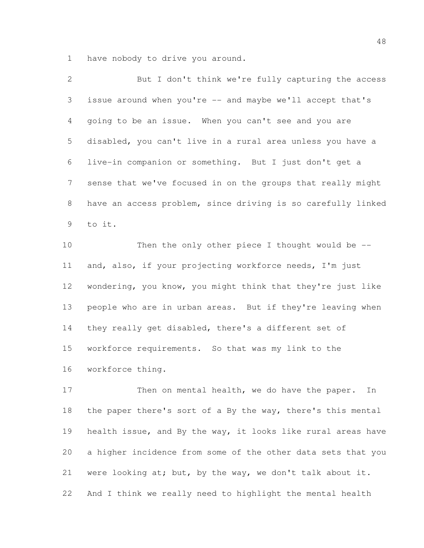have nobody to drive you around.

| 2               | But I don't think we're fully capturing the access           |
|-----------------|--------------------------------------------------------------|
| 3 <sup>7</sup>  | issue around when you're -- and maybe we'll accept that's    |
| $4\overline{ }$ | going to be an issue. When you can't see and you are         |
| 5               | disabled, you can't live in a rural area unless you have a   |
|                 | 6 live-in companion or something. But I just don't get a     |
| 7               | sense that we've focused in on the groups that really might  |
| 8               | have an access problem, since driving is so carefully linked |
| 9               | to it.                                                       |
|                 |                                                              |

 Then the only other piece I thought would be -- and, also, if your projecting workforce needs, I'm just wondering, you know, you might think that they're just like people who are in urban areas. But if they're leaving when they really get disabled, there's a different set of workforce requirements. So that was my link to the workforce thing.

17 Then on mental health, we do have the paper. In the paper there's sort of a By the way, there's this mental health issue, and By the way, it looks like rural areas have a higher incidence from some of the other data sets that you were looking at; but, by the way, we don't talk about it. And I think we really need to highlight the mental health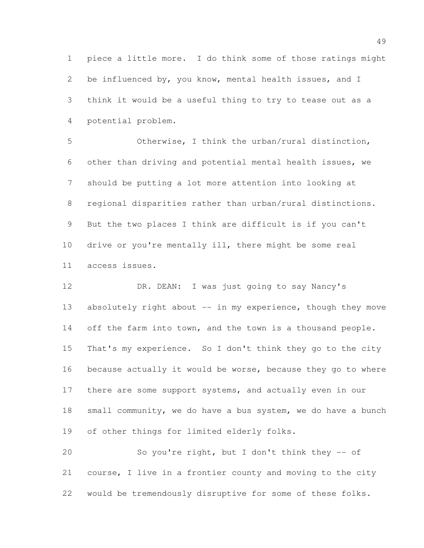piece a little more. I do think some of those ratings might be influenced by, you know, mental health issues, and I think it would be a useful thing to try to tease out as a potential problem.

 Otherwise, I think the urban/rural distinction, other than driving and potential mental health issues, we should be putting a lot more attention into looking at regional disparities rather than urban/rural distinctions. But the two places I think are difficult is if you can't drive or you're mentally ill, there might be some real access issues.

 DR. DEAN: I was just going to say Nancy's 13 absolutely right about -- in my experience, though they move 14 off the farm into town, and the town is a thousand people. That's my experience. So I don't think they go to the city because actually it would be worse, because they go to where 17 there are some support systems, and actually even in our 18 small community, we do have a bus system, we do have a bunch of other things for limited elderly folks.

 So you're right, but I don't think they -- of course, I live in a frontier county and moving to the city would be tremendously disruptive for some of these folks.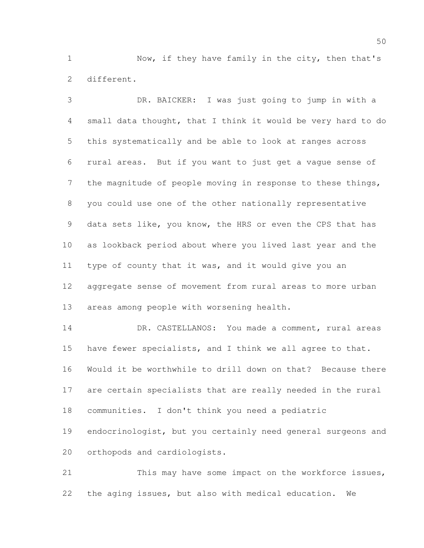Now, if they have family in the city, then that's different.

 DR. BAICKER: I was just going to jump in with a small data thought, that I think it would be very hard to do this systematically and be able to look at ranges across rural areas. But if you want to just get a vague sense of the magnitude of people moving in response to these things, you could use one of the other nationally representative data sets like, you know, the HRS or even the CPS that has as lookback period about where you lived last year and the type of county that it was, and it would give you an aggregate sense of movement from rural areas to more urban areas among people with worsening health. 14 DR. CASTELLANOS: You made a comment, rural areas 15 have fewer specialists, and I think we all agree to that.

 Would it be worthwhile to drill down on that? Because there are certain specialists that are really needed in the rural

communities. I don't think you need a pediatric

 endocrinologist, but you certainly need general surgeons and orthopods and cardiologists.

 This may have some impact on the workforce issues, the aging issues, but also with medical education. We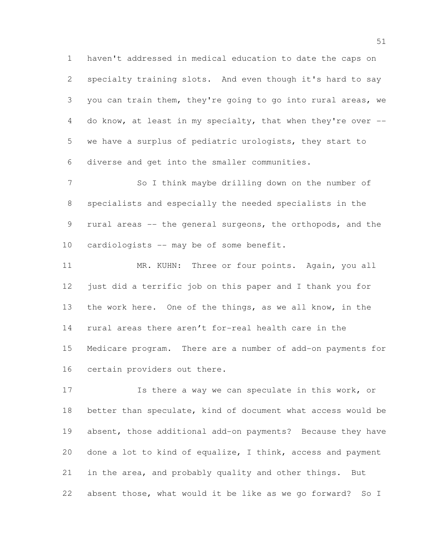haven't addressed in medical education to date the caps on specialty training slots. And even though it's hard to say you can train them, they're going to go into rural areas, we do know, at least in my specialty, that when they're over -- we have a surplus of pediatric urologists, they start to diverse and get into the smaller communities.

 So I think maybe drilling down on the number of specialists and especially the needed specialists in the rural areas -- the general surgeons, the orthopods, and the 10 cardiologists -- may be of some benefit.

 MR. KUHN: Three or four points. Again, you all just did a terrific job on this paper and I thank you for the work here. One of the things, as we all know, in the rural areas there aren't for-real health care in the Medicare program. There are a number of add-on payments for certain providers out there.

**Is there a way we can speculate in this work, or**  better than speculate, kind of document what access would be absent, those additional add-on payments? Because they have done a lot to kind of equalize, I think, access and payment in the area, and probably quality and other things. But absent those, what would it be like as we go forward? So I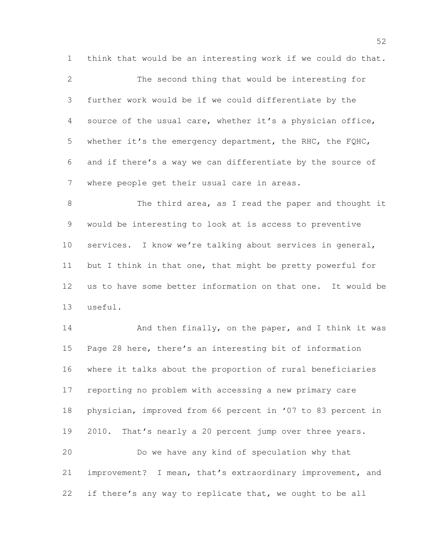think that would be an interesting work if we could do that.

 The second thing that would be interesting for further work would be if we could differentiate by the source of the usual care, whether it's a physician office, whether it's the emergency department, the RHC, the FQHC, and if there's a way we can differentiate by the source of where people get their usual care in areas.

8 The third area, as I read the paper and thought it would be interesting to look at is access to preventive services. I know we're talking about services in general, 11 but I think in that one, that might be pretty powerful for us to have some better information on that one. It would be useful.

14 And then finally, on the paper, and I think it was Page 28 here, there's an interesting bit of information where it talks about the proportion of rural beneficiaries reporting no problem with accessing a new primary care physician, improved from 66 percent in '07 to 83 percent in 2010. That's nearly a 20 percent jump over three years. Do we have any kind of speculation why that improvement? I mean, that's extraordinary improvement, and 22 if there's any way to replicate that, we ought to be all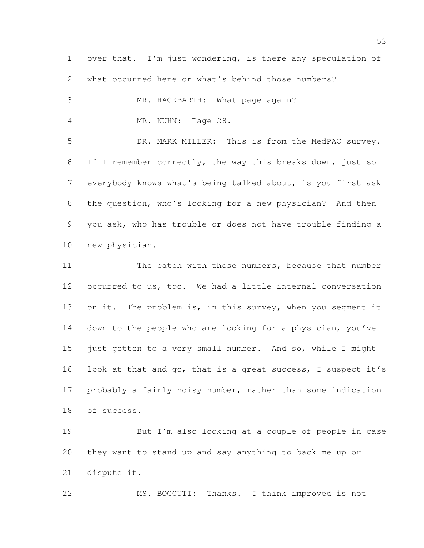over that. I'm just wondering, is there any speculation of what occurred here or what's behind those numbers?

MR. HACKBARTH: What page again?

MR. KUHN: Page 28.

 DR. MARK MILLER: This is from the MedPAC survey. If I remember correctly, the way this breaks down, just so everybody knows what's being talked about, is you first ask the question, who's looking for a new physician? And then you ask, who has trouble or does not have trouble finding a new physician.

11 The catch with those numbers, because that number occurred to us, too. We had a little internal conversation 13 on it. The problem is, in this survey, when you seqment it down to the people who are looking for a physician, you've just gotten to a very small number. And so, while I might look at that and go, that is a great success, I suspect it's probably a fairly noisy number, rather than some indication of success.

 But I'm also looking at a couple of people in case they want to stand up and say anything to back me up or dispute it.

MS. BOCCUTI: Thanks. I think improved is not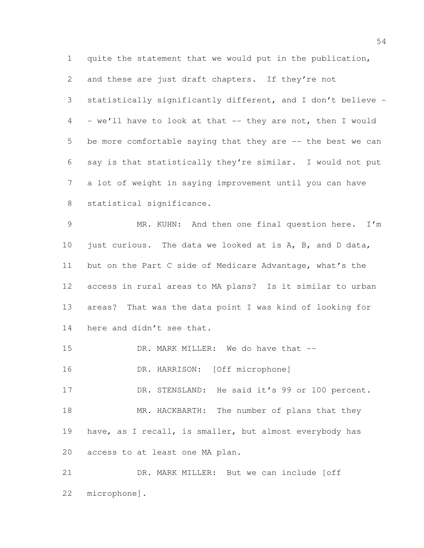quite the statement that we would put in the publication, and these are just draft chapters. If they're not statistically significantly different, and I don't believe - - we'll have to look at that -- they are not, then I would be more comfortable saying that they are -- the best we can say is that statistically they're similar. I would not put a lot of weight in saying improvement until you can have statistical significance.

 MR. KUHN: And then one final question here. I'm just curious. The data we looked at is A, B, and D data, but on the Part C side of Medicare Advantage, what's the access in rural areas to MA plans? Is it similar to urban areas? That was the data point I was kind of looking for here and didn't see that.

15 DR. MARK MILLER: We do have that --

DR. HARRISON: [Off microphone]

17 DR. STENSLAND: He said it's 99 or 100 percent. 18 MR. HACKBARTH: The number of plans that they have, as I recall, is smaller, but almost everybody has access to at least one MA plan.

 DR. MARK MILLER: But we can include [off microphone].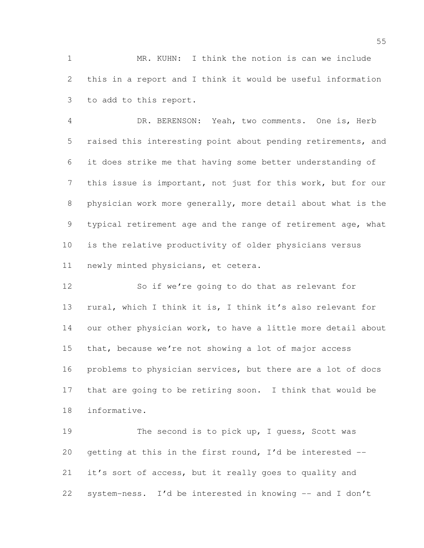MR. KUHN: I think the notion is can we include this in a report and I think it would be useful information to add to this report.

 DR. BERENSON: Yeah, two comments. One is, Herb raised this interesting point about pending retirements, and it does strike me that having some better understanding of this issue is important, not just for this work, but for our physician work more generally, more detail about what is the 9 typical retirement age and the range of retirement age, what is the relative productivity of older physicians versus newly minted physicians, et cetera.

 So if we're going to do that as relevant for rural, which I think it is, I think it's also relevant for our other physician work, to have a little more detail about that, because we're not showing a lot of major access problems to physician services, but there are a lot of docs that are going to be retiring soon. I think that would be informative.

19 The second is to pick up, I quess, Scott was getting at this in the first round, I'd be interested -- it's sort of access, but it really goes to quality and system-ness. I'd be interested in knowing -- and I don't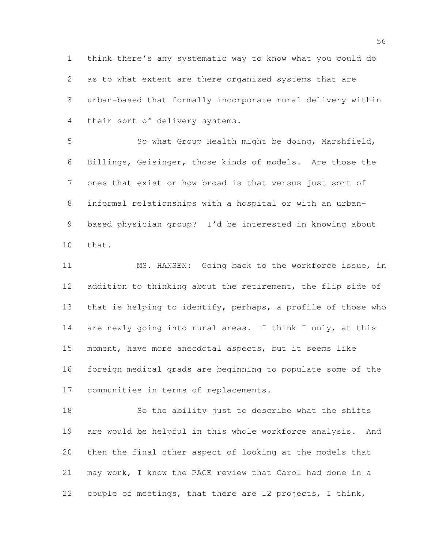think there's any systematic way to know what you could do as to what extent are there organized systems that are urban-based that formally incorporate rural delivery within their sort of delivery systems.

 So what Group Health might be doing, Marshfield, Billings, Geisinger, those kinds of models. Are those the ones that exist or how broad is that versus just sort of informal relationships with a hospital or with an urban- based physician group? I'd be interested in knowing about that.

 MS. HANSEN: Going back to the workforce issue, in 12 addition to thinking about the retirement, the flip side of that is helping to identify, perhaps, a profile of those who 14 are newly going into rural areas. I think I only, at this moment, have more anecdotal aspects, but it seems like foreign medical grads are beginning to populate some of the communities in terms of replacements.

 So the ability just to describe what the shifts are would be helpful in this whole workforce analysis. And then the final other aspect of looking at the models that may work, I know the PACE review that Carol had done in a couple of meetings, that there are 12 projects, I think,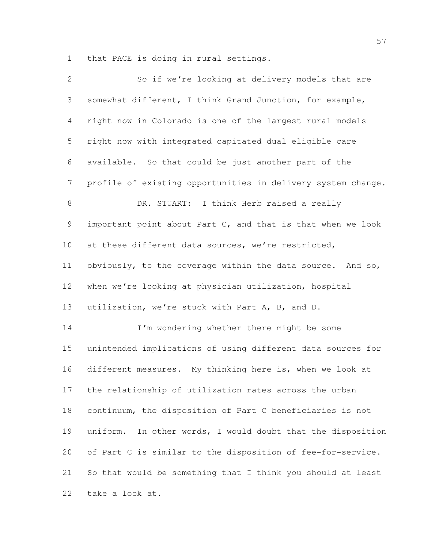that PACE is doing in rural settings.

| $\mathbf{2}$   | So if we're looking at delivery models that are                |
|----------------|----------------------------------------------------------------|
| 3              | somewhat different, I think Grand Junction, for example,       |
| $\overline{4}$ | right now in Colorado is one of the largest rural models       |
| 5              | right now with integrated capitated dual eligible care         |
| 6              | available. So that could be just another part of the           |
| $\overline{7}$ | profile of existing opportunities in delivery system change.   |
| $\,8\,$        | DR. STUART: I think Herb raised a really                       |
| 9              | important point about Part $C$ , and that is that when we look |
| 10             | at these different data sources, we're restricted,             |
| 11             | obviously, to the coverage within the data source. And so,     |
| 12             | when we're looking at physician utilization, hospital          |
| 13             | utilization, we're stuck with Part A, B, and D.                |
| 14             | I'm wondering whether there might be some                      |
| 15             | unintended implications of using different data sources for    |
| 16             | different measures. My thinking here is, when we look at       |
| 17             | the relationship of utilization rates across the urban         |
| 18             | continuum, the disposition of Part C beneficiaries is not      |
| 19             | uniform. In other words, I would doubt that the disposition    |
| 20             | of Part C is similar to the disposition of fee-for-service.    |
| 21             | So that would be something that I think you should at least    |
| 22             | take a look at.                                                |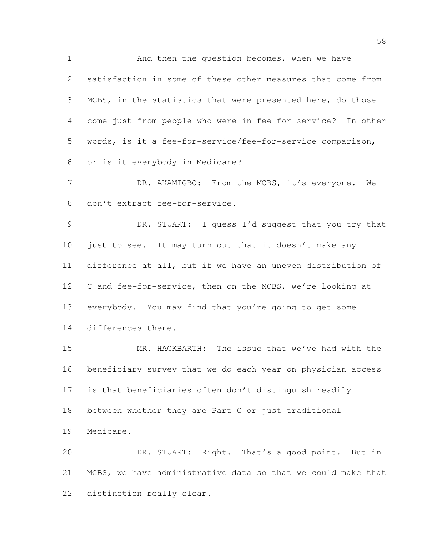And then the question becomes, when we have satisfaction in some of these other measures that come from MCBS, in the statistics that were presented here, do those come just from people who were in fee-for-service? In other words, is it a fee-for-service/fee-for-service comparison, or is it everybody in Medicare?

7 DR. AKAMIGBO: From the MCBS, it's everyone. We don't extract fee-for-service.

 DR. STUART: I guess I'd suggest that you try that just to see. It may turn out that it doesn't make any difference at all, but if we have an uneven distribution of 12 C and fee-for-service, then on the MCBS, we're looking at everybody. You may find that you're going to get some differences there.

 MR. HACKBARTH: The issue that we've had with the beneficiary survey that we do each year on physician access is that beneficiaries often don't distinguish readily between whether they are Part C or just traditional Medicare.

 DR. STUART: Right. That's a good point. But in MCBS, we have administrative data so that we could make that distinction really clear.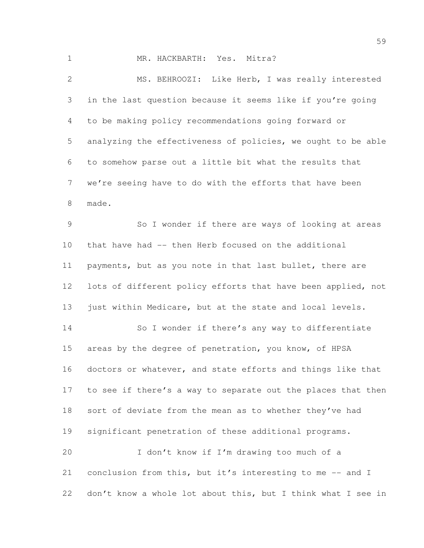| $\mathbf 1$     | MR. HACKBARTH: Yes. Mitra?                                   |
|-----------------|--------------------------------------------------------------|
| 2               | MS. BEHROOZI: Like Herb, I was really interested             |
| 3               | in the last question because it seems like if you're going   |
| 4               | to be making policy recommendations going forward or         |
| 5               | analyzing the effectiveness of policies, we ought to be able |
| 6               | to somehow parse out a little bit what the results that      |
| 7               | we're seeing have to do with the efforts that have been      |
| 8               | made.                                                        |
| $\mathcal{G}$   | So I wonder if there are ways of looking at areas            |
| 10 <sub>o</sub> | that have had -- then Herb focused on the additional         |
| 11              | payments, but as you note in that last bullet, there are     |
| 12 <sup>°</sup> | lots of different policy efforts that have been applied, not |
| 13              | just within Medicare, but at the state and local levels.     |
| 14              | So I wonder if there's any way to differentiate              |
| 15              | areas by the degree of penetration, you know, of HPSA        |
| 16              | doctors or whatever, and state efforts and things like that  |
| 17              | to see if there's a way to separate out the places that then |
| 18              | sort of deviate from the mean as to whether they've had      |
| 19              | significant penetration of these additional programs.        |
| 20              | I don't know if I'm drawing too much of a                    |
| 21              | conclusion from this, but it's interesting to me -- and I    |
| 22              | don't know a whole lot about this, but I think what I see in |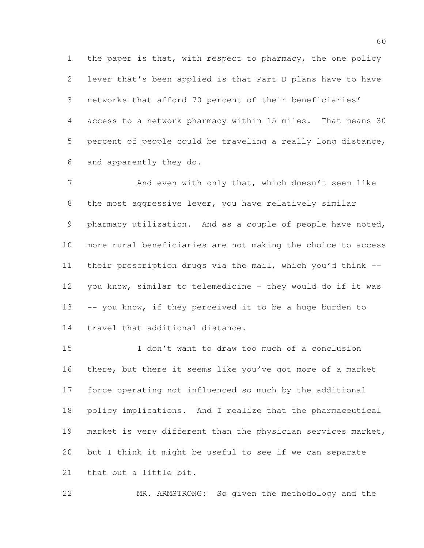1 the paper is that, with respect to pharmacy, the one policy lever that's been applied is that Part D plans have to have networks that afford 70 percent of their beneficiaries' access to a network pharmacy within 15 miles. That means 30 percent of people could be traveling a really long distance, and apparently they do.

7 And even with only that, which doesn't seem like the most aggressive lever, you have relatively similar pharmacy utilization. And as a couple of people have noted, more rural beneficiaries are not making the choice to access their prescription drugs via the mail, which you'd think -- you know, similar to telemedicine – they would do if it was -- you know, if they perceived it to be a huge burden to travel that additional distance.

 I don't want to draw too much of a conclusion there, but there it seems like you've got more of a market force operating not influenced so much by the additional policy implications. And I realize that the pharmaceutical market is very different than the physician services market, but I think it might be useful to see if we can separate that out a little bit.

MR. ARMSTRONG: So given the methodology and the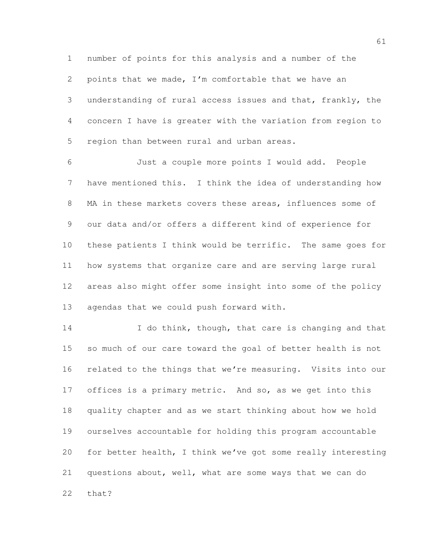number of points for this analysis and a number of the points that we made, I'm comfortable that we have an understanding of rural access issues and that, frankly, the concern I have is greater with the variation from region to region than between rural and urban areas.

 Just a couple more points I would add. People have mentioned this. I think the idea of understanding how MA in these markets covers these areas, influences some of our data and/or offers a different kind of experience for these patients I think would be terrific. The same goes for how systems that organize care and are serving large rural areas also might offer some insight into some of the policy agendas that we could push forward with.

14 I do think, though, that care is changing and that so much of our care toward the goal of better health is not related to the things that we're measuring. Visits into our 17 offices is a primary metric. And so, as we get into this quality chapter and as we start thinking about how we hold ourselves accountable for holding this program accountable for better health, I think we've got some really interesting questions about, well, what are some ways that we can do that?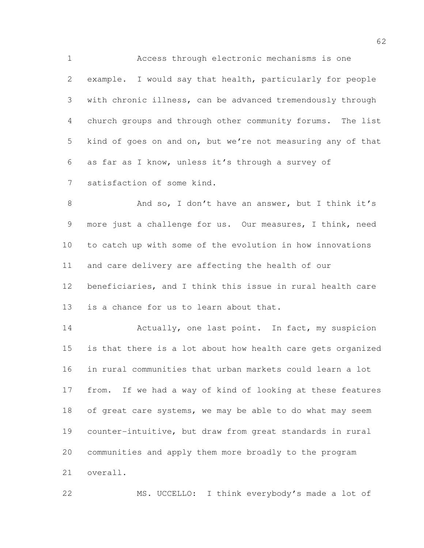Access through electronic mechanisms is one example. I would say that health, particularly for people with chronic illness, can be advanced tremendously through church groups and through other community forums. The list kind of goes on and on, but we're not measuring any of that as far as I know, unless it's through a survey of satisfaction of some kind.

8 And so, I don't have an answer, but I think it's more just a challenge for us. Our measures, I think, need to catch up with some of the evolution in how innovations and care delivery are affecting the health of our beneficiaries, and I think this issue in rural health care 13 is a chance for us to learn about that.

14 Actually, one last point. In fact, my suspicion is that there is a lot about how health care gets organized in rural communities that urban markets could learn a lot from. If we had a way of kind of looking at these features 18 of great care systems, we may be able to do what may seem counter-intuitive, but draw from great standards in rural communities and apply them more broadly to the program overall.

MS. UCCELLO: I think everybody's made a lot of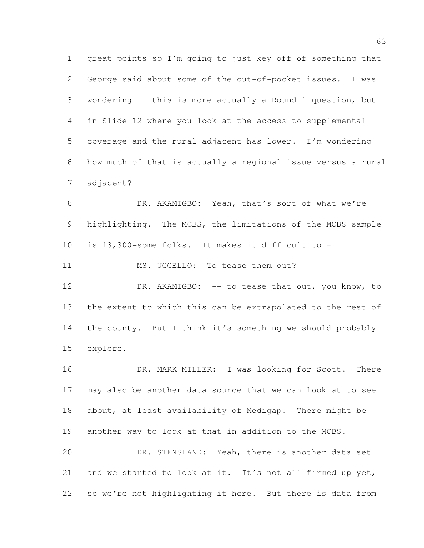great points so I'm going to just key off of something that George said about some of the out-of-pocket issues. I was wondering -- this is more actually a Round 1 question, but in Slide 12 where you look at the access to supplemental coverage and the rural adjacent has lower. I'm wondering how much of that is actually a regional issue versus a rural adjacent?

 DR. AKAMIGBO: Yeah, that's sort of what we're 9 highlighting. The MCBS, the limitations of the MCBS sample is 13,300-some folks. It makes it difficult to –

11 MS. UCCELLO: To tease them out?

12 DR. AKAMIGBO: -- to tease that out, you know, to the extent to which this can be extrapolated to the rest of the county. But I think it's something we should probably explore.

16 DR. MARK MILLER: I was looking for Scott. There may also be another data source that we can look at to see about, at least availability of Medigap. There might be another way to look at that in addition to the MCBS.

 DR. STENSLAND: Yeah, there is another data set and we started to look at it. It's not all firmed up yet, so we're not highlighting it here. But there is data from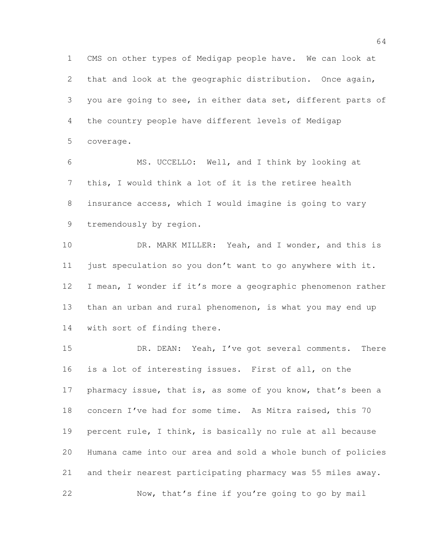CMS on other types of Medigap people have. We can look at that and look at the geographic distribution. Once again, you are going to see, in either data set, different parts of the country people have different levels of Medigap coverage.

 MS. UCCELLO: Well, and I think by looking at this, I would think a lot of it is the retiree health insurance access, which I would imagine is going to vary tremendously by region.

10 DR. MARK MILLER: Yeah, and I wonder, and this is just speculation so you don't want to go anywhere with it. I mean, I wonder if it's more a geographic phenomenon rather 13 than an urban and rural phenomenon, is what you may end up 14 with sort of finding there.

15 DR. DEAN: Yeah, I've got several comments. There is a lot of interesting issues. First of all, on the 17 pharmacy issue, that is, as some of you know, that's been a concern I've had for some time. As Mitra raised, this 70 percent rule, I think, is basically no rule at all because Humana came into our area and sold a whole bunch of policies and their nearest participating pharmacy was 55 miles away. Now, that's fine if you're going to go by mail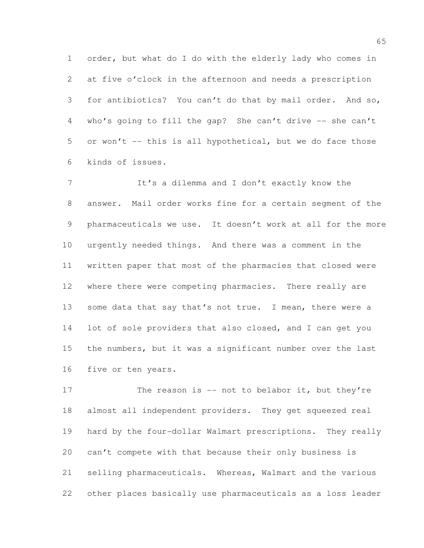order, but what do I do with the elderly lady who comes in at five o'clock in the afternoon and needs a prescription for antibiotics? You can't do that by mail order. And so, 4 who's going to fill the gap? She can't drive -- she can't or won't -- this is all hypothetical, but we do face those kinds of issues.

7 It's a dilemma and I don't exactly know the answer. Mail order works fine for a certain segment of the pharmaceuticals we use. It doesn't work at all for the more urgently needed things. And there was a comment in the written paper that most of the pharmacies that closed were where there were competing pharmacies. There really are 13 some data that say that's not true. I mean, there were a 14 lot of sole providers that also closed, and I can get you the numbers, but it was a significant number over the last five or ten years.

17 The reason is -- not to belabor it, but they're almost all independent providers. They get squeezed real hard by the four-dollar Walmart prescriptions. They really can't compete with that because their only business is selling pharmaceuticals. Whereas, Walmart and the various other places basically use pharmaceuticals as a loss leader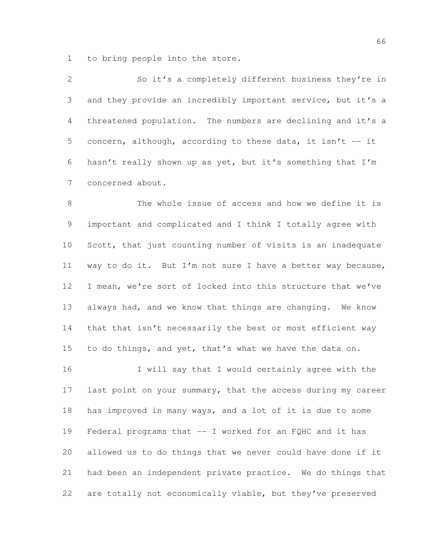to bring people into the store.

| 2 | So it's a completely different business they're in           |
|---|--------------------------------------------------------------|
| 3 | and they provide an incredibly important service, but it's a |
| 4 | threatened population. The numbers are declining and it's a  |
| 5 | concern, although, according to these data, it isn't $-$ it  |
| 6 | hasn't really shown up as yet, but it's something that I'm   |
| 7 | concerned about.                                             |

 The whole issue of access and how we define it is important and complicated and I think I totally agree with Scott, that just counting number of visits is an inadequate 11 way to do it. But I'm not sure I have a better way because, 12 I mean, we're sort of locked into this structure that we've always had, and we know that things are changing. We know that that isn't necessarily the best or most efficient way to do things, and yet, that's what we have the data on.

 I will say that I would certainly agree with the 17 last point on your summary, that the access during my career has improved in many ways, and a lot of it is due to some Federal programs that -- I worked for an FQHC and it has allowed us to do things that we never could have done if it had been an independent private practice. We do things that 22 are totally not economically viable, but they've preserved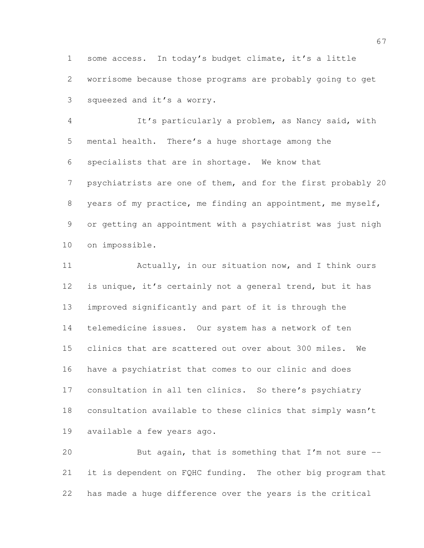some access. In today's budget climate, it's a little worrisome because those programs are probably going to get squeezed and it's a worry.

 It's particularly a problem, as Nancy said, with mental health. There's a huge shortage among the specialists that are in shortage. We know that psychiatrists are one of them, and for the first probably 20 years of my practice, me finding an appointment, me myself, or getting an appointment with a psychiatrist was just nigh on impossible.

11 Actually, in our situation now, and I think ours is unique, it's certainly not a general trend, but it has improved significantly and part of it is through the telemedicine issues. Our system has a network of ten clinics that are scattered out over about 300 miles. We have a psychiatrist that comes to our clinic and does consultation in all ten clinics. So there's psychiatry consultation available to these clinics that simply wasn't available a few years ago.

20 But again, that is something that I'm not sure -- it is dependent on FQHC funding. The other big program that has made a huge difference over the years is the critical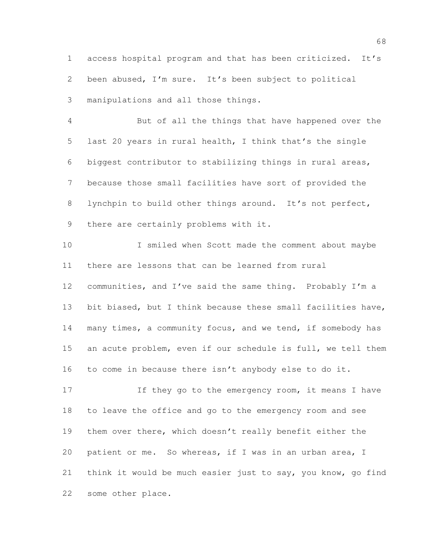access hospital program and that has been criticized. It's been abused, I'm sure. It's been subject to political manipulations and all those things.

 But of all the things that have happened over the last 20 years in rural health, I think that's the single biggest contributor to stabilizing things in rural areas, because those small facilities have sort of provided the lynchpin to build other things around. It's not perfect, there are certainly problems with it.

 I smiled when Scott made the comment about maybe there are lessons that can be learned from rural communities, and I've said the same thing. Probably I'm a bit biased, but I think because these small facilities have, 14 many times, a community focus, and we tend, if somebody has an acute problem, even if our schedule is full, we tell them to come in because there isn't anybody else to do it.

17 If they go to the emergency room, it means I have to leave the office and go to the emergency room and see them over there, which doesn't really benefit either the patient or me. So whereas, if I was in an urban area, I think it would be much easier just to say, you know, go find some other place.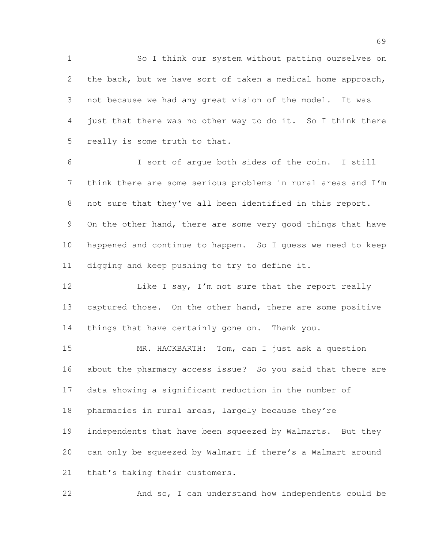So I think our system without patting ourselves on the back, but we have sort of taken a medical home approach, not because we had any great vision of the model. It was just that there was no other way to do it. So I think there really is some truth to that.

 I sort of argue both sides of the coin. I still think there are some serious problems in rural areas and I'm not sure that they've all been identified in this report. 9 On the other hand, there are some very good things that have happened and continue to happen. So I guess we need to keep digging and keep pushing to try to define it.

12 Like I say, I'm not sure that the report really 13 captured those. On the other hand, there are some positive 14 things that have certainly gone on. Thank you.

 MR. HACKBARTH: Tom, can I just ask a question about the pharmacy access issue? So you said that there are data showing a significant reduction in the number of pharmacies in rural areas, largely because they're 19 independents that have been squeezed by Walmarts. But they can only be squeezed by Walmart if there's a Walmart around 21 that's taking their customers.

And so, I can understand how independents could be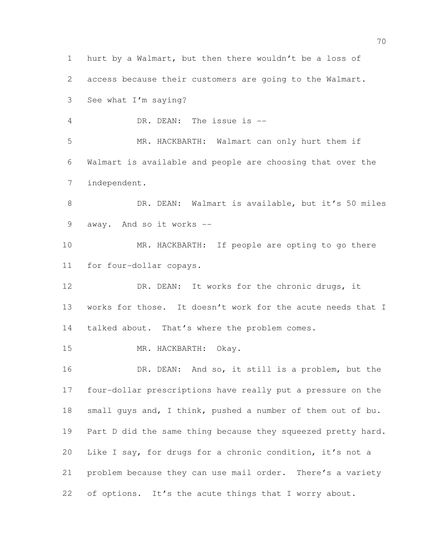hurt by a Walmart, but then there wouldn't be a loss of access because their customers are going to the Walmart. See what I'm saying? DR. DEAN: The issue is -- MR. HACKBARTH: Walmart can only hurt them if Walmart is available and people are choosing that over the independent. DR. DEAN: Walmart is available, but it's 50 miles away. And so it works -- 10 MR. HACKBARTH: If people are opting to go there for four-dollar copays. 12 DR. DEAN: It works for the chronic drugs, it 13 works for those. It doesn't work for the acute needs that I 14 talked about. That's where the problem comes. MR. HACKBARTH: Okay. DR. DEAN: And so, it still is a problem, but the four-dollar prescriptions have really put a pressure on the 18 small guys and, I think, pushed a number of them out of bu. 19 Part D did the same thing because they squeezed pretty hard. Like I say, for drugs for a chronic condition, it's not a problem because they can use mail order. There's a variety of options. It's the acute things that I worry about.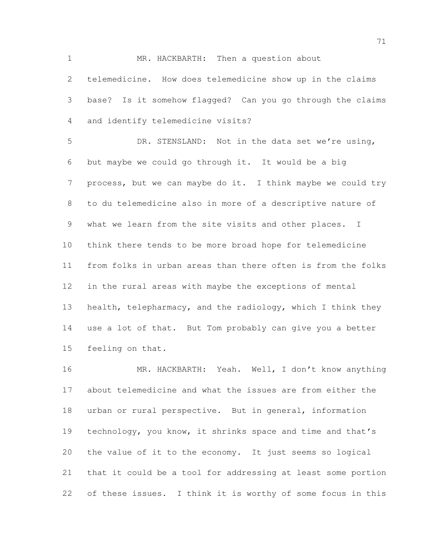1 MR. HACKBARTH: Then a question about telemedicine. How does telemedicine show up in the claims base? Is it somehow flagged? Can you go through the claims and identify telemedicine visits?

 DR. STENSLAND: Not in the data set we're using, but maybe we could go through it. It would be a big 7 process, but we can maybe do it. I think maybe we could try to du telemedicine also in more of a descriptive nature of what we learn from the site visits and other places. I think there tends to be more broad hope for telemedicine from folks in urban areas than there often is from the folks in the rural areas with maybe the exceptions of mental health, telepharmacy, and the radiology, which I think they use a lot of that. But Tom probably can give you a better feeling on that.

 MR. HACKBARTH: Yeah. Well, I don't know anything about telemedicine and what the issues are from either the urban or rural perspective. But in general, information technology, you know, it shrinks space and time and that's the value of it to the economy. It just seems so logical that it could be a tool for addressing at least some portion of these issues. I think it is worthy of some focus in this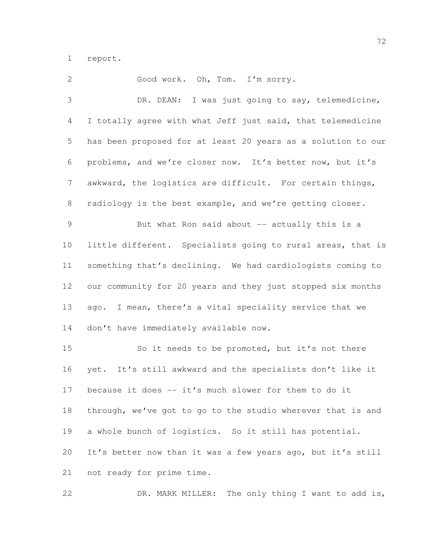report.

 Good work. Oh, Tom. I'm sorry. DR. DEAN: I was just going to say, telemedicine, I totally agree with what Jeff just said, that telemedicine has been proposed for at least 20 years as a solution to our problems, and we're closer now. It's better now, but it's awkward, the logistics are difficult. For certain things, 8 radiology is the best example, and we're getting closer. But what Ron said about -- actually this is a little different. Specialists going to rural areas, that is something that's declining. We had cardiologists coming to our community for 20 years and they just stopped six months ago. I mean, there's a vital speciality service that we don't have immediately available now. So it needs to be promoted, but it's not there yet. It's still awkward and the specialists don't like it 17 because it does -- it's much slower for them to do it through, we've got to go to the studio wherever that is and a whole bunch of logistics. So it still has potential. It's better now than it was a few years ago, but it's still not ready for prime time.

DR. MARK MILLER: The only thing I want to add is,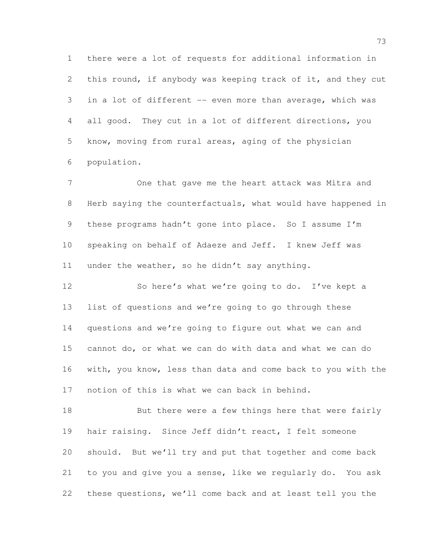there were a lot of requests for additional information in this round, if anybody was keeping track of it, and they cut in a lot of different -- even more than average, which was all good. They cut in a lot of different directions, you know, moving from rural areas, aging of the physician population.

 One that gave me the heart attack was Mitra and Herb saying the counterfactuals, what would have happened in 9 these programs hadn't gone into place. So I assume I'm speaking on behalf of Adaeze and Jeff. I knew Jeff was under the weather, so he didn't say anything.

 So here's what we're going to do. I've kept a list of questions and we're going to go through these questions and we're going to figure out what we can and cannot do, or what we can do with data and what we can do with, you know, less than data and come back to you with the notion of this is what we can back in behind.

18 But there were a few things here that were fairly hair raising. Since Jeff didn't react, I felt someone should. But we'll try and put that together and come back to you and give you a sense, like we regularly do. You ask these questions, we'll come back and at least tell you the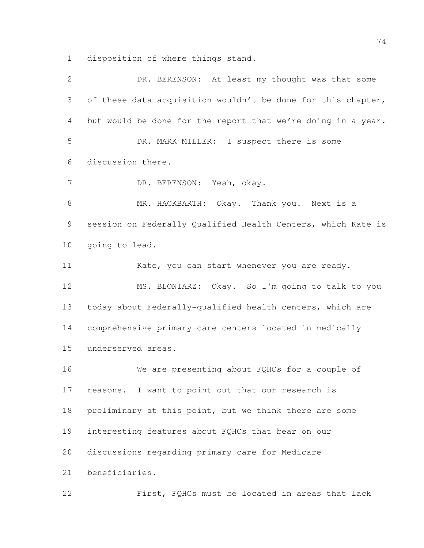disposition of where things stand.

| $\mathbf{2}$ | DR. BERENSON: At least my thought was that some              |
|--------------|--------------------------------------------------------------|
| 3            | of these data acquisition wouldn't be done for this chapter, |
| 4            | but would be done for the report that we're doing in a year. |
| 5            | DR. MARK MILLER: I suspect there is some                     |
| 6            | discussion there.                                            |
| 7            | DR. BERENSON: Yeah, okay.                                    |
| $\,8\,$      | MR. HACKBARTH: Okay. Thank you. Next is a                    |
| $\mathsf 9$  | session on Federally Qualified Health Centers, which Kate is |
| 10           | going to lead.                                               |
| 11           | Kate, you can start whenever you are ready.                  |
| 12           | MS. BLONIARZ: Okay. So I'm going to talk to you              |
| 13           | today about Federally-qualified health centers, which are    |
| 14           | comprehensive primary care centers located in medically      |
| 15           | underserved areas.                                           |
| 16           | We are presenting about FQHCs for a couple of                |
| 17           | reasons. I want to point out that our research is            |
| 18           | preliminary at this point, but we think there are some       |
| 19           | interesting features about FQHCs that bear on our            |
| 20           | discussions regarding primary care for Medicare              |
| 21           | beneficiaries.                                               |
| 22           | First, FQHCs must be located in areas that lack              |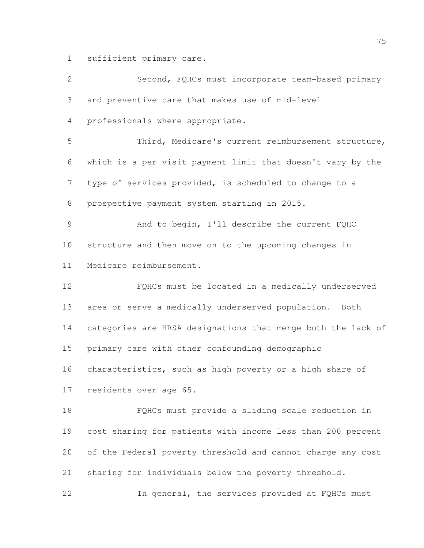sufficient primary care.

 Second, FQHCs must incorporate team-based primary and preventive care that makes use of mid-level professionals where appropriate. Third, Medicare's current reimbursement structure, which is a per visit payment limit that doesn't vary by the type of services provided, is scheduled to change to a prospective payment system starting in 2015. And to begin, I'll describe the current FQHC structure and then move on to the upcoming changes in Medicare reimbursement. FQHCs must be located in a medically underserved area or serve a medically underserved population. Both categories are HRSA designations that merge both the lack of primary care with other confounding demographic characteristics, such as high poverty or a high share of residents over age 65. FQHCs must provide a sliding scale reduction in cost sharing for patients with income less than 200 percent of the Federal poverty threshold and cannot charge any cost sharing for individuals below the poverty threshold. In general, the services provided at FQHCs must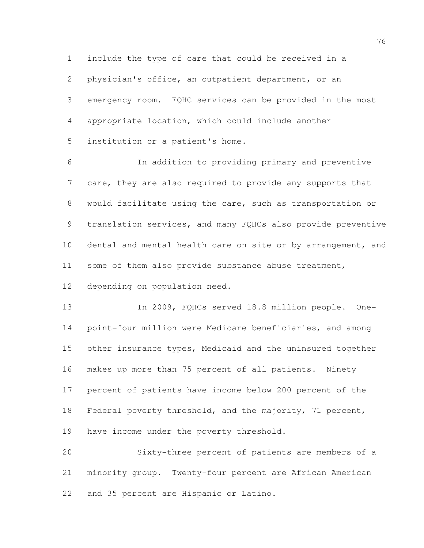include the type of care that could be received in a

 physician's office, an outpatient department, or an emergency room. FQHC services can be provided in the most appropriate location, which could include another institution or a patient's home.

 In addition to providing primary and preventive care, they are also required to provide any supports that would facilitate using the care, such as transportation or translation services, and many FQHCs also provide preventive dental and mental health care on site or by arrangement, and 11 some of them also provide substance abuse treatment, depending on population need.

 In 2009, FQHCs served 18.8 million people. One- point-four million were Medicare beneficiaries, and among other insurance types, Medicaid and the uninsured together makes up more than 75 percent of all patients. Ninety percent of patients have income below 200 percent of the Federal poverty threshold, and the majority, 71 percent, 19 have income under the poverty threshold.

 Sixty-three percent of patients are members of a minority group. Twenty-four percent are African American and 35 percent are Hispanic or Latino.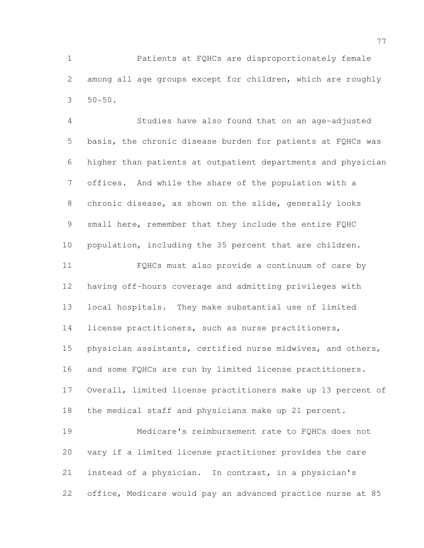Patients at FQHCs are disproportionately female among all age groups except for children, which are roughly 50-50.

 Studies have also found that on an age-adjusted basis, the chronic disease burden for patients at FQHCs was higher than patients at outpatient departments and physician offices. And while the share of the population with a chronic disease, as shown on the slide, generally looks 9 small here, remember that they include the entire FQHC population, including the 35 percent that are children. FQHCs must also provide a continuum of care by having off-hours coverage and admitting privileges with local hospitals. They make substantial use of limited license practitioners, such as nurse practitioners, physician assistants, certified nurse midwives, and others, and some FQHCs are run by limited license practitioners. Overall, limited license practitioners make up 13 percent of the medical staff and physicians make up 21 percent. Medicare's reimbursement rate to FQHCs does not vary if a limited license practitioner provides the care instead of a physician. In contrast, in a physician's office, Medicare would pay an advanced practice nurse at 85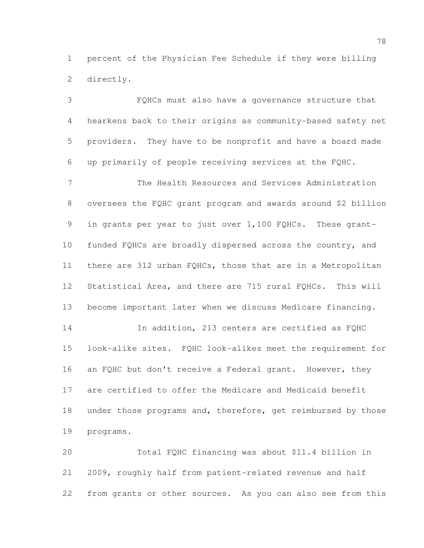percent of the Physician Fee Schedule if they were billing directly.

 FQHCs must also have a governance structure that hearkens back to their origins as community-based safety net providers. They have to be nonprofit and have a board made up primarily of people receiving services at the FQHC. The Health Resources and Services Administration oversees the FQHC grant program and awards around \$2 billion in grants per year to just over 1,100 FQHCs. These grant- funded FQHCs are broadly dispersed across the country, and there are 312 urban FQHCs, those that are in a Metropolitan Statistical Area, and there are 715 rural FQHCs. This will become important later when we discuss Medicare financing. 14 14 In addition, 213 centers are certified as FOHC look-alike sites. FQHC look-alikes meet the requirement for 16 an FQHC but don't receive a Federal grant. However, they are certified to offer the Medicare and Medicaid benefit 18 under those programs and, therefore, get reimbursed by those programs.

 Total FQHC financing was about \$11.4 billion in 2009, roughly half from patient-related revenue and half from grants or other sources. As you can also see from this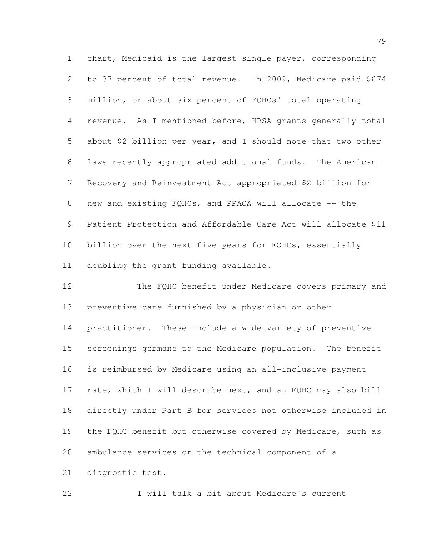chart, Medicaid is the largest single payer, corresponding to 37 percent of total revenue. In 2009, Medicare paid \$674 million, or about six percent of FQHCs' total operating revenue. As I mentioned before, HRSA grants generally total about \$2 billion per year, and I should note that two other laws recently appropriated additional funds. The American Recovery and Reinvestment Act appropriated \$2 billion for 8 new and existing FQHCs, and PPACA will allocate -- the Patient Protection and Affordable Care Act will allocate \$11 billion over the next five years for FQHCs, essentially doubling the grant funding available.

 The FQHC benefit under Medicare covers primary and preventive care furnished by a physician or other practitioner. These include a wide variety of preventive screenings germane to the Medicare population. The benefit is reimbursed by Medicare using an all-inclusive payment 17 rate, which I will describe next, and an FQHC may also bill directly under Part B for services not otherwise included in the FQHC benefit but otherwise covered by Medicare, such as ambulance services or the technical component of a diagnostic test.

I will talk a bit about Medicare's current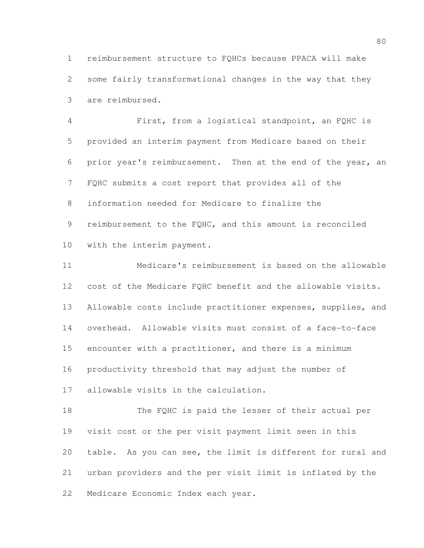reimbursement structure to FQHCs because PPACA will make some fairly transformational changes in the way that they are reimbursed.

 First, from a logistical standpoint, an FQHC is provided an interim payment from Medicare based on their prior year's reimbursement. Then at the end of the year, an FQHC submits a cost report that provides all of the information needed for Medicare to finalize the reimbursement to the FQHC, and this amount is reconciled with the interim payment.

 Medicare's reimbursement is based on the allowable cost of the Medicare FQHC benefit and the allowable visits. Allowable costs include practitioner expenses, supplies, and overhead. Allowable visits must consist of a face-to-face encounter with a practitioner, and there is a minimum productivity threshold that may adjust the number of allowable visits in the calculation.

 The FQHC is paid the lesser of their actual per visit cost or the per visit payment limit seen in this table. As you can see, the limit is different for rural and urban providers and the per visit limit is inflated by the Medicare Economic Index each year.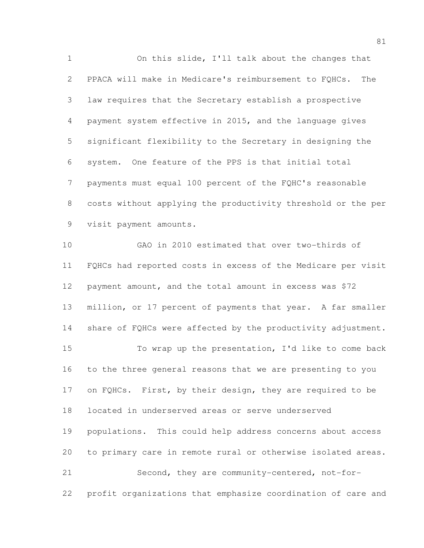On this slide, I'll talk about the changes that PPACA will make in Medicare's reimbursement to FQHCs. The law requires that the Secretary establish a prospective payment system effective in 2015, and the language gives significant flexibility to the Secretary in designing the system. One feature of the PPS is that initial total payments must equal 100 percent of the FQHC's reasonable costs without applying the productivity threshold or the per visit payment amounts.

 GAO in 2010 estimated that over two-thirds of FQHCs had reported costs in excess of the Medicare per visit payment amount, and the total amount in excess was \$72 million, or 17 percent of payments that year. A far smaller 14 share of FQHCs were affected by the productivity adjustment. To wrap up the presentation, I'd like to come back to the three general reasons that we are presenting to you 17 on FQHCs. First, by their design, they are required to be located in underserved areas or serve underserved populations. This could help address concerns about access to primary care in remote rural or otherwise isolated areas. Second, they are community-centered, not-for-profit organizations that emphasize coordination of care and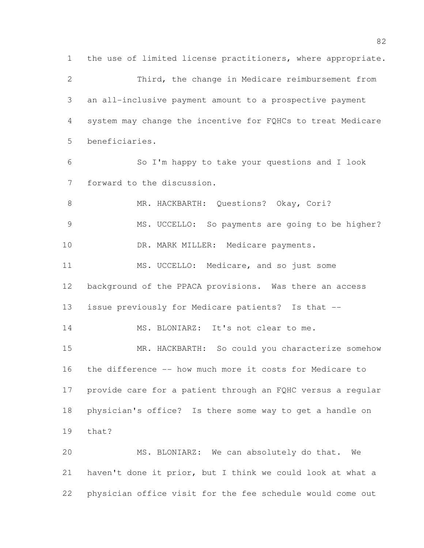the use of limited license practitioners, where appropriate. Third, the change in Medicare reimbursement from an all-inclusive payment amount to a prospective payment system may change the incentive for FQHCs to treat Medicare beneficiaries. So I'm happy to take your questions and I look forward to the discussion. MR. HACKBARTH: Questions? Okay, Cori? MS. UCCELLO: So payments are going to be higher? 10 DR. MARK MILLER: Medicare payments. MS. UCCELLO: Medicare, and so just some background of the PPACA provisions. Was there an access issue previously for Medicare patients? Is that -- 14 MS. BLONIARZ: It's not clear to me. MR. HACKBARTH: So could you characterize somehow the difference -- how much more it costs for Medicare to provide care for a patient through an FQHC versus a regular physician's office? Is there some way to get a handle on that? MS. BLONIARZ: We can absolutely do that. We haven't done it prior, but I think we could look at what a physician office visit for the fee schedule would come out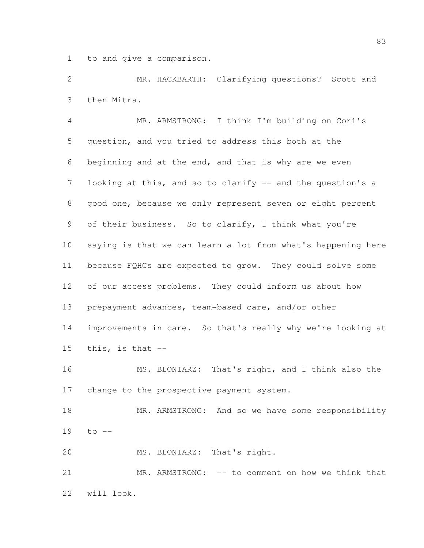to and give a comparison.

 MR. HACKBARTH: Clarifying questions? Scott and then Mitra.

 MR. ARMSTRONG: I think I'm building on Cori's question, and you tried to address this both at the beginning and at the end, and that is why are we even 7 looking at this, and so to clarify -- and the question's a good one, because we only represent seven or eight percent of their business. So to clarify, I think what you're saying is that we can learn a lot from what's happening here because FQHCs are expected to grow. They could solve some of our access problems. They could inform us about how prepayment advances, team-based care, and/or other improvements in care. So that's really why we're looking at this, is that -- MS. BLONIARZ: That's right, and I think also the

change to the prospective payment system.

18 MR. ARMSTRONG: And so we have some responsibility to --

MS. BLONIARZ: That's right.

 MR. ARMSTRONG: -- to comment on how we think that will look.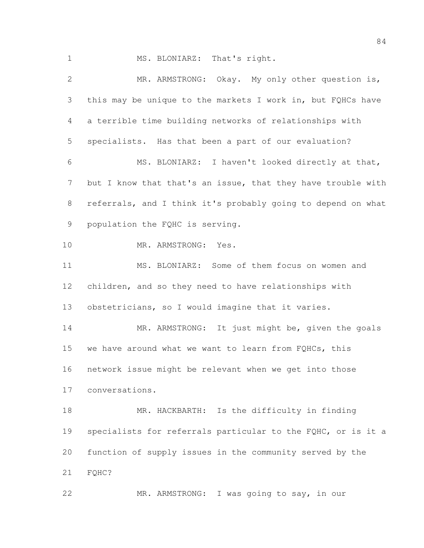MS. BLONIARZ: That's right.

 MR. ARMSTRONG: Okay. My only other question is, this may be unique to the markets I work in, but FQHCs have a terrible time building networks of relationships with specialists. Has that been a part of our evaluation? MS. BLONIARZ: I haven't looked directly at that, 7 but I know that that's an issue, that they have trouble with referrals, and I think it's probably going to depend on what population the FQHC is serving. MR. ARMSTRONG: Yes. MS. BLONIARZ: Some of them focus on women and children, and so they need to have relationships with obstetricians, so I would imagine that it varies. 14 MR. ARMSTRONG: It just might be, given the goals we have around what we want to learn from FQHCs, this network issue might be relevant when we get into those conversations. 18 MR. HACKBARTH: Is the difficulty in finding specialists for referrals particular to the FQHC, or is it a function of supply issues in the community served by the 21 FOHC? MR. ARMSTRONG: I was going to say, in our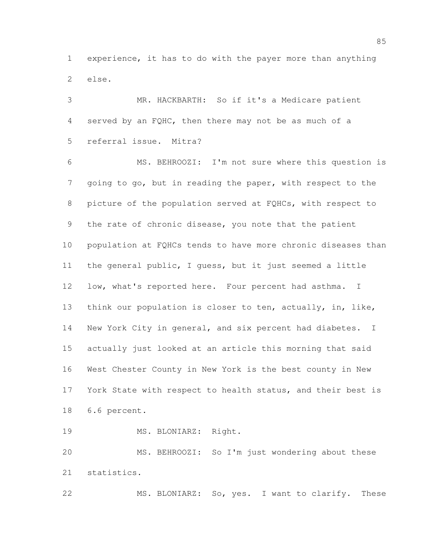experience, it has to do with the payer more than anything else.

 MR. HACKBARTH: So if it's a Medicare patient served by an FQHC, then there may not be as much of a referral issue. Mitra?

 MS. BEHROOZI: I'm not sure where this question is going to go, but in reading the paper, with respect to the picture of the population served at FQHCs, with respect to the rate of chronic disease, you note that the patient population at FQHCs tends to have more chronic diseases than the general public, I guess, but it just seemed a little 12 low, what's reported here. Four percent had asthma. I think our population is closer to ten, actually, in, like, New York City in general, and six percent had diabetes. I actually just looked at an article this morning that said West Chester County in New York is the best county in New 17 York State with respect to health status, and their best is 6.6 percent.

MS. BLONIARZ: Right.

 MS. BEHROOZI: So I'm just wondering about these statistics.

MS. BLONIARZ: So, yes. I want to clarify. These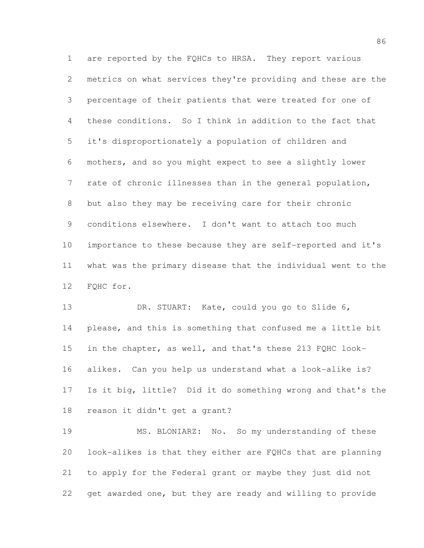are reported by the FQHCs to HRSA. They report various metrics on what services they're providing and these are the percentage of their patients that were treated for one of these conditions. So I think in addition to the fact that it's disproportionately a population of children and mothers, and so you might expect to see a slightly lower rate of chronic illnesses than in the general population, but also they may be receiving care for their chronic conditions elsewhere. I don't want to attach too much importance to these because they are self-reported and it's what was the primary disease that the individual went to the 12 FOHC for.

13 DR. STUART: Kate, could you go to Slide 6, please, and this is something that confused me a little bit in the chapter, as well, and that's these 213 FQHC look- alikes. Can you help us understand what a look-alike is? Is it big, little? Did it do something wrong and that's the reason it didn't get a grant?

 MS. BLONIARZ: No. So my understanding of these look-alikes is that they either are FQHCs that are planning to apply for the Federal grant or maybe they just did not get awarded one, but they are ready and willing to provide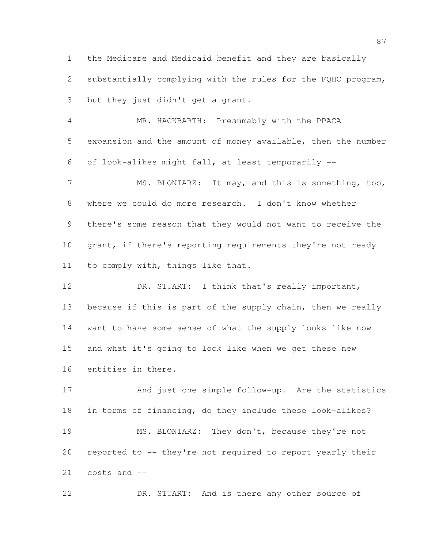the Medicare and Medicaid benefit and they are basically substantially complying with the rules for the FQHC program, but they just didn't get a grant.

 MR. HACKBARTH: Presumably with the PPACA expansion and the amount of money available, then the number of look-alikes might fall, at least temporarily --

 MS. BLONIARZ: It may, and this is something, too, where we could do more research. I don't know whether there's some reason that they would not want to receive the 10 grant, if there's reporting requirements they're not ready to comply with, things like that.

 DR. STUART: I think that's really important, because if this is part of the supply chain, then we really want to have some sense of what the supply looks like now and what it's going to look like when we get these new entities in there.

17 And just one simple follow-up. Are the statistics in terms of financing, do they include these look-alikes? MS. BLONIARZ: They don't, because they're not reported to -- they're not required to report yearly their costs and --

DR. STUART: And is there any other source of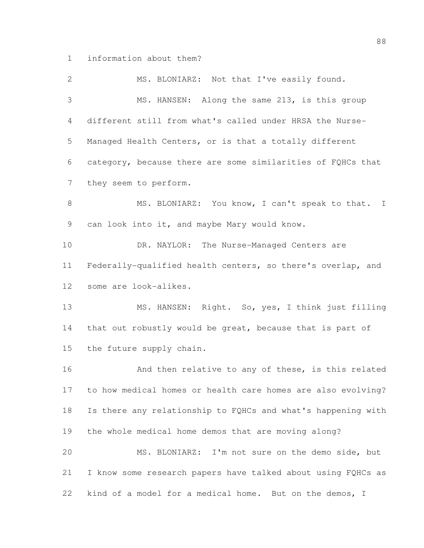information about them?

| $\overline{2}$  | MS. BLONIARZ: Not that I've easily found.                    |
|-----------------|--------------------------------------------------------------|
| 3               | MS. HANSEN: Along the same 213, is this group                |
| 4               | different still from what's called under HRSA the Nurse-     |
| 5               | Managed Health Centers, or is that a totally different       |
| 6               | category, because there are some similarities of FQHCs that  |
| 7               | they seem to perform.                                        |
| $8\,$           | MS. BLONIARZ: You know, I can't speak to that. I             |
| 9               | can look into it, and maybe Mary would know.                 |
| 10              | DR. NAYLOR: The Nurse-Managed Centers are                    |
| 11              | Federally-qualified health centers, so there's overlap, and  |
| 12 <sup>°</sup> | some are look-alikes.                                        |
| 13              | MS. HANSEN: Right. So, yes, I think just filling             |
| 14              | that out robustly would be great, because that is part of    |
| 15              | the future supply chain.                                     |
| 16              | And then relative to any of these, is this related           |
| 17              | to how medical homes or health care homes are also evolving? |
| 18              | Is there any relationship to FQHCs and what's happening with |
| 19              | the whole medical home demos that are moving along?          |
| 20              | MS. BLONIARZ: I'm not sure on the demo side, but             |
| 21              | I know some research papers have talked about using FQHCs as |
| 22              | kind of a model for a medical home. But on the demos, I      |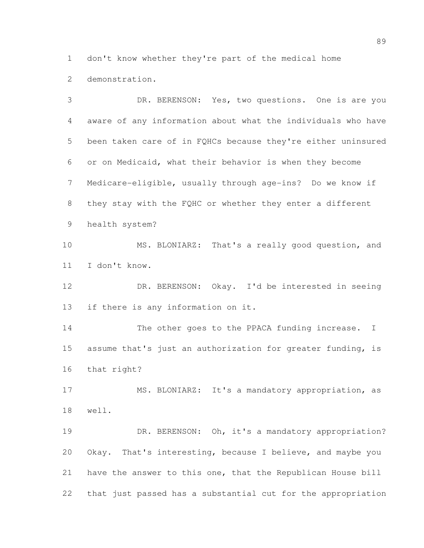don't know whether they're part of the medical home demonstration.

 DR. BERENSON: Yes, two questions. One is are you aware of any information about what the individuals who have been taken care of in FQHCs because they're either uninsured or on Medicaid, what their behavior is when they become Medicare-eligible, usually through age-ins? Do we know if they stay with the FQHC or whether they enter a different health system? MS. BLONIARZ: That's a really good question, and I don't know. DR. BERENSON: Okay. I'd be interested in seeing if there is any information on it. 14 The other goes to the PPACA funding increase. I assume that's just an authorization for greater funding, is that right? MS. BLONIARZ: It's a mandatory appropriation, as well. 19 DR. BERENSON: Oh, it's a mandatory appropriation? Okay. That's interesting, because I believe, and maybe you have the answer to this one, that the Republican House bill that just passed has a substantial cut for the appropriation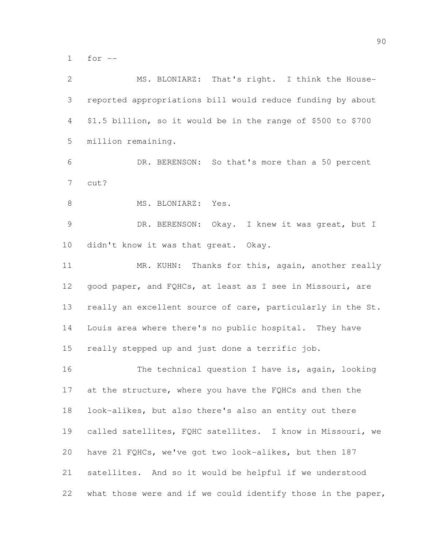for --

| $\mathbf{2}$   | MS. BLONIARZ: That's right. I think the House-               |
|----------------|--------------------------------------------------------------|
| $\mathfrak{Z}$ | reported appropriations bill would reduce funding by about   |
| $\overline{4}$ | \$1.5 billion, so it would be in the range of \$500 to \$700 |
| 5              | million remaining.                                           |
| 6              | DR. BERENSON: So that's more than a 50 percent               |
| 7              | cut?                                                         |
| $8\,$          | MS. BLONIARZ: Yes.                                           |
| 9              | DR. BERENSON: Okay. I knew it was great, but I               |
| 10             | didn't know it was that great. Okay.                         |
| 11             | MR. KUHN: Thanks for this, again, another really             |
| 12             | good paper, and FQHCs, at least as I see in Missouri, are    |
| 13             | really an excellent source of care, particularly in the St.  |
| 14             | Louis area where there's no public hospital. They have       |
| 15             | really stepped up and just done a terrific job.              |
| 16             | The technical question I have is, again, looking             |
| 17             | at the structure, where you have the FQHCs and then the      |
| 18             | look-alikes, but also there's also an entity out there       |
| 19             | called satellites, FQHC satellites. I know in Missouri, we   |
| 20             | have 21 FQHCs, we've got two look-alikes, but then 187       |
| 21             | satellites. And so it would be helpful if we understood      |
| 22             | what those were and if we could identify those in the paper, |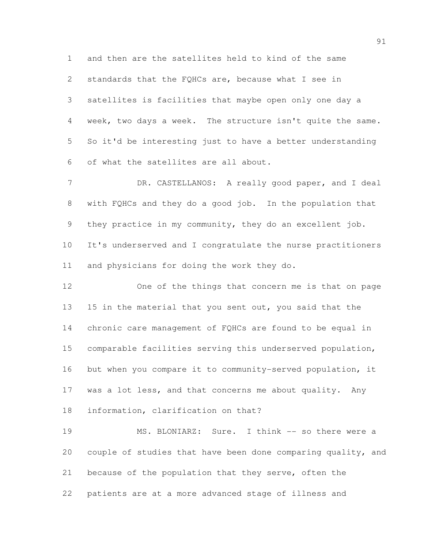and then are the satellites held to kind of the same

 standards that the FQHCs are, because what I see in satellites is facilities that maybe open only one day a week, two days a week. The structure isn't quite the same. So it'd be interesting just to have a better understanding of what the satellites are all about.

7 DR. CASTELLANOS: A really good paper, and I deal with FQHCs and they do a good job. In the population that they practice in my community, they do an excellent job. It's underserved and I congratulate the nurse practitioners and physicians for doing the work they do.

 One of the things that concern me is that on page 15 in the material that you sent out, you said that the chronic care management of FQHCs are found to be equal in comparable facilities serving this underserved population, but when you compare it to community-served population, it was a lot less, and that concerns me about quality. Any information, clarification on that?

 MS. BLONIARZ: Sure. I think -- so there were a couple of studies that have been done comparing quality, and because of the population that they serve, often the patients are at a more advanced stage of illness and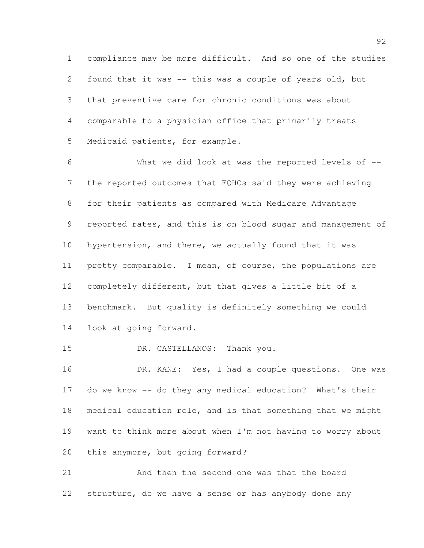compliance may be more difficult. And so one of the studies found that it was -- this was a couple of years old, but that preventive care for chronic conditions was about comparable to a physician office that primarily treats Medicaid patients, for example.

 What we did look at was the reported levels of -- the reported outcomes that FQHCs said they were achieving for their patients as compared with Medicare Advantage reported rates, and this is on blood sugar and management of hypertension, and there, we actually found that it was pretty comparable. I mean, of course, the populations are completely different, but that gives a little bit of a benchmark. But quality is definitely something we could look at going forward.

DR. CASTELLANOS: Thank you.

16 DR. KANE: Yes, I had a couple questions. One was do we know -- do they any medical education? What's their medical education role, and is that something that we might want to think more about when I'm not having to worry about this anymore, but going forward?

 And then the second one was that the board structure, do we have a sense or has anybody done any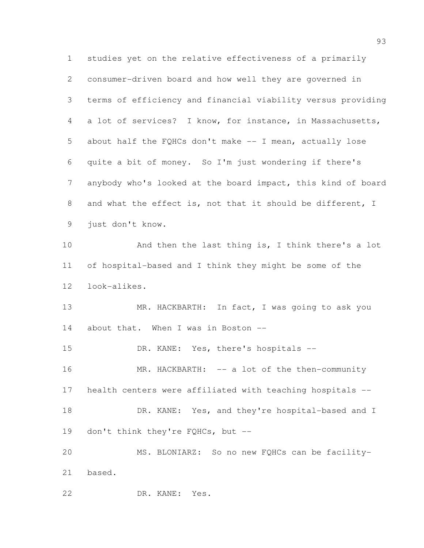studies yet on the relative effectiveness of a primarily consumer-driven board and how well they are governed in terms of efficiency and financial viability versus providing a lot of services? I know, for instance, in Massachusetts, about half the FQHCs don't make -- I mean, actually lose quite a bit of money. So I'm just wondering if there's anybody who's looked at the board impact, this kind of board 8 and what the effect is, not that it should be different, I just don't know. 10 And then the last thing is, I think there's a lot of hospital-based and I think they might be some of the look-alikes. 13 MR. HACKBARTH: In fact, I was going to ask you 14 about that. When I was in Boston --15 DR. KANE: Yes, there's hospitals --16 MR. HACKBARTH: -- a lot of the then-community health centers were affiliated with teaching hospitals -- 18 DR. KANE: Yes, and they're hospital-based and I 19 don't think they're FQHCs, but -- MS. BLONIARZ: So no new FQHCs can be facility- based. DR. KANE: Yes.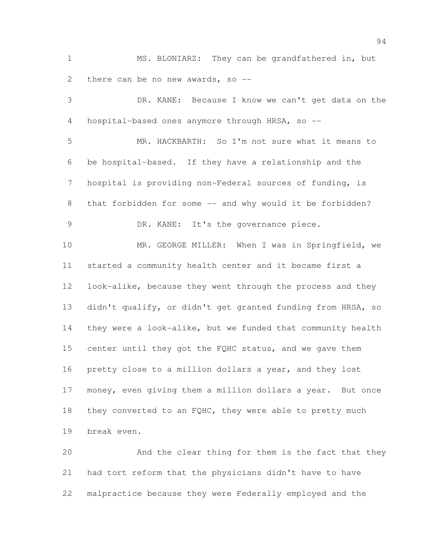MS. BLONIARZ: They can be grandfathered in, but 2 there can be no new awards, so --

 DR. KANE: Because I know we can't get data on the hospital-based ones anymore through HRSA, so -- MR. HACKBARTH: So I'm not sure what it means to be hospital-based. If they have a relationship and the hospital is providing non-Federal sources of funding, is 8 that forbidden for some -- and why would it be forbidden? DR. KANE: It's the governance piece. 10 MR. GEORGE MILLER: When I was in Springfield, we started a community health center and it became first a 12 look-alike, because they went through the process and they didn't qualify, or didn't get granted funding from HRSA, so they were a look-alike, but we funded that community health center until they got the FQHC status, and we gave them pretty close to a million dollars a year, and they lost money, even giving them a million dollars a year. But once 18 they converted to an FQHC, they were able to pretty much break even.

 And the clear thing for them is the fact that they had tort reform that the physicians didn't have to have malpractice because they were Federally employed and the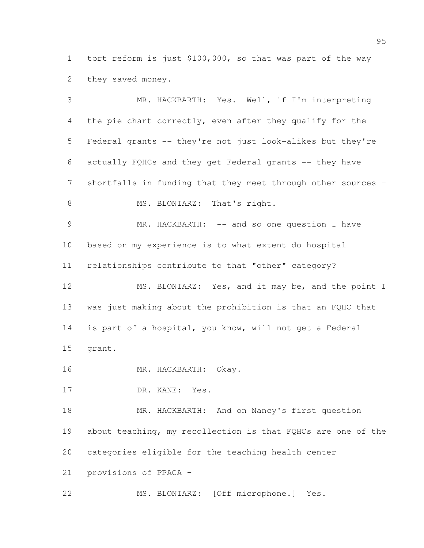tort reform is just \$100,000, so that was part of the way they saved money.

 MR. HACKBARTH: Yes. Well, if I'm interpreting the pie chart correctly, even after they qualify for the Federal grants -- they're not just look-alikes but they're actually FQHCs and they get Federal grants -- they have shortfalls in funding that they meet through other sources – 8 MS. BLONIARZ: That's right. 9 MR. HACKBARTH: -- and so one question I have based on my experience is to what extent do hospital relationships contribute to that "other" category? MS. BLONIARZ: Yes, and it may be, and the point I was just making about the prohibition is that an FQHC that is part of a hospital, you know, will not get a Federal grant. MR. HACKBARTH: Okay. DR. KANE: Yes. 18 MR. HACKBARTH: And on Nancy's first question about teaching, my recollection is that FQHCs are one of the categories eligible for the teaching health center provisions of PPACA – MS. BLONIARZ: [Off microphone.] Yes.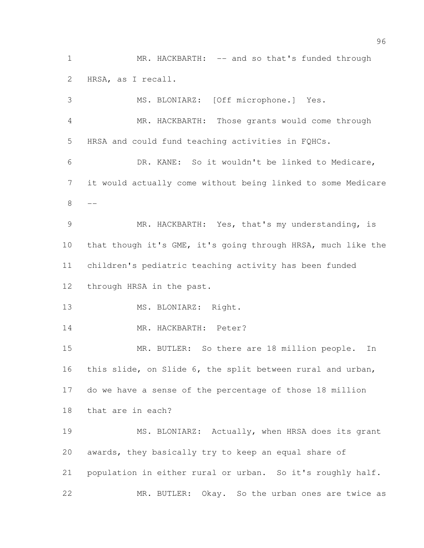1 MR. HACKBARTH: -- and so that's funded through HRSA, as I recall.

 MS. BLONIARZ: [Off microphone.] Yes. MR. HACKBARTH: Those grants would come through HRSA and could fund teaching activities in FQHCs. DR. KANE: So it wouldn't be linked to Medicare, it would actually come without being linked to some Medicare  $8 - -$  MR. HACKBARTH: Yes, that's my understanding, is that though it's GME, it's going through HRSA, much like the children's pediatric teaching activity has been funded through HRSA in the past. 13 MS. BLONIARZ: Right. MR. HACKBARTH: Peter? MR. BUTLER: So there are 18 million people. In this slide, on Slide 6, the split between rural and urban, do we have a sense of the percentage of those 18 million that are in each? MS. BLONIARZ: Actually, when HRSA does its grant awards, they basically try to keep an equal share of population in either rural or urban. So it's roughly half. MR. BUTLER: Okay. So the urban ones are twice as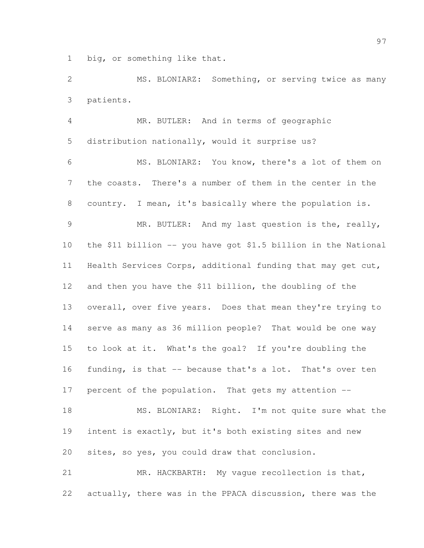big, or something like that.

 MS. BLONIARZ: Something, or serving twice as many patients.

 MR. BUTLER: And in terms of geographic distribution nationally, would it surprise us? MS. BLONIARZ: You know, there's a lot of them on the coasts. There's a number of them in the center in the country. I mean, it's basically where the population is. MR. BUTLER: And my last question is the, really, the \$11 billion -- you have got \$1.5 billion in the National Health Services Corps, additional funding that may get cut, and then you have the \$11 billion, the doubling of the 13 overall, over five years. Does that mean they're trying to serve as many as 36 million people? That would be one way to look at it. What's the goal? If you're doubling the funding, is that -- because that's a lot. That's over ten percent of the population. That gets my attention -- MS. BLONIARZ: Right. I'm not quite sure what the intent is exactly, but it's both existing sites and new sites, so yes, you could draw that conclusion.

 MR. HACKBARTH: My vague recollection is that, actually, there was in the PPACA discussion, there was the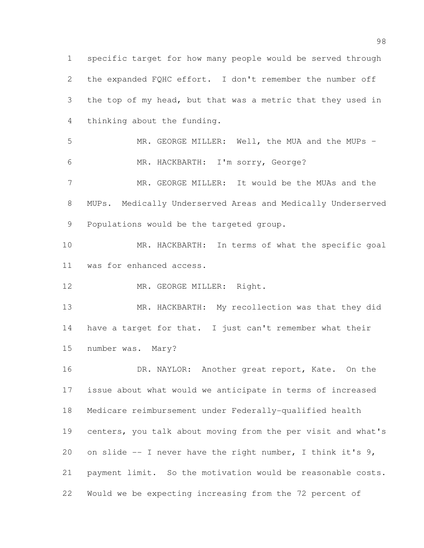specific target for how many people would be served through the expanded FQHC effort. I don't remember the number off the top of my head, but that was a metric that they used in thinking about the funding. MR. GEORGE MILLER: Well, the MUA and the MUPs – MR. HACKBARTH: I'm sorry, George? MR. GEORGE MILLER: It would be the MUAs and the MUPs. Medically Underserved Areas and Medically Underserved Populations would be the targeted group. MR. HACKBARTH: In terms of what the specific goal was for enhanced access. 12 MR. GEORGE MILLER: Right. 13 MR. HACKBARTH: My recollection was that they did have a target for that. I just can't remember what their number was. Mary? 16 DR. NAYLOR: Another great report, Kate. On the issue about what would we anticipate in terms of increased Medicare reimbursement under Federally-qualified health centers, you talk about moving from the per visit and what's 20 on slide  $-$  I never have the right number, I think it's  $9$ , payment limit. So the motivation would be reasonable costs. Would we be expecting increasing from the 72 percent of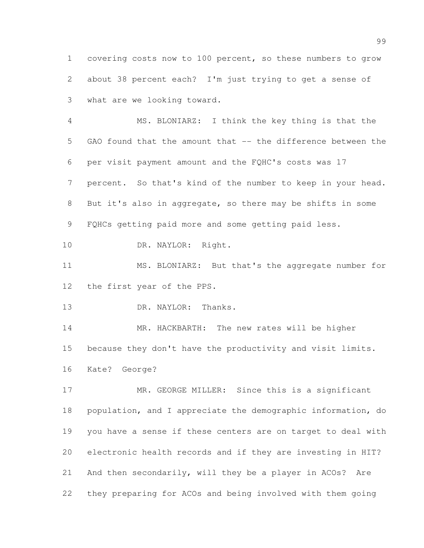covering costs now to 100 percent, so these numbers to grow about 38 percent each? I'm just trying to get a sense of what are we looking toward.

 MS. BLONIARZ: I think the key thing is that the 5 GAO found that the amount that -- the difference between the per visit payment amount and the FQHC's costs was 17 percent. So that's kind of the number to keep in your head. But it's also in aggregate, so there may be shifts in some FQHCs getting paid more and some getting paid less.

DR. NAYLOR: Right.

 MS. BLONIARZ: But that's the aggregate number for the first year of the PPS.

DR. NAYLOR: Thanks.

14 MR. HACKBARTH: The new rates will be higher because they don't have the productivity and visit limits. Kate? George?

 MR. GEORGE MILLER: Since this is a significant population, and I appreciate the demographic information, do you have a sense if these centers are on target to deal with electronic health records and if they are investing in HIT? And then secondarily, will they be a player in ACOs? Are they preparing for ACOs and being involved with them going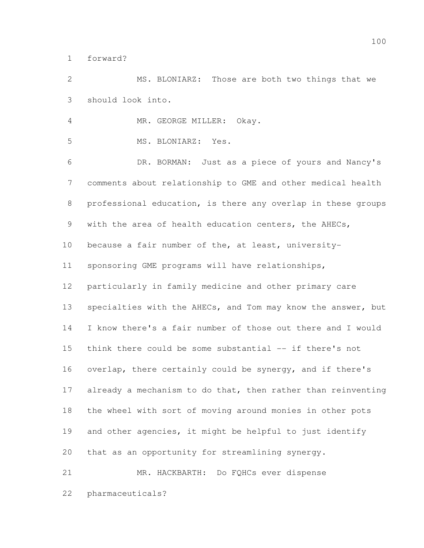forward?

 MS. BLONIARZ: Those are both two things that we should look into.

4 MR. GEORGE MILLER: Okay.

MS. BLONIARZ: Yes.

 DR. BORMAN: Just as a piece of yours and Nancy's comments about relationship to GME and other medical health 8 professional education, is there any overlap in these groups with the area of health education centers, the AHECs, because a fair number of the, at least, university- sponsoring GME programs will have relationships, particularly in family medicine and other primary care 13 specialties with the AHECs, and Tom may know the answer, but I know there's a fair number of those out there and I would think there could be some substantial -- if there's not overlap, there certainly could be synergy, and if there's already a mechanism to do that, then rather than reinventing the wheel with sort of moving around monies in other pots and other agencies, it might be helpful to just identify that as an opportunity for streamlining synergy.

 MR. HACKBARTH: Do FQHCs ever dispense pharmaceuticals?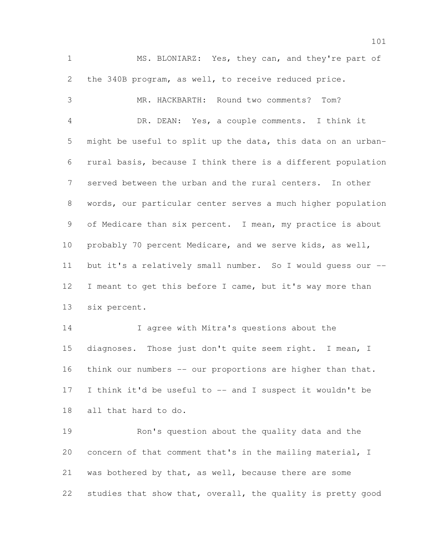MS. BLONIARZ: Yes, they can, and they're part of the 340B program, as well, to receive reduced price. MR. HACKBARTH: Round two comments? Tom? DR. DEAN: Yes, a couple comments. I think it might be useful to split up the data, this data on an urban- rural basis, because I think there is a different population served between the urban and the rural centers. In other words, our particular center serves a much higher population of Medicare than six percent. I mean, my practice is about probably 70 percent Medicare, and we serve kids, as well, but it's a relatively small number. So I would guess our -- I meant to get this before I came, but it's way more than six percent.

 I agree with Mitra's questions about the diagnoses. Those just don't quite seem right. I mean, I 16 think our numbers -- our proportions are higher than that. I think it'd be useful to -- and I suspect it wouldn't be all that hard to do.

 Ron's question about the quality data and the concern of that comment that's in the mailing material, I was bothered by that, as well, because there are some studies that show that, overall, the quality is pretty good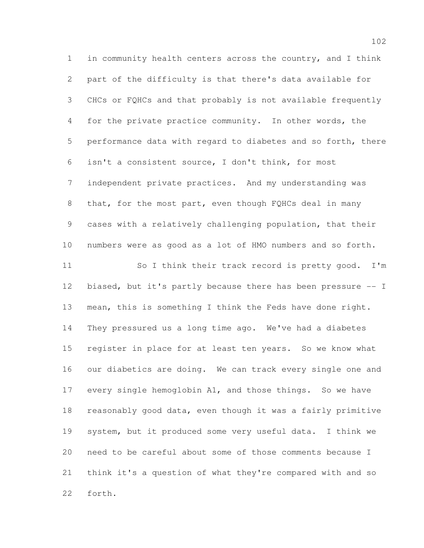in community health centers across the country, and I think part of the difficulty is that there's data available for CHCs or FQHCs and that probably is not available frequently for the private practice community. In other words, the performance data with regard to diabetes and so forth, there isn't a consistent source, I don't think, for most independent private practices. And my understanding was 8 that, for the most part, even though FQHCs deal in many cases with a relatively challenging population, that their numbers were as good as a lot of HMO numbers and so forth. So I think their track record is pretty good. I'm biased, but it's partly because there has been pressure -- I mean, this is something I think the Feds have done right. They pressured us a long time ago. We've had a diabetes register in place for at least ten years. So we know what our diabetics are doing. We can track every single one and every single hemoglobin A1, and those things. So we have reasonably good data, even though it was a fairly primitive system, but it produced some very useful data. I think we need to be careful about some of those comments because I think it's a question of what they're compared with and so forth.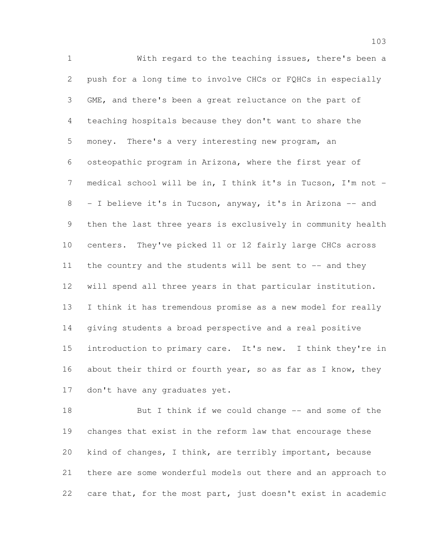With regard to the teaching issues, there's been a push for a long time to involve CHCs or FQHCs in especially GME, and there's been a great reluctance on the part of teaching hospitals because they don't want to share the money. There's a very interesting new program, an osteopathic program in Arizona, where the first year of 7 medical school will be in, I think it's in Tucson, I'm not - - I believe it's in Tucson, anyway, it's in Arizona -- and then the last three years is exclusively in community health centers. They've picked 11 or 12 fairly large CHCs across the country and the students will be sent to -- and they will spend all three years in that particular institution. I think it has tremendous promise as a new model for really giving students a broad perspective and a real positive introduction to primary care. It's new. I think they're in 16 about their third or fourth year, so as far as I know, they 17 don't have any graduates yet.

18 But I think if we could change -- and some of the changes that exist in the reform law that encourage these kind of changes, I think, are terribly important, because there are some wonderful models out there and an approach to 22 care that, for the most part, just doesn't exist in academic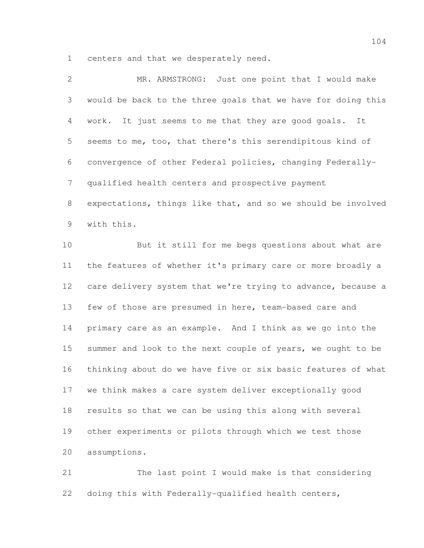centers and that we desperately need.

| $\mathbf{2}$ | MR. ARMSTRONG: Just one point that I would make              |
|--------------|--------------------------------------------------------------|
| 3            | would be back to the three goals that we have for doing this |
| 4            | work. It just seems to me that they are good goals.<br>It    |
| 5            | seems to me, too, that there's this serendipitous kind of    |
| 6            | convergence of other Federal policies, changing Federally-   |
| 7            | qualified health centers and prospective payment             |
| 8            | expectations, things like that, and so we should be involved |
| 9            | with this.                                                   |
| 10           | But it still for me begs questions about what are            |
| 11           | the features of whether it's primary care or more broadly a  |
| 12           | care delivery system that we're trying to advance, because a |
| 13           | few of those are presumed in here, team-based care and       |
| 14           | primary care as an example. And I think as we go into the    |
| 15           | summer and look to the next couple of years, we ought to be  |
| 16           | thinking about do we have five or six basic features of what |
| 17           | we think makes a care system deliver exceptionally good      |
| 18           | results so that we can be using this along with several      |
| 19           | other experiments or pilots through which we test those      |
| 20           | assumptions.                                                 |
|              |                                                              |

 The last point I would make is that considering doing this with Federally-qualified health centers,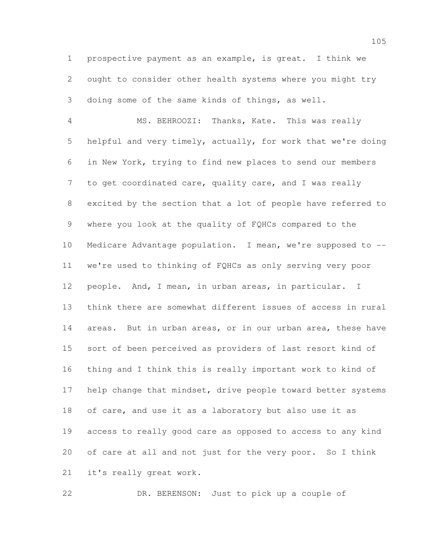prospective payment as an example, is great. I think we ought to consider other health systems where you might try doing some of the same kinds of things, as well.

 MS. BEHROOZI: Thanks, Kate. This was really helpful and very timely, actually, for work that we're doing in New York, trying to find new places to send our members to get coordinated care, quality care, and I was really excited by the section that a lot of people have referred to where you look at the quality of FQHCs compared to the Medicare Advantage population. I mean, we're supposed to -- we're used to thinking of FQHCs as only serving very poor people. And, I mean, in urban areas, in particular. I think there are somewhat different issues of access in rural areas. But in urban areas, or in our urban area, these have sort of been perceived as providers of last resort kind of thing and I think this is really important work to kind of 17 help change that mindset, drive people toward better systems of care, and use it as a laboratory but also use it as access to really good care as opposed to access to any kind of care at all and not just for the very poor. So I think it's really great work.

DR. BERENSON: Just to pick up a couple of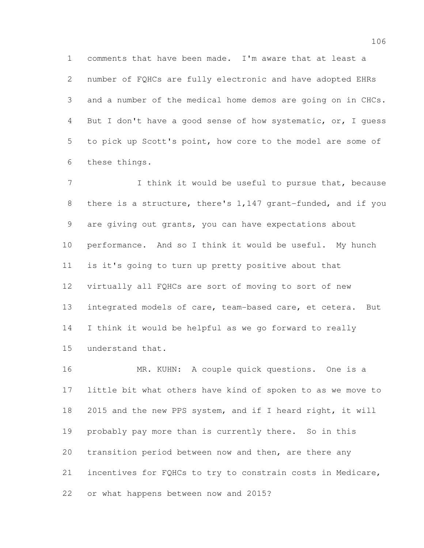comments that have been made. I'm aware that at least a number of FQHCs are fully electronic and have adopted EHRs and a number of the medical home demos are going on in CHCs. But I don't have a good sense of how systematic, or, I guess to pick up Scott's point, how core to the model are some of these things.

7 I think it would be useful to pursue that, because there is a structure, there's 1,147 grant-funded, and if you are giving out grants, you can have expectations about performance. And so I think it would be useful. My hunch is it's going to turn up pretty positive about that virtually all FQHCs are sort of moving to sort of new integrated models of care, team-based care, et cetera. But I think it would be helpful as we go forward to really understand that.

 MR. KUHN: A couple quick questions. One is a little bit what others have kind of spoken to as we move to 2015 and the new PPS system, and if I heard right, it will probably pay more than is currently there. So in this transition period between now and then, are there any incentives for FQHCs to try to constrain costs in Medicare, or what happens between now and 2015?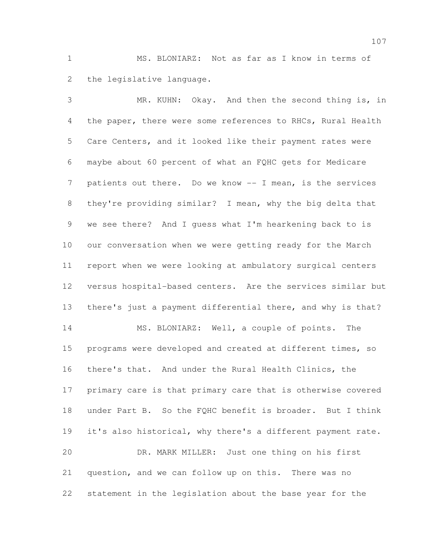MS. BLONIARZ: Not as far as I know in terms of the legislative language.

 MR. KUHN: Okay. And then the second thing is, in the paper, there were some references to RHCs, Rural Health Care Centers, and it looked like their payment rates were maybe about 60 percent of what an FQHC gets for Medicare patients out there. Do we know -- I mean, is the services they're providing similar? I mean, why the big delta that we see there? And I guess what I'm hearkening back to is our conversation when we were getting ready for the March report when we were looking at ambulatory surgical centers versus hospital-based centers. Are the services similar but there's just a payment differential there, and why is that? MS. BLONIARZ: Well, a couple of points. The programs were developed and created at different times, so there's that. And under the Rural Health Clinics, the primary care is that primary care that is otherwise covered under Part B. So the FQHC benefit is broader. But I think it's also historical, why there's a different payment rate. DR. MARK MILLER: Just one thing on his first question, and we can follow up on this. There was no statement in the legislation about the base year for the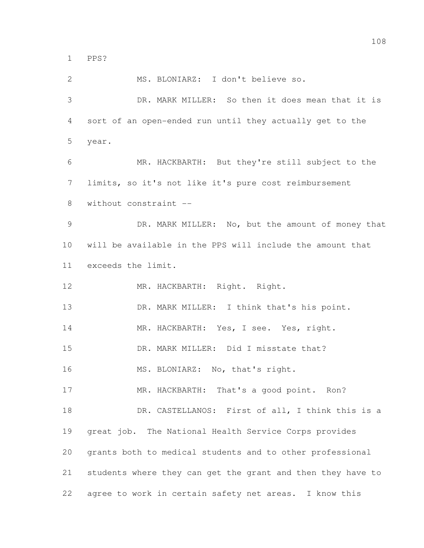PPS?

 DR. MARK MILLER: So then it does mean that it is sort of an open-ended run until they actually get to the year. MR. HACKBARTH: But they're still subject to the limits, so it's not like it's pure cost reimbursement without constraint -- DR. MARK MILLER: No, but the amount of money that will be available in the PPS will include the amount that exceeds the limit. MR. HACKBARTH: Right. Right. 13 DR. MARK MILLER: I think that's his point. MR. HACKBARTH: Yes, I see. Yes, right. DR. MARK MILLER: Did I misstate that? 16 MS. BLONIARZ: No, that's right. 17 MR. HACKBARTH: That's a good point. Ron? 18 DR. CASTELLANOS: First of all, I think this is a great job. The National Health Service Corps provides grants both to medical students and to other professional students where they can get the grant and then they have to agree to work in certain safety net areas. I know this

MS. BLONIARZ: I don't believe so.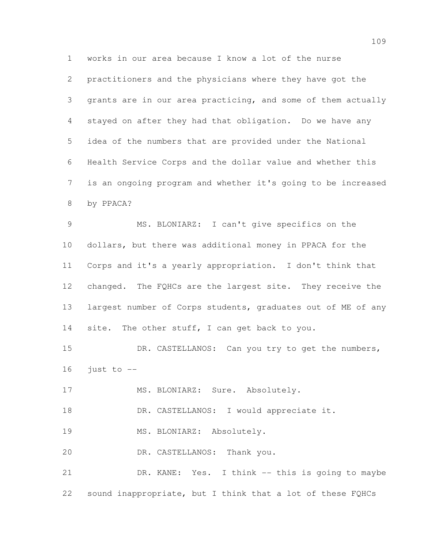works in our area because I know a lot of the nurse practitioners and the physicians where they have got the grants are in our area practicing, and some of them actually stayed on after they had that obligation. Do we have any idea of the numbers that are provided under the National Health Service Corps and the dollar value and whether this is an ongoing program and whether it's going to be increased by PPACA?

 MS. BLONIARZ: I can't give specifics on the dollars, but there was additional money in PPACA for the Corps and it's a yearly appropriation. I don't think that changed. The FQHCs are the largest site. They receive the 13 largest number of Corps students, graduates out of ME of any 14 site. The other stuff, I can get back to you.

15 DR. CASTELLANOS: Can you try to get the numbers, just to  $-$ 

17 MS. BLONIARZ: Sure. Absolutely.

18 DR. CASTELLANOS: I would appreciate it.

MS. BLONIARZ: Absolutely.

DR. CASTELLANOS: Thank you.

 DR. KANE: Yes. I think -- this is going to maybe sound inappropriate, but I think that a lot of these FQHCs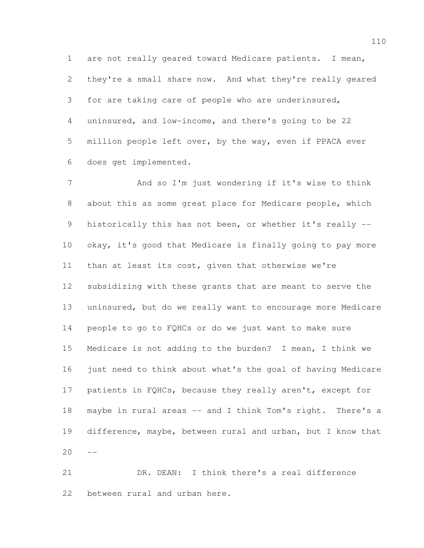are not really geared toward Medicare patients. I mean, they're a small share now. And what they're really geared for are taking care of people who are underinsured, uninsured, and low-income, and there's going to be 22 million people left over, by the way, even if PPACA ever does get implemented.

 And so I'm just wondering if it's wise to think about this as some great place for Medicare people, which historically this has not been, or whether it's really -- okay, it's good that Medicare is finally going to pay more than at least its cost, given that otherwise we're subsidizing with these grants that are meant to serve the uninsured, but do we really want to encourage more Medicare people to go to FQHCs or do we just want to make sure Medicare is not adding to the burden? I mean, I think we 16 just need to think about what's the goal of having Medicare patients in FQHCs, because they really aren't, except for maybe in rural areas -- and I think Tom's right. There's a difference, maybe, between rural and urban, but I know that  $20 - -$ 

 DR. DEAN: I think there's a real difference between rural and urban here.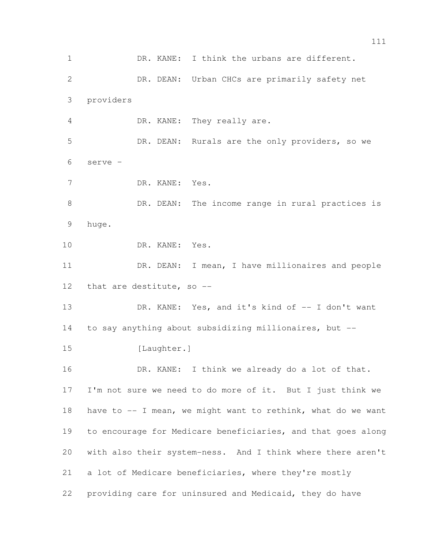DR. KANE: I think the urbans are different. DR. DEAN: Urban CHCs are primarily safety net providers DR. KANE: They really are. DR. DEAN: Rurals are the only providers, so we serve – DR. KANE: Yes. 8 DR. DEAN: The income range in rural practices is huge. DR. KANE: Yes. DR. DEAN: I mean, I have millionaires and people that are destitute, so -- 13 DR. KANE: Yes, and it's kind of -- I don't want to say anything about subsidizing millionaires, but -- 15 [Laughter.] 16 DR. KANE: I think we already do a lot of that. I'm not sure we need to do more of it. But I just think we have to -- I mean, we might want to rethink, what do we want to encourage for Medicare beneficiaries, and that goes along with also their system-ness. And I think where there aren't a lot of Medicare beneficiaries, where they're mostly providing care for uninsured and Medicaid, they do have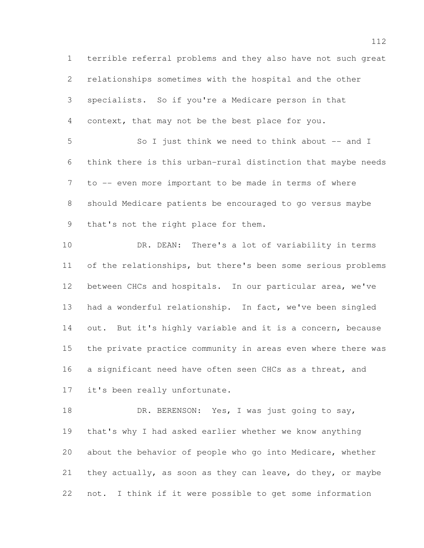terrible referral problems and they also have not such great relationships sometimes with the hospital and the other specialists. So if you're a Medicare person in that context, that may not be the best place for you. So I just think we need to think about -- and I think there is this urban-rural distinction that maybe needs to -- even more important to be made in terms of where should Medicare patients be encouraged to go versus maybe that's not the right place for them. DR. DEAN: There's a lot of variability in terms of the relationships, but there's been some serious problems between CHCs and hospitals. In our particular area, we've had a wonderful relationship. In fact, we've been singled 14 out. But it's highly variable and it is a concern, because the private practice community in areas even where there was a significant need have often seen CHCs as a threat, and it's been really unfortunate.

18 DR. BERENSON: Yes, I was just going to say, that's why I had asked earlier whether we know anything about the behavior of people who go into Medicare, whether 21 they actually, as soon as they can leave, do they, or maybe not. I think if it were possible to get some information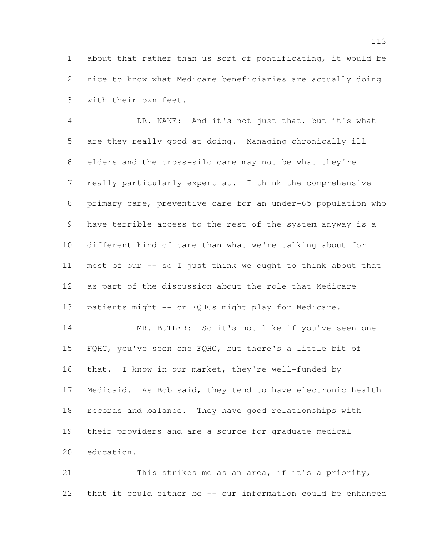about that rather than us sort of pontificating, it would be nice to know what Medicare beneficiaries are actually doing with their own feet.

 DR. KANE: And it's not just that, but it's what are they really good at doing. Managing chronically ill elders and the cross-silo care may not be what they're really particularly expert at. I think the comprehensive primary care, preventive care for an under-65 population who have terrible access to the rest of the system anyway is a different kind of care than what we're talking about for most of our -- so I just think we ought to think about that as part of the discussion about the role that Medicare 13 patients might -- or FQHCs might play for Medicare. 14 MR. BUTLER: So it's not like if you've seen one FQHC, you've seen one FQHC, but there's a little bit of

 that. I know in our market, they're well-funded by Medicaid. As Bob said, they tend to have electronic health records and balance. They have good relationships with their providers and are a source for graduate medical education.

 This strikes me as an area, if it's a priority, that it could either be -- our information could be enhanced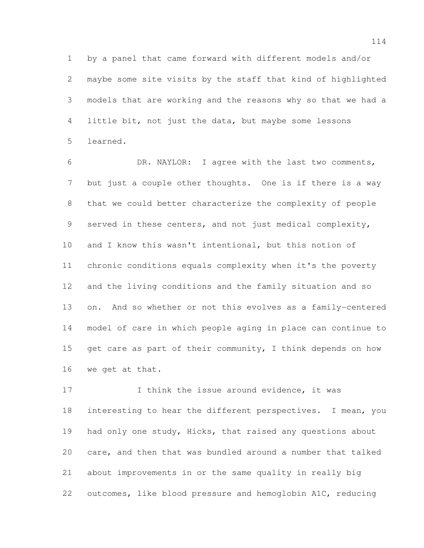by a panel that came forward with different models and/or maybe some site visits by the staff that kind of highlighted models that are working and the reasons why so that we had a little bit, not just the data, but maybe some lessons learned.

 DR. NAYLOR: I agree with the last two comments, but just a couple other thoughts. One is if there is a way that we could better characterize the complexity of people served in these centers, and not just medical complexity, and I know this wasn't intentional, but this notion of chronic conditions equals complexity when it's the poverty and the living conditions and the family situation and so on. And so whether or not this evolves as a family-centered model of care in which people aging in place can continue to 15 get care as part of their community, I think depends on how we get at that.

17 1 I think the issue around evidence, it was interesting to hear the different perspectives. I mean, you had only one study, Hicks, that raised any questions about care, and then that was bundled around a number that talked about improvements in or the same quality in really big outcomes, like blood pressure and hemoglobin A1C, reducing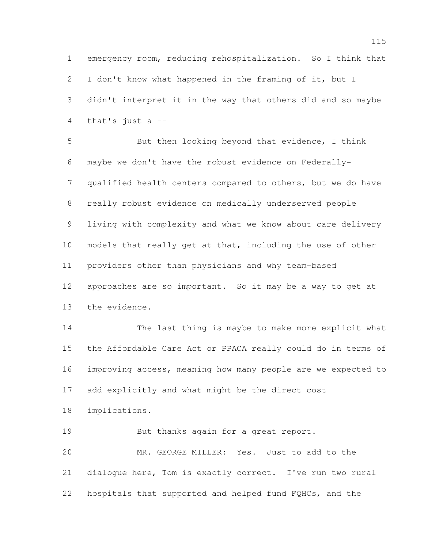emergency room, reducing rehospitalization. So I think that I don't know what happened in the framing of it, but I didn't interpret it in the way that others did and so maybe that's just a --

 But then looking beyond that evidence, I think maybe we don't have the robust evidence on Federally- qualified health centers compared to others, but we do have really robust evidence on medically underserved people living with complexity and what we know about care delivery models that really get at that, including the use of other providers other than physicians and why team-based approaches are so important. So it may be a way to get at the evidence.

 The last thing is maybe to make more explicit what the Affordable Care Act or PPACA really could do in terms of improving access, meaning how many people are we expected to add explicitly and what might be the direct cost

implications.

19 But thanks again for a great report.

 MR. GEORGE MILLER: Yes. Just to add to the dialogue here, Tom is exactly correct. I've run two rural hospitals that supported and helped fund FQHCs, and the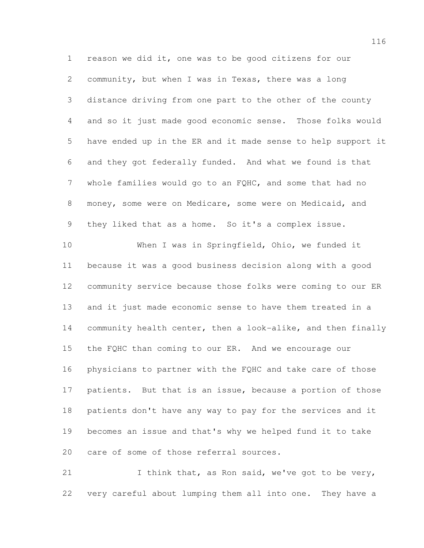reason we did it, one was to be good citizens for our community, but when I was in Texas, there was a long distance driving from one part to the other of the county and so it just made good economic sense. Those folks would have ended up in the ER and it made sense to help support it and they got federally funded. And what we found is that whole families would go to an FQHC, and some that had no money, some were on Medicare, some were on Medicaid, and they liked that as a home. So it's a complex issue. When I was in Springfield, Ohio, we funded it because it was a good business decision along with a good community service because those folks were coming to our ER and it just made economic sense to have them treated in a community health center, then a look-alike, and then finally the FQHC than coming to our ER. And we encourage our physicians to partner with the FQHC and take care of those patients. But that is an issue, because a portion of those patients don't have any way to pay for the services and it becomes an issue and that's why we helped fund it to take care of some of those referral sources.

21 I think that, as Ron said, we've got to be very, very careful about lumping them all into one. They have a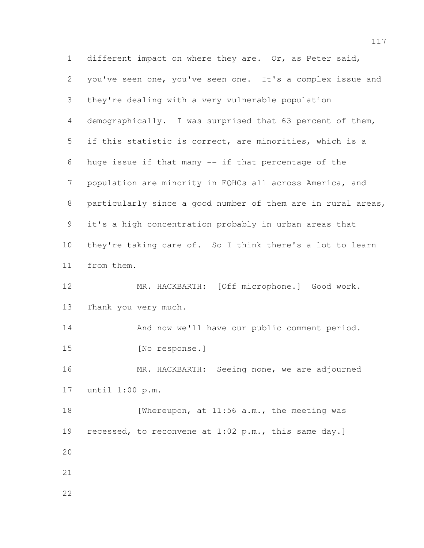different impact on where they are. Or, as Peter said, you've seen one, you've seen one. It's a complex issue and they're dealing with a very vulnerable population demographically. I was surprised that 63 percent of them, if this statistic is correct, are minorities, which is a huge issue if that many -- if that percentage of the population are minority in FQHCs all across America, and 8 particularly since a good number of them are in rural areas, it's a high concentration probably in urban areas that they're taking care of. So I think there's a lot to learn from them. MR. HACKBARTH: [Off microphone.] Good work. Thank you very much. 14 And now we'll have our public comment period. 15 [No response.] MR. HACKBARTH: Seeing none, we are adjourned until 1:00 p.m. 18 [Whereupon, at 11:56 a.m., the meeting was 19 recessed, to reconvene at 1:02 p.m., this same day.]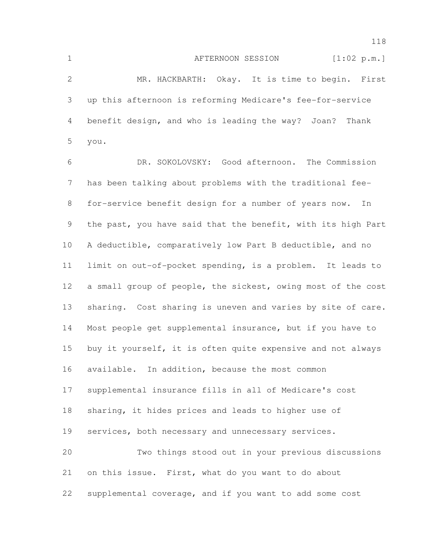MR. HACKBARTH: Okay. It is time to begin. First up this afternoon is reforming Medicare's fee-for-service benefit design, and who is leading the way? Joan? Thank you.

 DR. SOKOLOVSKY: Good afternoon. The Commission has been talking about problems with the traditional fee- for-service benefit design for a number of years now. In the past, you have said that the benefit, with its high Part A deductible, comparatively low Part B deductible, and no limit on out-of-pocket spending, is a problem. It leads to a small group of people, the sickest, owing most of the cost sharing. Cost sharing is uneven and varies by site of care. Most people get supplemental insurance, but if you have to buy it yourself, it is often quite expensive and not always available. In addition, because the most common supplemental insurance fills in all of Medicare's cost sharing, it hides prices and leads to higher use of services, both necessary and unnecessary services. Two things stood out in your previous discussions on this issue. First, what do you want to do about

supplemental coverage, and if you want to add some cost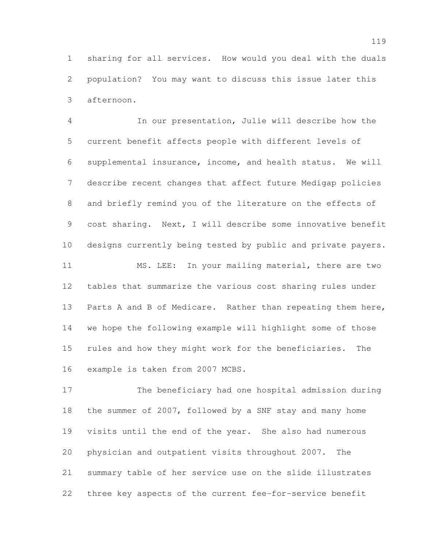sharing for all services. How would you deal with the duals population? You may want to discuss this issue later this afternoon.

 In our presentation, Julie will describe how the current benefit affects people with different levels of supplemental insurance, income, and health status. We will describe recent changes that affect future Medigap policies and briefly remind you of the literature on the effects of cost sharing. Next, I will describe some innovative benefit designs currently being tested by public and private payers. MS. LEE: In your mailing material, there are two tables that summarize the various cost sharing rules under 13 Parts A and B of Medicare. Rather than repeating them here, we hope the following example will highlight some of those rules and how they might work for the beneficiaries. The

example is taken from 2007 MCBS.

 The beneficiary had one hospital admission during the summer of 2007, followed by a SNF stay and many home visits until the end of the year. She also had numerous physician and outpatient visits throughout 2007. The summary table of her service use on the slide illustrates three key aspects of the current fee-for-service benefit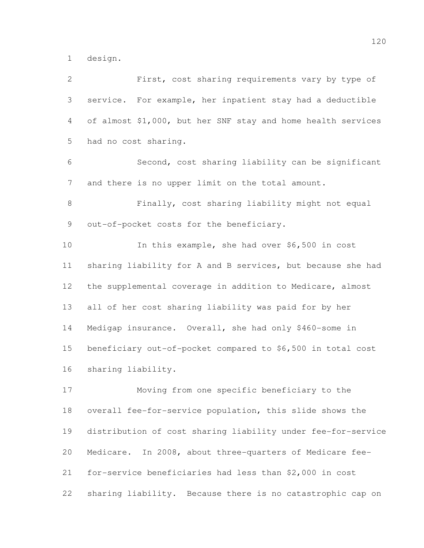design.

| $\overline{2}$ | First, cost sharing requirements vary by type of             |
|----------------|--------------------------------------------------------------|
| 3              | service. For example, her inpatient stay had a deductible    |
| 4              | of almost \$1,000, but her SNF stay and home health services |
| 5              | had no cost sharing.                                         |
| 6              | Second, cost sharing liability can be significant            |
| 7              | and there is no upper limit on the total amount.             |
| $8\,$          | Finally, cost sharing liability might not equal              |
| 9              | out-of-pocket costs for the beneficiary.                     |
| 10             | In this example, she had over \$6,500 in cost                |
| 11             | sharing liability for A and B services, but because she had  |
| 12             | the supplemental coverage in addition to Medicare, almost    |
| 13             | all of her cost sharing liability was paid for by her        |
| 14             | Medigap insurance. Overall, she had only \$460-some in       |
| 15             | beneficiary out-of-pocket compared to \$6,500 in total cost  |
| 16             | sharing liability.                                           |
| 17             | Moving from one specific beneficiary to the                  |
| 18             | overall fee-for-service population, this slide shows the     |
| 19             | distribution of cost sharing liability under fee-for-service |
| 20             | Medicare. In 2008, about three-quarters of Medicare fee-     |
| 21             | for-service beneficiaries had less than \$2,000 in cost      |
| 22             | sharing liability. Because there is no catastrophic cap on   |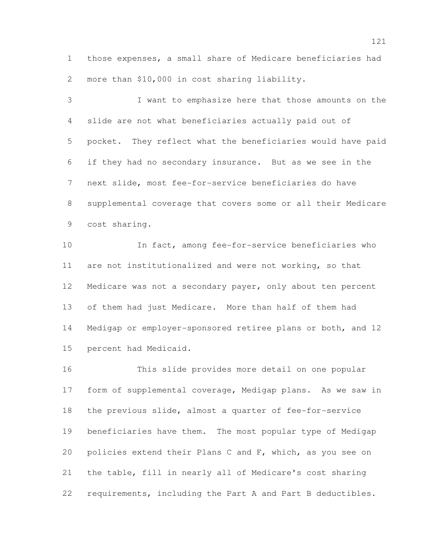those expenses, a small share of Medicare beneficiaries had more than \$10,000 in cost sharing liability.

 I want to emphasize here that those amounts on the slide are not what beneficiaries actually paid out of pocket. They reflect what the beneficiaries would have paid if they had no secondary insurance. But as we see in the next slide, most fee-for-service beneficiaries do have supplemental coverage that covers some or all their Medicare cost sharing.

 In fact, among fee-for-service beneficiaries who are not institutionalized and were not working, so that Medicare was not a secondary payer, only about ten percent of them had just Medicare. More than half of them had Medigap or employer-sponsored retiree plans or both, and 12 percent had Medicaid.

 This slide provides more detail on one popular form of supplemental coverage, Medigap plans. As we saw in the previous slide, almost a quarter of fee-for-service beneficiaries have them. The most popular type of Medigap policies extend their Plans C and F, which, as you see on the table, fill in nearly all of Medicare's cost sharing requirements, including the Part A and Part B deductibles.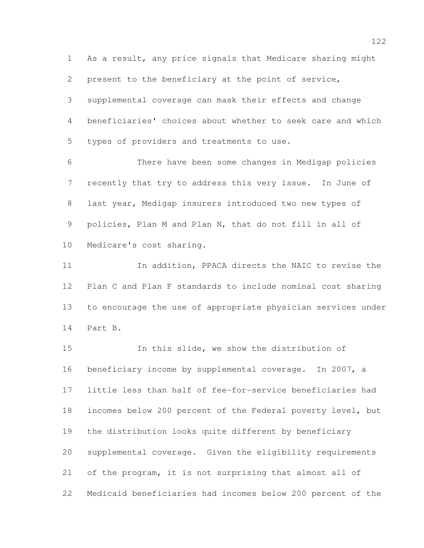As a result, any price signals that Medicare sharing might

present to the beneficiary at the point of service,

 supplemental coverage can mask their effects and change beneficiaries' choices about whether to seek care and which types of providers and treatments to use.

 There have been some changes in Medigap policies recently that try to address this very issue. In June of last year, Medigap insurers introduced two new types of policies, Plan M and Plan N, that do not fill in all of Medicare's cost sharing.

 In addition, PPACA directs the NAIC to revise the Plan C and Plan F standards to include nominal cost sharing to encourage the use of appropriate physician services under Part B.

 In this slide, we show the distribution of 16 beneficiary income by supplemental coverage. In 2007, a little less than half of fee-for-service beneficiaries had incomes below 200 percent of the Federal poverty level, but the distribution looks quite different by beneficiary supplemental coverage. Given the eligibility requirements of the program, it is not surprising that almost all of Medicaid beneficiaries had incomes below 200 percent of the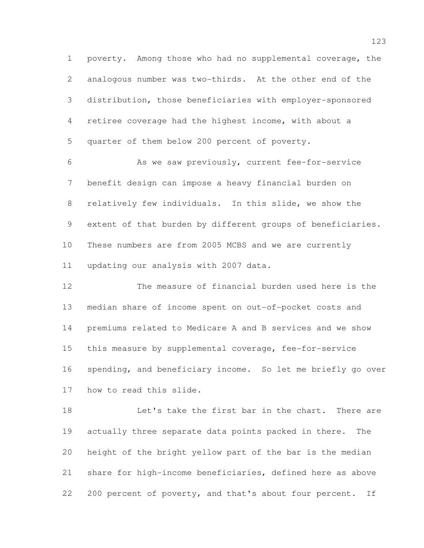poverty. Among those who had no supplemental coverage, the analogous number was two-thirds. At the other end of the distribution, those beneficiaries with employer-sponsored retiree coverage had the highest income, with about a quarter of them below 200 percent of poverty.

 As we saw previously, current fee-for-service benefit design can impose a heavy financial burden on relatively few individuals. In this slide, we show the extent of that burden by different groups of beneficiaries. These numbers are from 2005 MCBS and we are currently updating our analysis with 2007 data.

 The measure of financial burden used here is the median share of income spent on out-of-pocket costs and premiums related to Medicare A and B services and we show this measure by supplemental coverage, fee-for-service spending, and beneficiary income. So let me briefly go over how to read this slide.

18 Let's take the first bar in the chart. There are actually three separate data points packed in there. The height of the bright yellow part of the bar is the median share for high-income beneficiaries, defined here as above 22 200 percent of poverty, and that's about four percent. If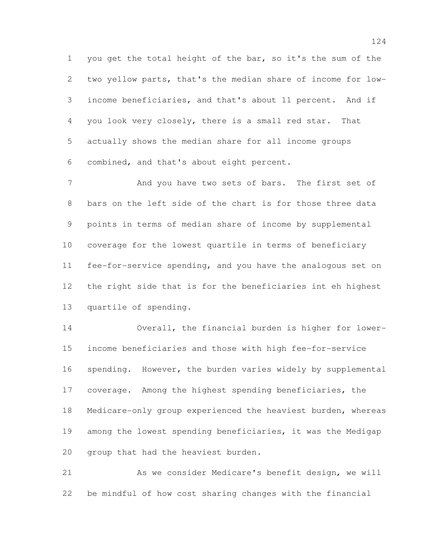you get the total height of the bar, so it's the sum of the two yellow parts, that's the median share of income for low- income beneficiaries, and that's about 11 percent. And if you look very closely, there is a small red star. That actually shows the median share for all income groups combined, and that's about eight percent.

7 And you have two sets of bars. The first set of bars on the left side of the chart is for those three data points in terms of median share of income by supplemental coverage for the lowest quartile in terms of beneficiary fee-for-service spending, and you have the analogous set on the right side that is for the beneficiaries int eh highest quartile of spending.

 Overall, the financial burden is higher for lower- income beneficiaries and those with high fee-for-service spending. However, the burden varies widely by supplemental coverage. Among the highest spending beneficiaries, the Medicare-only group experienced the heaviest burden, whereas among the lowest spending beneficiaries, it was the Medigap group that had the heaviest burden.

 As we consider Medicare's benefit design, we will be mindful of how cost sharing changes with the financial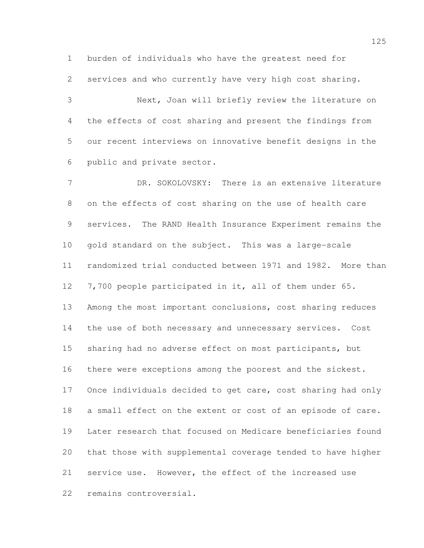burden of individuals who have the greatest need for

services and who currently have very high cost sharing.

 Next, Joan will briefly review the literature on the effects of cost sharing and present the findings from our recent interviews on innovative benefit designs in the public and private sector.

 DR. SOKOLOVSKY: There is an extensive literature on the effects of cost sharing on the use of health care services. The RAND Health Insurance Experiment remains the gold standard on the subject. This was a large-scale randomized trial conducted between 1971 and 1982. More than 7,700 people participated in it, all of them under 65. Among the most important conclusions, cost sharing reduces the use of both necessary and unnecessary services. Cost sharing had no adverse effect on most participants, but there were exceptions among the poorest and the sickest. Once individuals decided to get care, cost sharing had only a small effect on the extent or cost of an episode of care. Later research that focused on Medicare beneficiaries found that those with supplemental coverage tended to have higher service use. However, the effect of the increased use remains controversial.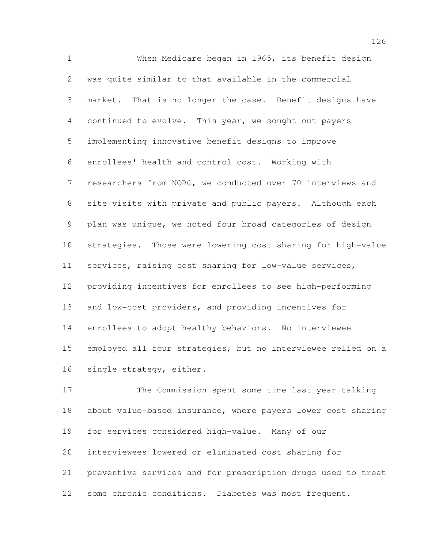When Medicare began in 1965, its benefit design was quite similar to that available in the commercial market. That is no longer the case. Benefit designs have continued to evolve. This year, we sought out payers implementing innovative benefit designs to improve enrollees' health and control cost. Working with researchers from NORC, we conducted over 70 interviews and site visits with private and public payers. Although each plan was unique, we noted four broad categories of design strategies. Those were lowering cost sharing for high-value services, raising cost sharing for low-value services, providing incentives for enrollees to see high-performing and low-cost providers, and providing incentives for enrollees to adopt healthy behaviors. No interviewee employed all four strategies, but no interviewee relied on a single strategy, either.

 The Commission spent some time last year talking about value-based insurance, where payers lower cost sharing for services considered high-value. Many of our interviewees lowered or eliminated cost sharing for preventive services and for prescription drugs used to treat some chronic conditions. Diabetes was most frequent.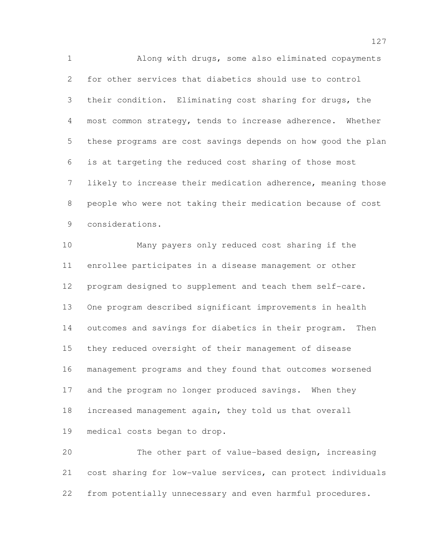Along with drugs, some also eliminated copayments for other services that diabetics should use to control their condition. Eliminating cost sharing for drugs, the most common strategy, tends to increase adherence. Whether these programs are cost savings depends on how good the plan is at targeting the reduced cost sharing of those most likely to increase their medication adherence, meaning those people who were not taking their medication because of cost considerations.

 Many payers only reduced cost sharing if the enrollee participates in a disease management or other program designed to supplement and teach them self-care. One program described significant improvements in health outcomes and savings for diabetics in their program. Then they reduced oversight of their management of disease management programs and they found that outcomes worsened 17 and the program no longer produced savings. When they increased management again, they told us that overall medical costs began to drop.

 The other part of value-based design, increasing cost sharing for low-value services, can protect individuals from potentially unnecessary and even harmful procedures.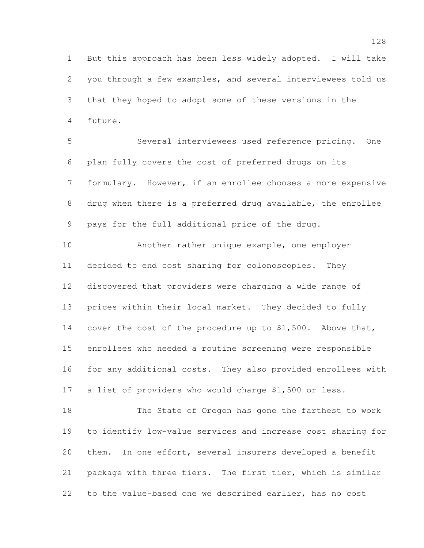But this approach has been less widely adopted. I will take you through a few examples, and several interviewees told us that they hoped to adopt some of these versions in the future.

 Several interviewees used reference pricing. One plan fully covers the cost of preferred drugs on its formulary. However, if an enrollee chooses a more expensive drug when there is a preferred drug available, the enrollee pays for the full additional price of the drug.

 Another rather unique example, one employer decided to end cost sharing for colonoscopies. They discovered that providers were charging a wide range of prices within their local market. They decided to fully cover the cost of the procedure up to \$1,500. Above that, enrollees who needed a routine screening were responsible for any additional costs. They also provided enrollees with a list of providers who would charge \$1,500 or less.

 The State of Oregon has gone the farthest to work to identify low-value services and increase cost sharing for them. In one effort, several insurers developed a benefit package with three tiers. The first tier, which is similar to the value-based one we described earlier, has no cost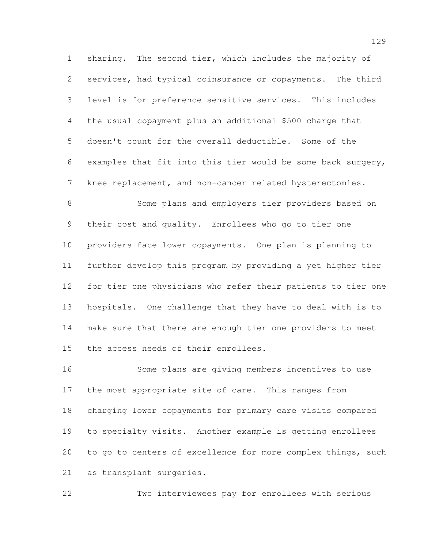sharing. The second tier, which includes the majority of services, had typical coinsurance or copayments. The third level is for preference sensitive services. This includes the usual copayment plus an additional \$500 charge that doesn't count for the overall deductible. Some of the examples that fit into this tier would be some back surgery, knee replacement, and non-cancer related hysterectomies.

 Some plans and employers tier providers based on their cost and quality. Enrollees who go to tier one providers face lower copayments. One plan is planning to further develop this program by providing a yet higher tier for tier one physicians who refer their patients to tier one hospitals. One challenge that they have to deal with is to make sure that there are enough tier one providers to meet the access needs of their enrollees.

 Some plans are giving members incentives to use the most appropriate site of care. This ranges from charging lower copayments for primary care visits compared to specialty visits. Another example is getting enrollees to go to centers of excellence for more complex things, such as transplant surgeries.

Two interviewees pay for enrollees with serious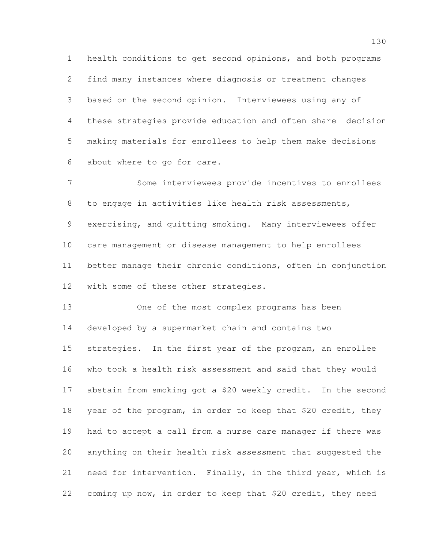health conditions to get second opinions, and both programs find many instances where diagnosis or treatment changes based on the second opinion. Interviewees using any of these strategies provide education and often share decision making materials for enrollees to help them make decisions about where to go for care.

 Some interviewees provide incentives to enrollees 8 to engage in activities like health risk assessments, exercising, and quitting smoking. Many interviewees offer care management or disease management to help enrollees better manage their chronic conditions, often in conjunction with some of these other strategies.

 One of the most complex programs has been developed by a supermarket chain and contains two strategies. In the first year of the program, an enrollee who took a health risk assessment and said that they would abstain from smoking got a \$20 weekly credit. In the second year of the program, in order to keep that \$20 credit, they had to accept a call from a nurse care manager if there was anything on their health risk assessment that suggested the need for intervention. Finally, in the third year, which is coming up now, in order to keep that \$20 credit, they need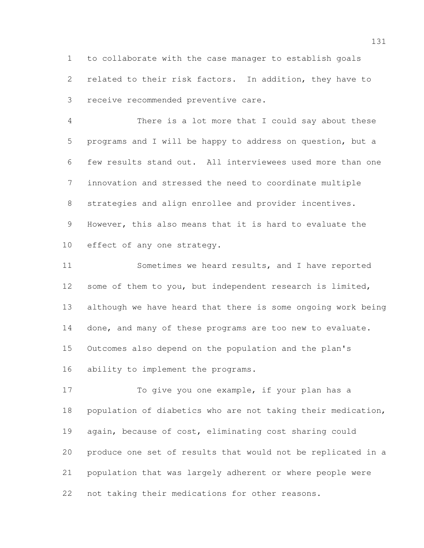to collaborate with the case manager to establish goals related to their risk factors. In addition, they have to receive recommended preventive care.

 There is a lot more that I could say about these programs and I will be happy to address on question, but a few results stand out. All interviewees used more than one innovation and stressed the need to coordinate multiple strategies and align enrollee and provider incentives. However, this also means that it is hard to evaluate the effect of any one strategy.

 Sometimes we heard results, and I have reported some of them to you, but independent research is limited, although we have heard that there is some ongoing work being done, and many of these programs are too new to evaluate. Outcomes also depend on the population and the plan's ability to implement the programs.

17 To give you one example, if your plan has a population of diabetics who are not taking their medication, again, because of cost, eliminating cost sharing could produce one set of results that would not be replicated in a population that was largely adherent or where people were not taking their medications for other reasons.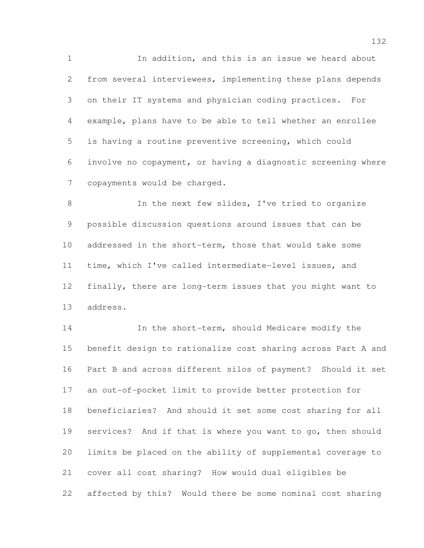In addition, and this is an issue we heard about from several interviewees, implementing these plans depends on their IT systems and physician coding practices. For example, plans have to be able to tell whether an enrollee is having a routine preventive screening, which could involve no copayment, or having a diagnostic screening where copayments would be charged.

8 In the next few slides, I've tried to organize possible discussion questions around issues that can be addressed in the short-term, those that would take some time, which I've called intermediate-level issues, and finally, there are long-term issues that you might want to address.

 In the short-term, should Medicare modify the benefit design to rationalize cost sharing across Part A and Part B and across different silos of payment? Should it set an out-of-pocket limit to provide better protection for beneficiaries? And should it set some cost sharing for all services? And if that is where you want to go, then should limits be placed on the ability of supplemental coverage to cover all cost sharing? How would dual eligibles be affected by this? Would there be some nominal cost sharing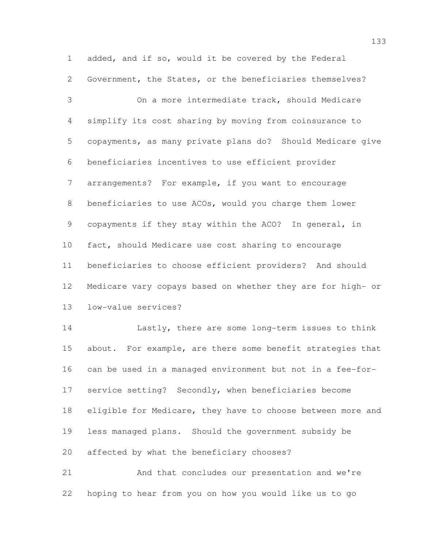added, and if so, would it be covered by the Federal

Government, the States, or the beneficiaries themselves?

 On a more intermediate track, should Medicare simplify its cost sharing by moving from coinsurance to copayments, as many private plans do? Should Medicare give beneficiaries incentives to use efficient provider arrangements? For example, if you want to encourage beneficiaries to use ACOs, would you charge them lower copayments if they stay within the ACO? In general, in fact, should Medicare use cost sharing to encourage beneficiaries to choose efficient providers? And should Medicare vary copays based on whether they are for high- or low-value services?

 Lastly, there are some long-term issues to think about. For example, are there some benefit strategies that can be used in a managed environment but not in a fee-for- service setting? Secondly, when beneficiaries become eligible for Medicare, they have to choose between more and less managed plans. Should the government subsidy be affected by what the beneficiary chooses?

 And that concludes our presentation and we're hoping to hear from you on how you would like us to go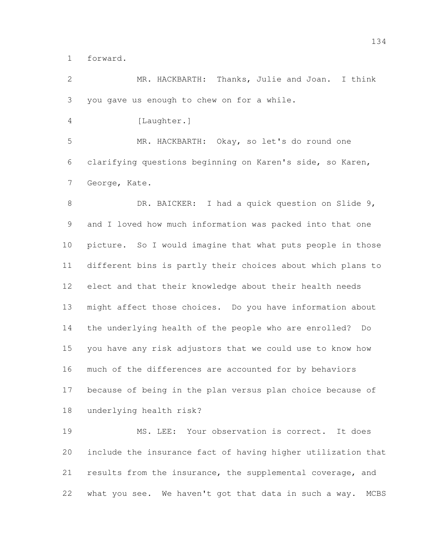forward.

 MR. HACKBARTH: Thanks, Julie and Joan. I think you gave us enough to chew on for a while. [Laughter.] MR. HACKBARTH: Okay, so let's do round one clarifying questions beginning on Karen's side, so Karen, George, Kate. 8 DR. BAICKER: I had a quick question on Slide 9, and I loved how much information was packed into that one picture. So I would imagine that what puts people in those different bins is partly their choices about which plans to elect and that their knowledge about their health needs might affect those choices. Do you have information about the underlying health of the people who are enrolled? Do you have any risk adjustors that we could use to know how much of the differences are accounted for by behaviors because of being in the plan versus plan choice because of underlying health risk? MS. LEE: Your observation is correct. It does include the insurance fact of having higher utilization that results from the insurance, the supplemental coverage, and

what you see. We haven't got that data in such a way. MCBS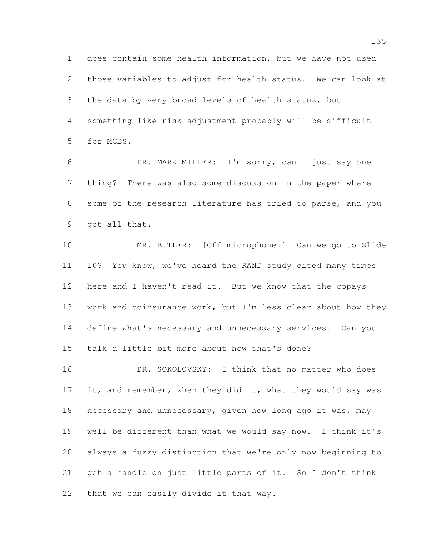does contain some health information, but we have not used those variables to adjust for health status. We can look at the data by very broad levels of health status, but something like risk adjustment probably will be difficult for MCBS.

 DR. MARK MILLER: I'm sorry, can I just say one thing? There was also some discussion in the paper where some of the research literature has tried to parse, and you got all that.

 MR. BUTLER: [Off microphone.] Can we go to Slide 10? You know, we've heard the RAND study cited many times here and I haven't read it. But we know that the copays work and coinsurance work, but I'm less clear about how they define what's necessary and unnecessary services. Can you talk a little bit more about how that's done?

 DR. SOKOLOVSKY: I think that no matter who does 17 it, and remember, when they did it, what they would say was 18 necessary and unnecessary, given how long ago it was, may well be different than what we would say now. I think it's always a fuzzy distinction that we're only now beginning to get a handle on just little parts of it. So I don't think that we can easily divide it that way.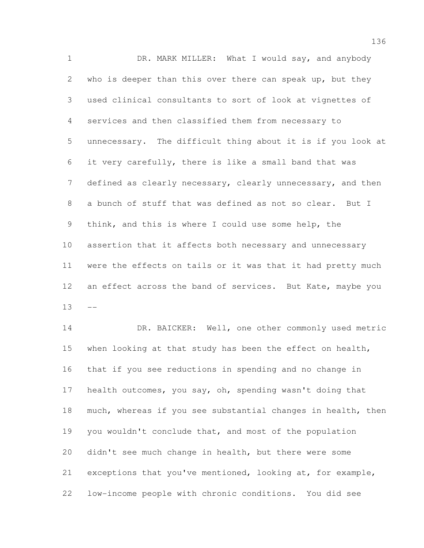1 DR. MARK MILLER: What I would say, and anybody who is deeper than this over there can speak up, but they used clinical consultants to sort of look at vignettes of services and then classified them from necessary to unnecessary. The difficult thing about it is if you look at it very carefully, there is like a small band that was defined as clearly necessary, clearly unnecessary, and then a bunch of stuff that was defined as not so clear. But I think, and this is where I could use some help, the assertion that it affects both necessary and unnecessary were the effects on tails or it was that it had pretty much 12 an effect across the band of services. But Kate, maybe you 

 DR. BAICKER: Well, one other commonly used metric 15 when looking at that study has been the effect on health, that if you see reductions in spending and no change in health outcomes, you say, oh, spending wasn't doing that much, whereas if you see substantial changes in health, then you wouldn't conclude that, and most of the population didn't see much change in health, but there were some exceptions that you've mentioned, looking at, for example, low-income people with chronic conditions. You did see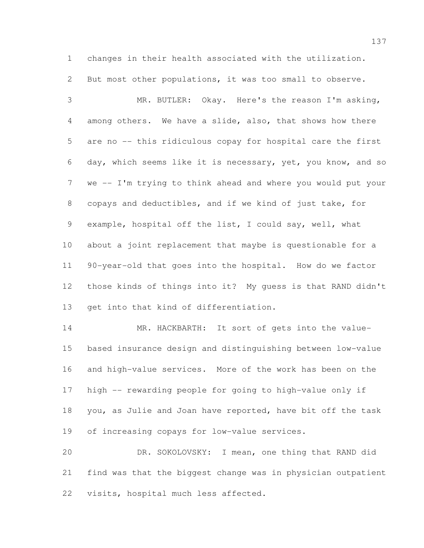changes in their health associated with the utilization.

But most other populations, it was too small to observe.

 MR. BUTLER: Okay. Here's the reason I'm asking, among others. We have a slide, also, that shows how there are no -- this ridiculous copay for hospital care the first day, which seems like it is necessary, yet, you know, and so we -- I'm trying to think ahead and where you would put your copays and deductibles, and if we kind of just take, for example, hospital off the list, I could say, well, what about a joint replacement that maybe is questionable for a 90-year-old that goes into the hospital. How do we factor those kinds of things into it? My guess is that RAND didn't get into that kind of differentiation.

 MR. HACKBARTH: It sort of gets into the value- based insurance design and distinguishing between low-value and high-value services. More of the work has been on the high -- rewarding people for going to high-value only if you, as Julie and Joan have reported, have bit off the task of increasing copays for low-value services.

 DR. SOKOLOVSKY: I mean, one thing that RAND did find was that the biggest change was in physician outpatient visits, hospital much less affected.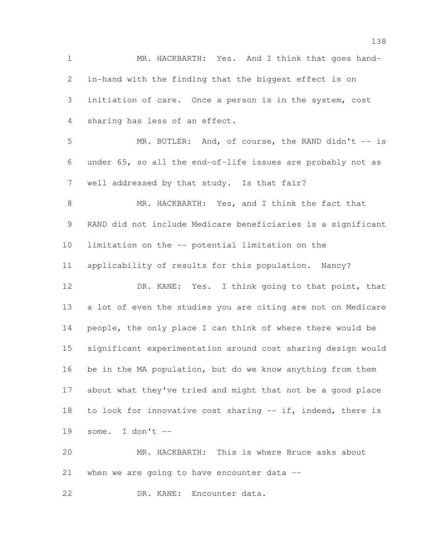MR. HACKBARTH: Yes. And I think that goes hand- in-hand with the finding that the biggest effect is on initiation of care. Once a person is in the system, cost sharing has less of an effect. 5 MR. BUTLER: And, of course, the RAND didn't -- is under 65, so all the end-of-life issues are probably not as well addressed by that study. Is that fair? MR. HACKBARTH: Yes, and I think the fact that RAND did not include Medicare beneficiaries is a significant limitation on the -- potential limitation on the applicability of results for this population. Nancy? 12 DR. KANE: Yes. I think going to that point, that a lot of even the studies you are citing are not on Medicare people, the only place I can think of where there would be significant experimentation around cost sharing design would be in the MA population, but do we know anything from them about what they've tried and might that not be a good place to look for innovative cost sharing -- if, indeed, there is 19 some. I don't  $-$  MR. HACKBARTH: This is where Bruce asks about when we are going to have encounter data --

DR. KANE: Encounter data.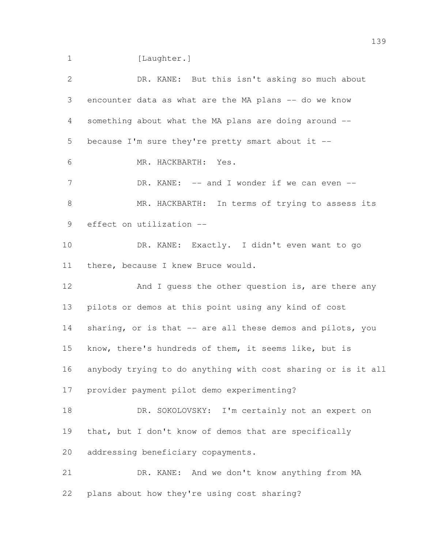1 [Laughter.]

| $\overline{2}$ | DR. KANE: But this isn't asking so much about                |
|----------------|--------------------------------------------------------------|
| 3              | encounter data as what are the MA plans -- do we know        |
| 4              | something about what the MA plans are doing around --        |
| 5              | because I'm sure they're pretty smart about it --            |
| 6              | MR. HACKBARTH: Yes.                                          |
| 7              | DR. KANE: -- and I wonder if we can even --                  |
| 8              | MR. HACKBARTH: In terms of trying to assess its              |
| 9              | effect on utilization --                                     |
| 10             | DR. KANE: Exactly. I didn't even want to go                  |
| 11             | there, because I knew Bruce would.                           |
| 12             | And I guess the other question is, are there any             |
| 13             | pilots or demos at this point using any kind of cost         |
| 14             | sharing, or is that -- are all these demos and pilots, you   |
| 15             | know, there's hundreds of them, it seems like, but is        |
| 16             | anybody trying to do anything with cost sharing or is it all |
| 17             | provider payment pilot demo experimenting?                   |
| 18             | DR. SOKOLOVSKY: I'm certainly not an expert on               |
| 19             | that, but I don't know of demos that are specifically        |
| 20             | addressing beneficiary copayments.                           |
| 21             | DR. KANE: And we don't know anything from MA                 |
| 22             | plans about how they're using cost sharing?                  |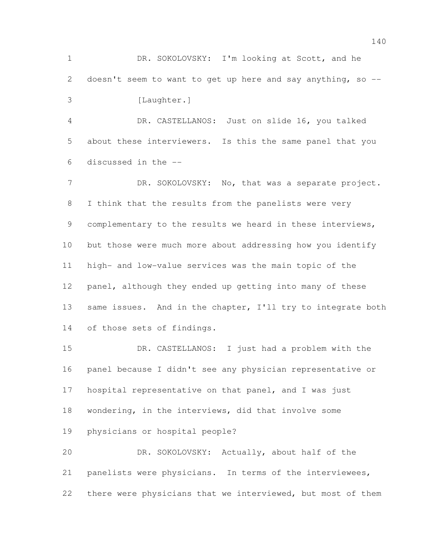1 DR. SOKOLOVSKY: I'm looking at Scott, and he doesn't seem to want to get up here and say anything, so -- 3 [Laughter.]

 DR. CASTELLANOS: Just on slide 16, you talked about these interviewers. Is this the same panel that you discussed in the --

7 DR. SOKOLOVSKY: No, that was a separate project. I think that the results from the panelists were very complementary to the results we heard in these interviews, but those were much more about addressing how you identify high- and low-value services was the main topic of the panel, although they ended up getting into many of these 13 same issues. And in the chapter, I'll try to integrate both of those sets of findings.

 DR. CASTELLANOS: I just had a problem with the panel because I didn't see any physician representative or hospital representative on that panel, and I was just wondering, in the interviews, did that involve some physicians or hospital people? DR. SOKOLOVSKY: Actually, about half of the

 panelists were physicians. In terms of the interviewees, there were physicians that we interviewed, but most of them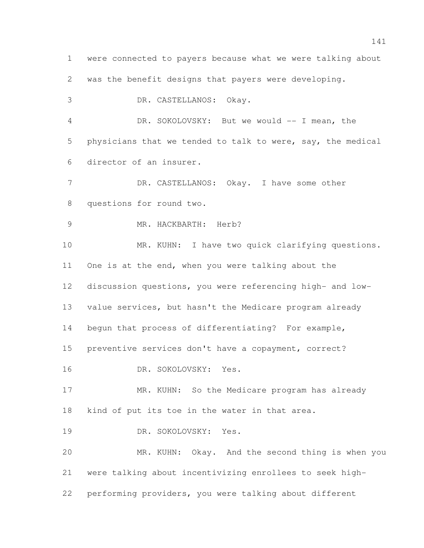were connected to payers because what we were talking about was the benefit designs that payers were developing. DR. CASTELLANOS: Okay. DR. SOKOLOVSKY: But we would -- I mean, the physicians that we tended to talk to were, say, the medical director of an insurer. 7 DR. CASTELLANOS: Okay. I have some other questions for round two. MR. HACKBARTH: Herb? 10 MR. KUHN: I have two quick clarifying questions. One is at the end, when you were talking about the discussion questions, you were referencing high- and low- value services, but hasn't the Medicare program already begun that process of differentiating? For example, preventive services don't have a copayment, correct? DR. SOKOLOVSKY: Yes. 17 MR. KUHN: So the Medicare program has already kind of put its toe in the water in that area. DR. SOKOLOVSKY: Yes. MR. KUHN: Okay. And the second thing is when you were talking about incentivizing enrollees to seek high-performing providers, you were talking about different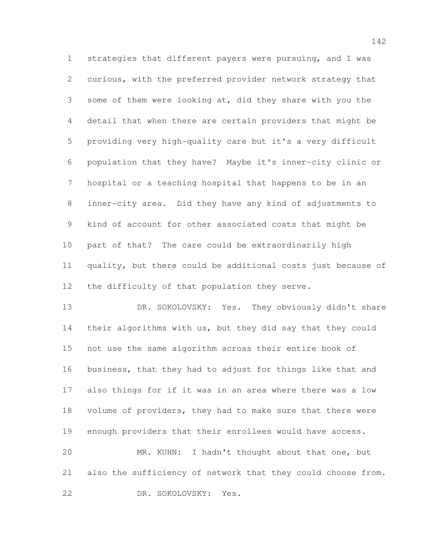strategies that different payers were pursuing, and I was curious, with the preferred provider network strategy that some of them were looking at, did they share with you the detail that when there are certain providers that might be providing very high-quality care but it's a very difficult population that they have? Maybe it's inner-city clinic or hospital or a teaching hospital that happens to be in an inner-city area. Did they have any kind of adjustments to kind of account for other associated costs that might be part of that? The care could be extraordinarily high quality, but there could be additional costs just because of 12 the difficulty of that population they serve.

 DR. SOKOLOVSKY: Yes. They obviously didn't share their algorithms with us, but they did say that they could not use the same algorithm across their entire book of business, that they had to adjust for things like that and also things for if it was in an area where there was a low volume of providers, they had to make sure that there were enough providers that their enrollees would have access.

 MR. KUHN: I hadn't thought about that one, but also the sufficiency of network that they could choose from. DR. SOKOLOVSKY: Yes.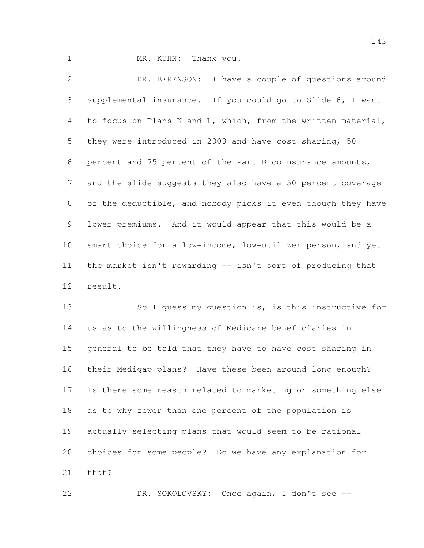1 MR. KUHN: Thank you.

 DR. BERENSON: I have a couple of questions around supplemental insurance. If you could go to Slide 6, I want to focus on Plans K and L, which, from the written material, they were introduced in 2003 and have cost sharing, 50 percent and 75 percent of the Part B coinsurance amounts, and the slide suggests they also have a 50 percent coverage 8 of the deductible, and nobody picks it even though they have lower premiums. And it would appear that this would be a smart choice for a low-income, low-utilizer person, and yet the market isn't rewarding -- isn't sort of producing that result.

13 So I quess my question is, is this instructive for us as to the willingness of Medicare beneficiaries in general to be told that they have to have cost sharing in their Medigap plans? Have these been around long enough? Is there some reason related to marketing or something else as to why fewer than one percent of the population is actually selecting plans that would seem to be rational choices for some people? Do we have any explanation for that?

DR. SOKOLOVSKY: Once again, I don't see --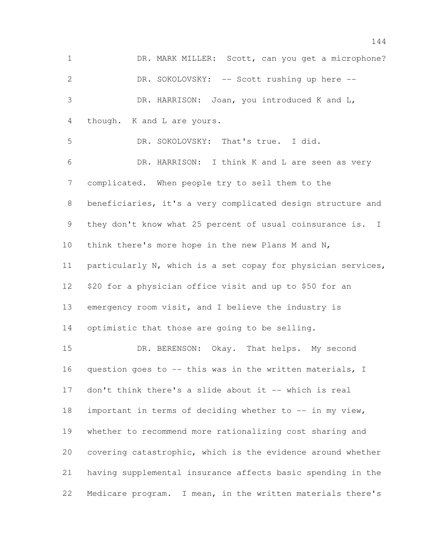1 DR. MARK MILLER: Scott, can you get a microphone? 2 DR. SOKOLOVSKY: -- Scott rushing up here -- DR. HARRISON: Joan, you introduced K and L, though. K and L are yours. DR. SOKOLOVSKY: That's true. I did. DR. HARRISON: I think K and L are seen as very complicated. When people try to sell them to the beneficiaries, it's a very complicated design structure and they don't know what 25 percent of usual coinsurance is. I think there's more hope in the new Plans M and N, particularly N, which is a set copay for physician services, \$20 for a physician office visit and up to \$50 for an emergency room visit, and I believe the industry is optimistic that those are going to be selling. DR. BERENSON: Okay. That helps. My second question goes to -- this was in the written materials, I don't think there's a slide about it -- which is real 18 important in terms of deciding whether to -- in my view, whether to recommend more rationalizing cost sharing and covering catastrophic, which is the evidence around whether having supplemental insurance affects basic spending in the Medicare program. I mean, in the written materials there's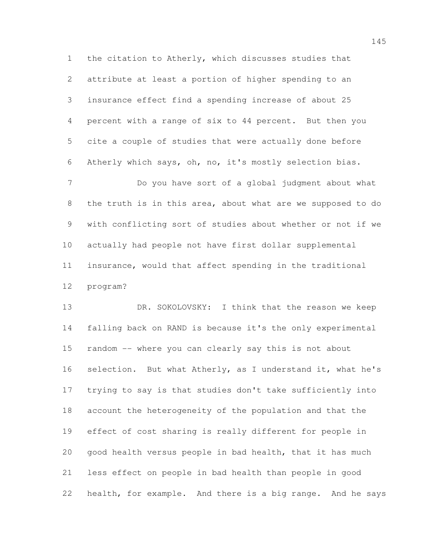the citation to Atherly, which discusses studies that attribute at least a portion of higher spending to an insurance effect find a spending increase of about 25 percent with a range of six to 44 percent. But then you cite a couple of studies that were actually done before Atherly which says, oh, no, it's mostly selection bias.

 Do you have sort of a global judgment about what the truth is in this area, about what are we supposed to do with conflicting sort of studies about whether or not if we actually had people not have first dollar supplemental insurance, would that affect spending in the traditional program?

13 DR. SOKOLOVSKY: I think that the reason we keep falling back on RAND is because it's the only experimental random -- where you can clearly say this is not about selection. But what Atherly, as I understand it, what he's trying to say is that studies don't take sufficiently into account the heterogeneity of the population and that the effect of cost sharing is really different for people in good health versus people in bad health, that it has much less effect on people in bad health than people in good health, for example. And there is a big range. And he says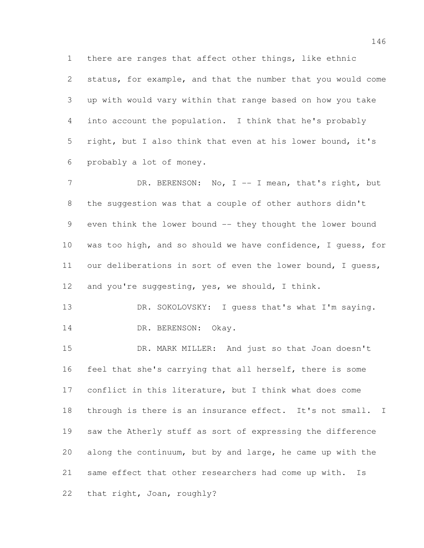there are ranges that affect other things, like ethnic status, for example, and that the number that you would come up with would vary within that range based on how you take into account the population. I think that he's probably right, but I also think that even at his lower bound, it's probably a lot of money.

7 DR. BERENSON: No, I -- I mean, that's right, but the suggestion was that a couple of other authors didn't 9 even think the lower bound -- they thought the lower bound was too high, and so should we have confidence, I guess, for 11 our deliberations in sort of even the lower bound, I guess, 12 and you're suggesting, yes, we should, I think.

13 DR. SOKOLOVSKY: I quess that's what I'm saying. 14 DR. BERENSON: Okay.

 DR. MARK MILLER: And just so that Joan doesn't feel that she's carrying that all herself, there is some conflict in this literature, but I think what does come through is there is an insurance effect. It's not small. I saw the Atherly stuff as sort of expressing the difference along the continuum, but by and large, he came up with the same effect that other researchers had come up with. Is that right, Joan, roughly?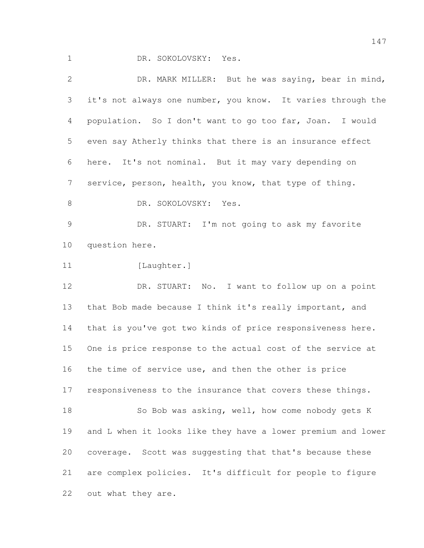DR. SOKOLOVSKY: Yes.

| 2              | DR. MARK MILLER: But he was saying, bear in mind,            |
|----------------|--------------------------------------------------------------|
| 3              | it's not always one number, you know. It varies through the  |
| $\overline{4}$ | population. So I don't want to go too far, Joan. I would     |
| 5              | even say Atherly thinks that there is an insurance effect    |
| 6              | here. It's not nominal. But it may vary depending on         |
| $\overline{7}$ | service, person, health, you know, that type of thing.       |
| $8\,$          | DR. SOKOLOVSKY: Yes.                                         |
| $\mathcal{G}$  | DR. STUART: I'm not going to ask my favorite                 |
| 10             | question here.                                               |
| 11             | [Laughter.]                                                  |
| 12             | DR. STUART: No. I want to follow up on a point               |
| 13             | that Bob made because I think it's really important, and     |
| 14             | that is you've got two kinds of price responsiveness here.   |
| 15             | One is price response to the actual cost of the service at   |
| 16             | the time of service use, and then the other is price         |
| 17             | responsiveness to the insurance that covers these things.    |
| 18             | So Bob was asking, well, how come nobody gets K              |
| 19             | and L when it looks like they have a lower premium and lower |
| 20             | coverage. Scott was suggesting that that's because these     |
| 21             | are complex policies. It's difficult for people to figure    |
| 22             | out what they are.                                           |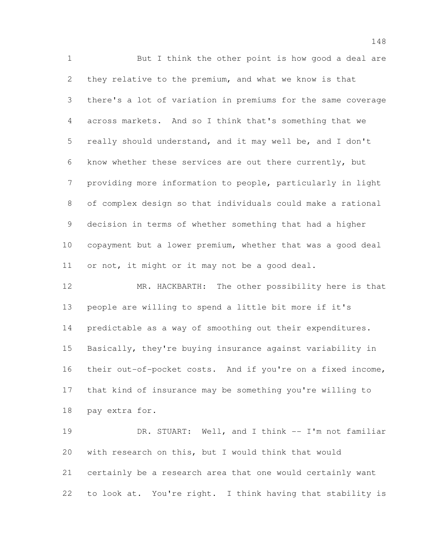But I think the other point is how good a deal are they relative to the premium, and what we know is that there's a lot of variation in premiums for the same coverage across markets. And so I think that's something that we really should understand, and it may well be, and I don't know whether these services are out there currently, but providing more information to people, particularly in light of complex design so that individuals could make a rational decision in terms of whether something that had a higher copayment but a lower premium, whether that was a good deal 11 or not, it might or it may not be a good deal.

 MR. HACKBARTH: The other possibility here is that people are willing to spend a little bit more if it's predictable as a way of smoothing out their expenditures. Basically, they're buying insurance against variability in their out-of-pocket costs. And if you're on a fixed income, that kind of insurance may be something you're willing to pay extra for.

 DR. STUART: Well, and I think -- I'm not familiar with research on this, but I would think that would certainly be a research area that one would certainly want to look at. You're right. I think having that stability is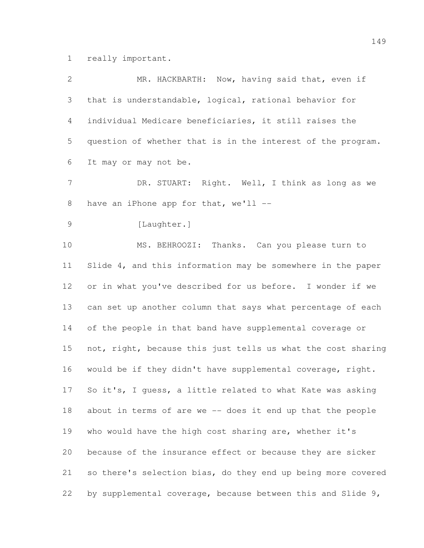really important.

| $\overline{2}$  | MR. HACKBARTH: Now, having said that, even if                |
|-----------------|--------------------------------------------------------------|
| 3               | that is understandable, logical, rational behavior for       |
| 4               | individual Medicare beneficiaries, it still raises the       |
| 5               | question of whether that is in the interest of the program.  |
| 6               | It may or may not be.                                        |
| $7\phantom{.0}$ | DR. STUART: Right. Well, I think as long as we               |
| 8               | have an iPhone app for that, we'll --                        |
| 9               | [Laughter.]                                                  |
| 10              | MS. BEHROOZI: Thanks. Can you please turn to                 |
| 11              | Slide 4, and this information may be somewhere in the paper  |
| 12              | or in what you've described for us before. I wonder if we    |
| 13              | can set up another column that says what percentage of each  |
| 14              | of the people in that band have supplemental coverage or     |
| 15              | not, right, because this just tells us what the cost sharing |
| 16              | would be if they didn't have supplemental coverage, right.   |
| 17              | So it's, I guess, a little related to what Kate was asking   |
| 18              | about in terms of are we -- does it end up that the people   |
| 19              | who would have the high cost sharing are, whether it's       |
| 20              | because of the insurance effect or because they are sicker   |
| 21              | so there's selection bias, do they end up being more covered |
| 22              | by supplemental coverage, because between this and Slide 9,  |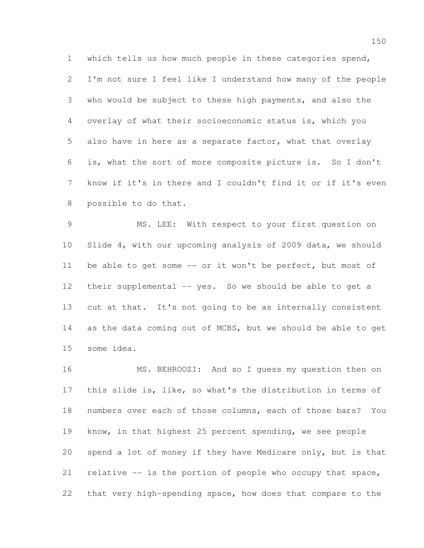which tells us how much people in these categories spend, I'm not sure I feel like I understand how many of the people who would be subject to these high payments, and also the overlay of what their socioeconomic status is, which you also have in here as a separate factor, what that overlay is, what the sort of more composite picture is. So I don't know if it's in there and I couldn't find it or if it's even possible to do that.

 MS. LEE: With respect to your first question on Slide 4, with our upcoming analysis of 2009 data, we should 11 be able to get some -- or it won't be perfect, but most of their supplemental -- yes. So we should be able to get a cut at that. It's not going to be as internally consistent 14 as the data coming out of MCBS, but we should be able to get some idea.

 MS. BEHROOZI: And so I guess my question then on this slide is, like, so what's the distribution in terms of numbers over each of those columns, each of those bars? You know, in that highest 25 percent spending, we see people spend a lot of money if they have Medicare only, but is that relative -- is the portion of people who occupy that space, that very high-spending space, how does that compare to the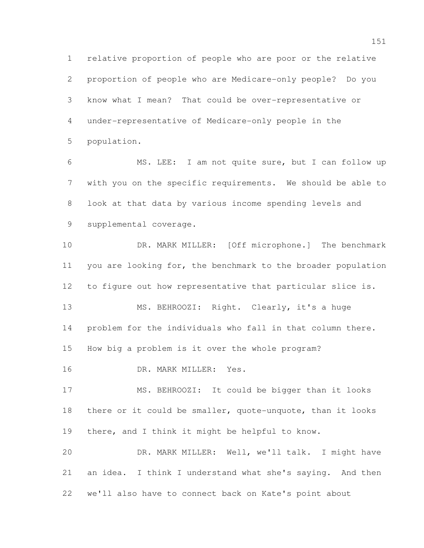relative proportion of people who are poor or the relative proportion of people who are Medicare-only people? Do you know what I mean? That could be over-representative or under-representative of Medicare-only people in the population.

 MS. LEE: I am not quite sure, but I can follow up with you on the specific requirements. We should be able to look at that data by various income spending levels and supplemental coverage.

 DR. MARK MILLER: [Off microphone.] The benchmark you are looking for, the benchmark to the broader population to figure out how representative that particular slice is. MS. BEHROOZI: Right. Clearly, it's a huge problem for the individuals who fall in that column there. How big a problem is it over the whole program? DR. MARK MILLER: Yes.

 MS. BEHROOZI: It could be bigger than it looks there or it could be smaller, quote-unquote, than it looks there, and I think it might be helpful to know.

 DR. MARK MILLER: Well, we'll talk. I might have an idea. I think I understand what she's saying. And then we'll also have to connect back on Kate's point about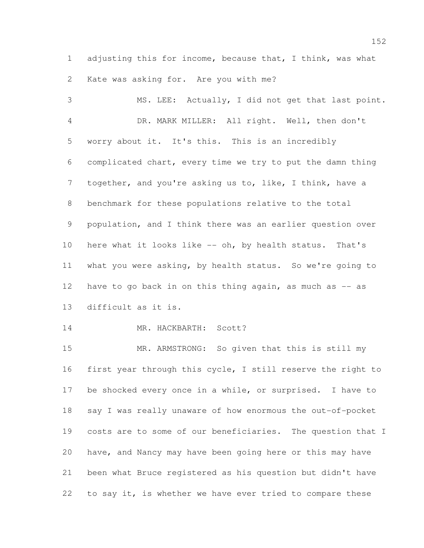adjusting this for income, because that, I think, was what Kate was asking for. Are you with me?

 MS. LEE: Actually, I did not get that last point. DR. MARK MILLER: All right. Well, then don't worry about it. It's this. This is an incredibly complicated chart, every time we try to put the damn thing together, and you're asking us to, like, I think, have a benchmark for these populations relative to the total population, and I think there was an earlier question over here what it looks like -- oh, by health status. That's what you were asking, by health status. So we're going to 12 have to go back in on this thing again, as much as  $-$  as difficult as it is.

## 14 MR. HACKBARTH: Scott?

 MR. ARMSTRONG: So given that this is still my first year through this cycle, I still reserve the right to be shocked every once in a while, or surprised. I have to say I was really unaware of how enormous the out-of-pocket costs are to some of our beneficiaries. The question that I have, and Nancy may have been going here or this may have been what Bruce registered as his question but didn't have 22 to say it, is whether we have ever tried to compare these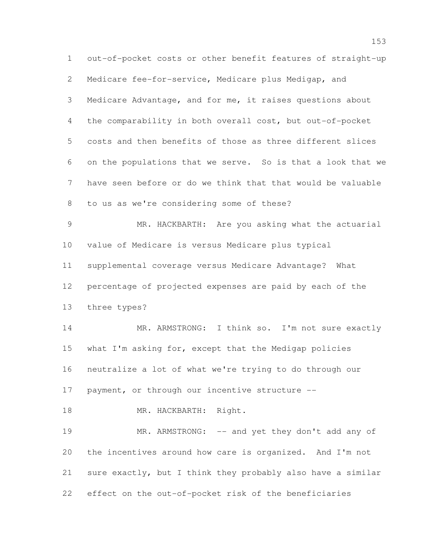out-of-pocket costs or other benefit features of straight-up Medicare fee-for-service, Medicare plus Medigap, and Medicare Advantage, and for me, it raises questions about the comparability in both overall cost, but out-of-pocket costs and then benefits of those as three different slices on the populations that we serve. So is that a look that we have seen before or do we think that that would be valuable to us as we're considering some of these? MR. HACKBARTH: Are you asking what the actuarial value of Medicare is versus Medicare plus typical supplemental coverage versus Medicare Advantage? What percentage of projected expenses are paid by each of the three types? 14 MR. ARMSTRONG: I think so. I'm not sure exactly what I'm asking for, except that the Medigap policies neutralize a lot of what we're trying to do through our payment, or through our incentive structure -- 18 MR. HACKBARTH: Right. 19 MR. ARMSTRONG: -- and yet they don't add any of the incentives around how care is organized. And I'm not sure exactly, but I think they probably also have a similar effect on the out-of-pocket risk of the beneficiaries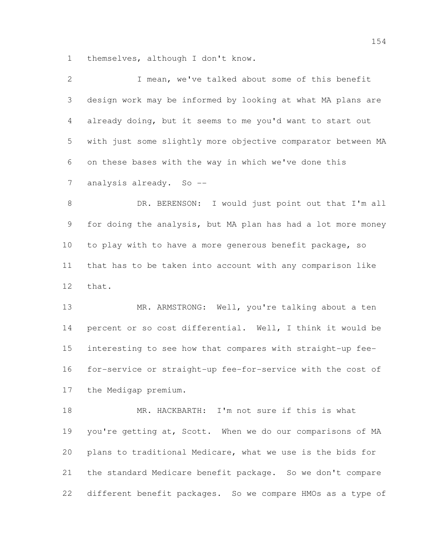themselves, although I don't know.

| $\mathbf{2}$ | I mean, we've talked about some of this benefit              |
|--------------|--------------------------------------------------------------|
| 3            | design work may be informed by looking at what MA plans are  |
| 4            | already doing, but it seems to me you'd want to start out    |
| 5            | with just some slightly more objective comparator between MA |
| 6            | on these bases with the way in which we've done this         |
| 7            | analysis already. So --                                      |
| $\,8\,$      | DR. BERENSON: I would just point out that I'm all            |
| 9            | for doing the analysis, but MA plan has had a lot more money |
| 10           | to play with to have a more generous benefit package, so     |
| 11           | that has to be taken into account with any comparison like   |
| 12           | that.                                                        |
| 13           | MR. ARMSTRONG: Well, you're talking about a ten              |
| 14           | percent or so cost differential. Well, I think it would be   |
| 15           | interesting to see how that compares with straight-up fee-   |
| 16           | for-service or straight-up fee-for-service with the cost of  |
| 17           | the Medigap premium.                                         |
| 18           | MR. HACKBARTH: I'm not sure if this is what                  |
| 19           | you're getting at, Scott. When we do our comparisons of MA   |
| 20           | plans to traditional Medicare, what we use is the bids for   |
| 21           | the standard Medicare benefit package. So we don't compare   |
|              |                                                              |

different benefit packages. So we compare HMOs as a type of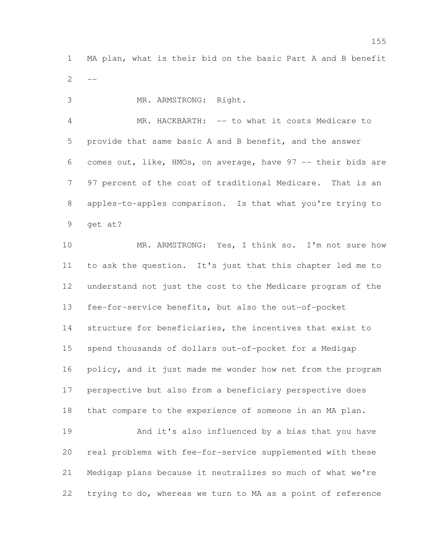MA plan, what is their bid on the basic Part A and B benefit  $2 - -$ 

 MR. ARMSTRONG: Right. MR. HACKBARTH: -- to what it costs Medicare to provide that same basic A and B benefit, and the answer comes out, like, HMOs, on average, have 97 -- their bids are 97 percent of the cost of traditional Medicare. That is an apples-to-apples comparison. Is that what you're trying to get at?

10 MR. ARMSTRONG: Yes, I think so. I'm not sure how to ask the question. It's just that this chapter led me to understand not just the cost to the Medicare program of the fee-for-service benefits, but also the out-of-pocket structure for beneficiaries, the incentives that exist to spend thousands of dollars out-of-pocket for a Medigap policy, and it just made me wonder how net from the program perspective but also from a beneficiary perspective does that compare to the experience of someone in an MA plan. And it's also influenced by a bias that you have real problems with fee-for-service supplemented with these Medigap plans because it neutralizes so much of what we're trying to do, whereas we turn to MA as a point of reference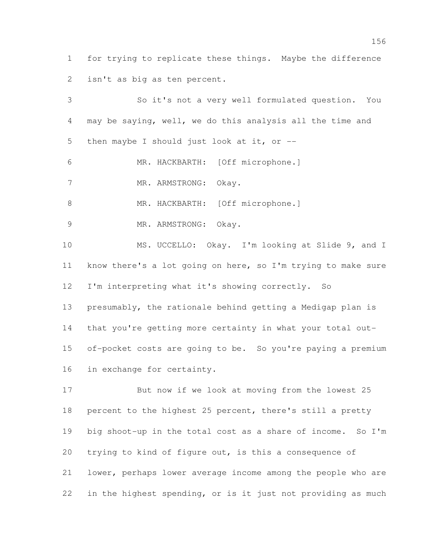for trying to replicate these things. Maybe the difference isn't as big as ten percent.

 So it's not a very well formulated question. You may be saying, well, we do this analysis all the time and then maybe I should just look at it, or -- MR. HACKBARTH: [Off microphone.] 7 MR. ARMSTRONG: Okay. 8 MR. HACKBARTH: [Off microphone.] 9 MR. ARMSTRONG: Okay. MS. UCCELLO: Okay. I'm looking at Slide 9, and I know there's a lot going on here, so I'm trying to make sure I'm interpreting what it's showing correctly. So presumably, the rationale behind getting a Medigap plan is that you're getting more certainty in what your total out- of-pocket costs are going to be. So you're paying a premium in exchange for certainty. But now if we look at moving from the lowest 25 percent to the highest 25 percent, there's still a pretty big shoot-up in the total cost as a share of income. So I'm trying to kind of figure out, is this a consequence of lower, perhaps lower average income among the people who are

in the highest spending, or is it just not providing as much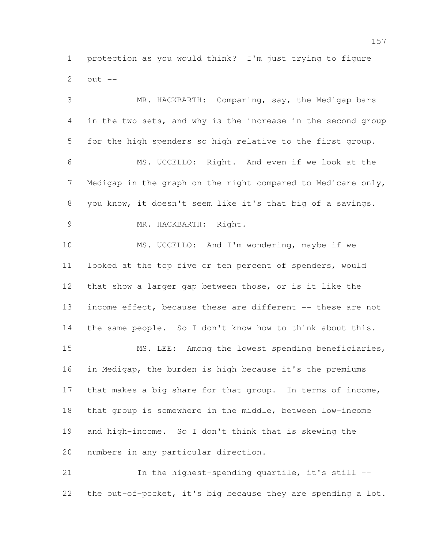protection as you would think? I'm just trying to figure 2 out  $-$ 

 MR. HACKBARTH: Comparing, say, the Medigap bars in the two sets, and why is the increase in the second group for the high spenders so high relative to the first group. MS. UCCELLO: Right. And even if we look at the Medigap in the graph on the right compared to Medicare only, you know, it doesn't seem like it's that big of a savings. MR. HACKBARTH: Right. MS. UCCELLO: And I'm wondering, maybe if we looked at the top five or ten percent of spenders, would that show a larger gap between those, or is it like the 13 income effect, because these are different -- these are not the same people. So I don't know how to think about this. MS. LEE: Among the lowest spending beneficiaries, in Medigap, the burden is high because it's the premiums 17 that makes a big share for that group. In terms of income, that group is somewhere in the middle, between low-income and high-income. So I don't think that is skewing the numbers in any particular direction. In the highest-spending quartile, it's still --

the out-of-pocket, it's big because they are spending a lot.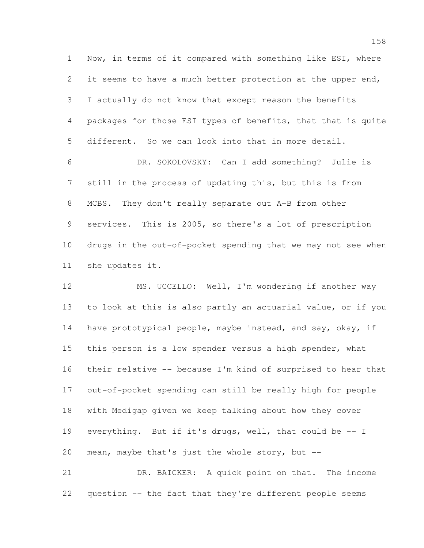Now, in terms of it compared with something like ESI, where it seems to have a much better protection at the upper end, I actually do not know that except reason the benefits packages for those ESI types of benefits, that that is quite different. So we can look into that in more detail. DR. SOKOLOVSKY: Can I add something? Julie is still in the process of updating this, but this is from MCBS. They don't really separate out A-B from other services. This is 2005, so there's a lot of prescription

 drugs in the out-of-pocket spending that we may not see when she updates it.

12 MS. UCCELLO: Well, I'm wondering if another way to look at this is also partly an actuarial value, or if you 14 have prototypical people, maybe instead, and say, okay, if this person is a low spender versus a high spender, what their relative -- because I'm kind of surprised to hear that out-of-pocket spending can still be really high for people with Medigap given we keep talking about how they cover everything. But if it's drugs, well, that could be -- I 20 mean, maybe that's just the whole story, but  $--$ 

 DR. BAICKER: A quick point on that. The income question -- the fact that they're different people seems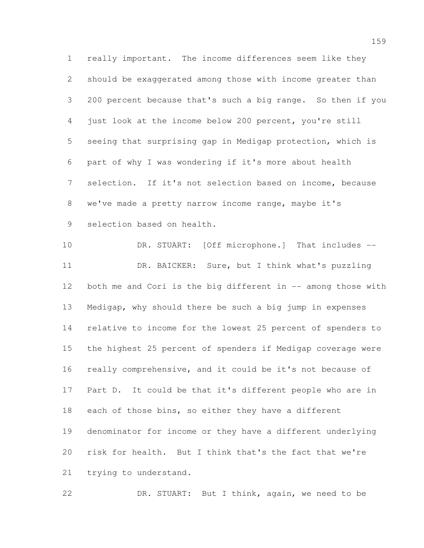really important. The income differences seem like they should be exaggerated among those with income greater than 200 percent because that's such a big range. So then if you just look at the income below 200 percent, you're still seeing that surprising gap in Medigap protection, which is part of why I was wondering if it's more about health selection. If it's not selection based on income, because we've made a pretty narrow income range, maybe it's selection based on health.

 DR. STUART: [Off microphone.] That includes -- 11 DR. BAICKER: Sure, but I think what's puzzling 12 both me and Cori is the big different in -- among those with Medigap, why should there be such a big jump in expenses relative to income for the lowest 25 percent of spenders to the highest 25 percent of spenders if Medigap coverage were really comprehensive, and it could be it's not because of Part D. It could be that it's different people who are in 18 each of those bins, so either they have a different denominator for income or they have a different underlying risk for health. But I think that's the fact that we're trying to understand.

DR. STUART: But I think, again, we need to be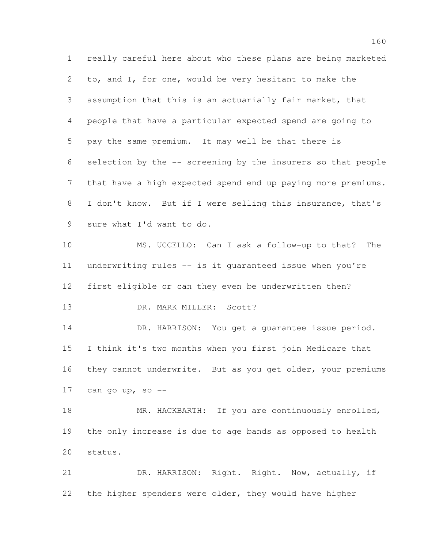really careful here about who these plans are being marketed to, and I, for one, would be very hesitant to make the assumption that this is an actuarially fair market, that people that have a particular expected spend are going to pay the same premium. It may well be that there is selection by the -- screening by the insurers so that people that have a high expected spend end up paying more premiums. I don't know. But if I were selling this insurance, that's sure what I'd want to do.

 MS. UCCELLO: Can I ask a follow-up to that? The underwriting rules -- is it guaranteed issue when you're first eligible or can they even be underwritten then?

13 DR. MARK MILLER: Scott?

14 DR. HARRISON: You get a quarantee issue period. I think it's two months when you first join Medicare that they cannot underwrite. But as you get older, your premiums 17 can go up, so  $-$ 

18 MR. HACKBARTH: If you are continuously enrolled, the only increase is due to age bands as opposed to health status.

 DR. HARRISON: Right. Right. Now, actually, if the higher spenders were older, they would have higher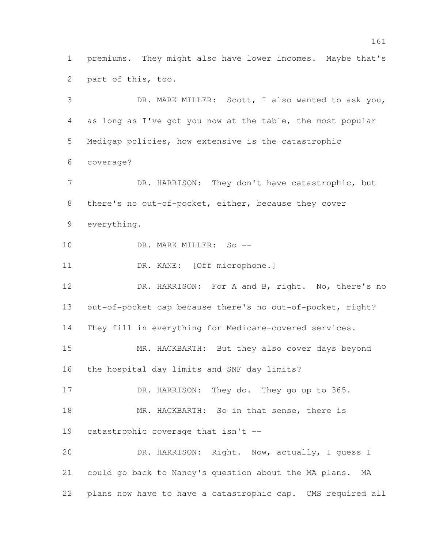premiums. They might also have lower incomes. Maybe that's part of this, too.

 DR. MARK MILLER: Scott, I also wanted to ask you, as long as I've got you now at the table, the most popular Medigap policies, how extensive is the catastrophic coverage? 7 DR. HARRISON: They don't have catastrophic, but there's no out-of-pocket, either, because they cover everything. DR. MARK MILLER: So -- 11 DR. KANE: [Off microphone.] DR. HARRISON: For A and B, right. No, there's no out-of-pocket cap because there's no out-of-pocket, right? They fill in everything for Medicare-covered services. 15 MR. HACKBARTH: But they also cover days beyond the hospital day limits and SNF day limits? 17 DR. HARRISON: They do. They go up to 365. 18 MR. HACKBARTH: So in that sense, there is catastrophic coverage that isn't -- DR. HARRISON: Right. Now, actually, I guess I could go back to Nancy's question about the MA plans. MA plans now have to have a catastrophic cap. CMS required all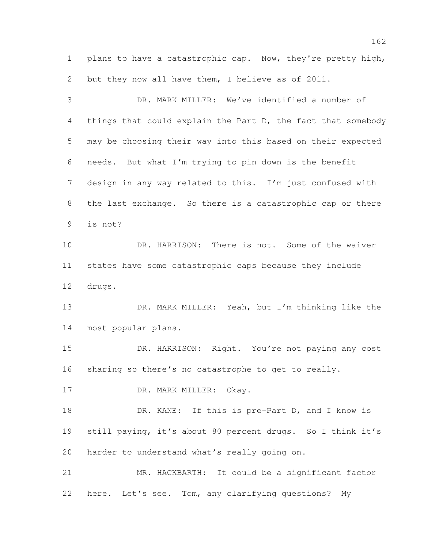1 plans to have a catastrophic cap. Now, they're pretty high, but they now all have them, I believe as of 2011.

 DR. MARK MILLER: We've identified a number of 4 things that could explain the Part D, the fact that somebody may be choosing their way into this based on their expected needs. But what I'm trying to pin down is the benefit design in any way related to this. I'm just confused with the last exchange. So there is a catastrophic cap or there is not? DR. HARRISON: There is not. Some of the waiver states have some catastrophic caps because they include drugs. DR. MARK MILLER: Yeah, but I'm thinking like the most popular plans. 15 DR. HARRISON: Right. You're not paying any cost sharing so there's no catastrophe to get to really. 17 DR. MARK MILLER: Okay. 18 DR. KANE: If this is pre-Part D, and I know is still paying, it's about 80 percent drugs. So I think it's harder to understand what's really going on. MR. HACKBARTH: It could be a significant factor here. Let's see. Tom, any clarifying questions? My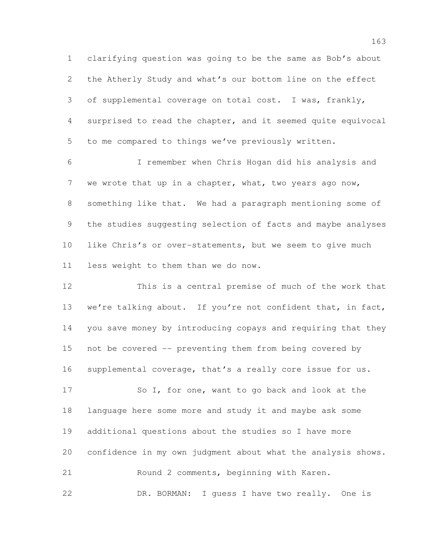clarifying question was going to be the same as Bob's about the Atherly Study and what's our bottom line on the effect of supplemental coverage on total cost. I was, frankly, surprised to read the chapter, and it seemed quite equivocal to me compared to things we've previously written.

 I remember when Chris Hogan did his analysis and 7 we wrote that up in a chapter, what, two years ago now, something like that. We had a paragraph mentioning some of the studies suggesting selection of facts and maybe analyses like Chris's or over-statements, but we seem to give much less weight to them than we do now.

 This is a central premise of much of the work that we're talking about. If you're not confident that, in fact, you save money by introducing copays and requiring that they not be covered -- preventing them from being covered by supplemental coverage, that's a really core issue for us.

 So I, for one, want to go back and look at the language here some more and study it and maybe ask some additional questions about the studies so I have more confidence in my own judgment about what the analysis shows. Round 2 comments, beginning with Karen. DR. BORMAN: I guess I have two really. One is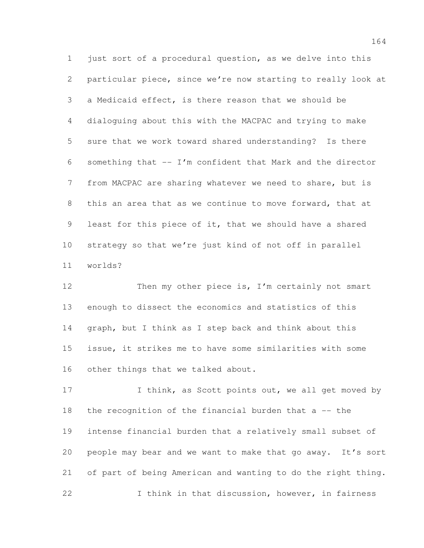just sort of a procedural question, as we delve into this particular piece, since we're now starting to really look at a Medicaid effect, is there reason that we should be dialoguing about this with the MACPAC and trying to make sure that we work toward shared understanding? Is there something that -- I'm confident that Mark and the director from MACPAC are sharing whatever we need to share, but is this an area that as we continue to move forward, that at least for this piece of it, that we should have a shared strategy so that we're just kind of not off in parallel worlds?

12 Then my other piece is, I'm certainly not smart enough to dissect the economics and statistics of this graph, but I think as I step back and think about this issue, it strikes me to have some similarities with some other things that we talked about.

17 I think, as Scott points out, we all get moved by the recognition of the financial burden that a -- the intense financial burden that a relatively small subset of people may bear and we want to make that go away. It's sort of part of being American and wanting to do the right thing. I think in that discussion, however, in fairness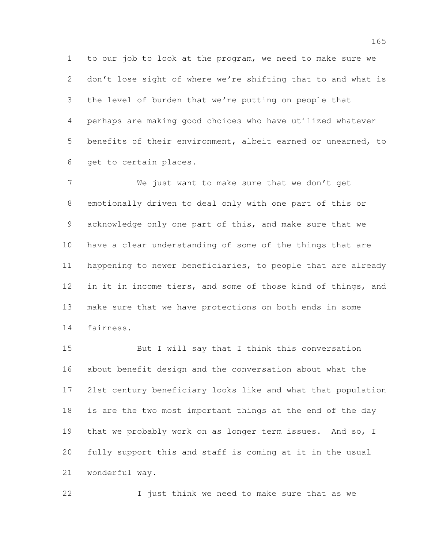to our job to look at the program, we need to make sure we don't lose sight of where we're shifting that to and what is the level of burden that we're putting on people that perhaps are making good choices who have utilized whatever benefits of their environment, albeit earned or unearned, to get to certain places.

 We just want to make sure that we don't get emotionally driven to deal only with one part of this or acknowledge only one part of this, and make sure that we have a clear understanding of some of the things that are happening to newer beneficiaries, to people that are already in it in income tiers, and some of those kind of things, and make sure that we have protections on both ends in some fairness.

 But I will say that I think this conversation about benefit design and the conversation about what the 21st century beneficiary looks like and what that population is are the two most important things at the end of the day 19 that we probably work on as longer term issues. And so, I fully support this and staff is coming at it in the usual wonderful way.

I just think we need to make sure that as we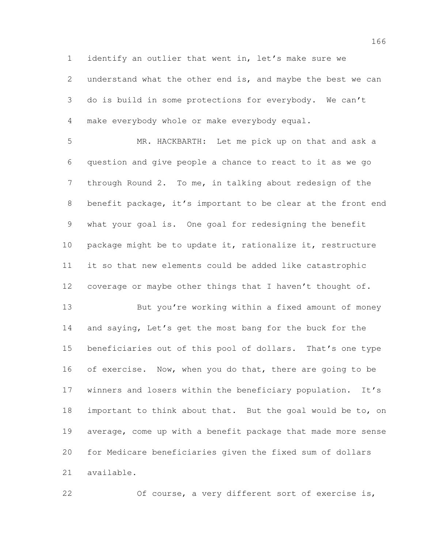identify an outlier that went in, let's make sure we understand what the other end is, and maybe the best we can do is build in some protections for everybody. We can't make everybody whole or make everybody equal.

 MR. HACKBARTH: Let me pick up on that and ask a question and give people a chance to react to it as we go through Round 2. To me, in talking about redesign of the benefit package, it's important to be clear at the front end what your goal is. One goal for redesigning the benefit package might be to update it, rationalize it, restructure it so that new elements could be added like catastrophic 12 coverage or maybe other things that I haven't thought of.

13 But you're working within a fixed amount of money and saying, Let's get the most bang for the buck for the beneficiaries out of this pool of dollars. That's one type 16 of exercise. Now, when you do that, there are going to be 17 winners and losers within the beneficiary population. It's important to think about that. But the goal would be to, on average, come up with a benefit package that made more sense for Medicare beneficiaries given the fixed sum of dollars available.

Of course, a very different sort of exercise is,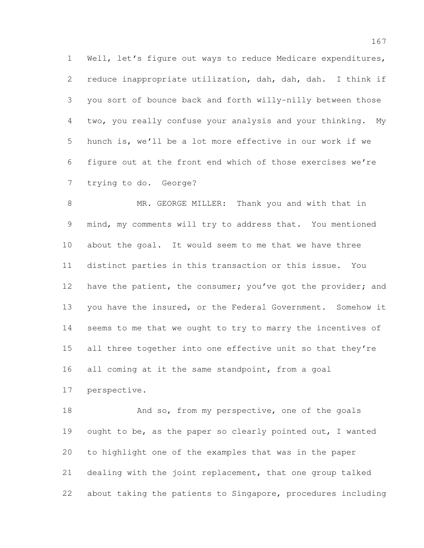Well, let's figure out ways to reduce Medicare expenditures, reduce inappropriate utilization, dah, dah, dah. I think if you sort of bounce back and forth willy-nilly between those two, you really confuse your analysis and your thinking. My hunch is, we'll be a lot more effective in our work if we figure out at the front end which of those exercises we're trying to do. George?

 MR. GEORGE MILLER: Thank you and with that in mind, my comments will try to address that. You mentioned about the goal. It would seem to me that we have three distinct parties in this transaction or this issue. You 12 have the patient, the consumer; you've got the provider; and you have the insured, or the Federal Government. Somehow it seems to me that we ought to try to marry the incentives of 15 all three together into one effective unit so that they're all coming at it the same standpoint, from a goal perspective.

18 And so, from my perspective, one of the goals 19 ought to be, as the paper so clearly pointed out, I wanted to highlight one of the examples that was in the paper dealing with the joint replacement, that one group talked about taking the patients to Singapore, procedures including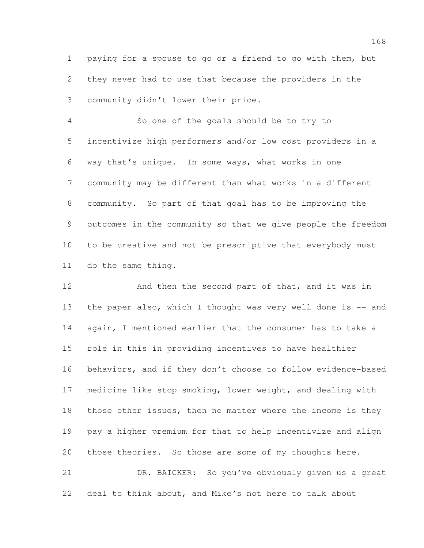paying for a spouse to go or a friend to go with them, but they never had to use that because the providers in the community didn't lower their price.

 So one of the goals should be to try to incentivize high performers and/or low cost providers in a way that's unique. In some ways, what works in one community may be different than what works in a different community. So part of that goal has to be improving the outcomes in the community so that we give people the freedom to be creative and not be prescriptive that everybody must do the same thing.

12 And then the second part of that, and it was in 13 the paper also, which I thought was very well done is -- and again, I mentioned earlier that the consumer has to take a role in this in providing incentives to have healthier behaviors, and if they don't choose to follow evidence-based medicine like stop smoking, lower weight, and dealing with 18 those other issues, then no matter where the income is they pay a higher premium for that to help incentivize and align those theories. So those are some of my thoughts here. DR. BAICKER: So you've obviously given us a great

deal to think about, and Mike's not here to talk about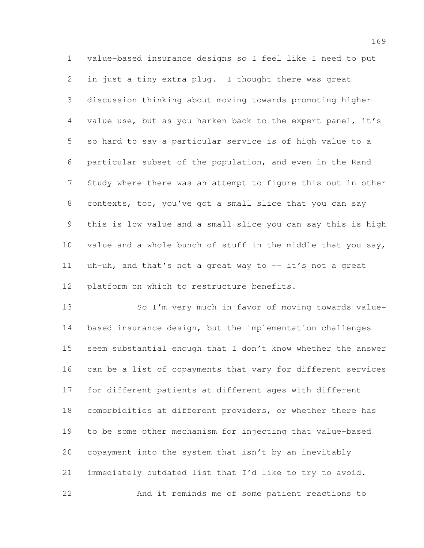value-based insurance designs so I feel like I need to put in just a tiny extra plug. I thought there was great discussion thinking about moving towards promoting higher value use, but as you harken back to the expert panel, it's so hard to say a particular service is of high value to a particular subset of the population, and even in the Rand Study where there was an attempt to figure this out in other contexts, too, you've got a small slice that you can say this is low value and a small slice you can say this is high value and a whole bunch of stuff in the middle that you say, uh-uh, and that's not a great way to -- it's not a great platform on which to restructure benefits.

 So I'm very much in favor of moving towards value- based insurance design, but the implementation challenges seem substantial enough that I don't know whether the answer can be a list of copayments that vary for different services for different patients at different ages with different comorbidities at different providers, or whether there has to be some other mechanism for injecting that value-based copayment into the system that isn't by an inevitably immediately outdated list that I'd like to try to avoid. And it reminds me of some patient reactions to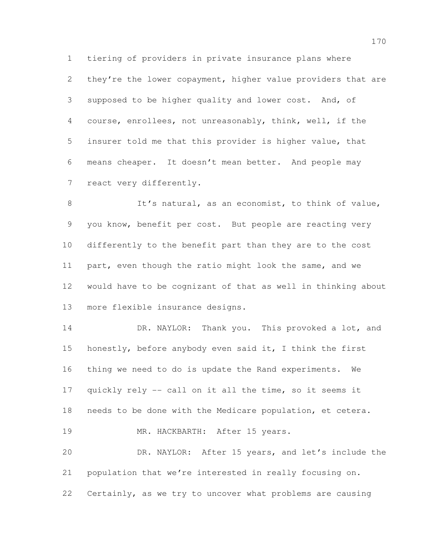tiering of providers in private insurance plans where 2 they're the lower copayment, higher value providers that are supposed to be higher quality and lower cost. And, of course, enrollees, not unreasonably, think, well, if the insurer told me that this provider is higher value, that means cheaper. It doesn't mean better. And people may react very differently.

8 It's natural, as an economist, to think of value, you know, benefit per cost. But people are reacting very differently to the benefit part than they are to the cost part, even though the ratio might look the same, and we would have to be cognizant of that as well in thinking about more flexible insurance designs.

14 DR. NAYLOR: Thank you. This provoked a lot, and honestly, before anybody even said it, I think the first thing we need to do is update the Rand experiments. We quickly rely -- call on it all the time, so it seems it needs to be done with the Medicare population, et cetera. MR. HACKBARTH: After 15 years. DR. NAYLOR: After 15 years, and let's include the population that we're interested in really focusing on. Certainly, as we try to uncover what problems are causing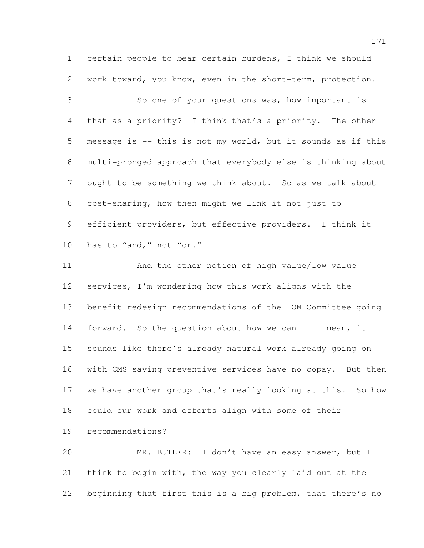certain people to bear certain burdens, I think we should work toward, you know, even in the short-term, protection.

 So one of your questions was, how important is that as a priority? I think that's a priority. The other message is -- this is not my world, but it sounds as if this multi-pronged approach that everybody else is thinking about ought to be something we think about. So as we talk about cost-sharing, how then might we link it not just to efficient providers, but effective providers. I think it 10 has to "and," not "or."

 And the other notion of high value/low value services, I'm wondering how this work aligns with the benefit redesign recommendations of the IOM Committee going 14 forward. So the question about how we can -- I mean, it sounds like there's already natural work already going on with CMS saying preventive services have no copay. But then we have another group that's really looking at this. So how could our work and efforts align with some of their

recommendations?

 MR. BUTLER: I don't have an easy answer, but I think to begin with, the way you clearly laid out at the beginning that first this is a big problem, that there's no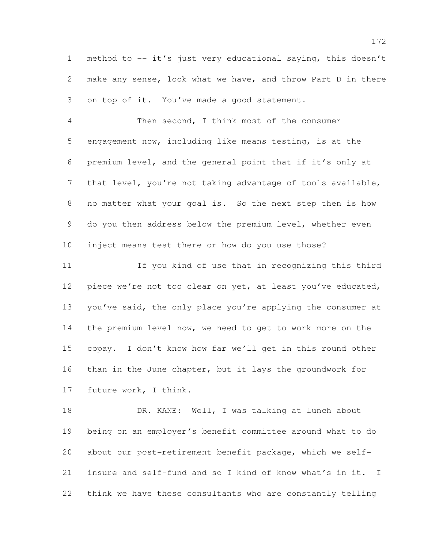method to -- it's just very educational saying, this doesn't make any sense, look what we have, and throw Part D in there on top of it. You've made a good statement.

 Then second, I think most of the consumer engagement now, including like means testing, is at the premium level, and the general point that if it's only at that level, you're not taking advantage of tools available, no matter what your goal is. So the next step then is how do you then address below the premium level, whether even inject means test there or how do you use those?

 If you kind of use that in recognizing this third 12 piece we're not too clear on yet, at least you've educated, you've said, the only place you're applying the consumer at the premium level now, we need to get to work more on the copay. I don't know how far we'll get in this round other than in the June chapter, but it lays the groundwork for future work, I think.

 DR. KANE: Well, I was talking at lunch about being on an employer's benefit committee around what to do about our post-retirement benefit package, which we self- insure and self-fund and so I kind of know what's in it. I think we have these consultants who are constantly telling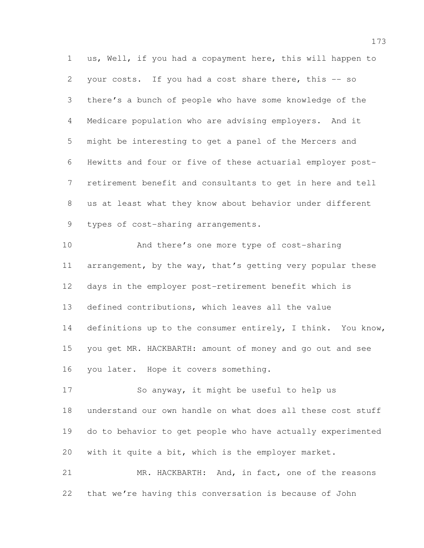us, Well, if you had a copayment here, this will happen to your costs. If you had a cost share there, this -- so there's a bunch of people who have some knowledge of the Medicare population who are advising employers. And it might be interesting to get a panel of the Mercers and Hewitts and four or five of these actuarial employer post- retirement benefit and consultants to get in here and tell us at least what they know about behavior under different types of cost-sharing arrangements.

 And there's one more type of cost-sharing 11 arrangement, by the way, that's getting very popular these days in the employer post-retirement benefit which is defined contributions, which leaves all the value 14 definitions up to the consumer entirely, I think. You know, you get MR. HACKBARTH: amount of money and go out and see you later. Hope it covers something.

 So anyway, it might be useful to help us understand our own handle on what does all these cost stuff do to behavior to get people who have actually experimented with it quite a bit, which is the employer market.

 MR. HACKBARTH: And, in fact, one of the reasons that we're having this conversation is because of John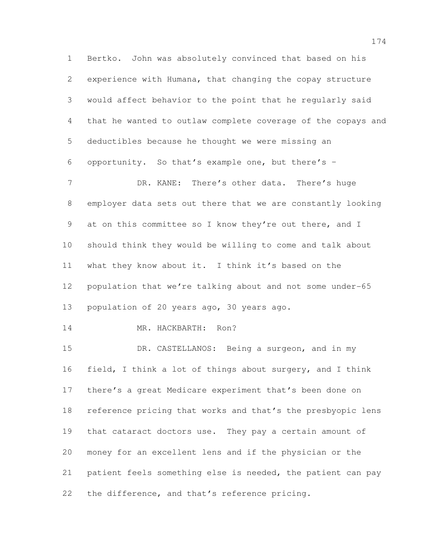Bertko. John was absolutely convinced that based on his experience with Humana, that changing the copay structure would affect behavior to the point that he regularly said that he wanted to outlaw complete coverage of the copays and deductibles because he thought we were missing an opportunity. So that's example one, but there's –

7 DR. KANE: There's other data. There's huge employer data sets out there that we are constantly looking 9 at on this committee so I know they're out there, and I should think they would be willing to come and talk about what they know about it. I think it's based on the population that we're talking about and not some under-65 population of 20 years ago, 30 years ago.

MR. HACKBARTH: Ron?

 DR. CASTELLANOS: Being a surgeon, and in my field, I think a lot of things about surgery, and I think there's a great Medicare experiment that's been done on reference pricing that works and that's the presbyopic lens that cataract doctors use. They pay a certain amount of money for an excellent lens and if the physician or the patient feels something else is needed, the patient can pay the difference, and that's reference pricing.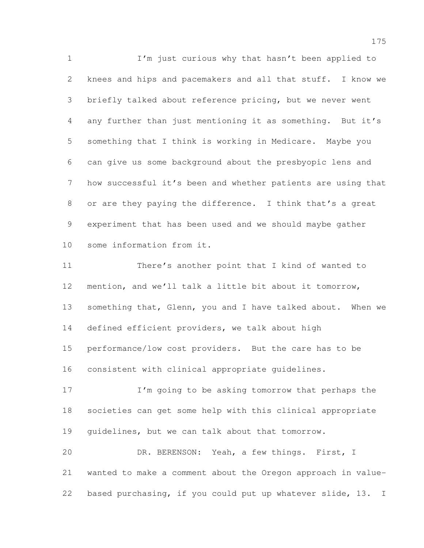I'm just curious why that hasn't been applied to knees and hips and pacemakers and all that stuff. I know we briefly talked about reference pricing, but we never went any further than just mentioning it as something. But it's something that I think is working in Medicare. Maybe you can give us some background about the presbyopic lens and how successful it's been and whether patients are using that or are they paying the difference. I think that's a great experiment that has been used and we should maybe gather some information from it.

 There's another point that I kind of wanted to mention, and we'll talk a little bit about it tomorrow, 13 something that, Glenn, you and I have talked about. When we defined efficient providers, we talk about high performance/low cost providers. But the care has to be consistent with clinical appropriate guidelines.

17 I'm going to be asking tomorrow that perhaps the societies can get some help with this clinical appropriate guidelines, but we can talk about that tomorrow.

 DR. BERENSON: Yeah, a few things. First, I wanted to make a comment about the Oregon approach in value-based purchasing, if you could put up whatever slide, 13. I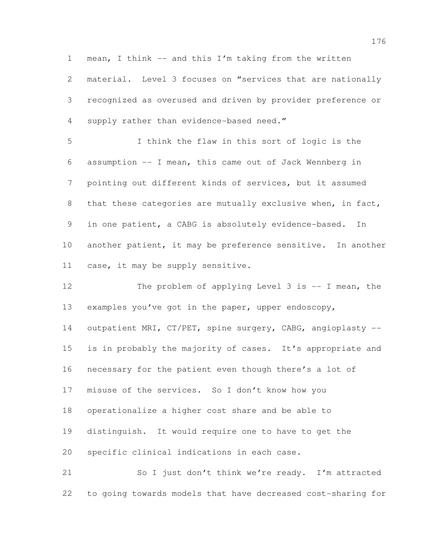mean, I think -- and this I'm taking from the written material. Level 3 focuses on "services that are nationally recognized as overused and driven by provider preference or 4 supply rather than evidence-based need."

 I think the flaw in this sort of logic is the assumption -- I mean, this came out of Jack Wennberg in pointing out different kinds of services, but it assumed 8 that these categories are mutually exclusive when, in fact, in one patient, a CABG is absolutely evidence-based. In another patient, it may be preference sensitive. In another case, it may be supply sensitive.

 The problem of applying Level 3 is -- I mean, the examples you've got in the paper, upper endoscopy, 14 outpatient MRI, CT/PET, spine surgery, CABG, angioplasty --15 is in probably the majority of cases. It's appropriate and necessary for the patient even though there's a lot of misuse of the services. So I don't know how you operationalize a higher cost share and be able to distinguish. It would require one to have to get the specific clinical indications in each case.

 So I just don't think we're ready. I'm attracted to going towards models that have decreased cost-sharing for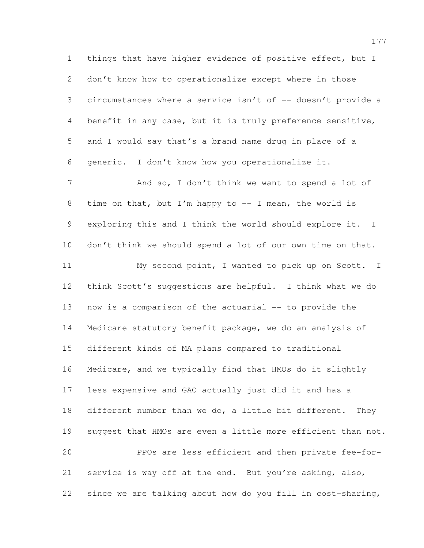things that have higher evidence of positive effect, but I don't know how to operationalize except where in those circumstances where a service isn't of -- doesn't provide a benefit in any case, but it is truly preference sensitive, and I would say that's a brand name drug in place of a generic. I don't know how you operationalize it.

7 And so, I don't think we want to spend a lot of 8 time on that, but I'm happy to  $-$  I mean, the world is exploring this and I think the world should explore it. I 10 don't think we should spend a lot of our own time on that. My second point, I wanted to pick up on Scott. I think Scott's suggestions are helpful. I think what we do now is a comparison of the actuarial -- to provide the Medicare statutory benefit package, we do an analysis of different kinds of MA plans compared to traditional Medicare, and we typically find that HMOs do it slightly less expensive and GAO actually just did it and has a different number than we do, a little bit different. They suggest that HMOs are even a little more efficient than not. PPOs are less efficient and then private fee-for- service is way off at the end. But you're asking, also, since we are talking about how do you fill in cost-sharing,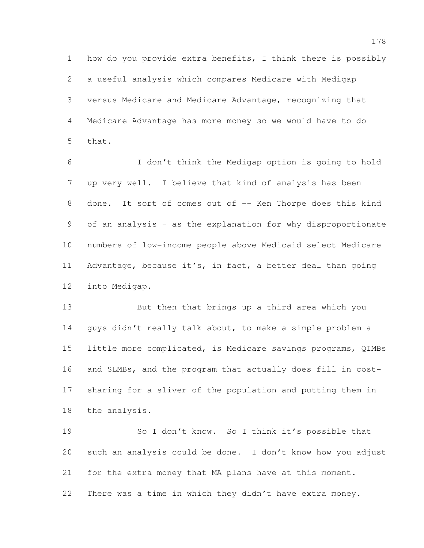how do you provide extra benefits, I think there is possibly a useful analysis which compares Medicare with Medigap versus Medicare and Medicare Advantage, recognizing that Medicare Advantage has more money so we would have to do that.

 I don't think the Medigap option is going to hold up very well. I believe that kind of analysis has been 8 done. It sort of comes out of -- Ken Thorpe does this kind of an analysis – as the explanation for why disproportionate numbers of low-income people above Medicaid select Medicare Advantage, because it's, in fact, a better deal than going into Medigap.

 But then that brings up a third area which you guys didn't really talk about, to make a simple problem a little more complicated, is Medicare savings programs, QIMBs and SLMBs, and the program that actually does fill in cost- sharing for a sliver of the population and putting them in the analysis.

 So I don't know. So I think it's possible that such an analysis could be done. I don't know how you adjust for the extra money that MA plans have at this moment. There was a time in which they didn't have extra money.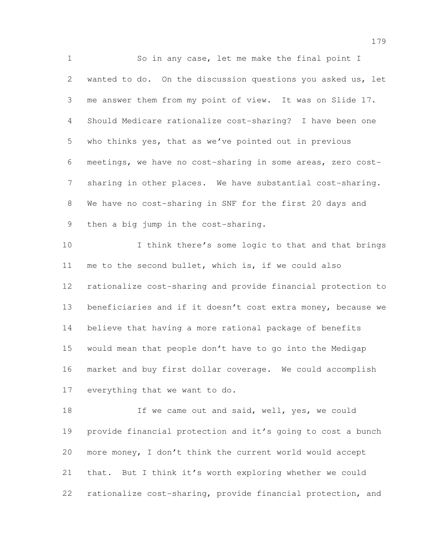So in any case, let me make the final point I wanted to do. On the discussion questions you asked us, let me answer them from my point of view. It was on Slide 17. Should Medicare rationalize cost-sharing? I have been one who thinks yes, that as we've pointed out in previous meetings, we have no cost-sharing in some areas, zero cost- sharing in other places. We have substantial cost-sharing. We have no cost-sharing in SNF for the first 20 days and then a big jump in the cost-sharing. I think there's some logic to that and that brings me to the second bullet, which is, if we could also rationalize cost-sharing and provide financial protection to

13 beneficiaries and if it doesn't cost extra money, because we believe that having a more rational package of benefits would mean that people don't have to go into the Medigap market and buy first dollar coverage. We could accomplish everything that we want to do.

18 If we came out and said, well, yes, we could provide financial protection and it's going to cost a bunch more money, I don't think the current world would accept that. But I think it's worth exploring whether we could rationalize cost-sharing, provide financial protection, and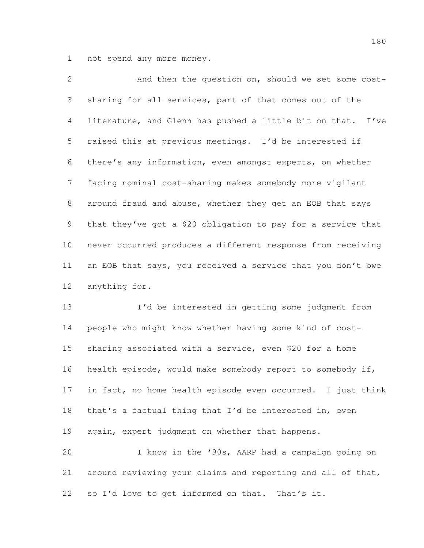not spend any more money.

 And then the question on, should we set some cost- sharing for all services, part of that comes out of the literature, and Glenn has pushed a little bit on that. I've raised this at previous meetings. I'd be interested if there's any information, even amongst experts, on whether facing nominal cost-sharing makes somebody more vigilant around fraud and abuse, whether they get an EOB that says that they've got a \$20 obligation to pay for a service that never occurred produces a different response from receiving an EOB that says, you received a service that you don't owe anything for.

 I'd be interested in getting some judgment from people who might know whether having some kind of cost- sharing associated with a service, even \$20 for a home health episode, would make somebody report to somebody if, in fact, no home health episode even occurred. I just think that's a factual thing that I'd be interested in, even again, expert judgment on whether that happens. I know in the '90s, AARP had a campaign going on

 around reviewing your claims and reporting and all of that, so I'd love to get informed on that. That's it.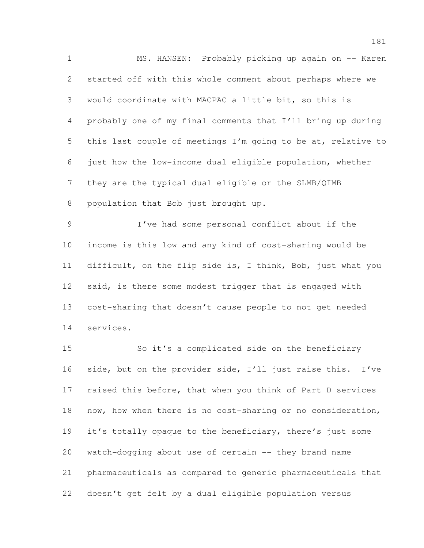MS. HANSEN: Probably picking up again on -- Karen started off with this whole comment about perhaps where we would coordinate with MACPAC a little bit, so this is probably one of my final comments that I'll bring up during this last couple of meetings I'm going to be at, relative to just how the low-income dual eligible population, whether they are the typical dual eligible or the SLMB/QIMB population that Bob just brought up. I've had some personal conflict about if the

 income is this low and any kind of cost-sharing would be difficult, on the flip side is, I think, Bob, just what you said, is there some modest trigger that is engaged with cost-sharing that doesn't cause people to not get needed services.

 So it's a complicated side on the beneficiary side, but on the provider side, I'll just raise this. I've 17 raised this before, that when you think of Part D services now, how when there is no cost-sharing or no consideration, it's totally opaque to the beneficiary, there's just some watch-dogging about use of certain -- they brand name pharmaceuticals as compared to generic pharmaceuticals that doesn't get felt by a dual eligible population versus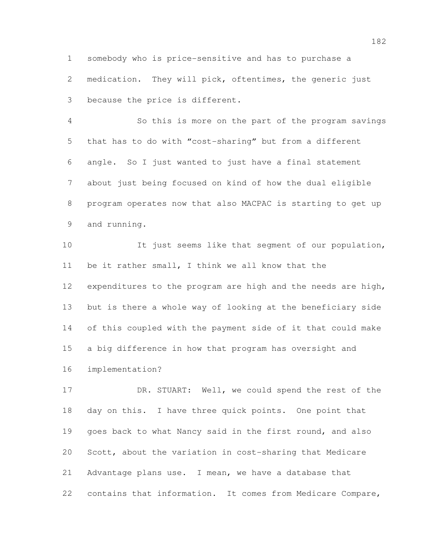somebody who is price-sensitive and has to purchase a medication. They will pick, oftentimes, the generic just because the price is different.

 So this is more on the part of the program savings that has to do with "cost-sharing" but from a different angle. So I just wanted to just have a final statement about just being focused on kind of how the dual eligible program operates now that also MACPAC is starting to get up and running.

10 It just seems like that segment of our population, be it rather small, I think we all know that the expenditures to the program are high and the needs are high, but is there a whole way of looking at the beneficiary side of this coupled with the payment side of it that could make a big difference in how that program has oversight and implementation?

 DR. STUART: Well, we could spend the rest of the 18 day on this. I have three quick points. One point that goes back to what Nancy said in the first round, and also Scott, about the variation in cost-sharing that Medicare Advantage plans use. I mean, we have a database that contains that information. It comes from Medicare Compare,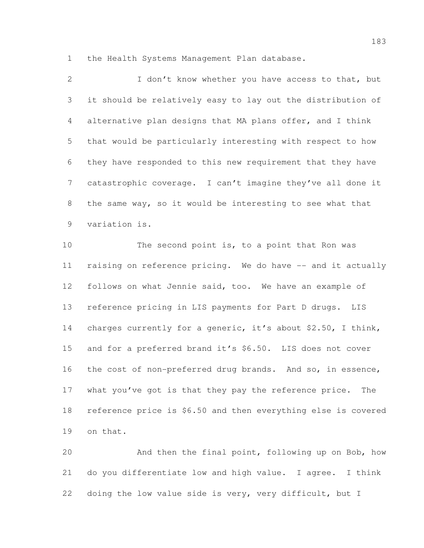the Health Systems Management Plan database.

| $\mathbf{2}$ | I don't know whether you have access to that, but             |
|--------------|---------------------------------------------------------------|
| 3            | it should be relatively easy to lay out the distribution of   |
| 4            | alternative plan designs that MA plans offer, and I think     |
| 5            | that would be particularly interesting with respect to how    |
| 6            | they have responded to this new requirement that they have    |
| 7            | catastrophic coverage. I can't imagine they've all done it    |
| 8            | the same way, so it would be interesting to see what that     |
| 9            | variation is.                                                 |
| 10           | The second point is, to a point that Ron was                  |
| 11           | raising on reference pricing. We do have -- and it actually   |
| 12           | follows on what Jennie said, too. We have an example of       |
| 13           | reference pricing in LIS payments for Part D drugs. LIS       |
| 14           | charges currently for a generic, it's about \$2.50, I think,  |
| 15           | and for a preferred brand it's \$6.50. LIS does not cover     |
| 16           | the cost of non-preferred drug brands. And so, in essence,    |
| 17           | what you've got is that they pay the reference price.<br>The  |
| 18           | reference price is \$6.50 and then everything else is covered |
| 19           | on that.                                                      |

 And then the final point, following up on Bob, how do you differentiate low and high value. I agree. I think doing the low value side is very, very difficult, but I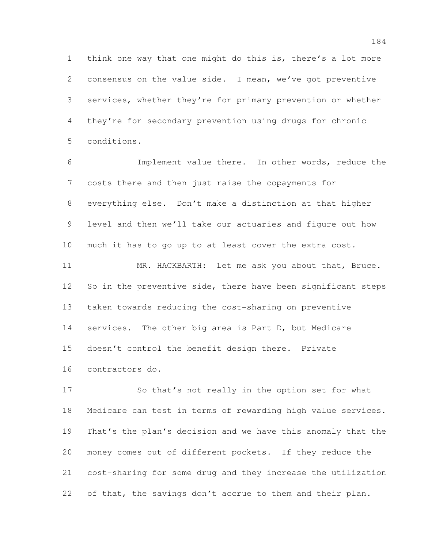think one way that one might do this is, there's a lot more consensus on the value side. I mean, we've got preventive services, whether they're for primary prevention or whether they're for secondary prevention using drugs for chronic conditions.

 Implement value there. In other words, reduce the costs there and then just raise the copayments for everything else. Don't make a distinction at that higher level and then we'll take our actuaries and figure out how much it has to go up to at least cover the extra cost. MR. HACKBARTH: Let me ask you about that, Bruce.

12 So in the preventive side, there have been significant steps taken towards reducing the cost-sharing on preventive services. The other big area is Part D, but Medicare doesn't control the benefit design there. Private contractors do.

 So that's not really in the option set for what Medicare can test in terms of rewarding high value services. That's the plan's decision and we have this anomaly that the money comes out of different pockets. If they reduce the cost-sharing for some drug and they increase the utilization 22 of that, the savings don't accrue to them and their plan.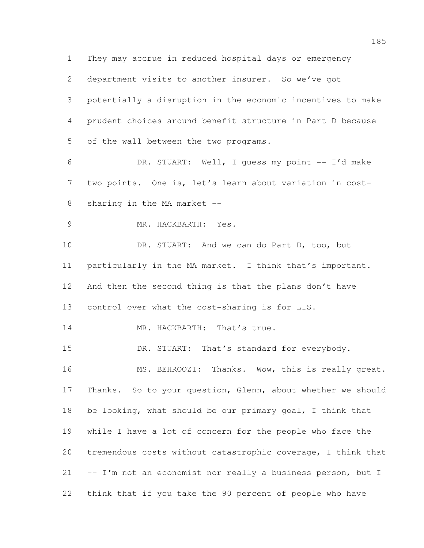They may accrue in reduced hospital days or emergency department visits to another insurer. So we've got potentially a disruption in the economic incentives to make prudent choices around benefit structure in Part D because of the wall between the two programs. DR. STUART: Well, I guess my point -- I'd make two points. One is, let's learn about variation in cost- sharing in the MA market -- MR. HACKBARTH: Yes. DR. STUART: And we can do Part D, too, but particularly in the MA market. I think that's important. And then the second thing is that the plans don't have control over what the cost-sharing is for LIS. 14 MR. HACKBARTH: That's true. 15 DR. STUART: That's standard for everybody. 16 MS. BEHROOZI: Thanks. Wow, this is really great. Thanks. So to your question, Glenn, about whether we should be looking, what should be our primary goal, I think that while I have a lot of concern for the people who face the tremendous costs without catastrophic coverage, I think that 21 -- I'm not an economist nor really a business person, but I think that if you take the 90 percent of people who have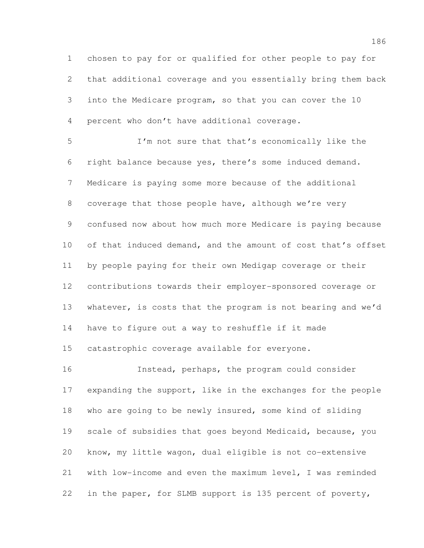chosen to pay for or qualified for other people to pay for that additional coverage and you essentially bring them back into the Medicare program, so that you can cover the 10 percent who don't have additional coverage.

 I'm not sure that that's economically like the right balance because yes, there's some induced demand. Medicare is paying some more because of the additional coverage that those people have, although we're very confused now about how much more Medicare is paying because 10 of that induced demand, and the amount of cost that's offset by people paying for their own Medigap coverage or their contributions towards their employer-sponsored coverage or 13 whatever, is costs that the program is not bearing and we'd have to figure out a way to reshuffle if it made catastrophic coverage available for everyone.

 Instead, perhaps, the program could consider expanding the support, like in the exchanges for the people who are going to be newly insured, some kind of sliding 19 scale of subsidies that goes beyond Medicaid, because, you know, my little wagon, dual eligible is not co-extensive with low-income and even the maximum level, I was reminded in the paper, for SLMB support is 135 percent of poverty,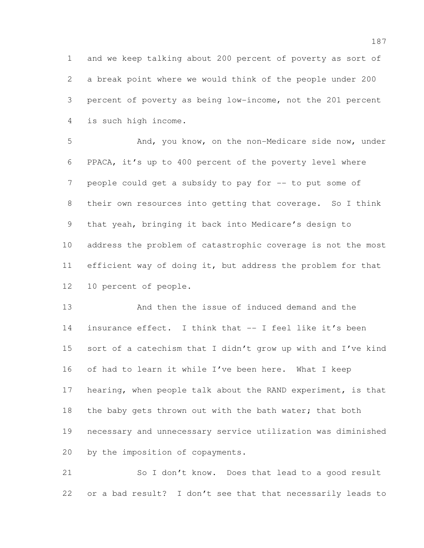and we keep talking about 200 percent of poverty as sort of a break point where we would think of the people under 200 percent of poverty as being low-income, not the 201 percent is such high income.

 And, you know, on the non-Medicare side now, under PPACA, it's up to 400 percent of the poverty level where people could get a subsidy to pay for -- to put some of their own resources into getting that coverage. So I think that yeah, bringing it back into Medicare's design to address the problem of catastrophic coverage is not the most efficient way of doing it, but address the problem for that 10 percent of people.

 And then the issue of induced demand and the insurance effect. I think that -- I feel like it's been sort of a catechism that I didn't grow up with and I've kind of had to learn it while I've been here. What I keep hearing, when people talk about the RAND experiment, is that 18 the baby gets thrown out with the bath water; that both necessary and unnecessary service utilization was diminished by the imposition of copayments.

21 So I don't know. Does that lead to a good result or a bad result? I don't see that that necessarily leads to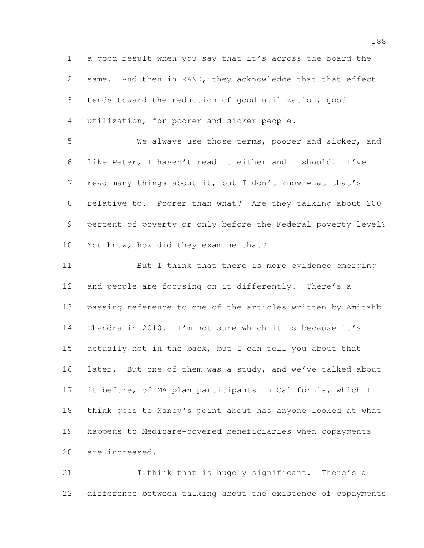a good result when you say that it's across the board the same. And then in RAND, they acknowledge that that effect tends toward the reduction of good utilization, good utilization, for poorer and sicker people.

 We always use those terms, poorer and sicker, and like Peter, I haven't read it either and I should. I've 7 read many things about it, but I don't know what that's relative to. Poorer than what? Are they talking about 200 percent of poverty or only before the Federal poverty level? You know, how did they examine that?

 But I think that there is more evidence emerging and people are focusing on it differently. There's a passing reference to one of the articles written by Amitahb Chandra in 2010. I'm not sure which it is because it's actually not in the back, but I can tell you about that 16 later. But one of them was a study, and we've talked about it before, of MA plan participants in California, which I think goes to Nancy's point about has anyone looked at what happens to Medicare-covered beneficiaries when copayments are increased.

 I think that is hugely significant. There's a difference between talking about the existence of copayments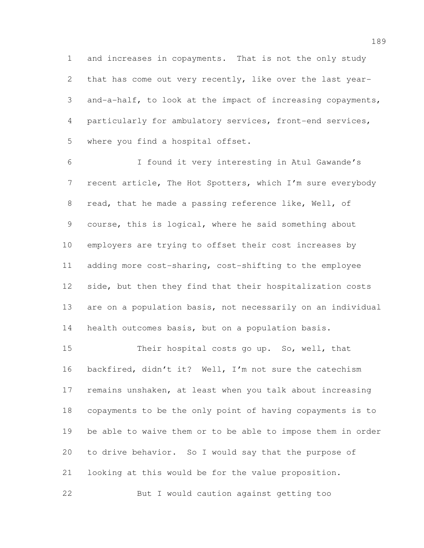and increases in copayments. That is not the only study that has come out very recently, like over the last year- and-a-half, to look at the impact of increasing copayments, particularly for ambulatory services, front-end services, where you find a hospital offset.

 I found it very interesting in Atul Gawande's 7 recent article, The Hot Spotters, which I'm sure everybody read, that he made a passing reference like, Well, of course, this is logical, where he said something about employers are trying to offset their cost increases by adding more cost-sharing, cost-shifting to the employee side, but then they find that their hospitalization costs are on a population basis, not necessarily on an individual health outcomes basis, but on a population basis.

 Their hospital costs go up. So, well, that backfired, didn't it? Well, I'm not sure the catechism remains unshaken, at least when you talk about increasing copayments to be the only point of having copayments is to be able to waive them or to be able to impose them in order to drive behavior. So I would say that the purpose of looking at this would be for the value proposition. But I would caution against getting too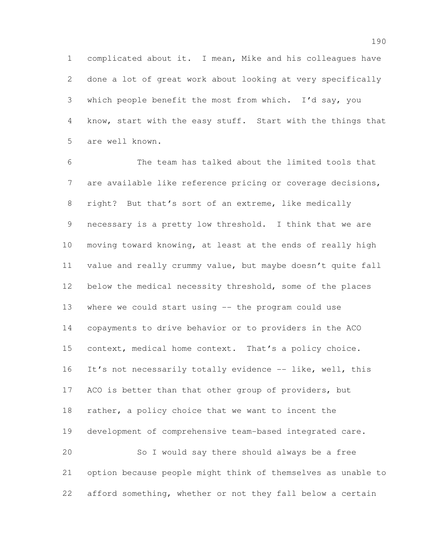complicated about it. I mean, Mike and his colleagues have done a lot of great work about looking at very specifically which people benefit the most from which. I'd say, you know, start with the easy stuff. Start with the things that are well known.

 The team has talked about the limited tools that are available like reference pricing or coverage decisions, right? But that's sort of an extreme, like medically necessary is a pretty low threshold. I think that we are moving toward knowing, at least at the ends of really high value and really crummy value, but maybe doesn't quite fall below the medical necessity threshold, some of the places where we could start using -- the program could use copayments to drive behavior or to providers in the ACO 15 context, medical home context. That's a policy choice. 16 It's not necessarily totally evidence -- like, well, this 17 ACO is better than that other group of providers, but rather, a policy choice that we want to incent the development of comprehensive team-based integrated care. So I would say there should always be a free option because people might think of themselves as unable to afford something, whether or not they fall below a certain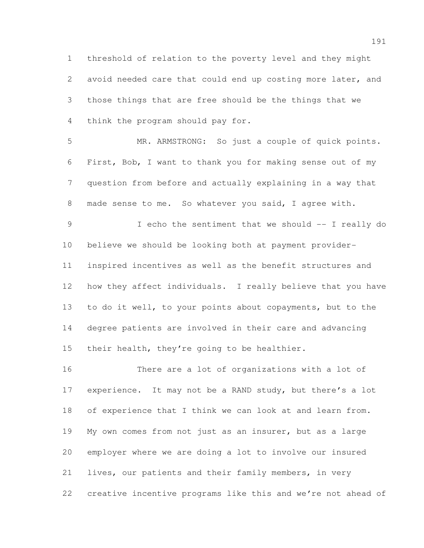threshold of relation to the poverty level and they might avoid needed care that could end up costing more later, and those things that are free should be the things that we think the program should pay for.

 MR. ARMSTRONG: So just a couple of quick points. First, Bob, I want to thank you for making sense out of my question from before and actually explaining in a way that made sense to me. So whatever you said, I agree with.

 I echo the sentiment that we should -- I really do believe we should be looking both at payment provider- inspired incentives as well as the benefit structures and how they affect individuals. I really believe that you have to do it well, to your points about copayments, but to the degree patients are involved in their care and advancing 15 their health, they're going to be healthier.

 There are a lot of organizations with a lot of experience. It may not be a RAND study, but there's a lot of experience that I think we can look at and learn from. My own comes from not just as an insurer, but as a large employer where we are doing a lot to involve our insured lives, our patients and their family members, in very creative incentive programs like this and we're not ahead of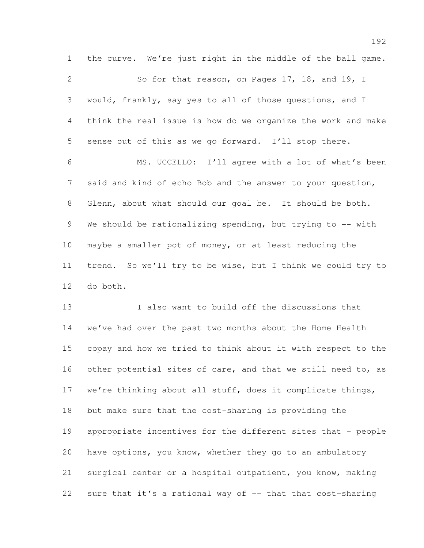the curve. We're just right in the middle of the ball game.

 So for that reason, on Pages 17, 18, and 19, I would, frankly, say yes to all of those questions, and I think the real issue is how do we organize the work and make sense out of this as we go forward. I'll stop there. MS. UCCELLO: I'll agree with a lot of what's been said and kind of echo Bob and the answer to your question, Glenn, about what should our goal be. It should be both. 9 We should be rationalizing spending, but trying to -- with

 trend. So we'll try to be wise, but I think we could try to do both.

maybe a smaller pot of money, or at least reducing the

 I also want to build off the discussions that we've had over the past two months about the Home Health copay and how we tried to think about it with respect to the other potential sites of care, and that we still need to, as we're thinking about all stuff, does it complicate things, but make sure that the cost-sharing is providing the appropriate incentives for the different sites that – people have options, you know, whether they go to an ambulatory surgical center or a hospital outpatient, you know, making 22 sure that it's a rational way of -- that that cost-sharing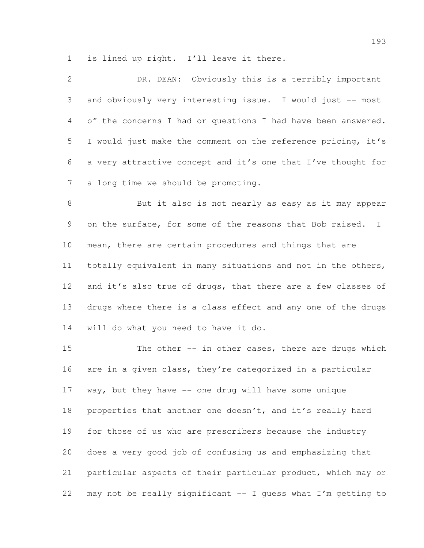is lined up right. I'll leave it there.

| $\mathcal{L}$ | DR. DEAN: Obviously this is a terribly important             |
|---------------|--------------------------------------------------------------|
| 3             | and obviously very interesting issue. I would just -- most   |
| 4             | of the concerns I had or questions I had have been answered. |
| 5             | I would just make the comment on the reference pricing, it's |
| 6             | a very attractive concept and it's one that I've thought for |
|               | a long time we should be promoting.                          |

 But it also is not nearly as easy as it may appear on the surface, for some of the reasons that Bob raised. I mean, there are certain procedures and things that are totally equivalent in many situations and not in the others, 12 and it's also true of drugs, that there are a few classes of drugs where there is a class effect and any one of the drugs will do what you need to have it do.

 The other -- in other cases, there are drugs which are in a given class, they're categorized in a particular way, but they have -- one drug will have some unique 18 properties that another one doesn't, and it's really hard for those of us who are prescribers because the industry does a very good job of confusing us and emphasizing that particular aspects of their particular product, which may or may not be really significant -- I guess what I'm getting to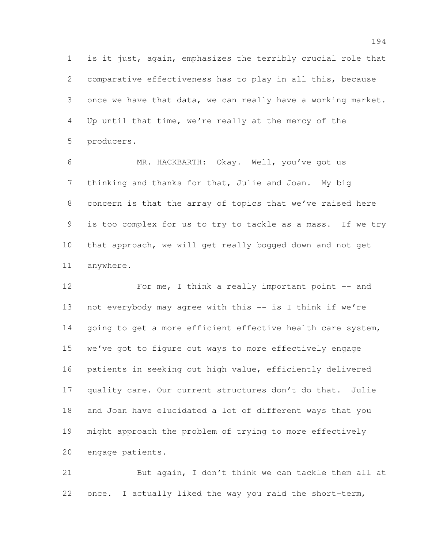is it just, again, emphasizes the terribly crucial role that comparative effectiveness has to play in all this, because once we have that data, we can really have a working market. Up until that time, we're really at the mercy of the producers.

 MR. HACKBARTH: Okay. Well, you've got us thinking and thanks for that, Julie and Joan. My big concern is that the array of topics that we've raised here is too complex for us to try to tackle as a mass. If we try that approach, we will get really bogged down and not get anywhere.

12 For me, I think a really important point -- and not everybody may agree with this -- is I think if we're 14 going to get a more efficient effective health care system, we've got to figure out ways to more effectively engage patients in seeking out high value, efficiently delivered quality care. Our current structures don't do that. Julie and Joan have elucidated a lot of different ways that you might approach the problem of trying to more effectively engage patients.

 But again, I don't think we can tackle them all at once. I actually liked the way you raid the short-term,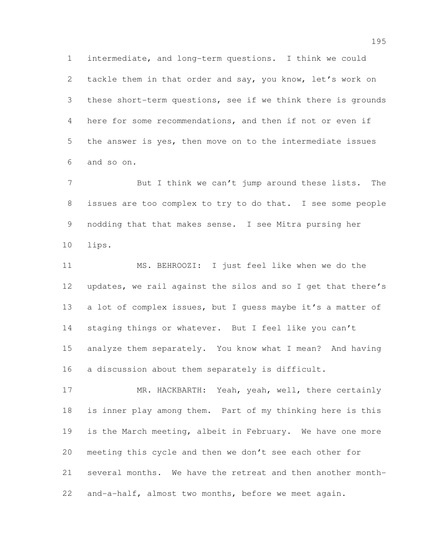intermediate, and long-term questions. I think we could tackle them in that order and say, you know, let's work on these short-term questions, see if we think there is grounds here for some recommendations, and then if not or even if the answer is yes, then move on to the intermediate issues and so on.

7 But I think we can't jump around these lists. The issues are too complex to try to do that. I see some people nodding that that makes sense. I see Mitra pursing her lips.

 MS. BEHROOZI: I just feel like when we do the updates, we rail against the silos and so I get that there's 13 a lot of complex issues, but I quess maybe it's a matter of 14 staging things or whatever. But I feel like you can't analyze them separately. You know what I mean? And having a discussion about them separately is difficult.

17 MR. HACKBARTH: Yeah, yeah, well, there certainly is inner play among them. Part of my thinking here is this is the March meeting, albeit in February. We have one more meeting this cycle and then we don't see each other for several months. We have the retreat and then another month-and-a-half, almost two months, before we meet again.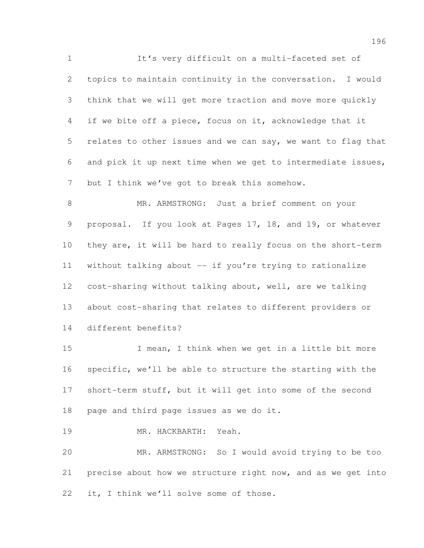It's very difficult on a multi-faceted set of topics to maintain continuity in the conversation. I would think that we will get more traction and move more quickly if we bite off a piece, focus on it, acknowledge that it relates to other issues and we can say, we want to flag that and pick it up next time when we get to intermediate issues, but I think we've got to break this somehow.

 MR. ARMSTRONG: Just a brief comment on your proposal. If you look at Pages 17, 18, and 19, or whatever they are, it will be hard to really focus on the short-term without talking about -- if you're trying to rationalize cost-sharing without talking about, well, are we talking about cost-sharing that relates to different providers or different benefits?

15 I mean, I think when we get in a little bit more specific, we'll be able to structure the starting with the short-term stuff, but it will get into some of the second page and third page issues as we do it.

MR. HACKBARTH: Yeah.

 MR. ARMSTRONG: So I would avoid trying to be too precise about how we structure right now, and as we get into it, I think we'll solve some of those.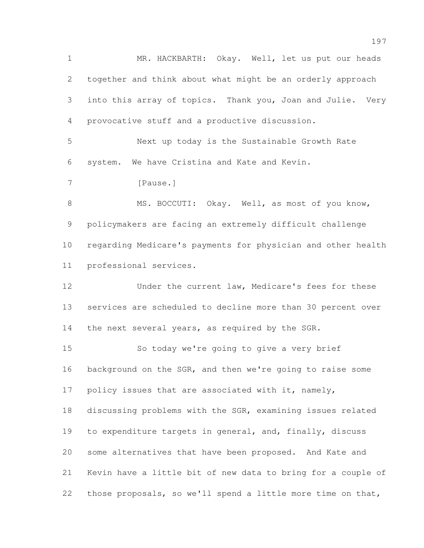MR. HACKBARTH: Okay. Well, let us put our heads together and think about what might be an orderly approach into this array of topics. Thank you, Joan and Julie. Very provocative stuff and a productive discussion. Next up today is the Sustainable Growth Rate system. We have Cristina and Kate and Kevin. 7 [Pause.] 8 MS. BOCCUTI: Okay. Well, as most of you know, policymakers are facing an extremely difficult challenge regarding Medicare's payments for physician and other health professional services. Under the current law, Medicare's fees for these services are scheduled to decline more than 30 percent over 14 the next several years, as required by the SGR. So today we're going to give a very brief background on the SGR, and then we're going to raise some 17 policy issues that are associated with it, namely, discussing problems with the SGR, examining issues related to expenditure targets in general, and, finally, discuss some alternatives that have been proposed. And Kate and Kevin have a little bit of new data to bring for a couple of those proposals, so we'll spend a little more time on that,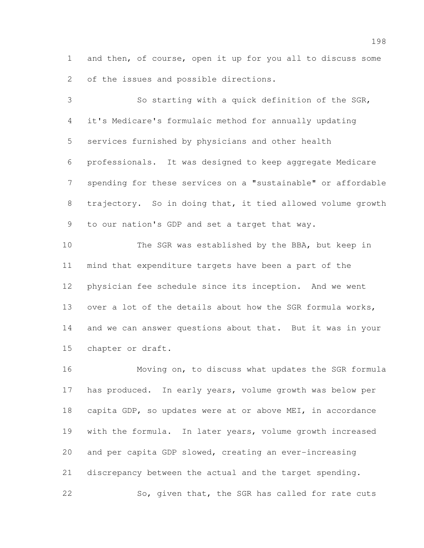and then, of course, open it up for you all to discuss some of the issues and possible directions.

 So starting with a quick definition of the SGR, it's Medicare's formulaic method for annually updating services furnished by physicians and other health professionals. It was designed to keep aggregate Medicare spending for these services on a "sustainable" or affordable trajectory. So in doing that, it tied allowed volume growth to our nation's GDP and set a target that way.

 The SGR was established by the BBA, but keep in mind that expenditure targets have been a part of the physician fee schedule since its inception. And we went over a lot of the details about how the SGR formula works, and we can answer questions about that. But it was in your chapter or draft.

 Moving on, to discuss what updates the SGR formula has produced. In early years, volume growth was below per capita GDP, so updates were at or above MEI, in accordance with the formula. In later years, volume growth increased and per capita GDP slowed, creating an ever-increasing discrepancy between the actual and the target spending. 22 So, given that, the SGR has called for rate cuts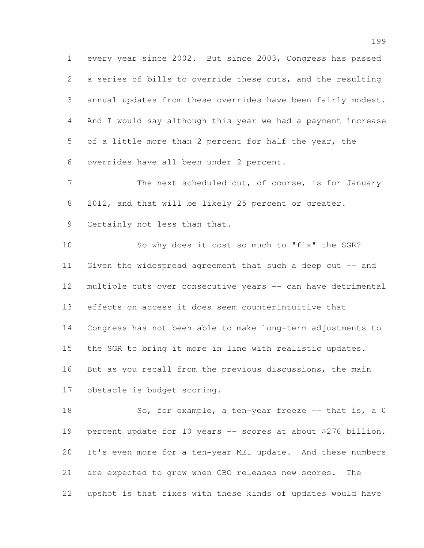every year since 2002. But since 2003, Congress has passed a series of bills to override these cuts, and the resulting annual updates from these overrides have been fairly modest. And I would say although this year we had a payment increase of a little more than 2 percent for half the year, the overrides have all been under 2 percent.

7 The next scheduled cut, of course, is for January 2012, and that will be likely 25 percent or greater. Certainly not less than that.

 So why does it cost so much to "fix" the SGR? 11 Given the widespread agreement that such a deep cut -- and multiple cuts over consecutive years -- can have detrimental effects on access it does seem counterintuitive that Congress has not been able to make long-term adjustments to the SGR to bring it more in line with realistic updates. 16 But as you recall from the previous discussions, the main obstacle is budget scoring.

18 So, for example, a ten-year freeze -- that is, a 0 percent update for 10 years -- scores at about \$276 billion. It's even more for a ten-year MEI update. And these numbers are expected to grow when CBO releases new scores. The upshot is that fixes with these kinds of updates would have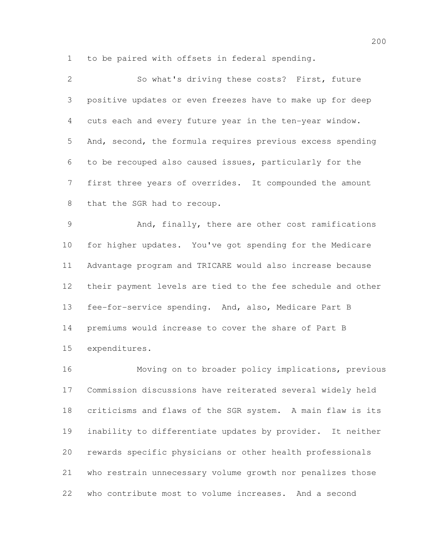to be paired with offsets in federal spending.

| $\mathbf{2}^{\mathsf{I}}$ | So what's driving these costs? First, future                |
|---------------------------|-------------------------------------------------------------|
| 3                         | positive updates or even freezes have to make up for deep   |
| 4                         | cuts each and every future year in the ten-year window.     |
| 5                         | And, second, the formula requires previous excess spending  |
| 6                         | to be recouped also caused issues, particularly for the     |
| 7                         | first three years of overrides. It compounded the amount    |
| 8                         | that the SGR had to recoup.                                 |
| 9                         | And, finally, there are other cost ramifications            |
| 10                        | for higher updates. You've got spending for the Medicare    |
| 11                        | Advantage program and TRICARE would also increase because   |
| 12                        | their payment levels are tied to the fee schedule and other |
| 13                        | fee-for-service spending. And, also, Medicare Part B        |
| 14                        | premiums would increase to cover the share of Part B        |

expenditures.

 Moving on to broader policy implications, previous Commission discussions have reiterated several widely held criticisms and flaws of the SGR system. A main flaw is its inability to differentiate updates by provider. It neither rewards specific physicians or other health professionals who restrain unnecessary volume growth nor penalizes those who contribute most to volume increases. And a second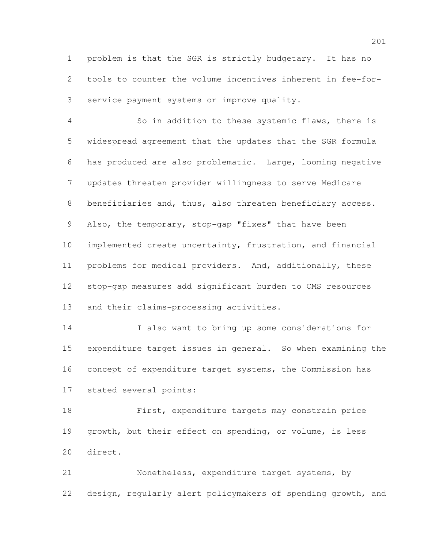problem is that the SGR is strictly budgetary. It has no tools to counter the volume incentives inherent in fee-for-service payment systems or improve quality.

 So in addition to these systemic flaws, there is widespread agreement that the updates that the SGR formula has produced are also problematic. Large, looming negative updates threaten provider willingness to serve Medicare 8 beneficiaries and, thus, also threaten beneficiary access. 9 Also, the temporary, stop-gap "fixes" that have been implemented create uncertainty, frustration, and financial problems for medical providers. And, additionally, these stop-gap measures add significant burden to CMS resources and their claims-processing activities.

 I also want to bring up some considerations for expenditure target issues in general. So when examining the concept of expenditure target systems, the Commission has stated several points:

 First, expenditure targets may constrain price growth, but their effect on spending, or volume, is less direct.

 Nonetheless, expenditure target systems, by design, regularly alert policymakers of spending growth, and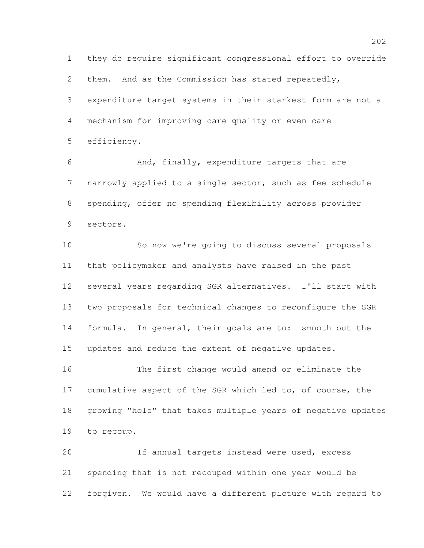they do require significant congressional effort to override them. And as the Commission has stated repeatedly, expenditure target systems in their starkest form are not a mechanism for improving care quality or even care efficiency.

 And, finally, expenditure targets that are narrowly applied to a single sector, such as fee schedule spending, offer no spending flexibility across provider sectors.

 So now we're going to discuss several proposals that policymaker and analysts have raised in the past several years regarding SGR alternatives. I'll start with two proposals for technical changes to reconfigure the SGR formula. In general, their goals are to: smooth out the updates and reduce the extent of negative updates.

 The first change would amend or eliminate the cumulative aspect of the SGR which led to, of course, the growing "hole" that takes multiple years of negative updates to recoup.

 If annual targets instead were used, excess spending that is not recouped within one year would be forgiven. We would have a different picture with regard to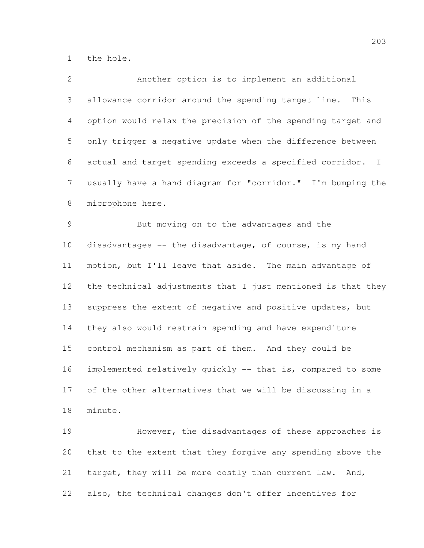the hole.

| $\overline{2}$  | Another option is to implement an additional                 |
|-----------------|--------------------------------------------------------------|
| 3               | allowance corridor around the spending target line. This     |
| 4               | option would relax the precision of the spending target and  |
| 5               | only trigger a negative update when the difference between   |
| 6               | actual and target spending exceeds a specified corridor. I   |
| $7\phantom{.0}$ | usually have a hand diagram for "corridor." I'm bumping the  |
| $8\,$           | microphone here.                                             |
| $\mathcal{G}$   | But moving on to the advantages and the                      |
| 10              | disadvantages -- the disadvantage, of course, is my hand     |
| 11              | motion, but I'll leave that aside. The main advantage of     |
| 12              | the technical adjustments that I just mentioned is that they |
| 13              | suppress the extent of negative and positive updates, but    |
| 14              | they also would restrain spending and have expenditure       |
| 15              | control mechanism as part of them. And they could be         |
| 16              | implemented relatively quickly -- that is, compared to some  |
| 17              | of the other alternatives that we will be discussing in a    |
| 18              | minute.                                                      |
| 19              | However, the disadvantages of these approaches is            |
| 20              | that to the extent that they forgive any spending above the  |
| 21              | target, they will be more costly than current law.<br>And,   |

also, the technical changes don't offer incentives for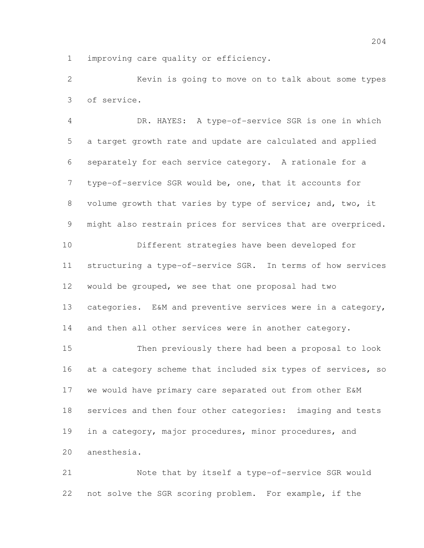improving care quality or efficiency.

 Kevin is going to move on to talk about some types of service.

 DR. HAYES: A type-of-service SGR is one in which a target growth rate and update are calculated and applied separately for each service category. A rationale for a type-of-service SGR would be, one, that it accounts for volume growth that varies by type of service; and, two, it might also restrain prices for services that are overpriced. Different strategies have been developed for structuring a type-of-service SGR. In terms of how services would be grouped, we see that one proposal had two categories. E&M and preventive services were in a category, 14 and then all other services were in another category. Then previously there had been a proposal to look 16 at a category scheme that included six types of services, so we would have primary care separated out from other E&M services and then four other categories: imaging and tests in a category, major procedures, minor procedures, and

anesthesia.

 Note that by itself a type-of-service SGR would not solve the SGR scoring problem. For example, if the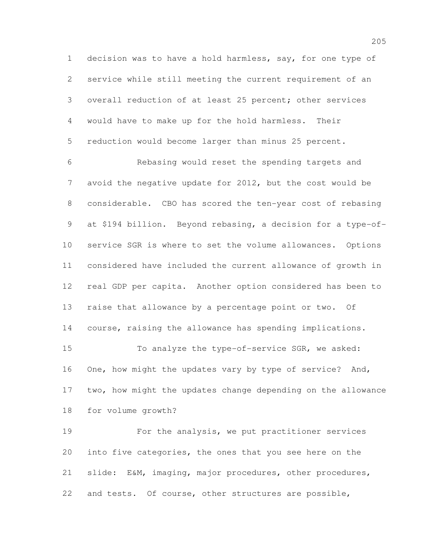decision was to have a hold harmless, say, for one type of service while still meeting the current requirement of an overall reduction of at least 25 percent; other services would have to make up for the hold harmless. Their reduction would become larger than minus 25 percent.

 Rebasing would reset the spending targets and avoid the negative update for 2012, but the cost would be considerable. CBO has scored the ten-year cost of rebasing at \$194 billion. Beyond rebasing, a decision for a type-of- service SGR is where to set the volume allowances. Options considered have included the current allowance of growth in real GDP per capita. Another option considered has been to raise that allowance by a percentage point or two. Of course, raising the allowance has spending implications.

 To analyze the type-of-service SGR, we asked: One, how might the updates vary by type of service? And, two, how might the updates change depending on the allowance for volume growth?

 For the analysis, we put practitioner services into five categories, the ones that you see here on the slide: E&M, imaging, major procedures, other procedures, and tests. Of course, other structures are possible,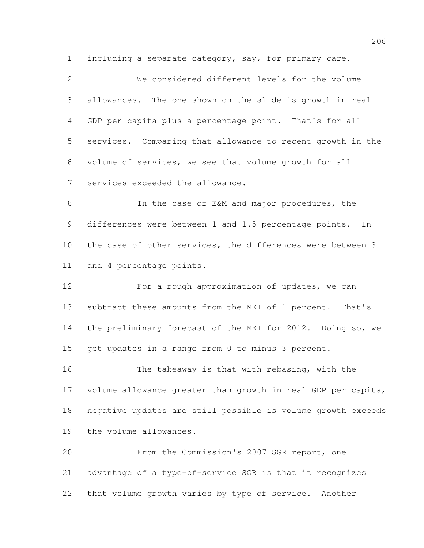including a separate category, say, for primary care.

 We considered different levels for the volume allowances. The one shown on the slide is growth in real GDP per capita plus a percentage point. That's for all services. Comparing that allowance to recent growth in the volume of services, we see that volume growth for all services exceeded the allowance. 8 In the case of E&M and major procedures, the

9 differences were between 1 and 1.5 percentage points. In the case of other services, the differences were between 3 and 4 percentage points.

12 For a rough approximation of updates, we can subtract these amounts from the MEI of 1 percent. That's the preliminary forecast of the MEI for 2012. Doing so, we get updates in a range from 0 to minus 3 percent.

 The takeaway is that with rebasing, with the volume allowance greater than growth in real GDP per capita, negative updates are still possible is volume growth exceeds the volume allowances.

 From the Commission's 2007 SGR report, one advantage of a type-of-service SGR is that it recognizes that volume growth varies by type of service. Another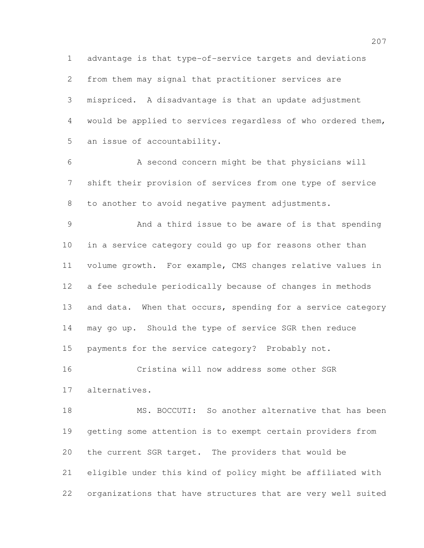advantage is that type-of-service targets and deviations from them may signal that practitioner services are mispriced. A disadvantage is that an update adjustment would be applied to services regardless of who ordered them, an issue of accountability.

 A second concern might be that physicians will shift their provision of services from one type of service to another to avoid negative payment adjustments.

 And a third issue to be aware of is that spending in a service category could go up for reasons other than volume growth. For example, CMS changes relative values in a fee schedule periodically because of changes in methods 13 and data. When that occurs, spending for a service category may go up. Should the type of service SGR then reduce payments for the service category? Probably not.

 Cristina will now address some other SGR alternatives.

 MS. BOCCUTI: So another alternative that has been getting some attention is to exempt certain providers from the current SGR target. The providers that would be eligible under this kind of policy might be affiliated with organizations that have structures that are very well suited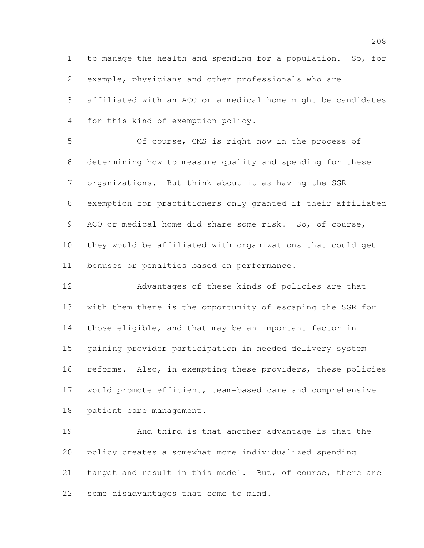to manage the health and spending for a population. So, for example, physicians and other professionals who are affiliated with an ACO or a medical home might be candidates for this kind of exemption policy.

 Of course, CMS is right now in the process of determining how to measure quality and spending for these organizations. But think about it as having the SGR exemption for practitioners only granted if their affiliated ACO or medical home did share some risk. So, of course, they would be affiliated with organizations that could get bonuses or penalties based on performance.

 Advantages of these kinds of policies are that with them there is the opportunity of escaping the SGR for those eligible, and that may be an important factor in gaining provider participation in needed delivery system reforms. Also, in exempting these providers, these policies would promote efficient, team-based care and comprehensive patient care management.

 And third is that another advantage is that the policy creates a somewhat more individualized spending target and result in this model. But, of course, there are some disadvantages that come to mind.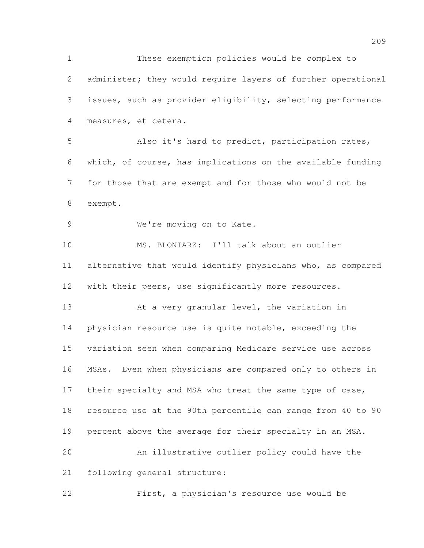These exemption policies would be complex to administer; they would require layers of further operational issues, such as provider eligibility, selecting performance measures, et cetera. Also it's hard to predict, participation rates, which, of course, has implications on the available funding for those that are exempt and for those who would not be exempt. We're moving on to Kate. MS. BLONIARZ: I'll talk about an outlier alternative that would identify physicians who, as compared with their peers, use significantly more resources. 13 At a very granular level, the variation in physician resource use is quite notable, exceeding the variation seen when comparing Medicare service use across MSAs. Even when physicians are compared only to others in 17 their specialty and MSA who treat the same type of case, resource use at the 90th percentile can range from 40 to 90 percent above the average for their specialty in an MSA. An illustrative outlier policy could have the following general structure: First, a physician's resource use would be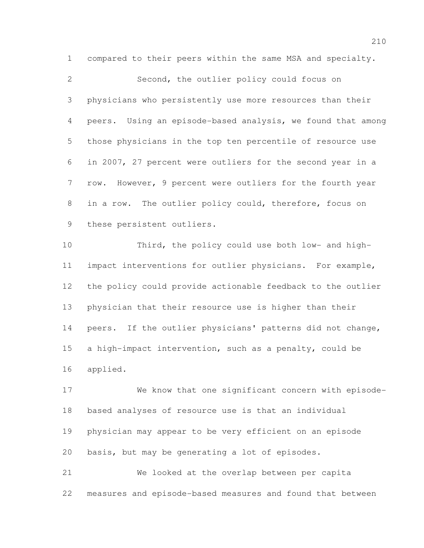compared to their peers within the same MSA and specialty.

 Second, the outlier policy could focus on physicians who persistently use more resources than their peers. Using an episode-based analysis, we found that among those physicians in the top ten percentile of resource use in 2007, 27 percent were outliers for the second year in a row. However, 9 percent were outliers for the fourth year in a row. The outlier policy could, therefore, focus on these persistent outliers.

 Third, the policy could use both low- and high- impact interventions for outlier physicians. For example, the policy could provide actionable feedback to the outlier physician that their resource use is higher than their peers. If the outlier physicians' patterns did not change, a high-impact intervention, such as a penalty, could be applied.

 We know that one significant concern with episode- based analyses of resource use is that an individual physician may appear to be very efficient on an episode basis, but may be generating a lot of episodes. We looked at the overlap between per capita

measures and episode-based measures and found that between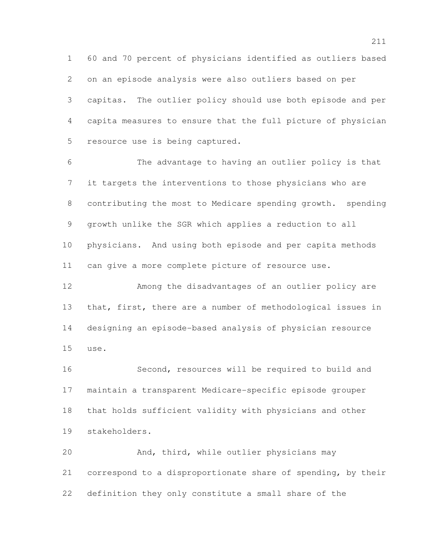60 and 70 percent of physicians identified as outliers based on an episode analysis were also outliers based on per capitas. The outlier policy should use both episode and per capita measures to ensure that the full picture of physician resource use is being captured.

 The advantage to having an outlier policy is that it targets the interventions to those physicians who are contributing the most to Medicare spending growth. spending growth unlike the SGR which applies a reduction to all physicians. And using both episode and per capita methods can give a more complete picture of resource use.

 Among the disadvantages of an outlier policy are that, first, there are a number of methodological issues in designing an episode-based analysis of physician resource use.

 Second, resources will be required to build and maintain a transparent Medicare-specific episode grouper that holds sufficient validity with physicians and other stakeholders.

 And, third, while outlier physicians may correspond to a disproportionate share of spending, by their definition they only constitute a small share of the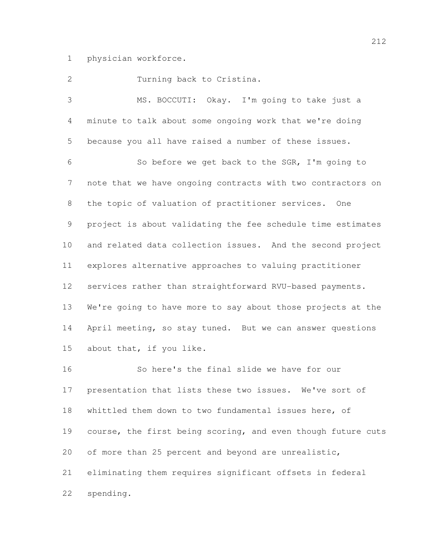physician workforce.

Turning back to Cristina.

 MS. BOCCUTI: Okay. I'm going to take just a minute to talk about some ongoing work that we're doing because you all have raised a number of these issues. So before we get back to the SGR, I'm going to note that we have ongoing contracts with two contractors on the topic of valuation of practitioner services. One project is about validating the fee schedule time estimates and related data collection issues. And the second project explores alternative approaches to valuing practitioner services rather than straightforward RVU-based payments. We're going to have more to say about those projects at the April meeting, so stay tuned. But we can answer questions about that, if you like. So here's the final slide we have for our

 presentation that lists these two issues. We've sort of whittled them down to two fundamental issues here, of 19 course, the first being scoring, and even though future cuts of more than 25 percent and beyond are unrealistic, eliminating them requires significant offsets in federal spending.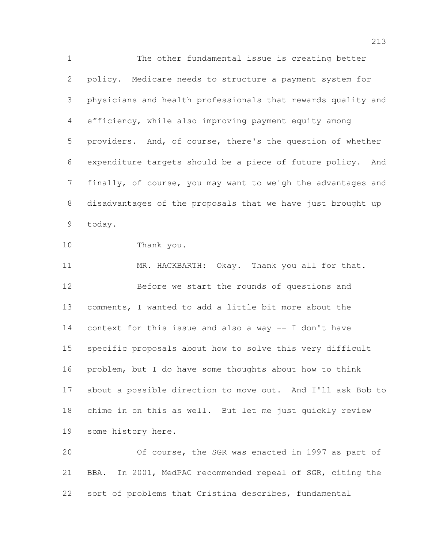The other fundamental issue is creating better policy. Medicare needs to structure a payment system for physicians and health professionals that rewards quality and efficiency, while also improving payment equity among providers. And, of course, there's the question of whether expenditure targets should be a piece of future policy. And finally, of course, you may want to weigh the advantages and disadvantages of the proposals that we have just brought up today.

```
10 Thank you.
```
 MR. HACKBARTH: Okay. Thank you all for that. Before we start the rounds of questions and comments, I wanted to add a little bit more about the context for this issue and also a way -- I don't have specific proposals about how to solve this very difficult problem, but I do have some thoughts about how to think about a possible direction to move out. And I'll ask Bob to chime in on this as well. But let me just quickly review some history here.

 Of course, the SGR was enacted in 1997 as part of BBA. In 2001, MedPAC recommended repeal of SGR, citing the sort of problems that Cristina describes, fundamental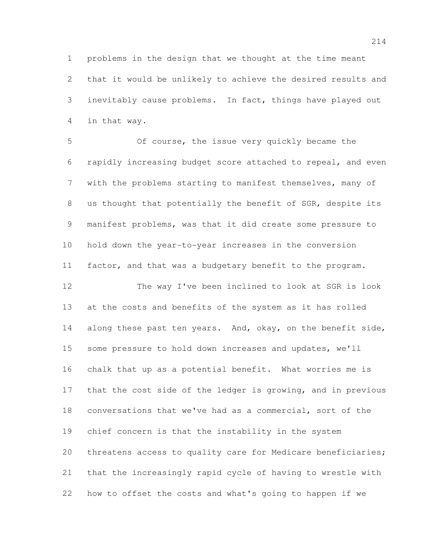problems in the design that we thought at the time meant that it would be unlikely to achieve the desired results and inevitably cause problems. In fact, things have played out in that way.

 Of course, the issue very quickly became the rapidly increasing budget score attached to repeal, and even with the problems starting to manifest themselves, many of us thought that potentially the benefit of SGR, despite its manifest problems, was that it did create some pressure to hold down the year-to-year increases in the conversion factor, and that was a budgetary benefit to the program.

 The way I've been inclined to look at SGR is look at the costs and benefits of the system as it has rolled 14 along these past ten years. And, okay, on the benefit side, some pressure to hold down increases and updates, we'll chalk that up as a potential benefit. What worries me is that the cost side of the ledger is growing, and in previous conversations that we've had as a commercial, sort of the chief concern is that the instability in the system threatens access to quality care for Medicare beneficiaries; that the increasingly rapid cycle of having to wrestle with how to offset the costs and what's going to happen if we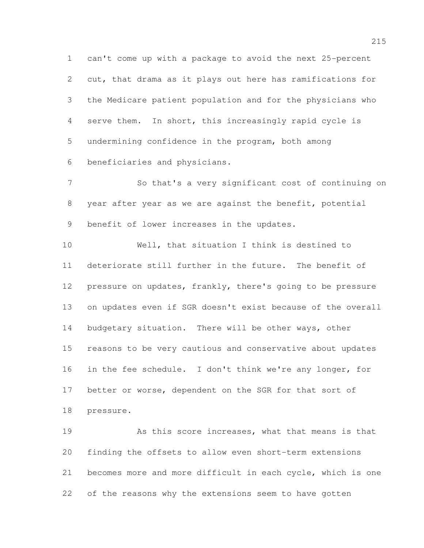can't come up with a package to avoid the next 25-percent cut, that drama as it plays out here has ramifications for the Medicare patient population and for the physicians who serve them. In short, this increasingly rapid cycle is undermining confidence in the program, both among beneficiaries and physicians.

 So that's a very significant cost of continuing on year after year as we are against the benefit, potential benefit of lower increases in the updates.

 Well, that situation I think is destined to deteriorate still further in the future. The benefit of 12 pressure on updates, frankly, there's going to be pressure on updates even if SGR doesn't exist because of the overall 14 budgetary situation. There will be other ways, other reasons to be very cautious and conservative about updates in the fee schedule. I don't think we're any longer, for 17 better or worse, dependent on the SGR for that sort of pressure.

 As this score increases, what that means is that finding the offsets to allow even short-term extensions becomes more and more difficult in each cycle, which is one of the reasons why the extensions seem to have gotten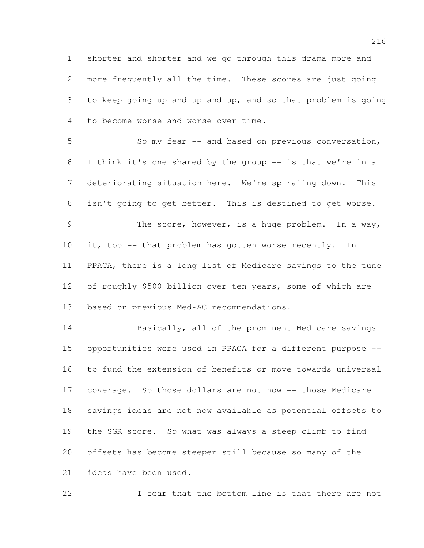shorter and shorter and we go through this drama more and more frequently all the time. These scores are just going to keep going up and up and up, and so that problem is going to become worse and worse over time.

 So my fear -- and based on previous conversation, I think it's one shared by the group -- is that we're in a deteriorating situation here. We're spiraling down. This isn't going to get better. This is destined to get worse. The score, however, is a huge problem. In a way, it, too -- that problem has gotten worse recently. In PPACA, there is a long list of Medicare savings to the tune of roughly \$500 billion over ten years, some of which are based on previous MedPAC recommendations.

 Basically, all of the prominent Medicare savings opportunities were used in PPACA for a different purpose -- to fund the extension of benefits or move towards universal coverage. So those dollars are not now -- those Medicare savings ideas are not now available as potential offsets to the SGR score. So what was always a steep climb to find offsets has become steeper still because so many of the ideas have been used.

I fear that the bottom line is that there are not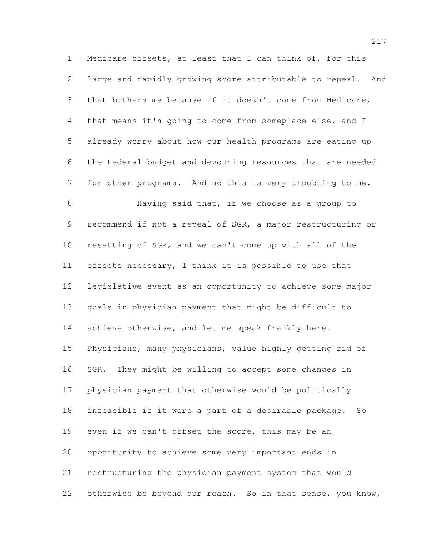Medicare offsets, at least that I can think of, for this large and rapidly growing score attributable to repeal. And that bothers me because if it doesn't come from Medicare, that means it's going to come from someplace else, and I already worry about how our health programs are eating up the Federal budget and devouring resources that are needed for other programs. And so this is very troubling to me. Having said that, if we choose as a group to recommend if not a repeal of SGR, a major restructuring or resetting of SGR, and we can't come up with all of the offsets necessary, I think it is possible to use that legislative event as an opportunity to achieve some major goals in physician payment that might be difficult to 14 achieve otherwise, and let me speak frankly here. Physicians, many physicians, value highly getting rid of SGR. They might be willing to accept some changes in physician payment that otherwise would be politically infeasible if it were a part of a desirable package. So even if we can't offset the score, this may be an opportunity to achieve some very important ends in restructuring the physician payment system that would otherwise be beyond our reach. So in that sense, you know,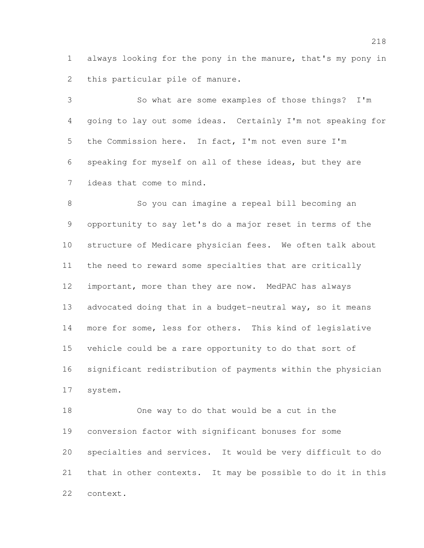always looking for the pony in the manure, that's my pony in this particular pile of manure.

 So what are some examples of those things? I'm going to lay out some ideas. Certainly I'm not speaking for the Commission here. In fact, I'm not even sure I'm speaking for myself on all of these ideas, but they are ideas that come to mind.

 So you can imagine a repeal bill becoming an opportunity to say let's do a major reset in terms of the structure of Medicare physician fees. We often talk about the need to reward some specialties that are critically 12 important, more than they are now. MedPAC has always 13 advocated doing that in a budget-neutral way, so it means more for some, less for others. This kind of legislative vehicle could be a rare opportunity to do that sort of significant redistribution of payments within the physician system.

 One way to do that would be a cut in the conversion factor with significant bonuses for some specialties and services. It would be very difficult to do that in other contexts. It may be possible to do it in this context.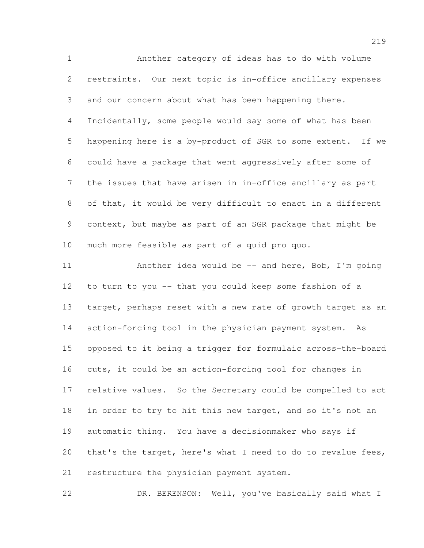Another category of ideas has to do with volume restraints. Our next topic is in-office ancillary expenses and our concern about what has been happening there. Incidentally, some people would say some of what has been happening here is a by-product of SGR to some extent. If we could have a package that went aggressively after some of the issues that have arisen in in-office ancillary as part of that, it would be very difficult to enact in a different context, but maybe as part of an SGR package that might be much more feasible as part of a quid pro quo.

 Another idea would be -- and here, Bob, I'm going to turn to you -- that you could keep some fashion of a target, perhaps reset with a new rate of growth target as an action-forcing tool in the physician payment system. As opposed to it being a trigger for formulaic across-the-board cuts, it could be an action-forcing tool for changes in relative values. So the Secretary could be compelled to act 18 in order to try to hit this new target, and so it's not an automatic thing. You have a decisionmaker who says if that's the target, here's what I need to do to revalue fees, restructure the physician payment system.

DR. BERENSON: Well, you've basically said what I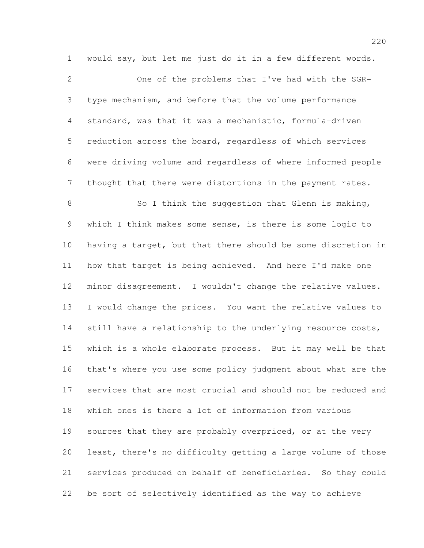would say, but let me just do it in a few different words.

 One of the problems that I've had with the SGR- type mechanism, and before that the volume performance standard, was that it was a mechanistic, formula-driven reduction across the board, regardless of which services were driving volume and regardless of where informed people thought that there were distortions in the payment rates.

8 So I think the suggestion that Glenn is making, which I think makes some sense, is there is some logic to having a target, but that there should be some discretion in how that target is being achieved. And here I'd make one minor disagreement. I wouldn't change the relative values. I would change the prices. You want the relative values to 14 still have a relationship to the underlying resource costs, which is a whole elaborate process. But it may well be that that's where you use some policy judgment about what are the services that are most crucial and should not be reduced and which ones is there a lot of information from various 19 sources that they are probably overpriced, or at the very least, there's no difficulty getting a large volume of those services produced on behalf of beneficiaries. So they could be sort of selectively identified as the way to achieve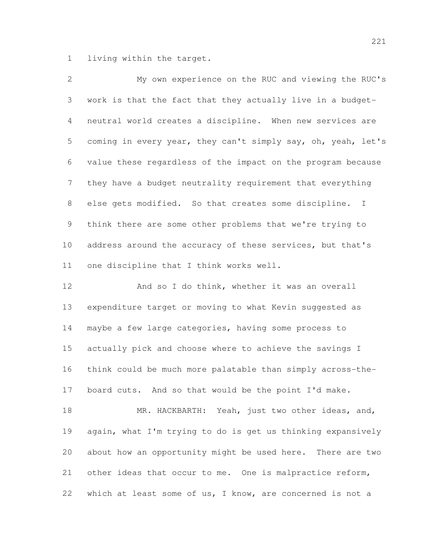living within the target.

 My own experience on the RUC and viewing the RUC's work is that the fact that they actually live in a budget- neutral world creates a discipline. When new services are coming in every year, they can't simply say, oh, yeah, let's value these regardless of the impact on the program because they have a budget neutrality requirement that everything else gets modified. So that creates some discipline. I think there are some other problems that we're trying to address around the accuracy of these services, but that's one discipline that I think works well.

 And so I do think, whether it was an overall expenditure target or moving to what Kevin suggested as maybe a few large categories, having some process to actually pick and choose where to achieve the savings I think could be much more palatable than simply across-the-board cuts. And so that would be the point I'd make.

18 MR. HACKBARTH: Yeah, just two other ideas, and, again, what I'm trying to do is get us thinking expansively about how an opportunity might be used here. There are two other ideas that occur to me. One is malpractice reform, which at least some of us, I know, are concerned is not a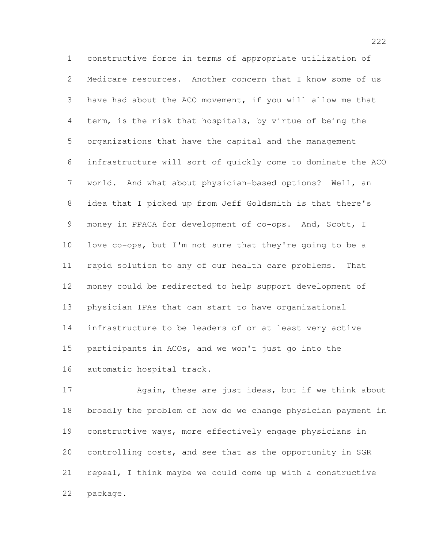constructive force in terms of appropriate utilization of Medicare resources. Another concern that I know some of us have had about the ACO movement, if you will allow me that term, is the risk that hospitals, by virtue of being the organizations that have the capital and the management infrastructure will sort of quickly come to dominate the ACO world. And what about physician-based options? Well, an idea that I picked up from Jeff Goldsmith is that there's 9 money in PPACA for development of co-ops. And, Scott, I love co-ops, but I'm not sure that they're going to be a rapid solution to any of our health care problems. That money could be redirected to help support development of physician IPAs that can start to have organizational infrastructure to be leaders of or at least very active participants in ACOs, and we won't just go into the automatic hospital track.

 Again, these are just ideas, but if we think about broadly the problem of how do we change physician payment in constructive ways, more effectively engage physicians in controlling costs, and see that as the opportunity in SGR repeal, I think maybe we could come up with a constructive package.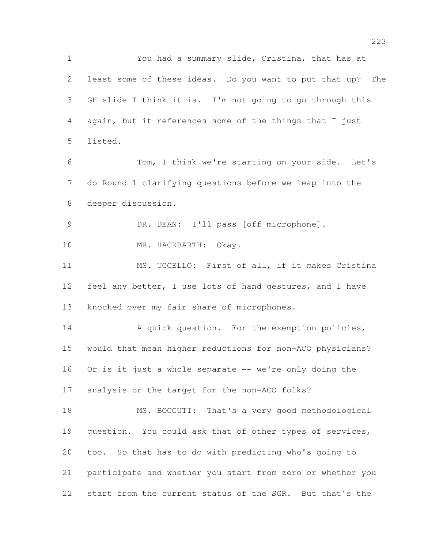You had a summary slide, Cristina, that has at least some of these ideas. Do you want to put that up? The GH slide I think it is. I'm not going to go through this again, but it references some of the things that I just listed. Tom, I think we're starting on your side. Let's do Round 1 clarifying questions before we leap into the deeper discussion. DR. DEAN: I'll pass [off microphone]. MR. HACKBARTH: Okay. 11 MS. UCCELLO: First of all, if it makes Cristina feel any better, I use lots of hand gestures, and I have knocked over my fair share of microphones. 14 A quick question. For the exemption policies, would that mean higher reductions for non-ACO physicians? Or is it just a whole separate -- we're only doing the analysis or the target for the non-ACO folks? MS. BOCCUTI: That's a very good methodological question. You could ask that of other types of services, too. So that has to do with predicting who's going to participate and whether you start from zero or whether you start from the current status of the SGR. But that's the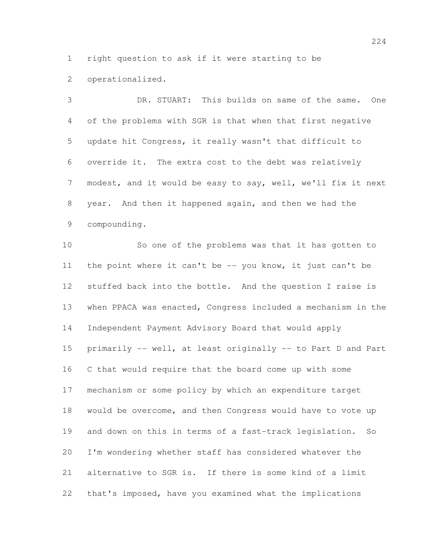right question to ask if it were starting to be

operationalized.

 DR. STUART: This builds on same of the same. One of the problems with SGR is that when that first negative update hit Congress, it really wasn't that difficult to override it. The extra cost to the debt was relatively modest, and it would be easy to say, well, we'll fix it next year. And then it happened again, and then we had the compounding.

 So one of the problems was that it has gotten to the point where it can't be -- you know, it just can't be stuffed back into the bottle. And the question I raise is when PPACA was enacted, Congress included a mechanism in the Independent Payment Advisory Board that would apply primarily -- well, at least originally -- to Part D and Part C that would require that the board come up with some mechanism or some policy by which an expenditure target would be overcome, and then Congress would have to vote up and down on this in terms of a fast-track legislation. So I'm wondering whether staff has considered whatever the alternative to SGR is. If there is some kind of a limit that's imposed, have you examined what the implications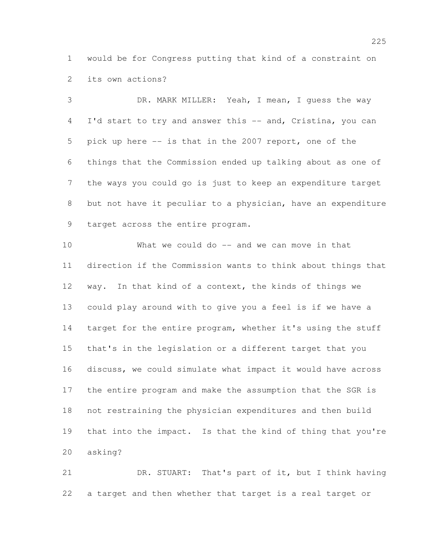would be for Congress putting that kind of a constraint on its own actions?

 DR. MARK MILLER: Yeah, I mean, I guess the way 4 I'd start to try and answer this -- and, Cristina, you can pick up here -- is that in the 2007 report, one of the things that the Commission ended up talking about as one of the ways you could go is just to keep an expenditure target but not have it peculiar to a physician, have an expenditure target across the entire program.

 What we could do -- and we can move in that direction if the Commission wants to think about things that way. In that kind of a context, the kinds of things we could play around with to give you a feel is if we have a 14 target for the entire program, whether it's using the stuff that's in the legislation or a different target that you discuss, we could simulate what impact it would have across the entire program and make the assumption that the SGR is not restraining the physician expenditures and then build that into the impact. Is that the kind of thing that you're asking?

 DR. STUART: That's part of it, but I think having a target and then whether that target is a real target or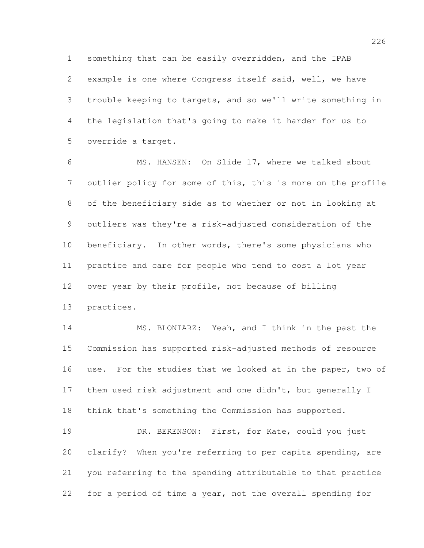something that can be easily overridden, and the IPAB example is one where Congress itself said, well, we have trouble keeping to targets, and so we'll write something in the legislation that's going to make it harder for us to override a target.

 MS. HANSEN: On Slide 17, where we talked about outlier policy for some of this, this is more on the profile of the beneficiary side as to whether or not in looking at outliers was they're a risk-adjusted consideration of the beneficiary. In other words, there's some physicians who practice and care for people who tend to cost a lot year over year by their profile, not because of billing practices.

 MS. BLONIARZ: Yeah, and I think in the past the Commission has supported risk-adjusted methods of resource use. For the studies that we looked at in the paper, two of them used risk adjustment and one didn't, but generally I think that's something the Commission has supported.

19 DR. BERENSON: First, for Kate, could you just clarify? When you're referring to per capita spending, are you referring to the spending attributable to that practice for a period of time a year, not the overall spending for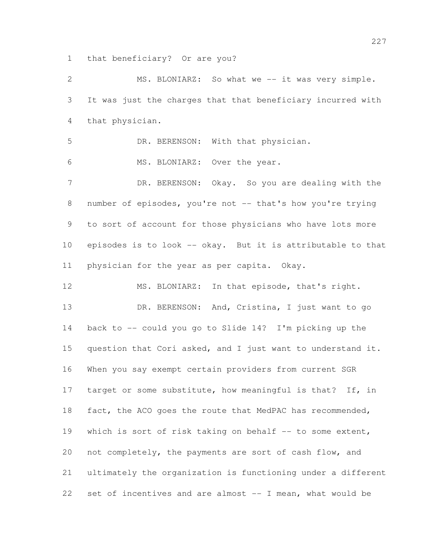that beneficiary? Or are you?

 MS. BLONIARZ: So what we -- it was very simple. It was just the charges that that beneficiary incurred with that physician. DR. BERENSON: With that physician. MS. BLONIARZ: Over the year. 7 DR. BERENSON: Okay. So you are dealing with the 8 number of episodes, you're not -- that's how you're trying to sort of account for those physicians who have lots more episodes is to look -- okay. But it is attributable to that physician for the year as per capita. Okay. MS. BLONIARZ: In that episode, that's right. 13 DR. BERENSON: And, Cristina, I just want to go back to -- could you go to Slide 14? I'm picking up the question that Cori asked, and I just want to understand it. When you say exempt certain providers from current SGR 17 target or some substitute, how meaningful is that? If, in fact, the ACO goes the route that MedPAC has recommended, 19 which is sort of risk taking on behalf -- to some extent, not completely, the payments are sort of cash flow, and ultimately the organization is functioning under a different set of incentives and are almost -- I mean, what would be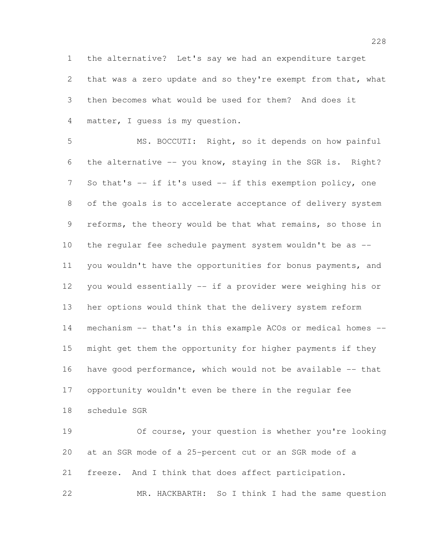the alternative? Let's say we had an expenditure target 2 that was a zero update and so they're exempt from that, what then becomes what would be used for them? And does it matter, I guess is my question.

 MS. BOCCUTI: Right, so it depends on how painful the alternative -- you know, staying in the SGR is. Right? 7 So that's -- if it's used -- if this exemption policy, one of the goals is to accelerate acceptance of delivery system 9 reforms, the theory would be that what remains, so those in the regular fee schedule payment system wouldn't be as -- you wouldn't have the opportunities for bonus payments, and you would essentially -- if a provider were weighing his or her options would think that the delivery system reform mechanism -- that's in this example ACOs or medical homes -- might get them the opportunity for higher payments if they have good performance, which would not be available -- that opportunity wouldn't even be there in the regular fee schedule SGR

 Of course, your question is whether you're looking at an SGR mode of a 25-percent cut or an SGR mode of a freeze. And I think that does affect participation.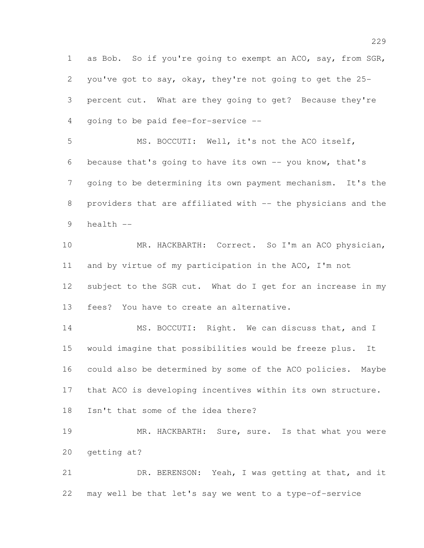as Bob. So if you're going to exempt an ACO, say, from SGR, you've got to say, okay, they're not going to get the 25- percent cut. What are they going to get? Because they're going to be paid fee-for-service --

 MS. BOCCUTI: Well, it's not the ACO itself, because that's going to have its own -- you know, that's going to be determining its own payment mechanism. It's the 8 providers that are affiliated with -- the physicians and the health --

 MR. HACKBARTH: Correct. So I'm an ACO physician, and by virtue of my participation in the ACO, I'm not subject to the SGR cut. What do I get for an increase in my fees? You have to create an alternative.

14 MS. BOCCUTI: Right. We can discuss that, and I would imagine that possibilities would be freeze plus. It could also be determined by some of the ACO policies. Maybe that ACO is developing incentives within its own structure. Isn't that some of the idea there?

19 MR. HACKBARTH: Sure, sure. Is that what you were getting at?

 DR. BERENSON: Yeah, I was getting at that, and it may well be that let's say we went to a type-of-service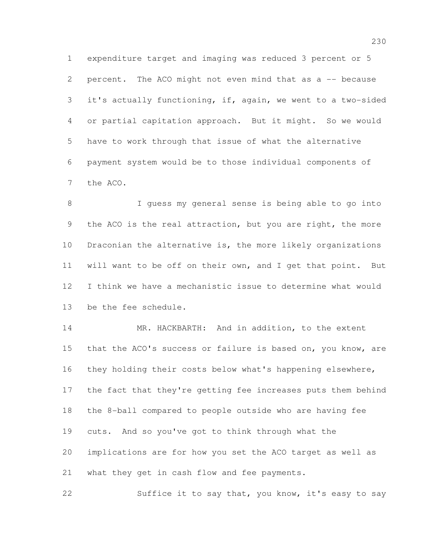expenditure target and imaging was reduced 3 percent or 5 percent. The ACO might not even mind that as a -- because it's actually functioning, if, again, we went to a two-sided or partial capitation approach. But it might. So we would have to work through that issue of what the alternative payment system would be to those individual components of the ACO.

 I guess my general sense is being able to go into 9 the ACO is the real attraction, but you are right, the more Draconian the alternative is, the more likely organizations will want to be off on their own, and I get that point. But I think we have a mechanistic issue to determine what would be the fee schedule.

14 MR. HACKBARTH: And in addition, to the extent that the ACO's success or failure is based on, you know, are 16 they holding their costs below what's happening elsewhere, the fact that they're getting fee increases puts them behind the 8-ball compared to people outside who are having fee cuts. And so you've got to think through what the implications are for how you set the ACO target as well as what they get in cash flow and fee payments.

Suffice it to say that, you know, it's easy to say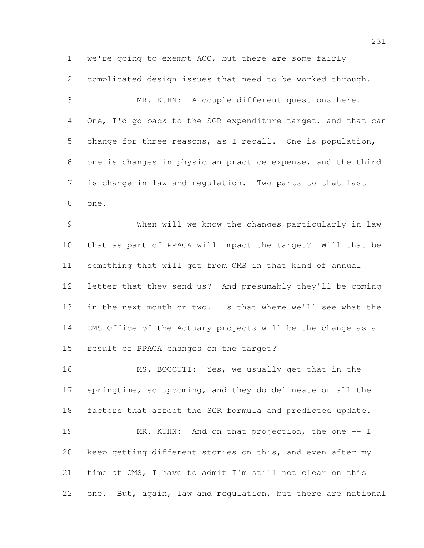we're going to exempt ACO, but there are some fairly complicated design issues that need to be worked through.

 MR. KUHN: A couple different questions here. 4 One, I'd go back to the SGR expenditure target, and that can change for three reasons, as I recall. One is population, one is changes in physician practice expense, and the third is change in law and regulation. Two parts to that last one.

 When will we know the changes particularly in law that as part of PPACA will impact the target? Will that be something that will get from CMS in that kind of annual letter that they send us? And presumably they'll be coming in the next month or two. Is that where we'll see what the CMS Office of the Actuary projects will be the change as a result of PPACA changes on the target?

 MS. BOCCUTI: Yes, we usually get that in the springtime, so upcoming, and they do delineate on all the factors that affect the SGR formula and predicted update. 19 MR. KUHN: And on that projection, the one -- I keep getting different stories on this, and even after my time at CMS, I have to admit I'm still not clear on this one. But, again, law and regulation, but there are national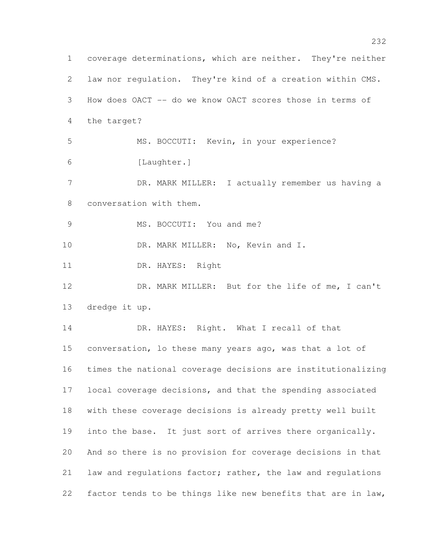coverage determinations, which are neither. They're neither law nor regulation. They're kind of a creation within CMS. How does OACT -- do we know OACT scores those in terms of the target? MS. BOCCUTI: Kevin, in your experience? [Laughter.] 7 DR. MARK MILLER: I actually remember us having a conversation with them. 9 MS. BOCCUTI: You and me? 10 DR. MARK MILLER: No, Kevin and I. DR. HAYES: Right DR. MARK MILLER: But for the life of me, I can't dredge it up. 14 DR. HAYES: Right. What I recall of that conversation, lo these many years ago, was that a lot of times the national coverage decisions are institutionalizing local coverage decisions, and that the spending associated with these coverage decisions is already pretty well built into the base. It just sort of arrives there organically. And so there is no provision for coverage decisions in that law and regulations factor; rather, the law and regulations factor tends to be things like new benefits that are in law,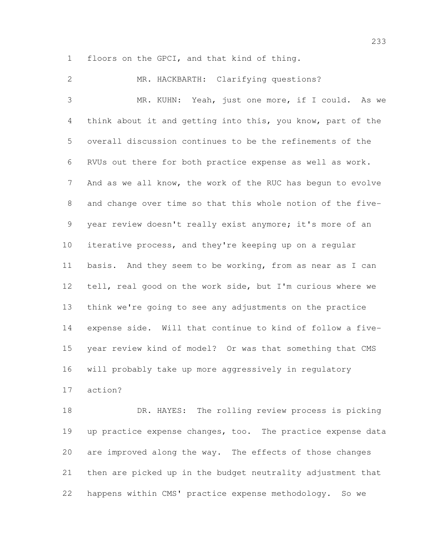floors on the GPCI, and that kind of thing.

 MR. HACKBARTH: Clarifying questions? MR. KUHN: Yeah, just one more, if I could. As we think about it and getting into this, you know, part of the overall discussion continues to be the refinements of the RVUs out there for both practice expense as well as work. And as we all know, the work of the RUC has begun to evolve and change over time so that this whole notion of the five- year review doesn't really exist anymore; it's more of an iterative process, and they're keeping up on a regular basis. And they seem to be working, from as near as I can tell, real good on the work side, but I'm curious where we think we're going to see any adjustments on the practice expense side. Will that continue to kind of follow a five- year review kind of model? Or was that something that CMS will probably take up more aggressively in regulatory action?

 DR. HAYES: The rolling review process is picking 19 up practice expense changes, too. The practice expense data are improved along the way. The effects of those changes then are picked up in the budget neutrality adjustment that happens within CMS' practice expense methodology. So we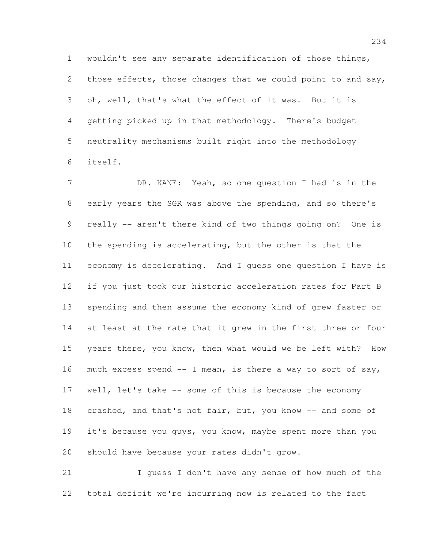wouldn't see any separate identification of those things,

2 those effects, those changes that we could point to and say, oh, well, that's what the effect of it was. But it is getting picked up in that methodology. There's budget neutrality mechanisms built right into the methodology itself.

 DR. KANE: Yeah, so one question I had is in the early years the SGR was above the spending, and so there's really -- aren't there kind of two things going on? One is the spending is accelerating, but the other is that the economy is decelerating. And I guess one question I have is if you just took our historic acceleration rates for Part B spending and then assume the economy kind of grew faster or at least at the rate that it grew in the first three or four years there, you know, then what would we be left with? How much excess spend -- I mean, is there a way to sort of say, well, let's take -- some of this is because the economy crashed, and that's not fair, but, you know -- and some of it's because you guys, you know, maybe spent more than you should have because your rates didn't grow.

 I guess I don't have any sense of how much of the total deficit we're incurring now is related to the fact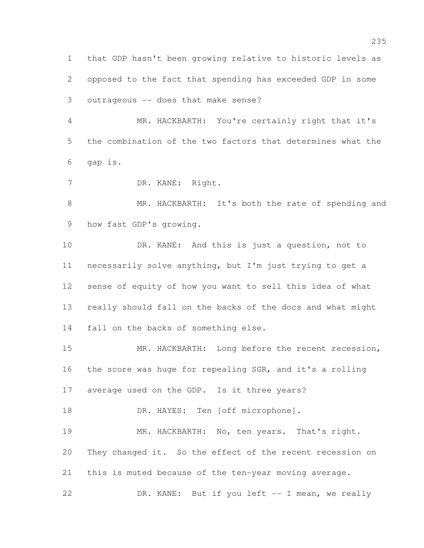that GDP hasn't been growing relative to historic levels as opposed to the fact that spending has exceeded GDP in some outrageous -- does that make sense?

 MR. HACKBARTH: You're certainly right that it's the combination of the two factors that determines what the gap is.

DR. KANE: Right.

 MR. HACKBARTH: It's both the rate of spending and how fast GDP's growing.

 DR. KANE: And this is just a question, not to necessarily solve anything, but I'm just trying to get a sense of equity of how you want to sell this idea of what really should fall on the backs of the docs and what might fall on the backs of something else.

15 MR. HACKBARTH: Long before the recent recession, the score was huge for repealing SGR, and it's a rolling average used on the GDP. Is it three years? 18 DR. HAYES: Ten [off microphone].

 MR. HACKBARTH: No, ten years. That's right. They changed it. So the effect of the recent recession on this is muted because of the ten-year moving average. DR. KANE: But if you left -- I mean, we really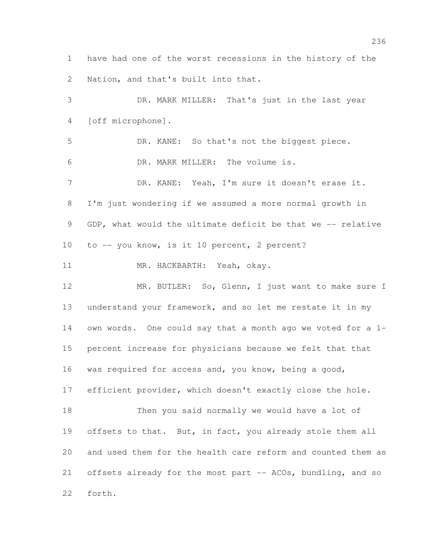have had one of the worst recessions in the history of the Nation, and that's built into that.

 DR. MARK MILLER: That's just in the last year [off microphone]. DR. KANE: So that's not the biggest piece. DR. MARK MILLER: The volume is. DR. KANE: Yeah, I'm sure it doesn't erase it. I'm just wondering if we assumed a more normal growth in 9 GDP, what would the ultimate deficit be that we -- relative to -- you know, is it 10 percent, 2 percent? MR. HACKBARTH: Yeah, okay. MR. BUTLER: So, Glenn, I just want to make sure I understand your framework, and so let me restate it in my

 own words. One could say that a month ago we voted for a 1- percent increase for physicians because we felt that that was required for access and, you know, being a good, efficient provider, which doesn't exactly close the hole.

 Then you said normally we would have a lot of 19 offsets to that. But, in fact, you already stole them all and used them for the health care reform and counted them as offsets already for the most part -- ACOs, bundling, and so forth.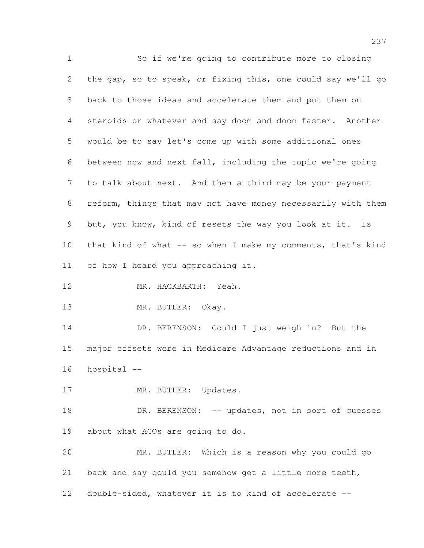So if we're going to contribute more to closing the gap, so to speak, or fixing this, one could say we'll go back to those ideas and accelerate them and put them on steroids or whatever and say doom and doom faster. Another would be to say let's come up with some additional ones between now and next fall, including the topic we're going to talk about next. And then a third may be your payment reform, things that may not have money necessarily with them but, you know, kind of resets the way you look at it. Is 10 that kind of what -- so when I make my comments, that's kind of how I heard you approaching it. MR. HACKBARTH: Yeah. 13 MR. BUTLER: Okay.

 DR. BERENSON: Could I just weigh in? But the major offsets were in Medicare Advantage reductions and in hospital --

17 MR. BUTLER: Updates.

18 DR. BERENSON: -- updates, not in sort of quesses about what ACOs are going to do.

 MR. BUTLER: Which is a reason why you could go back and say could you somehow get a little more teeth, double-sided, whatever it is to kind of accelerate --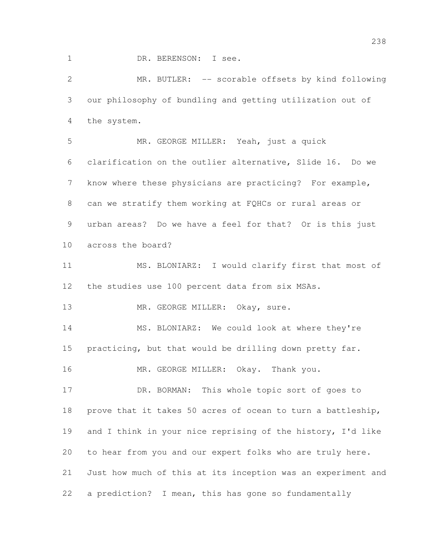DR. BERENSON: I see.

 MR. BUTLER: -- scorable offsets by kind following our philosophy of bundling and getting utilization out of the system.

 MR. GEORGE MILLER: Yeah, just a quick clarification on the outlier alternative, Slide 16. Do we know where these physicians are practicing? For example, can we stratify them working at FQHCs or rural areas or urban areas? Do we have a feel for that? Or is this just across the board?

 MS. BLONIARZ: I would clarify first that most of the studies use 100 percent data from six MSAs.

13 MR. GEORGE MILLER: Okay, sure.

 MS. BLONIARZ: We could look at where they're practicing, but that would be drilling down pretty far.

16 MR. GEORGE MILLER: Okay. Thank you.

 DR. BORMAN: This whole topic sort of goes to prove that it takes 50 acres of ocean to turn a battleship, 19 and I think in your nice reprising of the history, I'd like to hear from you and our expert folks who are truly here. Just how much of this at its inception was an experiment and a prediction? I mean, this has gone so fundamentally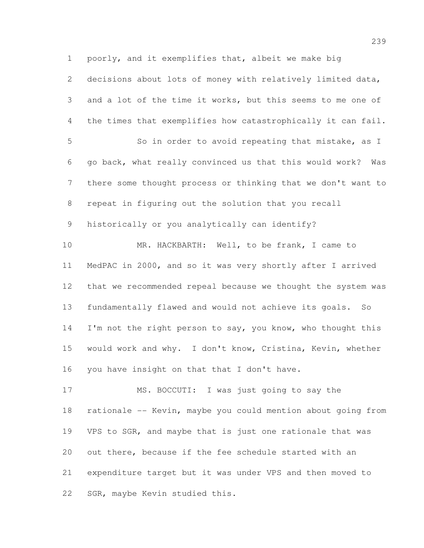poorly, and it exemplifies that, albeit we make big decisions about lots of money with relatively limited data, and a lot of the time it works, but this seems to me one of the times that exemplifies how catastrophically it can fail. So in order to avoid repeating that mistake, as I go back, what really convinced us that this would work? Was there some thought process or thinking that we don't want to repeat in figuring out the solution that you recall historically or you analytically can identify? MR. HACKBARTH: Well, to be frank, I came to MedPAC in 2000, and so it was very shortly after I arrived that we recommended repeal because we thought the system was fundamentally flawed and would not achieve its goals. So 14 I'm not the right person to say, you know, who thought this would work and why. I don't know, Cristina, Kevin, whether you have insight on that that I don't have. MS. BOCCUTI: I was just going to say the rationale -- Kevin, maybe you could mention about going from VPS to SGR, and maybe that is just one rationale that was out there, because if the fee schedule started with an expenditure target but it was under VPS and then moved to

SGR, maybe Kevin studied this.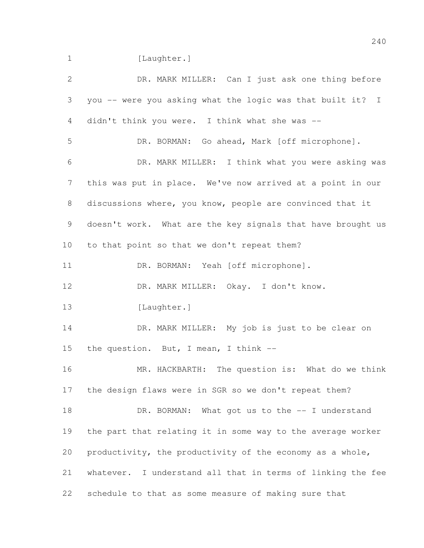1 [Laughter.]

 DR. MARK MILLER: Can I just ask one thing before you -- were you asking what the logic was that built it? I didn't think you were. I think what she was -- DR. BORMAN: Go ahead, Mark [off microphone]. DR. MARK MILLER: I think what you were asking was this was put in place. We've now arrived at a point in our discussions where, you know, people are convinced that it doesn't work. What are the key signals that have brought us to that point so that we don't repeat them? 11 DR. BORMAN: Yeah [off microphone]. DR. MARK MILLER: Okay. I don't know. 13 [Laughter.] DR. MARK MILLER: My job is just to be clear on the question. But, I mean, I think -- MR. HACKBARTH: The question is: What do we think the design flaws were in SGR so we don't repeat them? 18 DR. BORMAN: What got us to the -- I understand the part that relating it in some way to the average worker productivity, the productivity of the economy as a whole, whatever. I understand all that in terms of linking the fee schedule to that as some measure of making sure that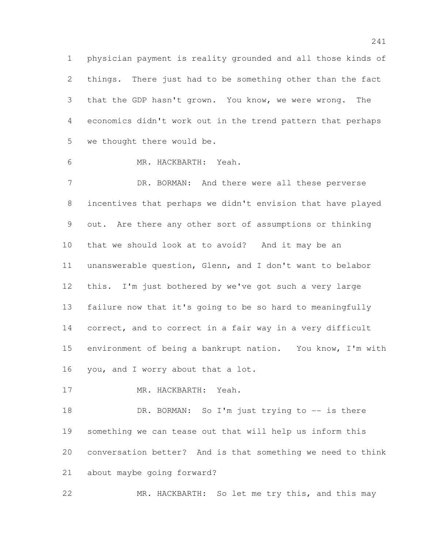physician payment is reality grounded and all those kinds of things. There just had to be something other than the fact that the GDP hasn't grown. You know, we were wrong. The economics didn't work out in the trend pattern that perhaps we thought there would be.

MR. HACKBARTH: Yeah.

7 DR. BORMAN: And there were all these perverse incentives that perhaps we didn't envision that have played out. Are there any other sort of assumptions or thinking that we should look at to avoid? And it may be an unanswerable question, Glenn, and I don't want to belabor this. I'm just bothered by we've got such a very large failure now that it's going to be so hard to meaningfully correct, and to correct in a fair way in a very difficult environment of being a bankrupt nation. You know, I'm with you, and I worry about that a lot.

MR. HACKBARTH: Yeah.

18 DR. BORMAN: So I'm just trying to -- is there something we can tease out that will help us inform this conversation better? And is that something we need to think about maybe going forward?

MR. HACKBARTH: So let me try this, and this may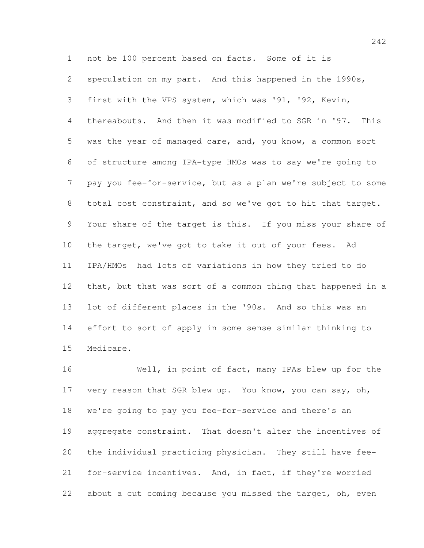not be 100 percent based on facts. Some of it is speculation on my part. And this happened in the 1990s, first with the VPS system, which was '91, '92, Kevin, thereabouts. And then it was modified to SGR in '97. This was the year of managed care, and, you know, a common sort of structure among IPA-type HMOs was to say we're going to pay you fee-for-service, but as a plan we're subject to some total cost constraint, and so we've got to hit that target. Your share of the target is this. If you miss your share of the target, we've got to take it out of your fees. Ad IPA/HMOs had lots of variations in how they tried to do that, but that was sort of a common thing that happened in a lot of different places in the '90s. And so this was an effort to sort of apply in some sense similar thinking to Medicare.

 Well, in point of fact, many IPAs blew up for the very reason that SGR blew up. You know, you can say, oh, we're going to pay you fee-for-service and there's an aggregate constraint. That doesn't alter the incentives of the individual practicing physician. They still have fee- for-service incentives. And, in fact, if they're worried 22 about a cut coming because you missed the target, oh, even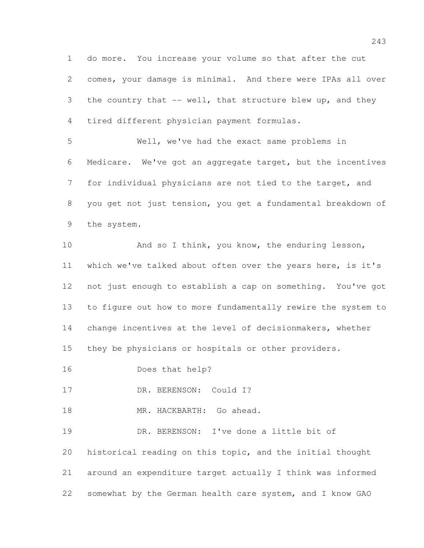do more. You increase your volume so that after the cut comes, your damage is minimal. And there were IPAs all over 3 the country that -- well, that structure blew up, and they tired different physician payment formulas.

 Well, we've had the exact same problems in Medicare. We've got an aggregate target, but the incentives for individual physicians are not tied to the target, and you get not just tension, you get a fundamental breakdown of the system.

10 And so I think, you know, the enduring lesson, which we've talked about often over the years here, is it's not just enough to establish a cap on something. You've got to figure out how to more fundamentally rewire the system to change incentives at the level of decisionmakers, whether they be physicians or hospitals or other providers.

Does that help?

17 DR. BERENSON: Could I?

18 MR. HACKBARTH: Go ahead.

 DR. BERENSON: I've done a little bit of historical reading on this topic, and the initial thought around an expenditure target actually I think was informed somewhat by the German health care system, and I know GAO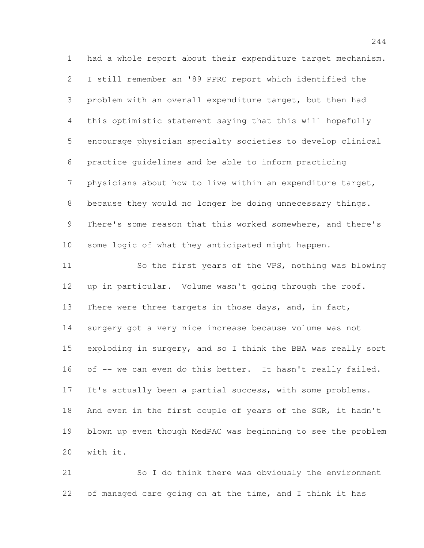had a whole report about their expenditure target mechanism. I still remember an '89 PPRC report which identified the problem with an overall expenditure target, but then had this optimistic statement saying that this will hopefully encourage physician specialty societies to develop clinical practice guidelines and be able to inform practicing physicians about how to live within an expenditure target, because they would no longer be doing unnecessary things. There's some reason that this worked somewhere, and there's some logic of what they anticipated might happen. So the first years of the VPS, nothing was blowing up in particular. Volume wasn't going through the roof. There were three targets in those days, and, in fact, surgery got a very nice increase because volume was not exploding in surgery, and so I think the BBA was really sort 16 of -- we can even do this better. It hasn't really failed. 17 It's actually been a partial success, with some problems. 18 And even in the first couple of years of the SGR, it hadn't blown up even though MedPAC was beginning to see the problem with it.

 So I do think there was obviously the environment of managed care going on at the time, and I think it has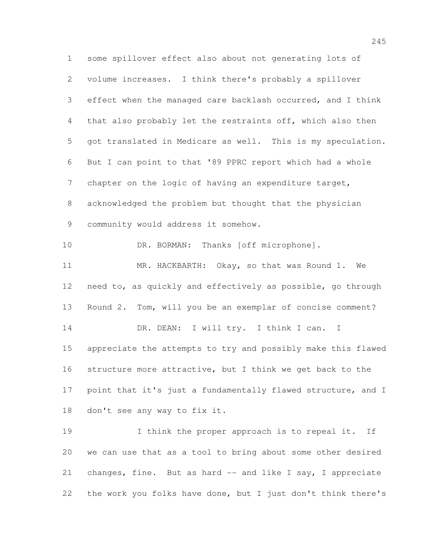some spillover effect also about not generating lots of volume increases. I think there's probably a spillover effect when the managed care backlash occurred, and I think that also probably let the restraints off, which also then got translated in Medicare as well. This is my speculation. But I can point to that '89 PPRC report which had a whole 7 chapter on the logic of having an expenditure target, acknowledged the problem but thought that the physician community would address it somehow. DR. BORMAN: Thanks [off microphone]. MR. HACKBARTH: Okay, so that was Round 1. We need to, as quickly and effectively as possible, go through Round 2. Tom, will you be an exemplar of concise comment? 14 DR. DEAN: I will try. I think I can. I appreciate the attempts to try and possibly make this flawed structure more attractive, but I think we get back to the point that it's just a fundamentally flawed structure, and I don't see any way to fix it. 19 I think the proper approach is to repeal it. If we can use that as a tool to bring about some other desired

the work you folks have done, but I just don't think there's

changes, fine. But as hard -- and like I say, I appreciate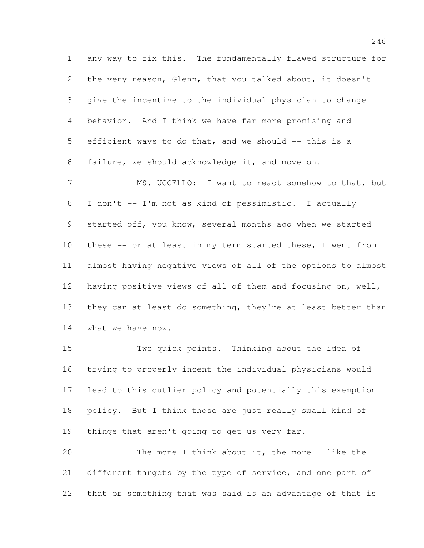any way to fix this. The fundamentally flawed structure for the very reason, Glenn, that you talked about, it doesn't give the incentive to the individual physician to change behavior. And I think we have far more promising and efficient ways to do that, and we should -- this is a failure, we should acknowledge it, and move on.

 MS. UCCELLO: I want to react somehow to that, but I don't -- I'm not as kind of pessimistic. I actually started off, you know, several months ago when we started these -- or at least in my term started these, I went from almost having negative views of all of the options to almost having positive views of all of them and focusing on, well, they can at least do something, they're at least better than what we have now.

 Two quick points. Thinking about the idea of trying to properly incent the individual physicians would lead to this outlier policy and potentially this exemption policy. But I think those are just really small kind of things that aren't going to get us very far.

 The more I think about it, the more I like the different targets by the type of service, and one part of that or something that was said is an advantage of that is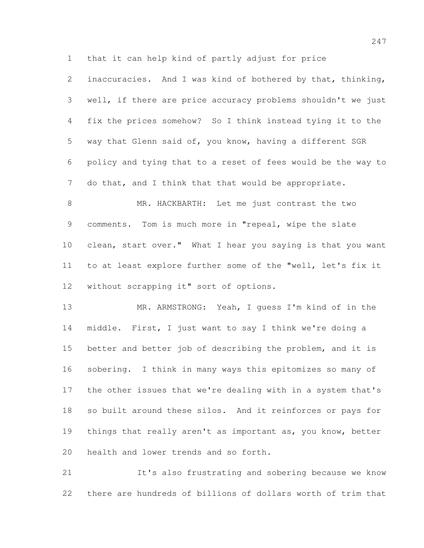that it can help kind of partly adjust for price

 inaccuracies. And I was kind of bothered by that, thinking, well, if there are price accuracy problems shouldn't we just fix the prices somehow? So I think instead tying it to the way that Glenn said of, you know, having a different SGR policy and tying that to a reset of fees would be the way to 7 do that, and I think that that would be appropriate.

8 MR. HACKBARTH: Let me just contrast the two comments. Tom is much more in "repeal, wipe the slate clean, start over." What I hear you saying is that you want to at least explore further some of the "well, let's fix it without scrapping it" sort of options.

 MR. ARMSTRONG: Yeah, I guess I'm kind of in the middle. First, I just want to say I think we're doing a better and better job of describing the problem, and it is sobering. I think in many ways this epitomizes so many of the other issues that we're dealing with in a system that's so built around these silos. And it reinforces or pays for things that really aren't as important as, you know, better health and lower trends and so forth.

 It's also frustrating and sobering because we know there are hundreds of billions of dollars worth of trim that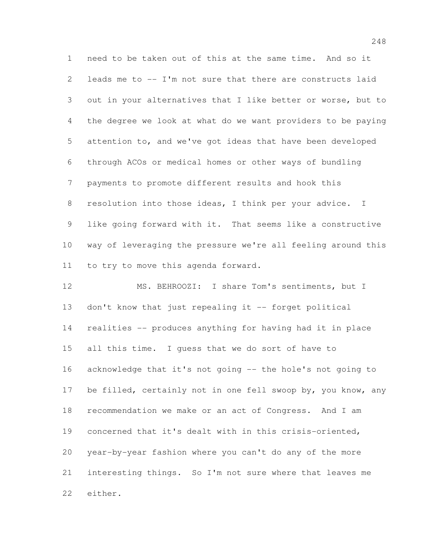need to be taken out of this at the same time. And so it leads me to -- I'm not sure that there are constructs laid out in your alternatives that I like better or worse, but to the degree we look at what do we want providers to be paying attention to, and we've got ideas that have been developed through ACOs or medical homes or other ways of bundling payments to promote different results and hook this resolution into those ideas, I think per your advice. I like going forward with it. That seems like a constructive way of leveraging the pressure we're all feeling around this to try to move this agenda forward.

 MS. BEHROOZI: I share Tom's sentiments, but I 13 don't know that just repealing it -- forget political realities -- produces anything for having had it in place all this time. I guess that we do sort of have to acknowledge that it's not going -- the hole's not going to 17 be filled, certainly not in one fell swoop by, you know, any recommendation we make or an act of Congress. And I am concerned that it's dealt with in this crisis-oriented, year-by-year fashion where you can't do any of the more interesting things. So I'm not sure where that leaves me either.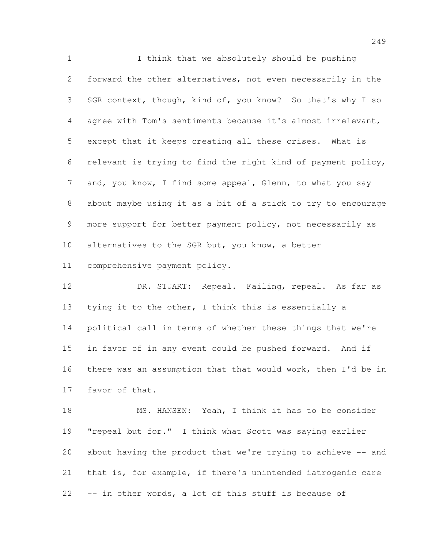I think that we absolutely should be pushing forward the other alternatives, not even necessarily in the SGR context, though, kind of, you know? So that's why I so agree with Tom's sentiments because it's almost irrelevant, except that it keeps creating all these crises. What is relevant is trying to find the right kind of payment policy, 7 and, you know, I find some appeal, Glenn, to what you say about maybe using it as a bit of a stick to try to encourage more support for better payment policy, not necessarily as 10 alternatives to the SGR but, you know, a better comprehensive payment policy.

 DR. STUART: Repeal. Failing, repeal. As far as tying it to the other, I think this is essentially a political call in terms of whether these things that we're in favor of in any event could be pushed forward. And if there was an assumption that that would work, then I'd be in favor of that.

18 MS. HANSEN: Yeah, I think it has to be consider "repeal but for." I think what Scott was saying earlier about having the product that we're trying to achieve -- and that is, for example, if there's unintended iatrogenic care -- in other words, a lot of this stuff is because of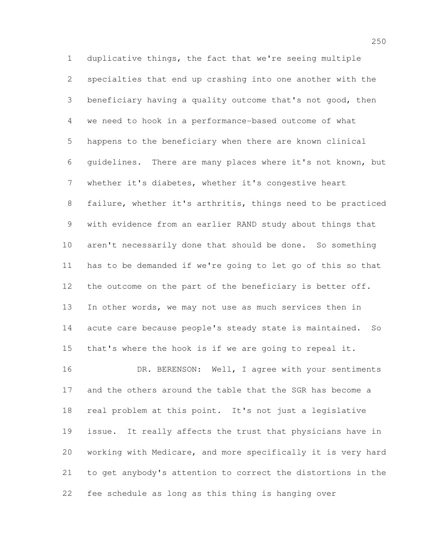duplicative things, the fact that we're seeing multiple specialties that end up crashing into one another with the beneficiary having a quality outcome that's not good, then we need to hook in a performance-based outcome of what happens to the beneficiary when there are known clinical guidelines. There are many places where it's not known, but whether it's diabetes, whether it's congestive heart failure, whether it's arthritis, things need to be practiced with evidence from an earlier RAND study about things that aren't necessarily done that should be done. So something has to be demanded if we're going to let go of this so that 12 the outcome on the part of the beneficiary is better off. In other words, we may not use as much services then in acute care because people's steady state is maintained. So that's where the hook is if we are going to repeal it. 16 DR. BERENSON: Well, I agree with your sentiments and the others around the table that the SGR has become a real problem at this point. It's not just a legislative issue. It really affects the trust that physicians have in working with Medicare, and more specifically it is very hard to get anybody's attention to correct the distortions in the fee schedule as long as this thing is hanging over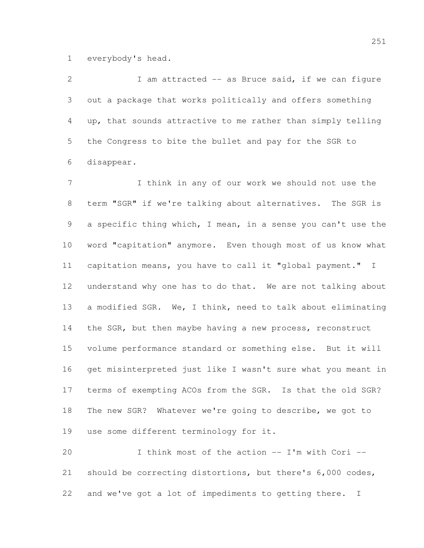everybody's head.

 I am attracted -- as Bruce said, if we can figure out a package that works politically and offers something up, that sounds attractive to me rather than simply telling the Congress to bite the bullet and pay for the SGR to disappear.

 I think in any of our work we should not use the term "SGR" if we're talking about alternatives. The SGR is a specific thing which, I mean, in a sense you can't use the word "capitation" anymore. Even though most of us know what capitation means, you have to call it "global payment." I understand why one has to do that. We are not talking about a modified SGR. We, I think, need to talk about eliminating 14 the SGR, but then maybe having a new process, reconstruct volume performance standard or something else. But it will get misinterpreted just like I wasn't sure what you meant in terms of exempting ACOs from the SGR. Is that the old SGR? The new SGR? Whatever we're going to describe, we got to use some different terminology for it.

 I think most of the action -- I'm with Cori -- should be correcting distortions, but there's 6,000 codes, and we've got a lot of impediments to getting there. I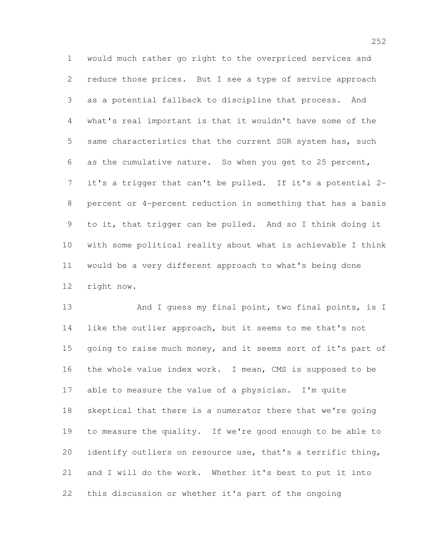would much rather go right to the overpriced services and reduce those prices. But I see a type of service approach as a potential fallback to discipline that process. And what's real important is that it wouldn't have some of the same characteristics that the current SGR system has, such as the cumulative nature. So when you get to 25 percent, it's a trigger that can't be pulled. If it's a potential 2- percent or 4-percent reduction in something that has a basis to it, that trigger can be pulled. And so I think doing it with some political reality about what is achievable I think would be a very different approach to what's being done right now.

13 And I quess my final point, two final points, is I like the outlier approach, but it seems to me that's not going to raise much money, and it seems sort of it's part of the whole value index work. I mean, CMS is supposed to be able to measure the value of a physician. I'm quite skeptical that there is a numerator there that we're going to measure the quality. If we're good enough to be able to identify outliers on resource use, that's a terrific thing, and I will do the work. Whether it's best to put it into this discussion or whether it's part of the ongoing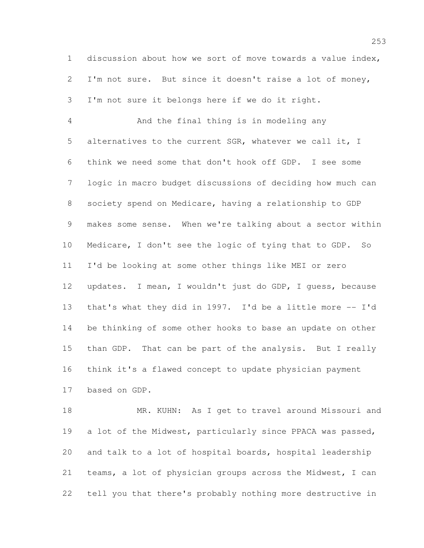discussion about how we sort of move towards a value index, I'm not sure. But since it doesn't raise a lot of money, I'm not sure it belongs here if we do it right.

 And the final thing is in modeling any alternatives to the current SGR, whatever we call it, I think we need some that don't hook off GDP. I see some logic in macro budget discussions of deciding how much can society spend on Medicare, having a relationship to GDP makes some sense. When we're talking about a sector within Medicare, I don't see the logic of tying that to GDP. So I'd be looking at some other things like MEI or zero updates. I mean, I wouldn't just do GDP, I guess, because that's what they did in 1997. I'd be a little more -- I'd be thinking of some other hooks to base an update on other than GDP. That can be part of the analysis. But I really think it's a flawed concept to update physician payment based on GDP.

18 MR. KUHN: As I get to travel around Missouri and 19 a lot of the Midwest, particularly since PPACA was passed, and talk to a lot of hospital boards, hospital leadership teams, a lot of physician groups across the Midwest, I can tell you that there's probably nothing more destructive in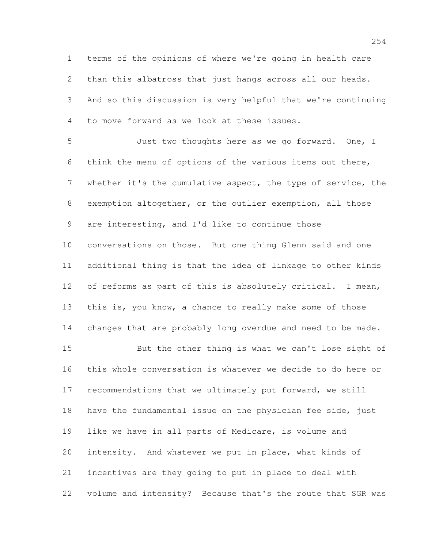terms of the opinions of where we're going in health care than this albatross that just hangs across all our heads. And so this discussion is very helpful that we're continuing to move forward as we look at these issues.

 Just two thoughts here as we go forward. One, I think the menu of options of the various items out there, 7 whether it's the cumulative aspect, the type of service, the exemption altogether, or the outlier exemption, all those are interesting, and I'd like to continue those conversations on those. But one thing Glenn said and one additional thing is that the idea of linkage to other kinds 12 of reforms as part of this is absolutely critical. I mean, this is, you know, a chance to really make some of those changes that are probably long overdue and need to be made.

 But the other thing is what we can't lose sight of this whole conversation is whatever we decide to do here or recommendations that we ultimately put forward, we still 18 have the fundamental issue on the physician fee side, just like we have in all parts of Medicare, is volume and intensity. And whatever we put in place, what kinds of incentives are they going to put in place to deal with volume and intensity? Because that's the route that SGR was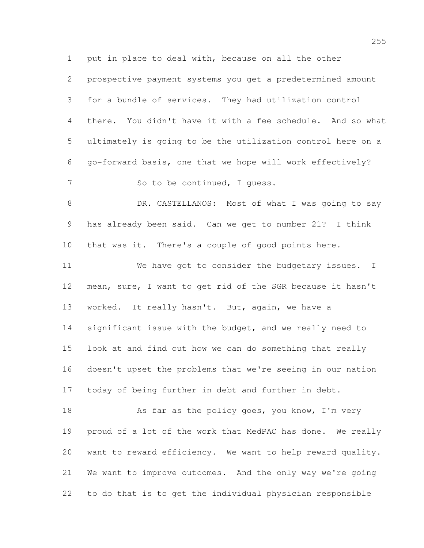prospective payment systems you get a predetermined amount for a bundle of services. They had utilization control there. You didn't have it with a fee schedule. And so what ultimately is going to be the utilization control here on a go-forward basis, one that we hope will work effectively?

put in place to deal with, because on all the other

7 So to be continued, I quess.

8 DR. CASTELLANOS: Most of what I was going to say has already been said. Can we get to number 21? I think that was it. There's a couple of good points here.

 We have got to consider the budgetary issues. I mean, sure, I want to get rid of the SGR because it hasn't worked. It really hasn't. But, again, we have a significant issue with the budget, and we really need to look at and find out how we can do something that really doesn't upset the problems that we're seeing in our nation today of being further in debt and further in debt.

18 As far as the policy goes, you know, I'm very proud of a lot of the work that MedPAC has done. We really want to reward efficiency. We want to help reward quality. We want to improve outcomes. And the only way we're going to do that is to get the individual physician responsible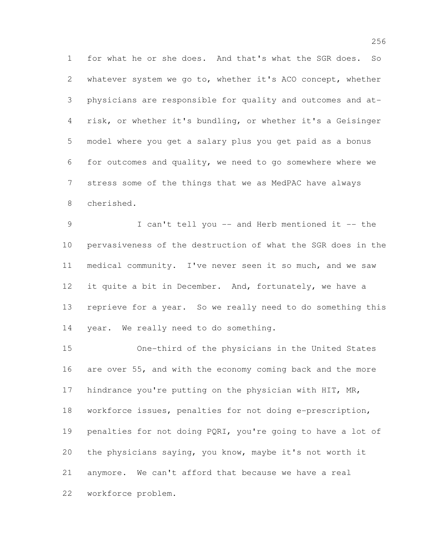for what he or she does. And that's what the SGR does. So whatever system we go to, whether it's ACO concept, whether physicians are responsible for quality and outcomes and at- risk, or whether it's bundling, or whether it's a Geisinger model where you get a salary plus you get paid as a bonus for outcomes and quality, we need to go somewhere where we stress some of the things that we as MedPAC have always cherished.

 I can't tell you -- and Herb mentioned it -- the pervasiveness of the destruction of what the SGR does in the medical community. I've never seen it so much, and we saw it quite a bit in December. And, fortunately, we have a reprieve for a year. So we really need to do something this year. We really need to do something.

 One-third of the physicians in the United States are over 55, and with the economy coming back and the more hindrance you're putting on the physician with HIT, MR, workforce issues, penalties for not doing e-prescription, penalties for not doing PQRI, you're going to have a lot of the physicians saying, you know, maybe it's not worth it anymore. We can't afford that because we have a real workforce problem.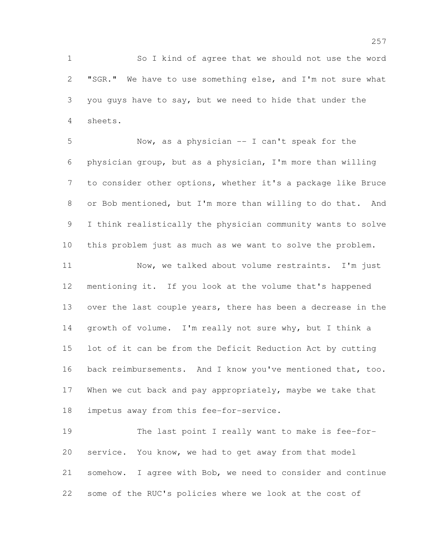So I kind of agree that we should not use the word "SGR." We have to use something else, and I'm not sure what you guys have to say, but we need to hide that under the sheets.

 Now, as a physician -- I can't speak for the physician group, but as a physician, I'm more than willing to consider other options, whether it's a package like Bruce or Bob mentioned, but I'm more than willing to do that. And I think realistically the physician community wants to solve this problem just as much as we want to solve the problem.

11 Now, we talked about volume restraints. I'm just mentioning it. If you look at the volume that's happened over the last couple years, there has been a decrease in the growth of volume. I'm really not sure why, but I think a lot of it can be from the Deficit Reduction Act by cutting back reimbursements. And I know you've mentioned that, too. 17 When we cut back and pay appropriately, maybe we take that impetus away from this fee-for-service.

 The last point I really want to make is fee-for- service. You know, we had to get away from that model somehow. I agree with Bob, we need to consider and continue some of the RUC's policies where we look at the cost of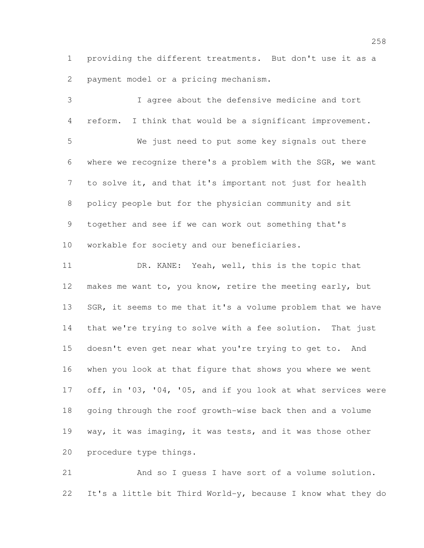providing the different treatments. But don't use it as a payment model or a pricing mechanism.

 I agree about the defensive medicine and tort reform. I think that would be a significant improvement. We just need to put some key signals out there where we recognize there's a problem with the SGR, we want to solve it, and that it's important not just for health policy people but for the physician community and sit together and see if we can work out something that's workable for society and our beneficiaries. DR. KANE: Yeah, well, this is the topic that makes me want to, you know, retire the meeting early, but 13 SGR, it seems to me that it's a volume problem that we have that we're trying to solve with a fee solution. That just doesn't even get near what you're trying to get to. And when you look at that figure that shows you where we went off, in '03, '04, '05, and if you look at what services were going through the roof growth-wise back then and a volume way, it was imaging, it was tests, and it was those other

procedure type things.

 And so I guess I have sort of a volume solution. It's a little bit Third World-y, because I know what they do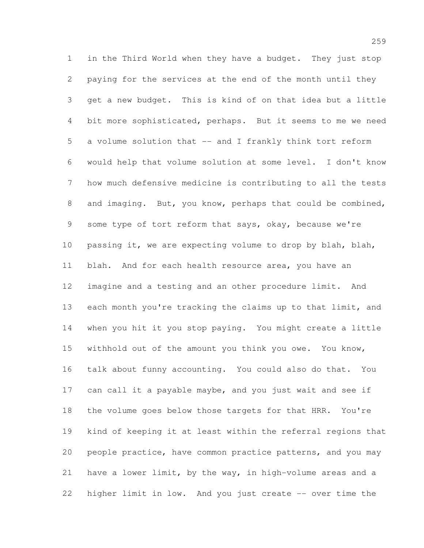in the Third World when they have a budget. They just stop paying for the services at the end of the month until they get a new budget. This is kind of on that idea but a little bit more sophisticated, perhaps. But it seems to me we need a volume solution that -- and I frankly think tort reform would help that volume solution at some level. I don't know how much defensive medicine is contributing to all the tests and imaging. But, you know, perhaps that could be combined, some type of tort reform that says, okay, because we're passing it, we are expecting volume to drop by blah, blah, blah. And for each health resource area, you have an imagine and a testing and an other procedure limit. And each month you're tracking the claims up to that limit, and when you hit it you stop paying. You might create a little withhold out of the amount you think you owe. You know, talk about funny accounting. You could also do that. You 17 can call it a payable maybe, and you just wait and see if the volume goes below those targets for that HRR. You're kind of keeping it at least within the referral regions that people practice, have common practice patterns, and you may have a lower limit, by the way, in high-volume areas and a 22 higher limit in low. And you just create -- over time the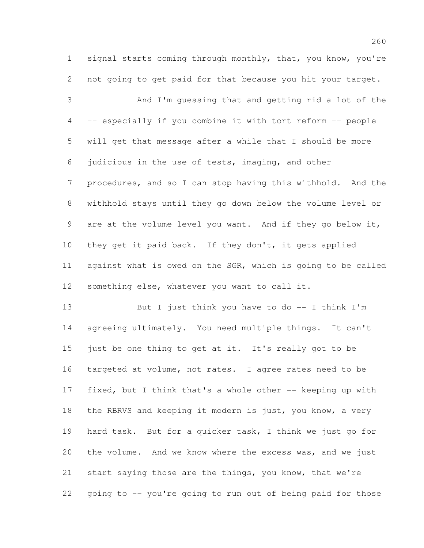signal starts coming through monthly, that, you know, you're not going to get paid for that because you hit your target.

 And I'm guessing that and getting rid a lot of the -- especially if you combine it with tort reform -- people will get that message after a while that I should be more judicious in the use of tests, imaging, and other procedures, and so I can stop having this withhold. And the withhold stays until they go down below the volume level or are at the volume level you want. And if they go below it, they get it paid back. If they don't, it gets applied against what is owed on the SGR, which is going to be called something else, whatever you want to call it.

 But I just think you have to do -- I think I'm agreeing ultimately. You need multiple things. It can't just be one thing to get at it. It's really got to be targeted at volume, not rates. I agree rates need to be fixed, but I think that's a whole other -- keeping up with the RBRVS and keeping it modern is just, you know, a very hard task. But for a quicker task, I think we just go for the volume. And we know where the excess was, and we just start saying those are the things, you know, that we're going to -- you're going to run out of being paid for those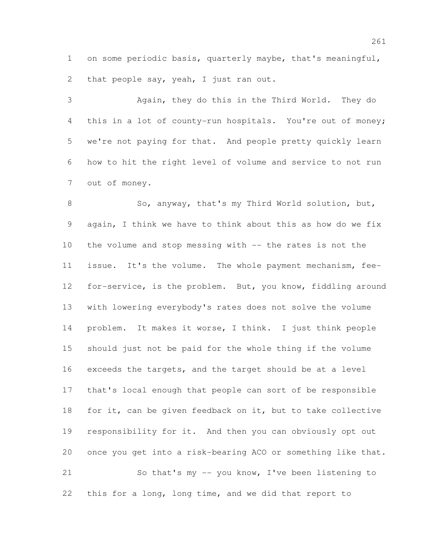on some periodic basis, quarterly maybe, that's meaningful, 2 that people say, yeah, I just ran out.

 Again, they do this in the Third World. They do 4 this in a lot of county-run hospitals. You're out of money; we're not paying for that. And people pretty quickly learn how to hit the right level of volume and service to not run out of money.

8 So, anyway, that's my Third World solution, but, again, I think we have to think about this as how do we fix 10 the volume and stop messing with -- the rates is not the issue. It's the volume. The whole payment mechanism, fee- for-service, is the problem. But, you know, fiddling around with lowering everybody's rates does not solve the volume problem. It makes it worse, I think. I just think people should just not be paid for the whole thing if the volume exceeds the targets, and the target should be at a level that's local enough that people can sort of be responsible for it, can be given feedback on it, but to take collective responsibility for it. And then you can obviously opt out once you get into a risk-bearing ACO or something like that. So that's my -- you know, I've been listening to this for a long, long time, and we did that report to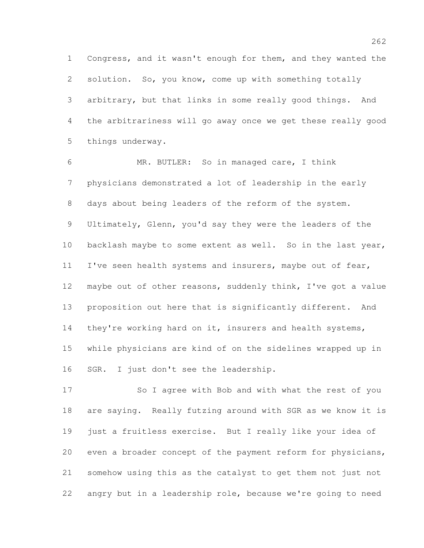Congress, and it wasn't enough for them, and they wanted the 2 solution. So, you know, come up with something totally arbitrary, but that links in some really good things. And the arbitrariness will go away once we get these really good things underway.

 MR. BUTLER: So in managed care, I think physicians demonstrated a lot of leadership in the early days about being leaders of the reform of the system. Ultimately, Glenn, you'd say they were the leaders of the 10 backlash maybe to some extent as well. So in the last year, 11 I've seen health systems and insurers, maybe out of fear, maybe out of other reasons, suddenly think, I've got a value proposition out here that is significantly different. And 14 they're working hard on it, insurers and health systems, while physicians are kind of on the sidelines wrapped up in SGR. I just don't see the leadership.

 So I agree with Bob and with what the rest of you are saying. Really futzing around with SGR as we know it is just a fruitless exercise. But I really like your idea of even a broader concept of the payment reform for physicians, somehow using this as the catalyst to get them not just not angry but in a leadership role, because we're going to need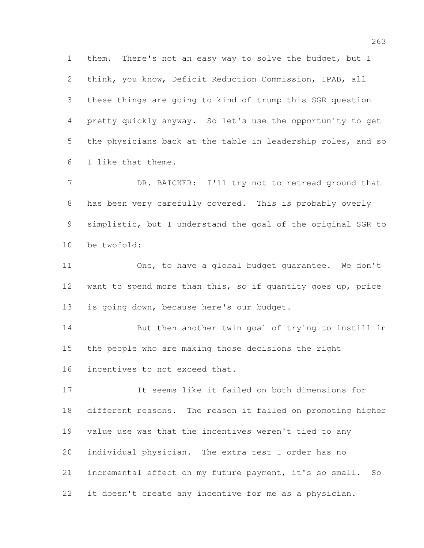them. There's not an easy way to solve the budget, but I think, you know, Deficit Reduction Commission, IPAB, all these things are going to kind of trump this SGR question pretty quickly anyway. So let's use the opportunity to get the physicians back at the table in leadership roles, and so I like that theme.

7 DR. BAICKER: I'll try not to retread ground that has been very carefully covered. This is probably overly simplistic, but I understand the goal of the original SGR to be twofold:

 One, to have a global budget guarantee. We don't want to spend more than this, so if quantity goes up, price is going down, because here's our budget.

 But then another twin goal of trying to instill in the people who are making those decisions the right incentives to not exceed that.

 It seems like it failed on both dimensions for different reasons. The reason it failed on promoting higher value use was that the incentives weren't tied to any individual physician. The extra test I order has no incremental effect on my future payment, it's so small. So it doesn't create any incentive for me as a physician.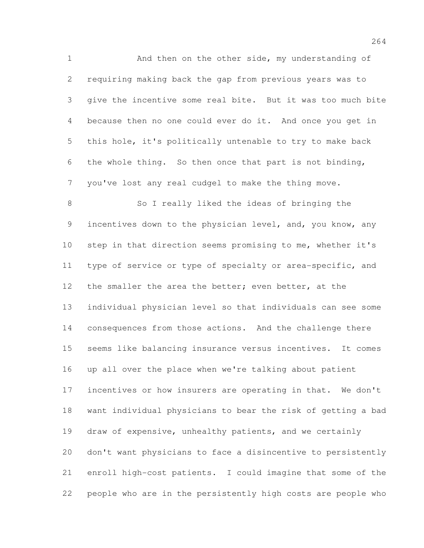1 And then on the other side, my understanding of requiring making back the gap from previous years was to give the incentive some real bite. But it was too much bite because then no one could ever do it. And once you get in this hole, it's politically untenable to try to make back the whole thing. So then once that part is not binding, you've lost any real cudgel to make the thing move.

8 So I really liked the ideas of bringing the 9 incentives down to the physician level, and, you know, any step in that direction seems promising to me, whether it's type of service or type of specialty or area-specific, and 12 the smaller the area the better; even better, at the individual physician level so that individuals can see some consequences from those actions. And the challenge there seems like balancing insurance versus incentives. It comes up all over the place when we're talking about patient incentives or how insurers are operating in that. We don't want individual physicians to bear the risk of getting a bad draw of expensive, unhealthy patients, and we certainly don't want physicians to face a disincentive to persistently enroll high-cost patients. I could imagine that some of the people who are in the persistently high costs are people who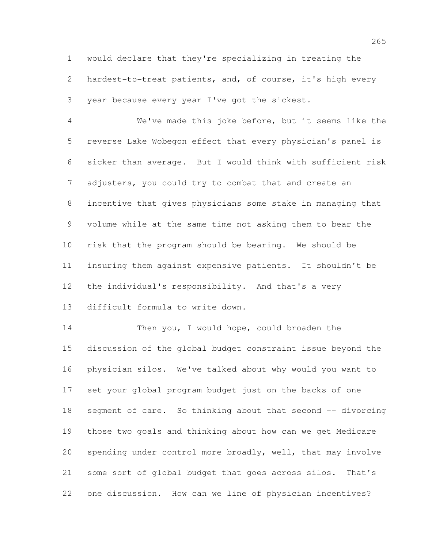would declare that they're specializing in treating the 2 hardest-to-treat patients, and, of course, it's high every year because every year I've got the sickest.

 We've made this joke before, but it seems like the reverse Lake Wobegon effect that every physician's panel is sicker than average. But I would think with sufficient risk adjusters, you could try to combat that and create an incentive that gives physicians some stake in managing that volume while at the same time not asking them to bear the risk that the program should be bearing. We should be insuring them against expensive patients. It shouldn't be the individual's responsibility. And that's a very difficult formula to write down.

 Then you, I would hope, could broaden the discussion of the global budget constraint issue beyond the physician silos. We've talked about why would you want to set your global program budget just on the backs of one 18 segment of care. So thinking about that second -- divorcing those two goals and thinking about how can we get Medicare spending under control more broadly, well, that may involve some sort of global budget that goes across silos. That's one discussion. How can we line of physician incentives?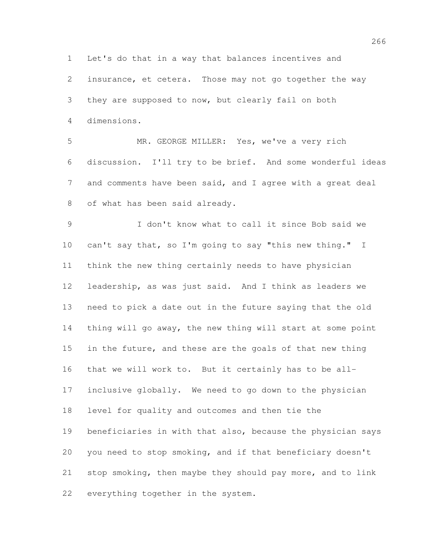Let's do that in a way that balances incentives and

 insurance, et cetera. Those may not go together the way they are supposed to now, but clearly fail on both dimensions.

 MR. GEORGE MILLER: Yes, we've a very rich discussion. I'll try to be brief. And some wonderful ideas and comments have been said, and I agree with a great deal of what has been said already.

 I don't know what to call it since Bob said we can't say that, so I'm going to say "this new thing." I think the new thing certainly needs to have physician leadership, as was just said. And I think as leaders we need to pick a date out in the future saying that the old thing will go away, the new thing will start at some point 15 in the future, and these are the goals of that new thing that we will work to. But it certainly has to be all- inclusive globally. We need to go down to the physician level for quality and outcomes and then tie the beneficiaries in with that also, because the physician says you need to stop smoking, and if that beneficiary doesn't stop smoking, then maybe they should pay more, and to link everything together in the system.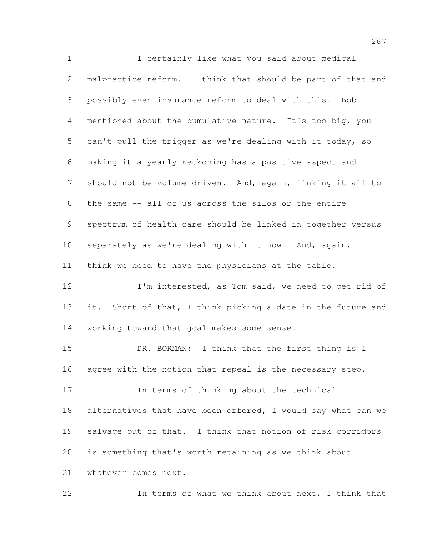I certainly like what you said about medical malpractice reform. I think that should be part of that and possibly even insurance reform to deal with this. Bob mentioned about the cumulative nature. It's too big, you can't pull the trigger as we're dealing with it today, so making it a yearly reckoning has a positive aspect and should not be volume driven. And, again, linking it all to the same -- all of us across the silos or the entire spectrum of health care should be linked in together versus separately as we're dealing with it now. And, again, I think we need to have the physicians at the table. I'm interested, as Tom said, we need to get rid of 13 it. Short of that, I think picking a date in the future and working toward that goal makes some sense.

 DR. BORMAN: I think that the first thing is I agree with the notion that repeal is the necessary step.

 In terms of thinking about the technical 18 alternatives that have been offered, I would say what can we salvage out of that. I think that notion of risk corridors is something that's worth retaining as we think about whatever comes next.

In terms of what we think about next, I think that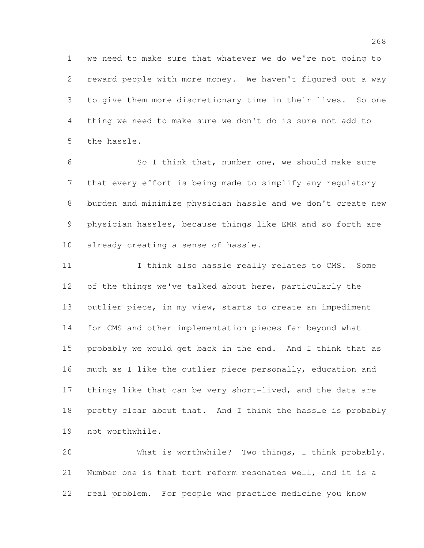we need to make sure that whatever we do we're not going to reward people with more money. We haven't figured out a way to give them more discretionary time in their lives. So one thing we need to make sure we don't do is sure not add to the hassle.

 So I think that, number one, we should make sure that every effort is being made to simplify any regulatory burden and minimize physician hassle and we don't create new physician hassles, because things like EMR and so forth are already creating a sense of hassle.

11 11 I think also hassle really relates to CMS. Some of the things we've talked about here, particularly the outlier piece, in my view, starts to create an impediment for CMS and other implementation pieces far beyond what probably we would get back in the end. And I think that as much as I like the outlier piece personally, education and 17 things like that can be very short-lived, and the data are pretty clear about that. And I think the hassle is probably not worthwhile.

 What is worthwhile? Two things, I think probably. Number one is that tort reform resonates well, and it is a real problem. For people who practice medicine you know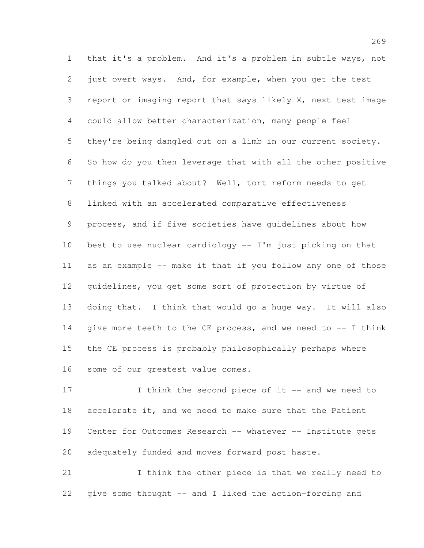that it's a problem. And it's a problem in subtle ways, not just overt ways. And, for example, when you get the test report or imaging report that says likely X, next test image could allow better characterization, many people feel they're being dangled out on a limb in our current society. So how do you then leverage that with all the other positive things you talked about? Well, tort reform needs to get linked with an accelerated comparative effectiveness process, and if five societies have guidelines about how best to use nuclear cardiology -- I'm just picking on that as an example -- make it that if you follow any one of those guidelines, you get some sort of protection by virtue of doing that. I think that would go a huge way. It will also give more teeth to the CE process, and we need to -- I think the CE process is probably philosophically perhaps where some of our greatest value comes.

17 I think the second piece of it -- and we need to accelerate it, and we need to make sure that the Patient Center for Outcomes Research -- whatever -- Institute gets adequately funded and moves forward post haste.

 I think the other piece is that we really need to give some thought -- and I liked the action-forcing and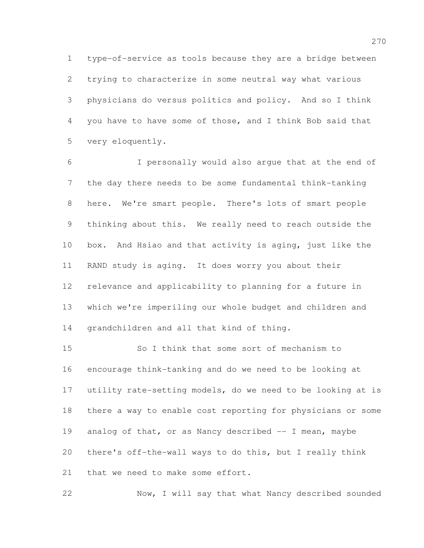type-of-service as tools because they are a bridge between trying to characterize in some neutral way what various physicians do versus politics and policy. And so I think you have to have some of those, and I think Bob said that very eloquently.

 I personally would also argue that at the end of the day there needs to be some fundamental think-tanking here. We're smart people. There's lots of smart people thinking about this. We really need to reach outside the box. And Hsiao and that activity is aging, just like the RAND study is aging. It does worry you about their relevance and applicability to planning for a future in which we're imperiling our whole budget and children and grandchildren and all that kind of thing.

 So I think that some sort of mechanism to encourage think-tanking and do we need to be looking at utility rate-setting models, do we need to be looking at is there a way to enable cost reporting for physicians or some analog of that, or as Nancy described -- I mean, maybe there's off-the-wall ways to do this, but I really think 21 that we need to make some effort.

Now, I will say that what Nancy described sounded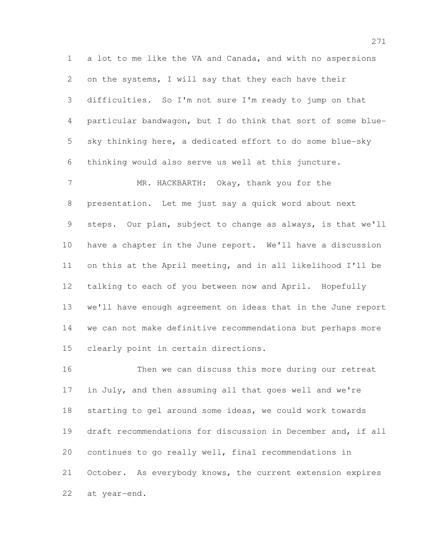a lot to me like the VA and Canada, and with no aspersions on the systems, I will say that they each have their difficulties. So I'm not sure I'm ready to jump on that particular bandwagon, but I do think that sort of some blue- sky thinking here, a dedicated effort to do some blue-sky thinking would also serve us well at this juncture. 7 MR. HACKBARTH: Okay, thank you for the presentation. Let me just say a quick word about next steps. Our plan, subject to change as always, is that we'll have a chapter in the June report. We'll have a discussion on this at the April meeting, and in all likelihood I'll be talking to each of you between now and April. Hopefully we'll have enough agreement on ideas that in the June report we can not make definitive recommendations but perhaps more

clearly point in certain directions.

 Then we can discuss this more during our retreat in July, and then assuming all that goes well and we're starting to gel around some ideas, we could work towards draft recommendations for discussion in December and, if all continues to go really well, final recommendations in October. As everybody knows, the current extension expires at year-end.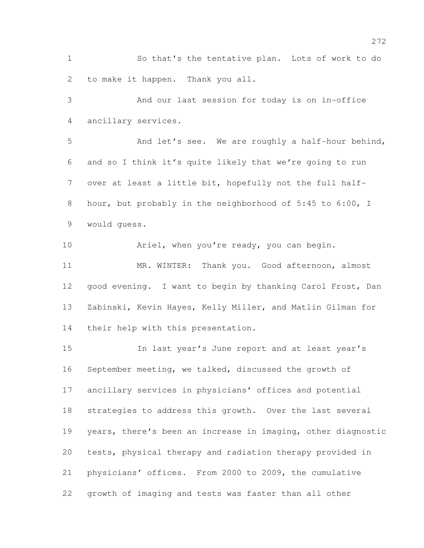So that's the tentative plan. Lots of work to do to make it happen. Thank you all.

 And our last session for today is on in-office ancillary services.

5 And let's see. We are roughly a half-hour behind, and so I think it's quite likely that we're going to run over at least a little bit, hopefully not the full half- hour, but probably in the neighborhood of 5:45 to 6:00, I would guess.

10 Ariel, when you're ready, you can begin. MR. WINTER: Thank you. Good afternoon, almost good evening. I want to begin by thanking Carol Frost, Dan Zabinski, Kevin Hayes, Kelly Miller, and Matlin Gilman for their help with this presentation.

 In last year's June report and at least year's September meeting, we talked, discussed the growth of ancillary services in physicians' offices and potential strategies to address this growth. Over the last several years, there's been an increase in imaging, other diagnostic tests, physical therapy and radiation therapy provided in physicians' offices. From 2000 to 2009, the cumulative growth of imaging and tests was faster than all other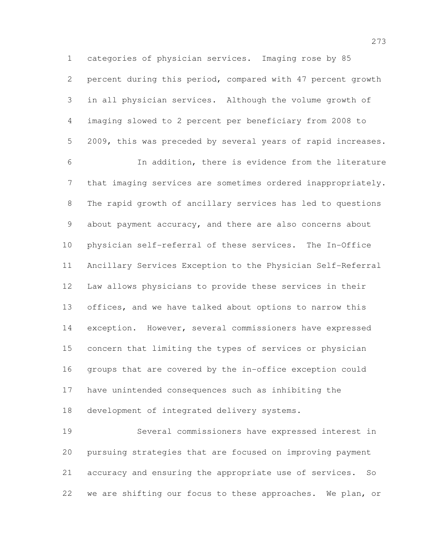categories of physician services. Imaging rose by 85 percent during this period, compared with 47 percent growth in all physician services. Although the volume growth of imaging slowed to 2 percent per beneficiary from 2008 to 2009, this was preceded by several years of rapid increases. In addition, there is evidence from the literature that imaging services are sometimes ordered inappropriately. The rapid growth of ancillary services has led to questions about payment accuracy, and there are also concerns about physician self-referral of these services. The In-Office Ancillary Services Exception to the Physician Self-Referral Law allows physicians to provide these services in their offices, and we have talked about options to narrow this exception. However, several commissioners have expressed concern that limiting the types of services or physician groups that are covered by the in-office exception could have unintended consequences such as inhibiting the development of integrated delivery systems.

 Several commissioners have expressed interest in pursuing strategies that are focused on improving payment accuracy and ensuring the appropriate use of services. So we are shifting our focus to these approaches. We plan, or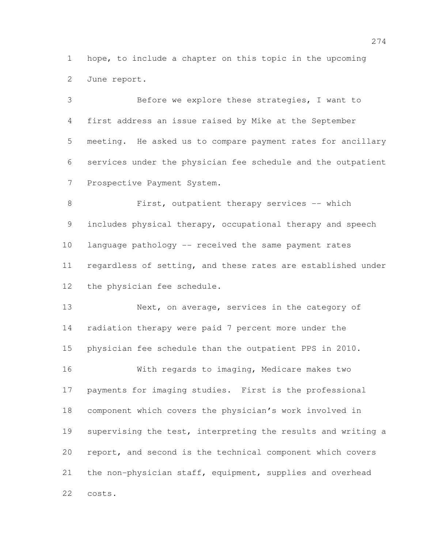hope, to include a chapter on this topic in the upcoming June report.

 Before we explore these strategies, I want to first address an issue raised by Mike at the September meeting. He asked us to compare payment rates for ancillary services under the physician fee schedule and the outpatient Prospective Payment System.

8 First, outpatient therapy services -- which includes physical therapy, occupational therapy and speech language pathology -- received the same payment rates regardless of setting, and these rates are established under the physician fee schedule.

13 Next, on average, services in the category of radiation therapy were paid 7 percent more under the physician fee schedule than the outpatient PPS in 2010.

 With regards to imaging, Medicare makes two payments for imaging studies. First is the professional component which covers the physician's work involved in supervising the test, interpreting the results and writing a report, and second is the technical component which covers the non-physician staff, equipment, supplies and overhead costs.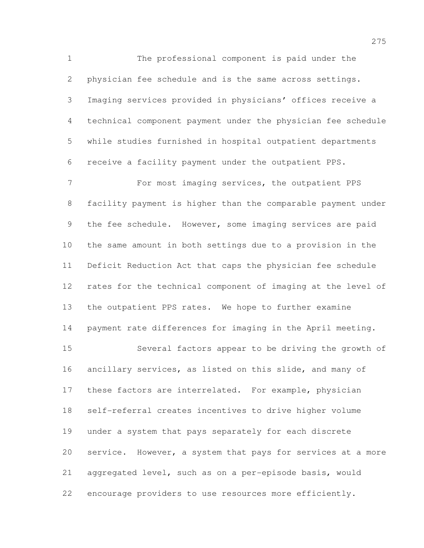The professional component is paid under the physician fee schedule and is the same across settings. Imaging services provided in physicians' offices receive a technical component payment under the physician fee schedule while studies furnished in hospital outpatient departments receive a facility payment under the outpatient PPS. For most imaging services, the outpatient PPS facility payment is higher than the comparable payment under the fee schedule. However, some imaging services are paid the same amount in both settings due to a provision in the Deficit Reduction Act that caps the physician fee schedule rates for the technical component of imaging at the level of the outpatient PPS rates. We hope to further examine payment rate differences for imaging in the April meeting. Several factors appear to be driving the growth of ancillary services, as listed on this slide, and many of 17 these factors are interrelated. For example, physician self-referral creates incentives to drive higher volume under a system that pays separately for each discrete service. However, a system that pays for services at a more aggregated level, such as on a per-episode basis, would

encourage providers to use resources more efficiently.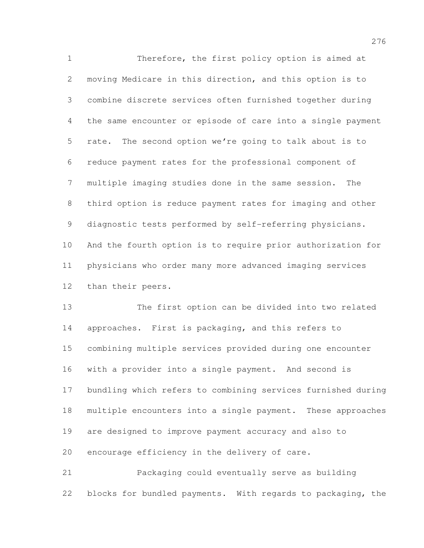Therefore, the first policy option is aimed at moving Medicare in this direction, and this option is to combine discrete services often furnished together during the same encounter or episode of care into a single payment rate. The second option we're going to talk about is to reduce payment rates for the professional component of multiple imaging studies done in the same session. The third option is reduce payment rates for imaging and other diagnostic tests performed by self-referring physicians. And the fourth option is to require prior authorization for physicians who order many more advanced imaging services than their peers.

 The first option can be divided into two related approaches. First is packaging, and this refers to combining multiple services provided during one encounter with a provider into a single payment. And second is bundling which refers to combining services furnished during multiple encounters into a single payment. These approaches are designed to improve payment accuracy and also to encourage efficiency in the delivery of care.

 Packaging could eventually serve as building blocks for bundled payments. With regards to packaging, the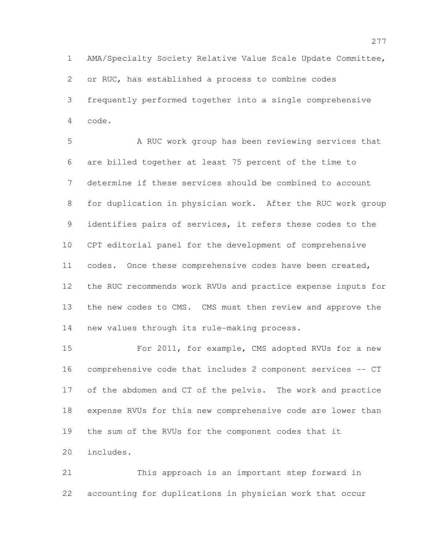AMA/Specialty Society Relative Value Scale Update Committee, or RUC, has established a process to combine codes frequently performed together into a single comprehensive code.

 A RUC work group has been reviewing services that are billed together at least 75 percent of the time to determine if these services should be combined to account for duplication in physician work. After the RUC work group 9 identifies pairs of services, it refers these codes to the CPT editorial panel for the development of comprehensive codes. Once these comprehensive codes have been created, the RUC recommends work RVUs and practice expense inputs for the new codes to CMS. CMS must then review and approve the new values through its rule-making process.

 For 2011, for example, CMS adopted RVUs for a new comprehensive code that includes 2 component services -- CT of the abdomen and CT of the pelvis. The work and practice expense RVUs for this new comprehensive code are lower than the sum of the RVUs for the component codes that it includes.

 This approach is an important step forward in accounting for duplications in physician work that occur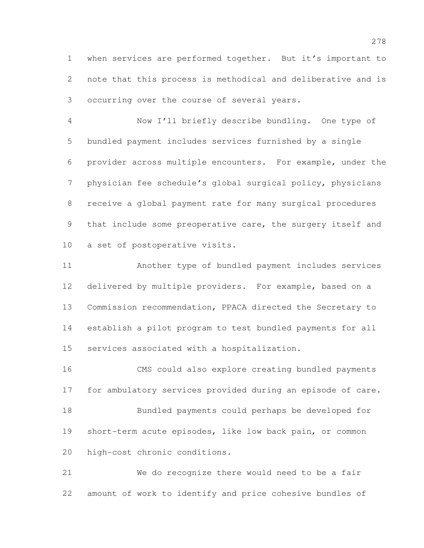when services are performed together. But it's important to note that this process is methodical and deliberative and is occurring over the course of several years.

 Now I'll briefly describe bundling. One type of bundled payment includes services furnished by a single provider across multiple encounters. For example, under the physician fee schedule's global surgical policy, physicians receive a global payment rate for many surgical procedures 9 that include some preoperative care, the surgery itself and a set of postoperative visits.

 Another type of bundled payment includes services delivered by multiple providers. For example, based on a Commission recommendation, PPACA directed the Secretary to establish a pilot program to test bundled payments for all services associated with a hospitalization.

 CMS could also explore creating bundled payments for ambulatory services provided during an episode of care. Bundled payments could perhaps be developed for short-term acute episodes, like low back pain, or common high-cost chronic conditions.

 We do recognize there would need to be a fair amount of work to identify and price cohesive bundles of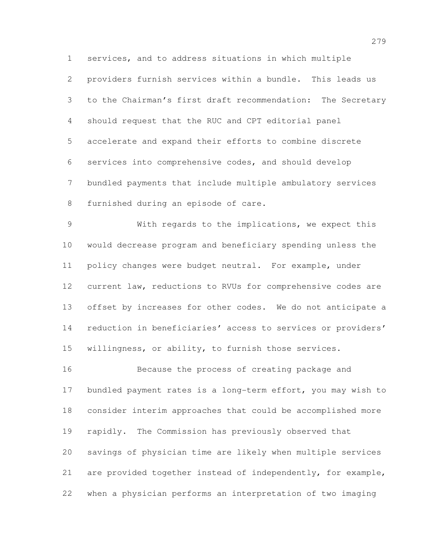services, and to address situations in which multiple providers furnish services within a bundle. This leads us to the Chairman's first draft recommendation: The Secretary should request that the RUC and CPT editorial panel accelerate and expand their efforts to combine discrete services into comprehensive codes, and should develop bundled payments that include multiple ambulatory services furnished during an episode of care.

 With regards to the implications, we expect this would decrease program and beneficiary spending unless the policy changes were budget neutral. For example, under current law, reductions to RVUs for comprehensive codes are offset by increases for other codes. We do not anticipate a reduction in beneficiaries' access to services or providers' willingness, or ability, to furnish those services.

 Because the process of creating package and bundled payment rates is a long-term effort, you may wish to consider interim approaches that could be accomplished more rapidly. The Commission has previously observed that savings of physician time are likely when multiple services are provided together instead of independently, for example, when a physician performs an interpretation of two imaging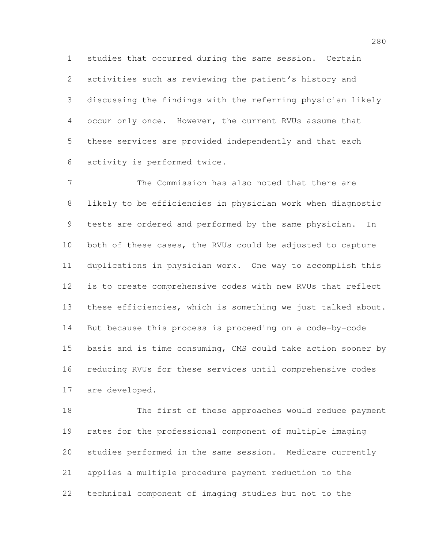studies that occurred during the same session. Certain activities such as reviewing the patient's history and discussing the findings with the referring physician likely occur only once. However, the current RVUs assume that these services are provided independently and that each activity is performed twice.

 The Commission has also noted that there are likely to be efficiencies in physician work when diagnostic tests are ordered and performed by the same physician. In both of these cases, the RVUs could be adjusted to capture duplications in physician work. One way to accomplish this is to create comprehensive codes with new RVUs that reflect these efficiencies, which is something we just talked about. But because this process is proceeding on a code-by-code basis and is time consuming, CMS could take action sooner by reducing RVUs for these services until comprehensive codes are developed.

 The first of these approaches would reduce payment rates for the professional component of multiple imaging studies performed in the same session. Medicare currently applies a multiple procedure payment reduction to the technical component of imaging studies but not to the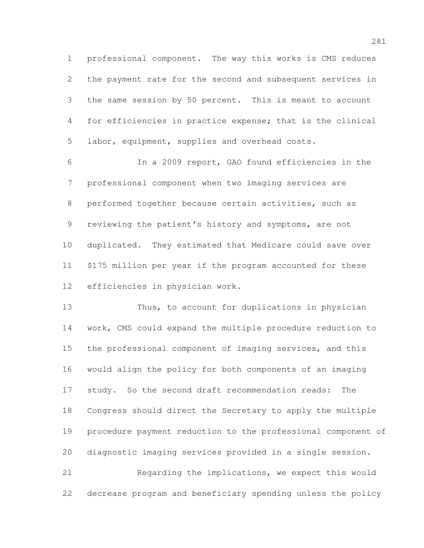professional component. The way this works is CMS reduces the payment rate for the second and subsequent services in the same session by 50 percent. This is meant to account for efficiencies in practice expense; that is the clinical labor, equipment, supplies and overhead costs.

 In a 2009 report, GAO found efficiencies in the professional component when two imaging services are performed together because certain activities, such as reviewing the patient's history and symptoms, are not duplicated. They estimated that Medicare could save over \$175 million per year if the program accounted for these efficiencies in physician work.

 Thus, to account for duplications in physician work, CMS could expand the multiple procedure reduction to the professional component of imaging services, and this would align the policy for both components of an imaging study. So the second draft recommendation reads: The Congress should direct the Secretary to apply the multiple procedure payment reduction to the professional component of diagnostic imaging services provided in a single session. Regarding the implications, we expect this would

decrease program and beneficiary spending unless the policy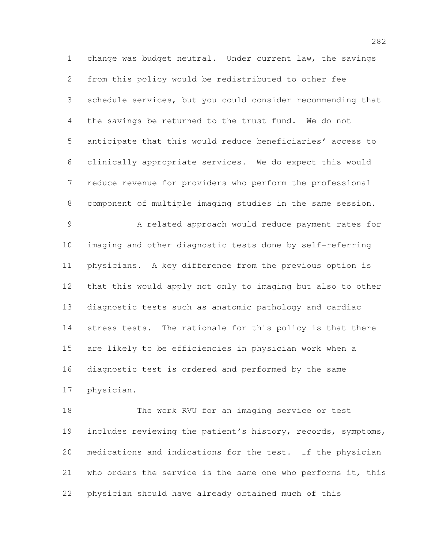change was budget neutral. Under current law, the savings from this policy would be redistributed to other fee schedule services, but you could consider recommending that the savings be returned to the trust fund. We do not anticipate that this would reduce beneficiaries' access to clinically appropriate services. We do expect this would reduce revenue for providers who perform the professional component of multiple imaging studies in the same session. 9 A related approach would reduce payment rates for imaging and other diagnostic tests done by self-referring physicians. A key difference from the previous option is that this would apply not only to imaging but also to other diagnostic tests such as anatomic pathology and cardiac 14 stress tests. The rationale for this policy is that there are likely to be efficiencies in physician work when a diagnostic test is ordered and performed by the same physician.

 The work RVU for an imaging service or test includes reviewing the patient's history, records, symptoms, medications and indications for the test. If the physician who orders the service is the same one who performs it, this physician should have already obtained much of this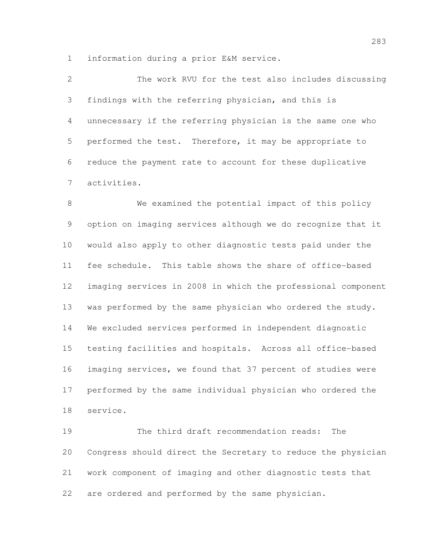information during a prior E&M service.

| 2              | The work RVU for the test also includes discussing         |
|----------------|------------------------------------------------------------|
| 3              | findings with the referring physician, and this is         |
| 4              | unnecessary if the referring physician is the same one who |
| 5 <sub>1</sub> | performed the test. Therefore, it may be appropriate to    |
| 6              | reduce the payment rate to account for these duplicative   |
| 7              | activities.                                                |

 We examined the potential impact of this policy option on imaging services although we do recognize that it would also apply to other diagnostic tests paid under the fee schedule. This table shows the share of office-based imaging services in 2008 in which the professional component was performed by the same physician who ordered the study. We excluded services performed in independent diagnostic testing facilities and hospitals. Across all office-based imaging services, we found that 37 percent of studies were performed by the same individual physician who ordered the service.

 The third draft recommendation reads: The Congress should direct the Secretary to reduce the physician work component of imaging and other diagnostic tests that are ordered and performed by the same physician.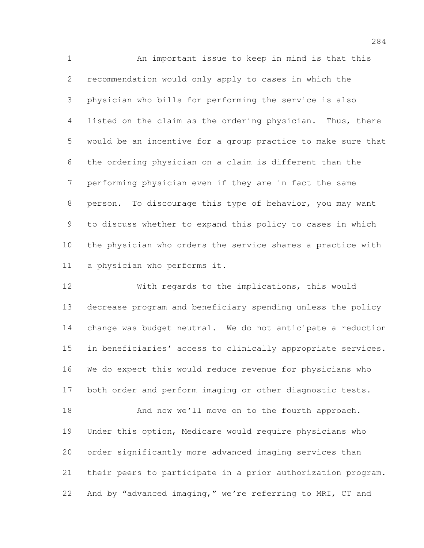An important issue to keep in mind is that this recommendation would only apply to cases in which the physician who bills for performing the service is also listed on the claim as the ordering physician. Thus, there would be an incentive for a group practice to make sure that the ordering physician on a claim is different than the performing physician even if they are in fact the same person. To discourage this type of behavior, you may want to discuss whether to expand this policy to cases in which the physician who orders the service shares a practice with a physician who performs it.

 With regards to the implications, this would decrease program and beneficiary spending unless the policy change was budget neutral. We do not anticipate a reduction in beneficiaries' access to clinically appropriate services. We do expect this would reduce revenue for physicians who both order and perform imaging or other diagnostic tests.

18 And now we'll move on to the fourth approach. Under this option, Medicare would require physicians who order significantly more advanced imaging services than their peers to participate in a prior authorization program. And by "advanced imaging," we're referring to MRI, CT and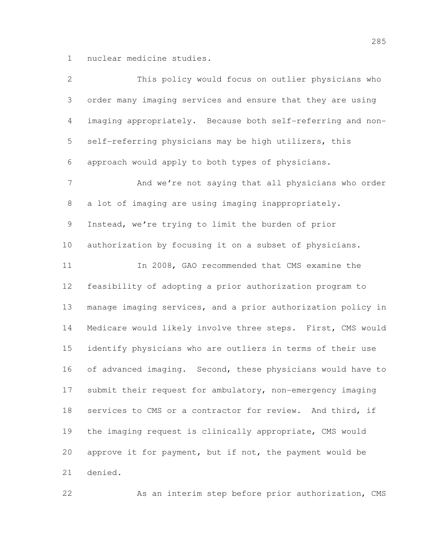nuclear medicine studies.

| $\overline{2}$ | This policy would focus on outlier physicians who            |
|----------------|--------------------------------------------------------------|
| 3              | order many imaging services and ensure that they are using   |
| $\overline{4}$ | imaging appropriately. Because both self-referring and non-  |
| 5              | self-referring physicians may be high utilizers, this        |
| 6              | approach would apply to both types of physicians.            |
| $\overline{7}$ | And we're not saying that all physicians who order           |
| $8\,$          | a lot of imaging are using imaging inappropriately.          |
| $\mathsf 9$    | Instead, we're trying to limit the burden of prior           |
| 10             | authorization by focusing it on a subset of physicians.      |
| 11             | In 2008, GAO recommended that CMS examine the                |
| 12             | feasibility of adopting a prior authorization program to     |
| 13             | manage imaging services, and a prior authorization policy in |
| 14             | Medicare would likely involve three steps. First, CMS would  |
| 15             | identify physicians who are outliers in terms of their use   |
| 16             | of advanced imaging. Second, these physicians would have to  |
| 17             | submit their request for ambulatory, non-emergency imaging   |
| 18             | services to CMS or a contractor for review. And third, if    |
| 19             | the imaging request is clinically appropriate, CMS would     |
| 20             | approve it for payment, but if not, the payment would be     |
| 21             | denied.                                                      |

As an interim step before prior authorization, CMS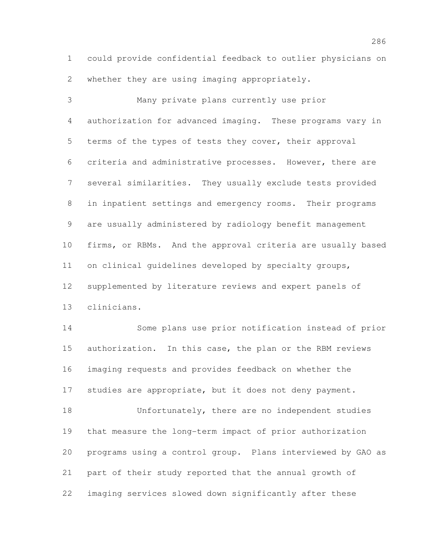could provide confidential feedback to outlier physicians on whether they are using imaging appropriately.

 Many private plans currently use prior authorization for advanced imaging. These programs vary in terms of the types of tests they cover, their approval criteria and administrative processes. However, there are several similarities. They usually exclude tests provided in inpatient settings and emergency rooms. Their programs are usually administered by radiology benefit management firms, or RBMs. And the approval criteria are usually based on clinical guidelines developed by specialty groups, supplemented by literature reviews and expert panels of clinicians.

 Some plans use prior notification instead of prior authorization. In this case, the plan or the RBM reviews imaging requests and provides feedback on whether the 17 studies are appropriate, but it does not deny payment. Unfortunately, there are no independent studies that measure the long-term impact of prior authorization

 programs using a control group. Plans interviewed by GAO as part of their study reported that the annual growth of imaging services slowed down significantly after these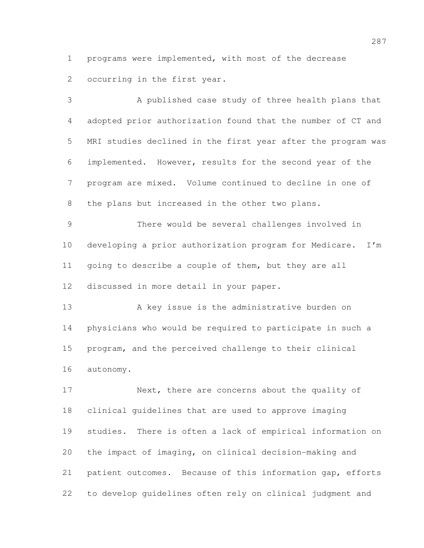programs were implemented, with most of the decrease occurring in the first year.

 A published case study of three health plans that adopted prior authorization found that the number of CT and MRI studies declined in the first year after the program was implemented. However, results for the second year of the program are mixed. Volume continued to decline in one of the plans but increased in the other two plans. There would be several challenges involved in developing a prior authorization program for Medicare. I'm going to describe a couple of them, but they are all discussed in more detail in your paper.

13 A key issue is the administrative burden on physicians who would be required to participate in such a program, and the perceived challenge to their clinical autonomy.

 Next, there are concerns about the quality of clinical guidelines that are used to approve imaging studies. There is often a lack of empirical information on the impact of imaging, on clinical decision-making and patient outcomes. Because of this information gap, efforts to develop guidelines often rely on clinical judgment and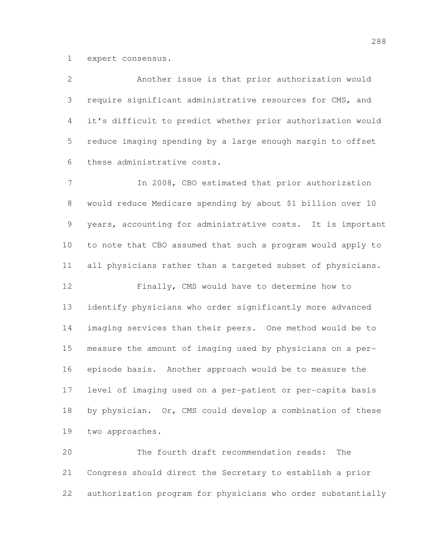expert consensus.

 Another issue is that prior authorization would require significant administrative resources for CMS, and it's difficult to predict whether prior authorization would reduce imaging spending by a large enough margin to offset these administrative costs.

 In 2008, CBO estimated that prior authorization would reduce Medicare spending by about \$1 billion over 10 years, accounting for administrative costs. It is important to note that CBO assumed that such a program would apply to all physicians rather than a targeted subset of physicians. Finally, CMS would have to determine how to identify physicians who order significantly more advanced imaging services than their peers. One method would be to measure the amount of imaging used by physicians on a per-

 episode basis. Another approach would be to measure the level of imaging used on a per-patient or per-capita basis by physician. Or, CMS could develop a combination of these two approaches.

 The fourth draft recommendation reads: The Congress should direct the Secretary to establish a prior authorization program for physicians who order substantially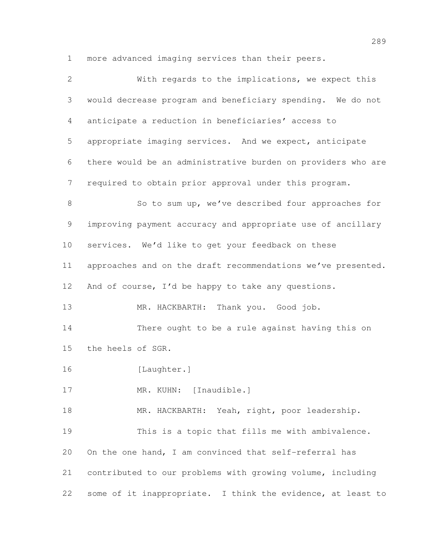more advanced imaging services than their peers.

| $\overline{2}$  | With regards to the implications, we expect this             |
|-----------------|--------------------------------------------------------------|
| 3               | would decrease program and beneficiary spending. We do not   |
| 4               | anticipate a reduction in beneficiaries' access to           |
| 5               | appropriate imaging services. And we expect, anticipate      |
| 6               | there would be an administrative burden on providers who are |
| $7\phantom{.}$  | required to obtain prior approval under this program.        |
| $8\,$           | So to sum up, we've described four approaches for            |
| 9               | improving payment accuracy and appropriate use of ancillary  |
| 10              | services. We'd like to get your feedback on these            |
| 11              | approaches and on the draft recommendations we've presented. |
| 12 <sup>°</sup> | And of course, I'd be happy to take any questions.           |
| 13              | MR. HACKBARTH: Thank you. Good job.                          |
| 14              | There ought to be a rule against having this on              |
| 15              | the heels of SGR.                                            |
| 16              | [Laughter.]                                                  |
| 17              | MR. KUHN: [Inaudible.]                                       |
| 18              | MR. HACKBARTH: Yeah, right, poor leadership.                 |
| 19              | This is a topic that fills me with ambivalence.              |
| 20              | On the one hand, I am convinced that self-referral has       |
| 21              | contributed to our problems with growing volume, including   |
| 22              | some of it inappropriate. I think the evidence, at least to  |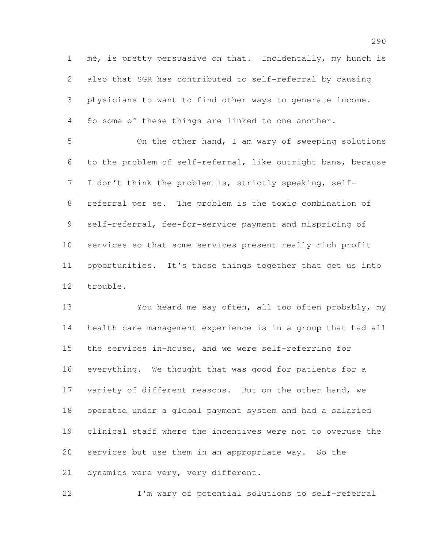me, is pretty persuasive on that. Incidentally, my hunch is also that SGR has contributed to self-referral by causing physicians to want to find other ways to generate income. So some of these things are linked to one another.

 On the other hand, I am wary of sweeping solutions to the problem of self-referral, like outright bans, because I don't think the problem is, strictly speaking, self- referral per se. The problem is the toxic combination of self-referral, fee-for-service payment and mispricing of services so that some services present really rich profit opportunities. It's those things together that get us into trouble.

 You heard me say often, all too often probably, my health care management experience is in a group that had all the services in-house, and we were self-referring for everything. We thought that was good for patients for a 17 variety of different reasons. But on the other hand, we operated under a global payment system and had a salaried clinical staff where the incentives were not to overuse the services but use them in an appropriate way. So the dynamics were very, very different.

I'm wary of potential solutions to self-referral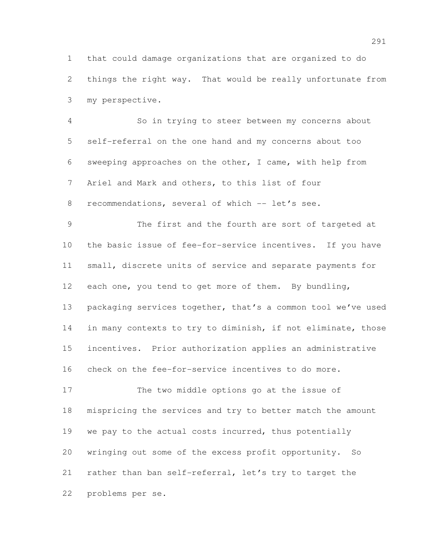that could damage organizations that are organized to do things the right way. That would be really unfortunate from my perspective.

 So in trying to steer between my concerns about self-referral on the one hand and my concerns about too sweeping approaches on the other, I came, with help from Ariel and Mark and others, to this list of four

8 recommendations, several of which -- let's see.

 The first and the fourth are sort of targeted at the basic issue of fee-for-service incentives. If you have small, discrete units of service and separate payments for each one, you tend to get more of them. By bundling, packaging services together, that's a common tool we've used in many contexts to try to diminish, if not eliminate, those incentives. Prior authorization applies an administrative check on the fee-for-service incentives to do more.

 The two middle options go at the issue of mispricing the services and try to better match the amount we pay to the actual costs incurred, thus potentially wringing out some of the excess profit opportunity. So rather than ban self-referral, let's try to target the problems per se.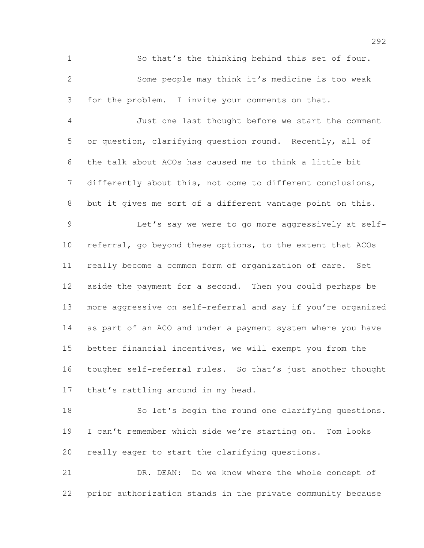So that's the thinking behind this set of four. Some people may think it's medicine is too weak for the problem. I invite your comments on that.

 Just one last thought before we start the comment or question, clarifying question round. Recently, all of the talk about ACOs has caused me to think a little bit differently about this, not come to different conclusions, but it gives me sort of a different vantage point on this. Let's say we were to go more aggressively at self- referral, go beyond these options, to the extent that ACOs really become a common form of organization of care. Set aside the payment for a second. Then you could perhaps be more aggressive on self-referral and say if you're organized as part of an ACO and under a payment system where you have better financial incentives, we will exempt you from the tougher self-referral rules. So that's just another thought 17 that's rattling around in my head.

 So let's begin the round one clarifying questions. I can't remember which side we're starting on. Tom looks really eager to start the clarifying questions.

 DR. DEAN: Do we know where the whole concept of prior authorization stands in the private community because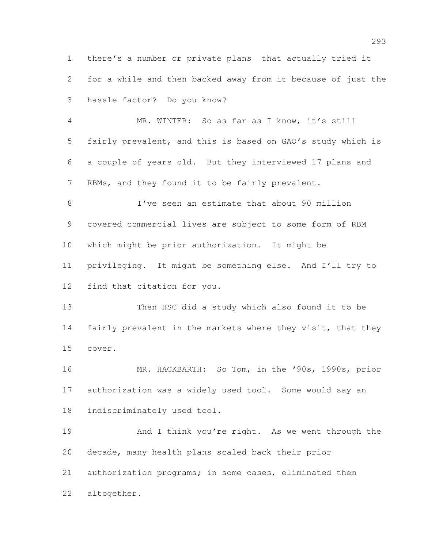there's a number or private plans that actually tried it for a while and then backed away from it because of just the hassle factor? Do you know?

 MR. WINTER: So as far as I know, it's still fairly prevalent, and this is based on GAO's study which is a couple of years old. But they interviewed 17 plans and RBMs, and they found it to be fairly prevalent.

 I've seen an estimate that about 90 million covered commercial lives are subject to some form of RBM which might be prior authorization. It might be privileging. It might be something else. And I'll try to find that citation for you.

 Then HSC did a study which also found it to be fairly prevalent in the markets where they visit, that they cover.

 MR. HACKBARTH: So Tom, in the '90s, 1990s, prior authorization was a widely used tool. Some would say an indiscriminately used tool.

19 And I think you're right. As we went through the decade, many health plans scaled back their prior authorization programs; in some cases, eliminated them altogether.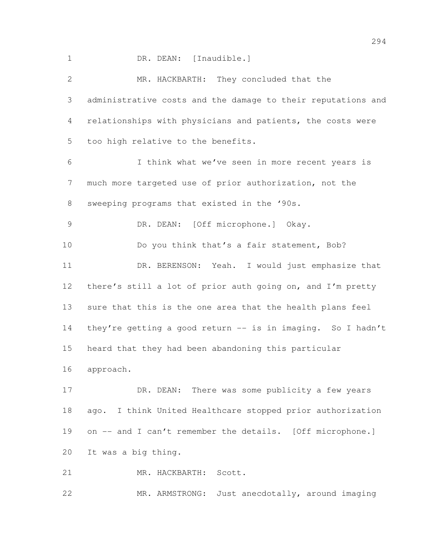1 DR. DEAN: [Inaudible.] MR. HACKBARTH: They concluded that the administrative costs and the damage to their reputations and relationships with physicians and patients, the costs were too high relative to the benefits. I think what we've seen in more recent years is much more targeted use of prior authorization, not the sweeping programs that existed in the '90s. DR. DEAN: [Off microphone.] Okay. 10 Do you think that's a fair statement, Bob? DR. BERENSON: Yeah. I would just emphasize that there's still a lot of prior auth going on, and I'm pretty sure that this is the one area that the health plans feel they're getting a good return -- is in imaging. So I hadn't heard that they had been abandoning this particular approach. 17 DR. DEAN: There was some publicity a few years ago. I think United Healthcare stopped prior authorization 19 on -- and I can't remember the details. [Off microphone.] It was a big thing. MR. HACKBARTH: Scott. MR. ARMSTRONG: Just anecdotally, around imaging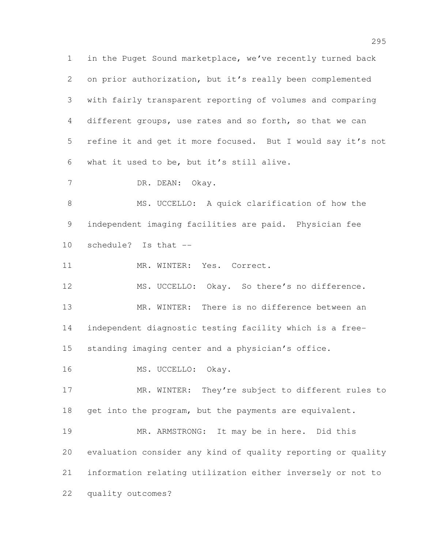in the Puget Sound marketplace, we've recently turned back on prior authorization, but it's really been complemented with fairly transparent reporting of volumes and comparing different groups, use rates and so forth, so that we can refine it and get it more focused. But I would say it's not what it used to be, but it's still alive. DR. DEAN: Okay. MS. UCCELLO: A quick clarification of how the independent imaging facilities are paid. Physician fee schedule? Is that -- 11 MR. WINTER: Yes. Correct. MS. UCCELLO: Okay. So there's no difference. MR. WINTER: There is no difference between an independent diagnostic testing facility which is a free- standing imaging center and a physician's office. 16 MS. UCCELLO: Okay. 17 MR. WINTER: They're subject to different rules to 18 get into the program, but the payments are equivalent. MR. ARMSTRONG: It may be in here. Did this evaluation consider any kind of quality reporting or quality information relating utilization either inversely or not to quality outcomes?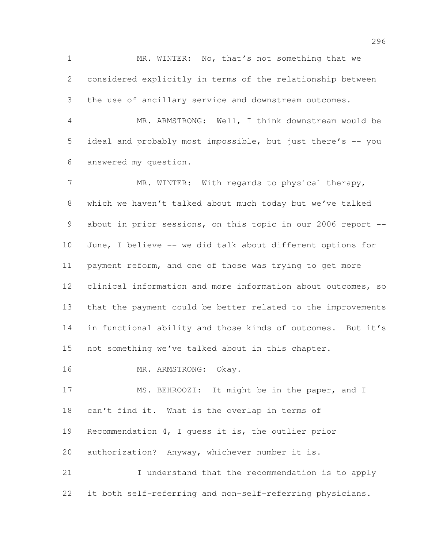1 MR. WINTER: No, that's not something that we considered explicitly in terms of the relationship between the use of ancillary service and downstream outcomes.

 MR. ARMSTRONG: Well, I think downstream would be 5 ideal and probably most impossible, but just there's -- you answered my question.

7 MR. WINTER: With regards to physical therapy, which we haven't talked about much today but we've talked 9 about in prior sessions, on this topic in our 2006 report -- June, I believe -- we did talk about different options for payment reform, and one of those was trying to get more clinical information and more information about outcomes, so that the payment could be better related to the improvements in functional ability and those kinds of outcomes. But it's not something we've talked about in this chapter.

MR. ARMSTRONG: Okay.

17 MS. BEHROOZI: It might be in the paper, and I 18 can't find it. What is the overlap in terms of Recommendation 4, I guess it is, the outlier prior authorization? Anyway, whichever number it is. I understand that the recommendation is to apply

it both self-referring and non-self-referring physicians.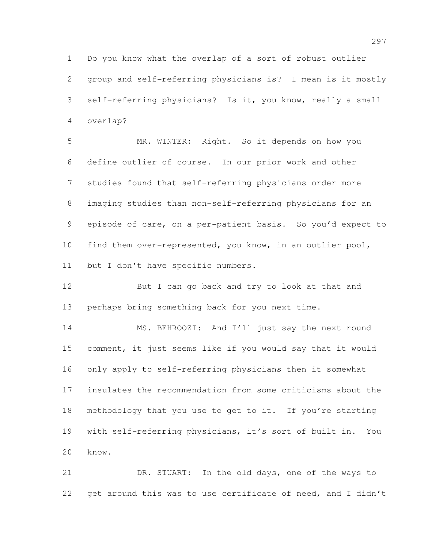Do you know what the overlap of a sort of robust outlier group and self-referring physicians is? I mean is it mostly self-referring physicians? Is it, you know, really a small overlap?

 MR. WINTER: Right. So it depends on how you define outlier of course. In our prior work and other studies found that self-referring physicians order more imaging studies than non-self-referring physicians for an episode of care, on a per-patient basis. So you'd expect to find them over-represented, you know, in an outlier pool, but I don't have specific numbers.

 But I can go back and try to look at that and perhaps bring something back for you next time.

 MS. BEHROOZI: And I'll just say the next round comment, it just seems like if you would say that it would only apply to self-referring physicians then it somewhat insulates the recommendation from some criticisms about the methodology that you use to get to it. If you're starting with self-referring physicians, it's sort of built in. You know.

 DR. STUART: In the old days, one of the ways to get around this was to use certificate of need, and I didn't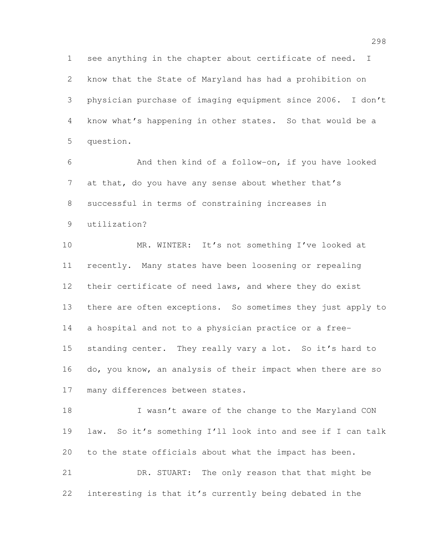see anything in the chapter about certificate of need. I know that the State of Maryland has had a prohibition on physician purchase of imaging equipment since 2006. I don't know what's happening in other states. So that would be a question.

 And then kind of a follow-on, if you have looked 7 at that, do you have any sense about whether that's successful in terms of constraining increases in utilization?

 MR. WINTER: It's not something I've looked at recently. Many states have been loosening or repealing their certificate of need laws, and where they do exist there are often exceptions. So sometimes they just apply to a hospital and not to a physician practice or a free-15 standing center. They really vary a lot. So it's hard to 16 do, you know, an analysis of their impact when there are so many differences between states.

18 I wasn't aware of the change to the Maryland CON law. So it's something I'll look into and see if I can talk to the state officials about what the impact has been. DR. STUART: The only reason that that might be

interesting is that it's currently being debated in the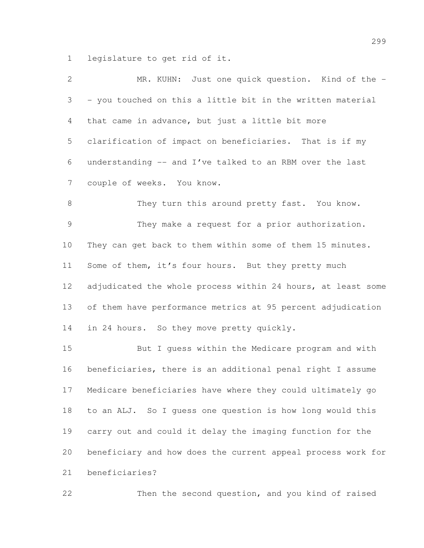legislature to get rid of it.

| 2  | MR. KUHN: Just one quick question. Kind of the -             |
|----|--------------------------------------------------------------|
| 3  | - you touched on this a little bit in the written material   |
| 4  | that came in advance, but just a little bit more             |
| 5  | clarification of impact on beneficiaries. That is if my      |
| 6  | understanding -- and I've talked to an RBM over the last     |
| 7  | couple of weeks. You know.                                   |
| 8  | They turn this around pretty fast. You know.                 |
| 9  | They make a request for a prior authorization.               |
| 10 | They can get back to them within some of them 15 minutes.    |
| 11 | Some of them, it's four hours. But they pretty much          |
| 12 | adjudicated the whole process within 24 hours, at least some |
| 13 | of them have performance metrics at 95 percent adjudication  |
| 14 | in 24 hours. So they move pretty quickly.                    |
| 15 | But I guess within the Medicare program and with             |
| 16 | beneficiaries, there is an additional penal right I assume   |
| 17 | Medicare beneficiaries have where they could ultimately go   |
| 18 | to an ALJ. So I guess one question is how long would this    |
| 19 | carry out and could it delay the imaging function for the    |
| 20 | beneficiary and how does the current appeal process work for |
| 21 | beneficiaries?                                               |
|    |                                                              |

Then the second question, and you kind of raised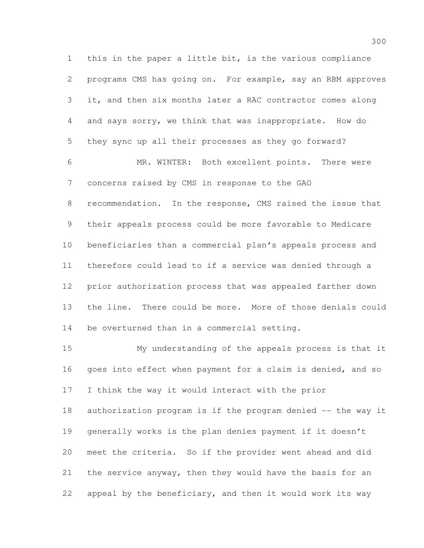this in the paper a little bit, is the various compliance programs CMS has going on. For example, say an RBM approves it, and then six months later a RAC contractor comes along and says sorry, we think that was inappropriate. How do they sync up all their processes as they go forward? MR. WINTER: Both excellent points. There were concerns raised by CMS in response to the GAO recommendation. In the response, CMS raised the issue that their appeals process could be more favorable to Medicare beneficiaries than a commercial plan's appeals process and

 therefore could lead to if a service was denied through a prior authorization process that was appealed farther down the line. There could be more. More of those denials could be overturned than in a commercial setting.

 My understanding of the appeals process is that it goes into effect when payment for a claim is denied, and so I think the way it would interact with the prior authorization program is if the program denied -- the way it generally works is the plan denies payment if it doesn't meet the criteria. So if the provider went ahead and did the service anyway, then they would have the basis for an appeal by the beneficiary, and then it would work its way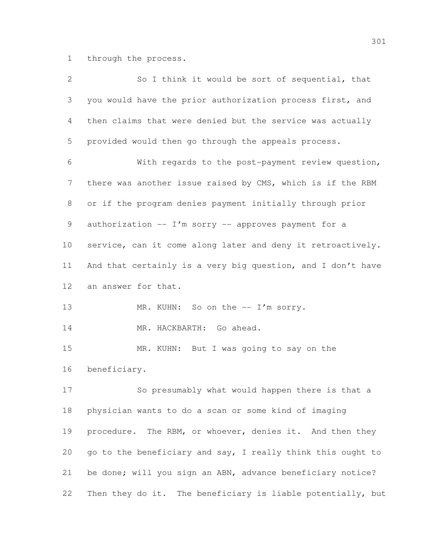through the process.

| $\mathbf 2$ | So I think it would be sort of sequential, that             |
|-------------|-------------------------------------------------------------|
| 3           | you would have the prior authorization process first, and   |
| 4           | then claims that were denied but the service was actually   |
| 5           | provided would then go through the appeals process.         |
| 6           | With regards to the post-payment review question,           |
| 7           | there was another issue raised by CMS, which is if the RBM  |
| 8           | or if the program denies payment initially through prior    |
| 9           | authorization $--$ I'm sorry $--$ approves payment for a    |
| 10          | service, can it come along later and deny it retroactively. |
| 11          | And that certainly is a very big question, and I don't have |
| 12          | an answer for that.                                         |
| 13          | MR. KUHN: So on the -- I'm sorry.                           |
| 14          | MR. HACKBARTH: Go ahead.                                    |
| 15          | MR. KUHN: But I was going to say on the                     |
| 16          | beneficiary.                                                |
| 17          | So presumably what would happen there is that a             |
| 18          | physician wants to do a scan or some kind of imaging        |
| 19          | procedure. The RBM, or whoever, denies it. And then they    |
| 20          | go to the beneficiary and say, I really think this ought to |
| 21          | be done; will you sign an ABN, advance beneficiary notice?  |
| 22          | Then they do it. The beneficiary is liable potentially, but |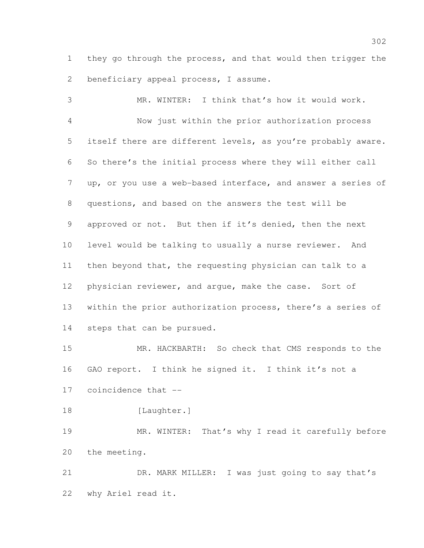they go through the process, and that would then trigger the beneficiary appeal process, I assume.

 MR. WINTER: I think that's how it would work. Now just within the prior authorization process itself there are different levels, as you're probably aware. So there's the initial process where they will either call up, or you use a web-based interface, and answer a series of questions, and based on the answers the test will be approved or not. But then if it's denied, then the next level would be talking to usually a nurse reviewer. And then beyond that, the requesting physician can talk to a physician reviewer, and argue, make the case. Sort of within the prior authorization process, there's a series of steps that can be pursued.

 MR. HACKBARTH: So check that CMS responds to the GAO report. I think he signed it. I think it's not a coincidence that --

18 [Laughter.]

19 MR. WINTER: That's why I read it carefully before the meeting.

 DR. MARK MILLER: I was just going to say that's why Ariel read it.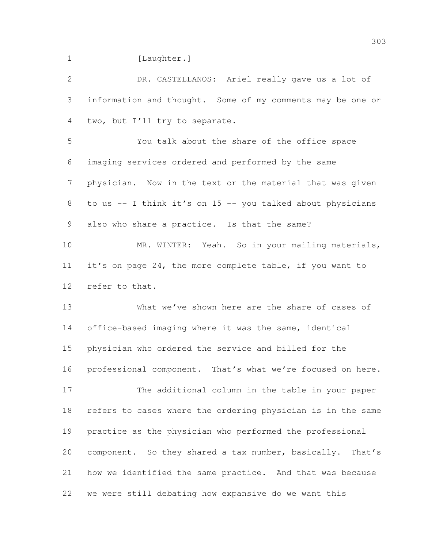1 [Laughter.]

 DR. CASTELLANOS: Ariel really gave us a lot of information and thought. Some of my comments may be one or two, but I'll try to separate.

 You talk about the share of the office space imaging services ordered and performed by the same physician. Now in the text or the material that was given to us -- I think it's on 15 -- you talked about physicians also who share a practice. Is that the same?

 MR. WINTER: Yeah. So in your mailing materials, it's on page 24, the more complete table, if you want to refer to that.

 What we've shown here are the share of cases of office-based imaging where it was the same, identical physician who ordered the service and billed for the professional component. That's what we're focused on here.

 The additional column in the table in your paper refers to cases where the ordering physician is in the same practice as the physician who performed the professional component. So they shared a tax number, basically. That's how we identified the same practice. And that was because we were still debating how expansive do we want this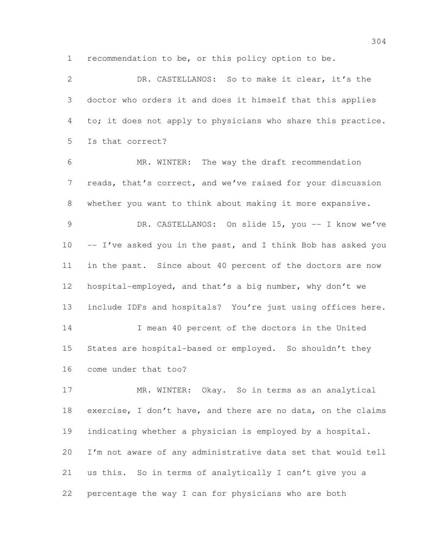recommendation to be, or this policy option to be.

 DR. CASTELLANOS: So to make it clear, it's the doctor who orders it and does it himself that this applies to; it does not apply to physicians who share this practice. Is that correct?

 MR. WINTER: The way the draft recommendation reads, that's correct, and we've raised for your discussion whether you want to think about making it more expansive.

9 DR. CASTELLANOS: On slide 15, you -- I know we've 10 -- I've asked you in the past, and I think Bob has asked you in the past. Since about 40 percent of the doctors are now hospital-employed, and that's a big number, why don't we include IDFs and hospitals? You're just using offices here.

 I mean 40 percent of the doctors in the United States are hospital-based or employed. So shouldn't they come under that too?

17 MR. WINTER: Okay. So in terms as an analytical exercise, I don't have, and there are no data, on the claims indicating whether a physician is employed by a hospital. I'm not aware of any administrative data set that would tell us this. So in terms of analytically I can't give you a percentage the way I can for physicians who are both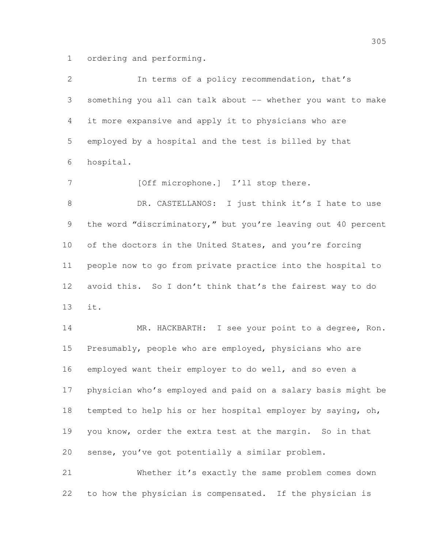ordering and performing.

 In terms of a policy recommendation, that's something you all can talk about -- whether you want to make it more expansive and apply it to physicians who are employed by a hospital and the test is billed by that hospital. 7 [Off microphone.] I'll stop there. 8 DR. CASTELLANOS: I just think it's I hate to use the word "discriminatory," but you're leaving out 40 percent 10 of the doctors in the United States, and you're forcing people now to go from private practice into the hospital to avoid this. So I don't think that's the fairest way to do it. MR. HACKBARTH: I see your point to a degree, Ron. Presumably, people who are employed, physicians who are employed want their employer to do well, and so even a physician who's employed and paid on a salary basis might be tempted to help his or her hospital employer by saying, oh, you know, order the extra test at the margin. So in that sense, you've got potentially a similar problem. Whether it's exactly the same problem comes down

to how the physician is compensated. If the physician is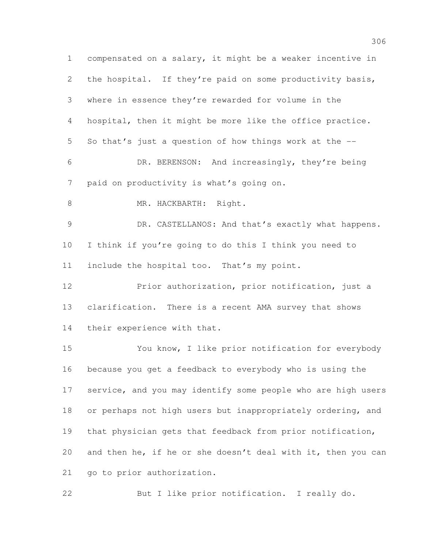compensated on a salary, it might be a weaker incentive in the hospital. If they're paid on some productivity basis, where in essence they're rewarded for volume in the hospital, then it might be more like the office practice. So that's just a question of how things work at the -- DR. BERENSON: And increasingly, they're being paid on productivity is what's going on. 8 MR. HACKBARTH: Right. 9 DR. CASTELLANOS: And that's exactly what happens. I think if you're going to do this I think you need to include the hospital too. That's my point. Prior authorization, prior notification, just a clarification. There is a recent AMA survey that shows their experience with that. You know, I like prior notification for everybody because you get a feedback to everybody who is using the service, and you may identify some people who are high users or perhaps not high users but inappropriately ordering, and that physician gets that feedback from prior notification, and then he, if he or she doesn't deal with it, then you can 21 go to prior authorization. But I like prior notification. I really do.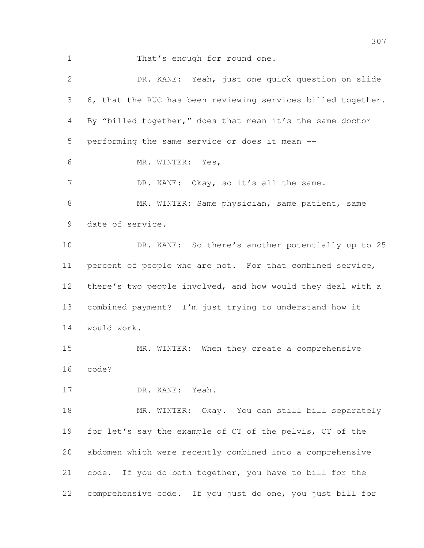1 That's enough for round one. DR. KANE: Yeah, just one quick question on slide 6, that the RUC has been reviewing services billed together. By "billed together," does that mean it's the same doctor performing the same service or does it mean -- MR. WINTER: Yes, 7 DR. KANE: Okay, so it's all the same. 8 MR. WINTER: Same physician, same patient, same date of service. DR. KANE: So there's another potentially up to 25 percent of people who are not. For that combined service, there's two people involved, and how would they deal with a combined payment? I'm just trying to understand how it would work. MR. WINTER: When they create a comprehensive code? DR. KANE: Yeah. 18 MR. WINTER: Okay. You can still bill separately for let's say the example of CT of the pelvis, CT of the abdomen which were recently combined into a comprehensive code. If you do both together, you have to bill for the comprehensive code. If you just do one, you just bill for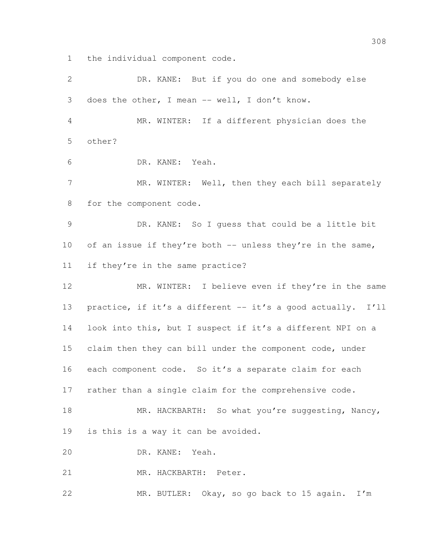the individual component code.

| $\mathbf{2}$    | DR. KANE: But if you do one and somebody else               |
|-----------------|-------------------------------------------------------------|
| 3               | does the other, I mean -- well, I don't know.               |
| 4               | MR. WINTER: If a different physician does the               |
| 5               | other?                                                      |
| 6               | DR. KANE: Yeah.                                             |
| 7               | MR. WINTER: Well, then they each bill separately            |
| 8               | for the component code.                                     |
| 9               | DR. KANE: So I quess that could be a little bit             |
| 10 <sub>o</sub> | of an issue if they're both -- unless they're in the same,  |
| 11              | if they're in the same practice?                            |
| 12              | MR. WINTER: I believe even if they're in the same           |
| 13              | practice, if it's a different -- it's a good actually. I'll |
| 14              | look into this, but I suspect if it's a different NPI on a  |
| 15              | claim then they can bill under the component code, under    |
| 16              | each component code. So it's a separate claim for each      |
| 17              | rather than a single claim for the comprehensive code.      |
| 18              | MR. HACKBARTH: So what you're suggesting, Nancy,            |
| 19              | is this is a way it can be avoided.                         |
| 20              | DR. KANE: Yeah.                                             |
| 21              | MR. HACKBARTH: Peter.                                       |
| 22              | MR. BUTLER: Okay, so go back to 15 again.<br>I'm            |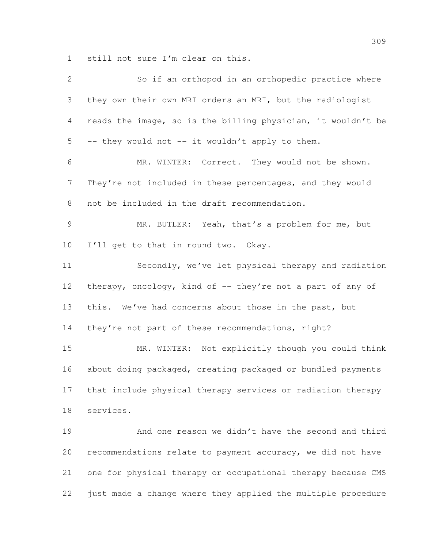still not sure I'm clear on this.

| $\mathbf{2}$ | So if an orthopod in an orthopedic practice where            |
|--------------|--------------------------------------------------------------|
| 3            | they own their own MRI orders an MRI, but the radiologist    |
| 4            | reads the image, so is the billing physician, it wouldn't be |
| 5            | -- they would not -- it wouldn't apply to them.              |
| 6            | MR. WINTER: Correct. They would not be shown.                |
| 7            | They're not included in these percentages, and they would    |
| 8            | not be included in the draft recommendation.                 |
| 9            | MR. BUTLER: Yeah, that's a problem for me, but               |
| 10           | I'll get to that in round two. Okay.                         |
| 11           | Secondly, we've let physical therapy and radiation           |
| 12           | therapy, oncology, kind of -- they're not a part of any of   |
| 13           | this. We've had concerns about those in the past, but        |
| 14           | they're not part of these recommendations, right?            |
| 15           | MR. WINTER: Not explicitly though you could think            |
| 16           | about doing packaged, creating packaged or bundled payments  |
| 17           | that include physical therapy services or radiation therapy  |
| 18           | services.                                                    |
| 19           | And one reason we didn't have the second and third           |
| 20           | recommendations relate to payment accuracy, we did not have  |
| 21           | one for physical therapy or occupational therapy because CMS |
| 22           | just made a change where they applied the multiple procedure |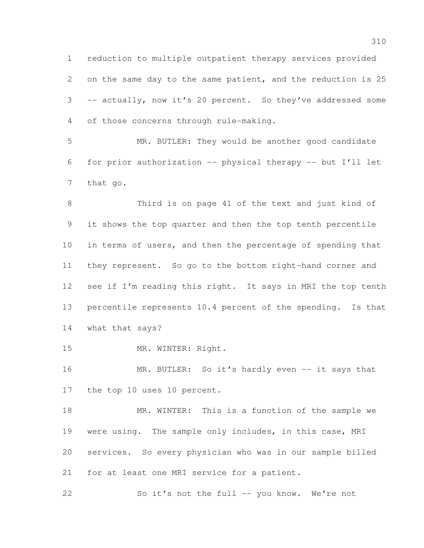reduction to multiple outpatient therapy services provided on the same day to the same patient, and the reduction is 25 -- actually, now it's 20 percent. So they've addressed some of those concerns through rule-making.

 MR. BUTLER: They would be another good candidate for prior authorization -- physical therapy -- but I'll let that go.

 Third is on page 41 of the text and just kind of it shows the top quarter and then the top tenth percentile in terms of users, and then the percentage of spending that they represent. So go to the bottom right-hand corner and 12 see if I'm reading this right. It says in MRI the top tenth percentile represents 10.4 percent of the spending. Is that what that says?

MR. WINTER: Right.

16 MR. BUTLER: So it's hardly even -- it says that the top 10 uses 10 percent.

18 MR. WINTER: This is a function of the sample we were using. The sample only includes, in this case, MRI services. So every physician who was in our sample billed for at least one MRI service for a patient.

So it's not the full -- you know. We're not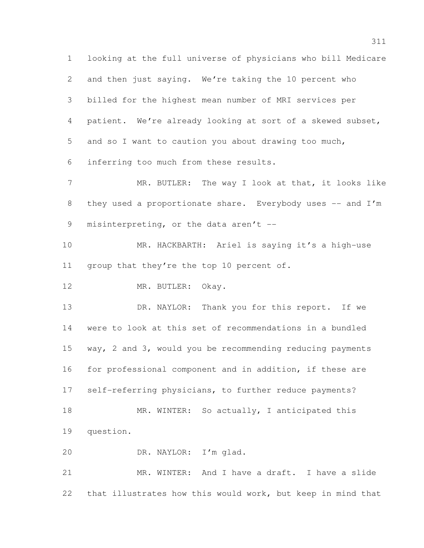looking at the full universe of physicians who bill Medicare and then just saying. We're taking the 10 percent who billed for the highest mean number of MRI services per patient. We're already looking at sort of a skewed subset, and so I want to caution you about drawing too much, inferring too much from these results. 7 MR. BUTLER: The way I look at that, it looks like 8 they used a proportionate share. Everybody uses -- and I'm 9 misinterpreting, or the data aren't -- MR. HACKBARTH: Ariel is saying it's a high-use 11 group that they're the top 10 percent of. 12 MR. BUTLER: Okay. DR. NAYLOR: Thank you for this report. If we were to look at this set of recommendations in a bundled way, 2 and 3, would you be recommending reducing payments for professional component and in addition, if these are self-referring physicians, to further reduce payments? 18 MR. WINTER: So actually, I anticipated this question. DR. NAYLOR: I'm glad. MR. WINTER: And I have a draft. I have a slide that illustrates how this would work, but keep in mind that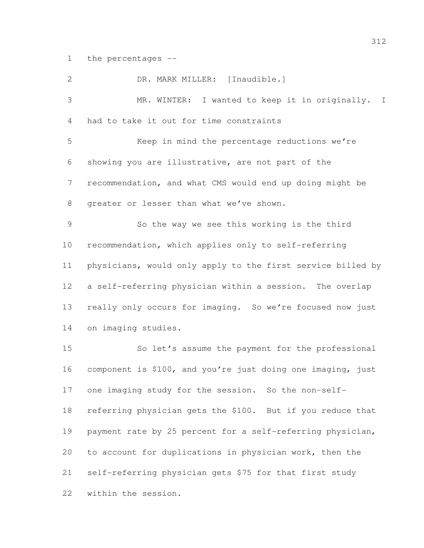the percentages --

| $\mathbf{2}$   | DR. MARK MILLER: [Inaudible.]                               |
|----------------|-------------------------------------------------------------|
| 3              | MR. WINTER: I wanted to keep it in originally. I            |
| 4              | had to take it out for time constraints                     |
| 5              | Keep in mind the percentage reductions we're                |
| 6              | showing you are illustrative, are not part of the           |
| $\overline{7}$ | recommendation, and what CMS would end up doing might be    |
| 8              | greater or lesser than what we've shown.                    |
| $\mathcal{G}$  | So the way we see this working is the third                 |
| 10             | recommendation, which applies only to self-referring        |
| 11             | physicians, would only apply to the first service billed by |
| 12             | a self-referring physician within a session. The overlap    |
| 13             | really only occurs for imaging. So we're focused now just   |
| 14             | on imaging studies.                                         |
| 15             | So let's assume the payment for the professional            |
| 16             | component is \$100, and you're just doing one imaging, just |
| 17             | one imaging study for the session. So the non-self-         |
| 18             | referring physician gets the \$100. But if you reduce that  |
| 19             | payment rate by 25 percent for a self-referring physician,  |
| 20             | to account for duplications in physician work, then the     |
| 21             | self-referring physician gets \$75 for that first study     |
| 22             | within the session.                                         |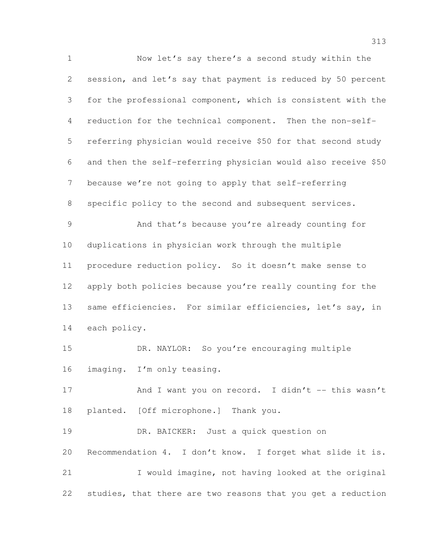Now let's say there's a second study within the session, and let's say that payment is reduced by 50 percent for the professional component, which is consistent with the reduction for the technical component. Then the non-self- referring physician would receive \$50 for that second study and then the self-referring physician would also receive \$50 because we're not going to apply that self-referring specific policy to the second and subsequent services. And that's because you're already counting for duplications in physician work through the multiple procedure reduction policy. So it doesn't make sense to 12 apply both policies because you're really counting for the same efficiencies. For similar efficiencies, let's say, in each policy. DR. NAYLOR: So you're encouraging multiple imaging. I'm only teasing. 17 And I want you on record. I didn't -- this wasn't planted. [Off microphone.] Thank you. DR. BAICKER: Just a quick question on Recommendation 4. I don't know. I forget what slide it is. I would imagine, not having looked at the original studies, that there are two reasons that you get a reduction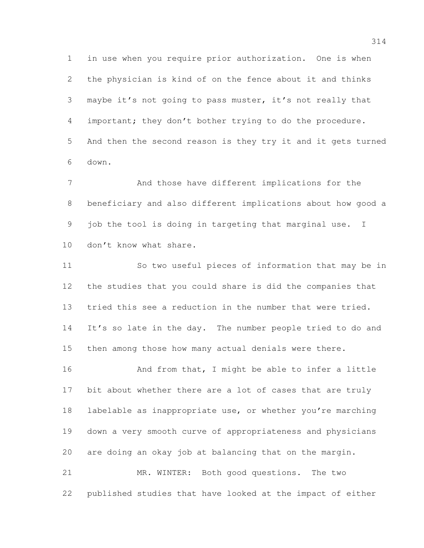in use when you require prior authorization. One is when the physician is kind of on the fence about it and thinks maybe it's not going to pass muster, it's not really that important; they don't bother trying to do the procedure. And then the second reason is they try it and it gets turned down.

 And those have different implications for the beneficiary and also different implications about how good a job the tool is doing in targeting that marginal use. I 10 don't know what share.

 So two useful pieces of information that may be in the studies that you could share is did the companies that tried this see a reduction in the number that were tried. It's so late in the day. The number people tried to do and then among those how many actual denials were there.

16 And from that, I might be able to infer a little bit about whether there are a lot of cases that are truly 18 labelable as inappropriate use, or whether you're marching down a very smooth curve of appropriateness and physicians are doing an okay job at balancing that on the margin.

 MR. WINTER: Both good questions. The two published studies that have looked at the impact of either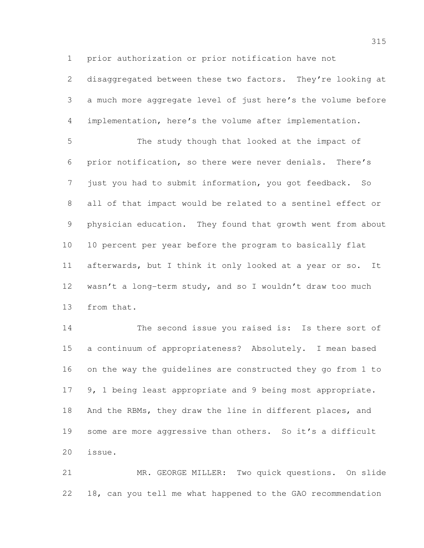prior authorization or prior notification have not

2 disaggregated between these two factors. They're looking at a much more aggregate level of just here's the volume before implementation, here's the volume after implementation.

 The study though that looked at the impact of prior notification, so there were never denials. There's just you had to submit information, you got feedback. So all of that impact would be related to a sentinel effect or physician education. They found that growth went from about 10 percent per year before the program to basically flat afterwards, but I think it only looked at a year or so. It wasn't a long-term study, and so I wouldn't draw too much from that.

 The second issue you raised is: Is there sort of a continuum of appropriateness? Absolutely. I mean based on the way the guidelines are constructed they go from 1 to 9, 1 being least appropriate and 9 being most appropriate. 18 And the RBMs, they draw the line in different places, and 19 some are more aggressive than others. So it's a difficult issue.

 MR. GEORGE MILLER: Two quick questions. On slide 18, can you tell me what happened to the GAO recommendation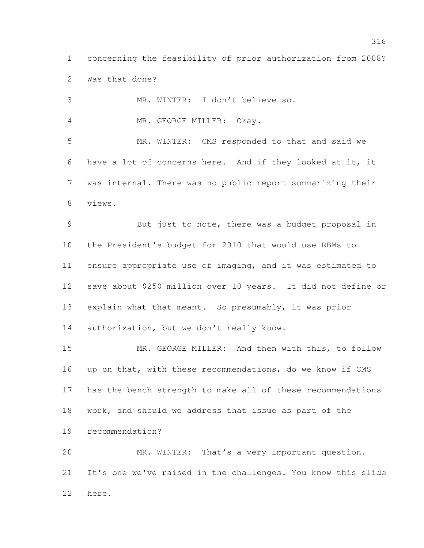concerning the feasibility of prior authorization from 2008? Was that done?

MR. WINTER: I don't believe so.

MR. GEORGE MILLER: Okay.

 MR. WINTER: CMS responded to that and said we have a lot of concerns here. And if they looked at it, it was internal. There was no public report summarizing their views.

 But just to note, there was a budget proposal in the President's budget for 2010 that would use RBMs to ensure appropriate use of imaging, and it was estimated to save about \$250 million over 10 years. It did not define or explain what that meant. So presumably, it was prior 14 authorization, but we don't really know.

 MR. GEORGE MILLER: And then with this, to follow up on that, with these recommendations, do we know if CMS has the bench strength to make all of these recommendations work, and should we address that issue as part of the recommendation? MR. WINTER: That's a very important question.

 It's one we've raised in the challenges. You know this slide here.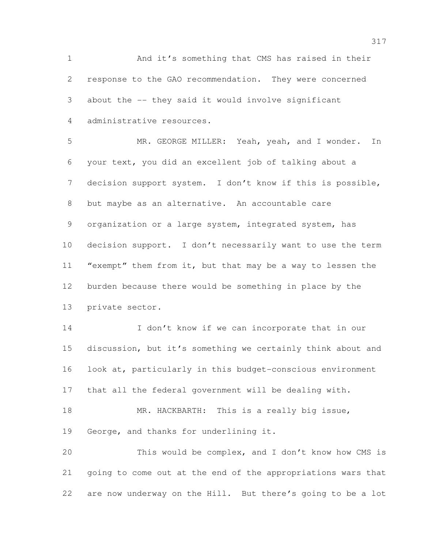And it's something that CMS has raised in their response to the GAO recommendation. They were concerned about the -- they said it would involve significant administrative resources.

 MR. GEORGE MILLER: Yeah, yeah, and I wonder. In your text, you did an excellent job of talking about a decision support system. I don't know if this is possible, but maybe as an alternative. An accountable care organization or a large system, integrated system, has decision support. I don't necessarily want to use the term "exempt" them from it, but that may be a way to lessen the burden because there would be something in place by the private sector.

14 I don't know if we can incorporate that in our discussion, but it's something we certainly think about and look at, particularly in this budget-conscious environment that all the federal government will be dealing with.

18 MR. HACKBARTH: This is a really big issue, George, and thanks for underlining it.

 This would be complex, and I don't know how CMS is going to come out at the end of the appropriations wars that are now underway on the Hill. But there's going to be a lot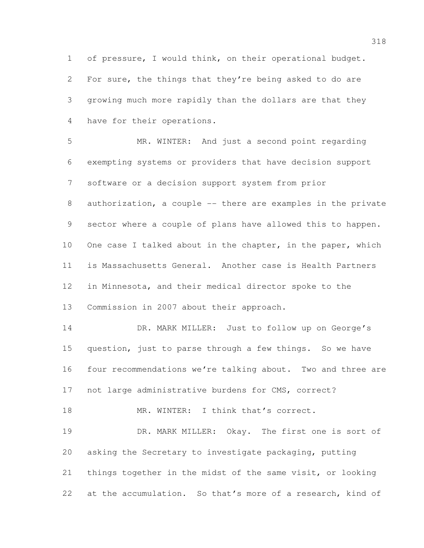of pressure, I would think, on their operational budget. For sure, the things that they're being asked to do are growing much more rapidly than the dollars are that they have for their operations.

 MR. WINTER: And just a second point regarding exempting systems or providers that have decision support software or a decision support system from prior 8 authorization, a couple -- there are examples in the private sector where a couple of plans have allowed this to happen. 10 One case I talked about in the chapter, in the paper, which is Massachusetts General. Another case is Health Partners in Minnesota, and their medical director spoke to the Commission in 2007 about their approach. 14 DR. MARK MILLER: Just to follow up on George's question, just to parse through a few things. So we have four recommendations we're talking about. Two and three are

not large administrative burdens for CMS, correct?

18 MR. WINTER: I think that's correct. DR. MARK MILLER: Okay. The first one is sort of asking the Secretary to investigate packaging, putting things together in the midst of the same visit, or looking 22 at the accumulation. So that's more of a research, kind of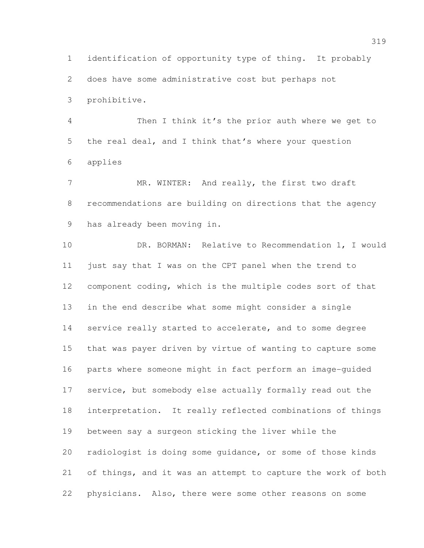identification of opportunity type of thing. It probably does have some administrative cost but perhaps not prohibitive.

 Then I think it's the prior auth where we get to the real deal, and I think that's where your question applies

7 MR. WINTER: And really, the first two draft recommendations are building on directions that the agency has already been moving in.

 DR. BORMAN: Relative to Recommendation 1, I would just say that I was on the CPT panel when the trend to component coding, which is the multiple codes sort of that in the end describe what some might consider a single service really started to accelerate, and to some degree that was payer driven by virtue of wanting to capture some parts where someone might in fact perform an image-guided service, but somebody else actually formally read out the interpretation. It really reflected combinations of things between say a surgeon sticking the liver while the radiologist is doing some guidance, or some of those kinds of things, and it was an attempt to capture the work of both physicians. Also, there were some other reasons on some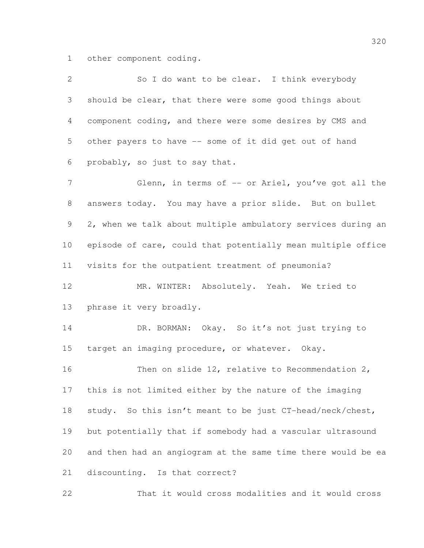other component coding.

| $\overline{2}$ | So I do want to be clear. I think everybody                  |
|----------------|--------------------------------------------------------------|
| 3              | should be clear, that there were some good things about      |
| $\overline{4}$ | component coding, and there were some desires by CMS and     |
| 5              | other payers to have -- some of it did get out of hand       |
| 6              | probably, so just to say that.                               |
| 7              | Glenn, in terms of -- or Ariel, you've got all the           |
| $8\,$          | answers today. You may have a prior slide. But on bullet     |
| 9              | 2, when we talk about multiple ambulatory services during an |
| 10             | episode of care, could that potentially mean multiple office |
| 11             | visits for the outpatient treatment of pneumonia?            |
| 12             | MR. WINTER: Absolutely. Yeah. We tried to                    |
| 13             | phrase it very broadly.                                      |
| 14             | DR. BORMAN: Okay. So it's not just trying to                 |
| 15             | target an imaging procedure, or whatever. Okay.              |
| 16             | Then on slide $12$ , relative to Recommendation $2$ ,        |
| 17             | this is not limited either by the nature of the imaging      |
| 18             | study. So this isn't meant to be just CT-head/neck/chest,    |
| 19             | but potentially that if somebody had a vascular ultrasound   |
| 20             | and then had an angiogram at the same time there would be ea |
| 21             | discounting. Is that correct?                                |
| 22             | That it would cross modalities and it would cross            |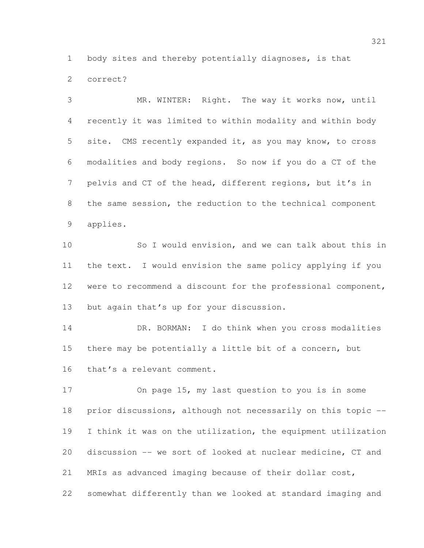body sites and thereby potentially diagnoses, is that correct?

 MR. WINTER: Right. The way it works now, until recently it was limited to within modality and within body 5 site. CMS recently expanded it, as you may know, to cross modalities and body regions. So now if you do a CT of the pelvis and CT of the head, different regions, but it's in the same session, the reduction to the technical component applies.

 So I would envision, and we can talk about this in the text. I would envision the same policy applying if you were to recommend a discount for the professional component, but again that's up for your discussion.

 DR. BORMAN: I do think when you cross modalities there may be potentially a little bit of a concern, but that's a relevant comment.

 On page 15, my last question to you is in some prior discussions, although not necessarily on this topic -- I think it was on the utilization, the equipment utilization discussion -- we sort of looked at nuclear medicine, CT and MRIs as advanced imaging because of their dollar cost, somewhat differently than we looked at standard imaging and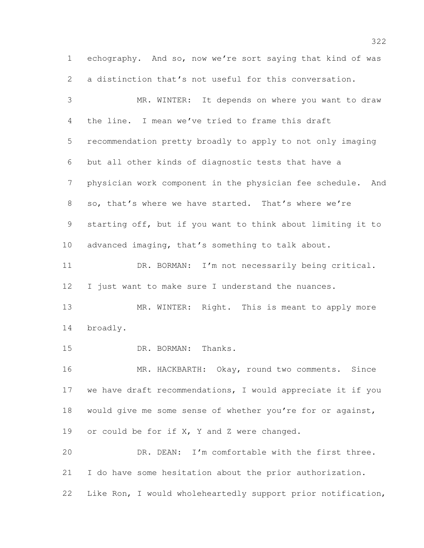echography. And so, now we're sort saying that kind of was a distinction that's not useful for this conversation.

 MR. WINTER: It depends on where you want to draw the line. I mean we've tried to frame this draft recommendation pretty broadly to apply to not only imaging but all other kinds of diagnostic tests that have a physician work component in the physician fee schedule. And so, that's where we have started. That's where we're starting off, but if you want to think about limiting it to advanced imaging, that's something to talk about. DR. BORMAN: I'm not necessarily being critical.

I just want to make sure I understand the nuances.

13 MR. WINTER: Right. This is meant to apply more broadly.

DR. BORMAN: Thanks.

16 MR. HACKBARTH: Okay, round two comments. Since we have draft recommendations, I would appreciate it if you 18 would give me some sense of whether you're for or against, or could be for if X, Y and Z were changed.

 DR. DEAN: I'm comfortable with the first three. I do have some hesitation about the prior authorization. Like Ron, I would wholeheartedly support prior notification,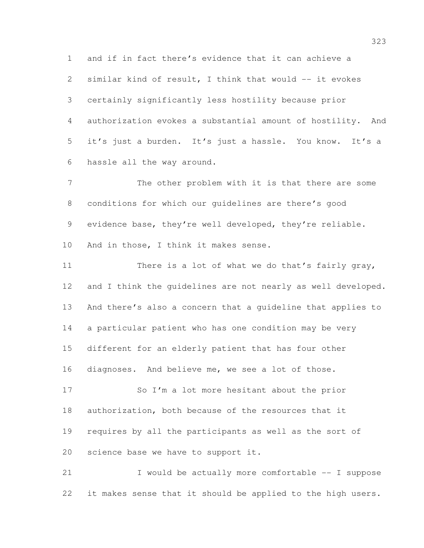and if in fact there's evidence that it can achieve a similar kind of result, I think that would -- it evokes certainly significantly less hostility because prior authorization evokes a substantial amount of hostility. And it's just a burden. It's just a hassle. You know. It's a hassle all the way around.

 The other problem with it is that there are some conditions for which our guidelines are there's good evidence base, they're well developed, they're reliable. And in those, I think it makes sense.

 There is a lot of what we do that's fairly gray, and I think the guidelines are not nearly as well developed. And there's also a concern that a guideline that applies to a particular patient who has one condition may be very different for an elderly patient that has four other diagnoses. And believe me, we see a lot of those.

 So I'm a lot more hesitant about the prior authorization, both because of the resources that it requires by all the participants as well as the sort of science base we have to support it.

21 I would be actually more comfortable -- I suppose it makes sense that it should be applied to the high users.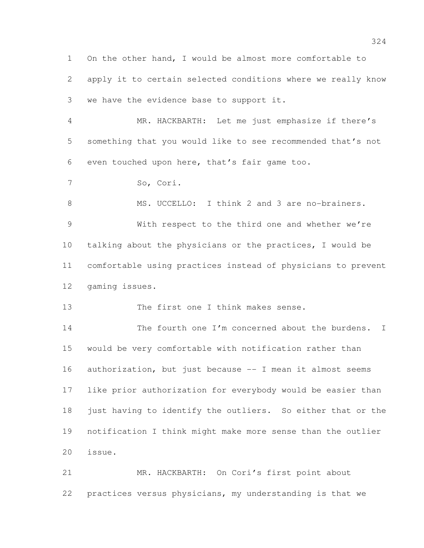On the other hand, I would be almost more comfortable to apply it to certain selected conditions where we really know we have the evidence base to support it.

 MR. HACKBARTH: Let me just emphasize if there's something that you would like to see recommended that's not even touched upon here, that's fair game too.

So, Cori.

 MS. UCCELLO: I think 2 and 3 are no-brainers. With respect to the third one and whether we're talking about the physicians or the practices, I would be comfortable using practices instead of physicians to prevent gaming issues.

The first one I think makes sense.

14 The fourth one I'm concerned about the burdens. I would be very comfortable with notification rather than authorization, but just because -- I mean it almost seems like prior authorization for everybody would be easier than just having to identify the outliers. So either that or the notification I think might make more sense than the outlier issue.

 MR. HACKBARTH: On Cori's first point about practices versus physicians, my understanding is that we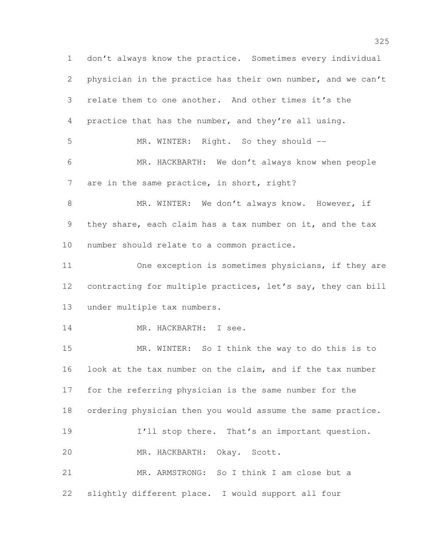don't always know the practice. Sometimes every individual physician in the practice has their own number, and we can't relate them to one another. And other times it's the practice that has the number, and they're all using. MR. WINTER: Right. So they should -- MR. HACKBARTH: We don't always know when people 7 are in the same practice, in short, right? 8 MR. WINTER: We don't always know. However, if 9 they share, each claim has a tax number on it, and the tax number should relate to a common practice. 11 One exception is sometimes physicians, if they are contracting for multiple practices, let's say, they can bill under multiple tax numbers. 14 MR. HACKBARTH: I see. MR. WINTER: So I think the way to do this is to look at the tax number on the claim, and if the tax number for the referring physician is the same number for the ordering physician then you would assume the same practice. 19 I'll stop there. That's an important question. MR. HACKBARTH: Okay. Scott. MR. ARMSTRONG: So I think I am close but a slightly different place. I would support all four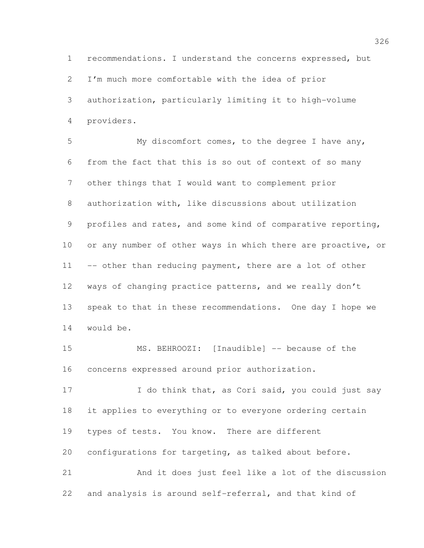recommendations. I understand the concerns expressed, but I'm much more comfortable with the idea of prior authorization, particularly limiting it to high-volume providers.

 My discomfort comes, to the degree I have any, from the fact that this is so out of context of so many other things that I would want to complement prior authorization with, like discussions about utilization profiles and rates, and some kind of comparative reporting, 10 or any number of other ways in which there are proactive, or 11 -- other than reducing payment, there are a lot of other ways of changing practice patterns, and we really don't speak to that in these recommendations. One day I hope we would be.

 MS. BEHROOZI: [Inaudible] -- because of the concerns expressed around prior authorization.

17 I do think that, as Cori said, you could just say it applies to everything or to everyone ordering certain types of tests. You know. There are different configurations for targeting, as talked about before. And it does just feel like a lot of the discussion and analysis is around self-referral, and that kind of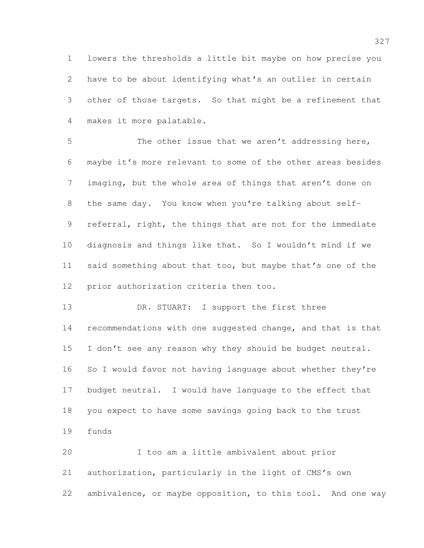lowers the thresholds a little bit maybe on how precise you have to be about identifying what's an outlier in certain other of those targets. So that might be a refinement that makes it more palatable.

 The other issue that we aren't addressing here, maybe it's more relevant to some of the other areas besides imaging, but the whole area of things that aren't done on the same day. You know when you're talking about self- referral, right, the things that are not for the immediate diagnosis and things like that. So I wouldn't mind if we 11 said something about that too, but maybe that's one of the prior authorization criteria then too.

13 DR. STUART: I support the first three recommendations with one suggested change, and that is that 15 I don't see any reason why they should be budget neutral. 16 So I would favor not having language about whether they're budget neutral. I would have language to the effect that you expect to have some savings going back to the trust funds

 I too am a little ambivalent about prior authorization, particularly in the light of CMS's own ambivalence, or maybe opposition, to this tool. And one way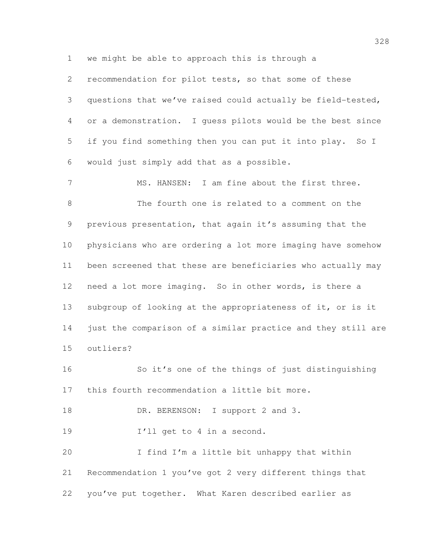we might be able to approach this is through a

 recommendation for pilot tests, so that some of these questions that we've raised could actually be field-tested, or a demonstration. I guess pilots would be the best since if you find something then you can put it into play. So I would just simply add that as a possible.

 MS. HANSEN: I am fine about the first three. The fourth one is related to a comment on the previous presentation, that again it's assuming that the physicians who are ordering a lot more imaging have somehow been screened that these are beneficiaries who actually may need a lot more imaging. So in other words, is there a subgroup of looking at the appropriateness of it, or is it just the comparison of a similar practice and they still are outliers?

 So it's one of the things of just distinguishing this fourth recommendation a little bit more.

18 DR. BERENSON: I support 2 and 3.

19 I'll get to 4 in a second.

20 I find I'm a little bit unhappy that within Recommendation 1 you've got 2 very different things that you've put together. What Karen described earlier as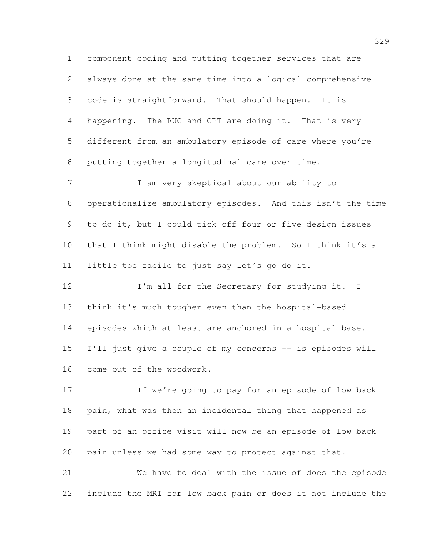component coding and putting together services that are always done at the same time into a logical comprehensive code is straightforward. That should happen. It is happening. The RUC and CPT are doing it. That is very different from an ambulatory episode of care where you're putting together a longitudinal care over time.

 I am very skeptical about our ability to operationalize ambulatory episodes. And this isn't the time to do it, but I could tick off four or five design issues that I think might disable the problem. So I think it's a little too facile to just say let's go do it.

12 I'm all for the Secretary for studying it. I think it's much tougher even than the hospital-based episodes which at least are anchored in a hospital base. I'll just give a couple of my concerns -- is episodes will come out of the woodwork.

 If we're going to pay for an episode of low back pain, what was then an incidental thing that happened as part of an office visit will now be an episode of low back pain unless we had some way to protect against that.

 We have to deal with the issue of does the episode include the MRI for low back pain or does it not include the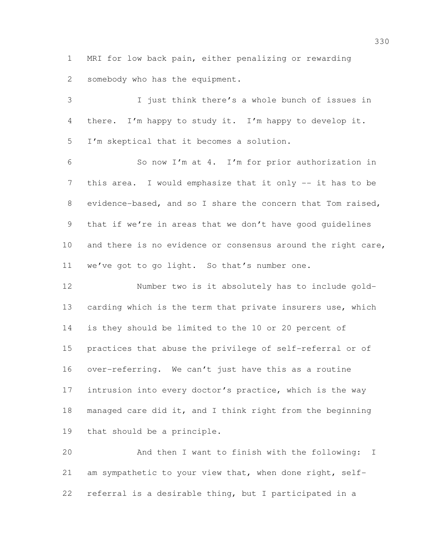MRI for low back pain, either penalizing or rewarding somebody who has the equipment.

 I just think there's a whole bunch of issues in there. I'm happy to study it. I'm happy to develop it. I'm skeptical that it becomes a solution. So now I'm at 4. I'm for prior authorization in this area. I would emphasize that it only -- it has to be evidence-based, and so I share the concern that Tom raised, that if we're in areas that we don't have good guidelines 10 and there is no evidence or consensus around the right care, we've got to go light. So that's number one.

 Number two is it absolutely has to include gold-13 carding which is the term that private insurers use, which is they should be limited to the 10 or 20 percent of practices that abuse the privilege of self-referral or of over-referring. We can't just have this as a routine intrusion into every doctor's practice, which is the way managed care did it, and I think right from the beginning that should be a principle.

 And then I want to finish with the following: I am sympathetic to your view that, when done right, self-referral is a desirable thing, but I participated in a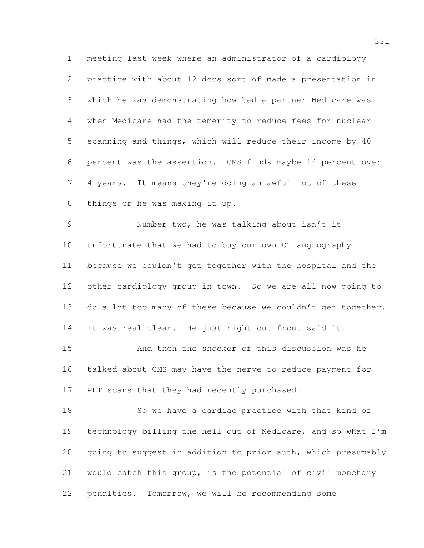meeting last week where an administrator of a cardiology practice with about 12 docs sort of made a presentation in which he was demonstrating how bad a partner Medicare was when Medicare had the temerity to reduce fees for nuclear scanning and things, which will reduce their income by 40 percent was the assertion. CMS finds maybe 14 percent over 4 years. It means they're doing an awful lot of these things or he was making it up.

 Number two, he was talking about isn't it unfortunate that we had to buy our own CT angiography because we couldn't get together with the hospital and the other cardiology group in town. So we are all now going to do a lot too many of these because we couldn't get together. 14 It was real clear. He just right out front said it.

 And then the shocker of this discussion was he talked about CMS may have the nerve to reduce payment for 17 PET scans that they had recently purchased.

 So we have a cardiac practice with that kind of technology billing the hell out of Medicare, and so what I'm going to suggest in addition to prior auth, which presumably would catch this group, is the potential of civil monetary penalties. Tomorrow, we will be recommending some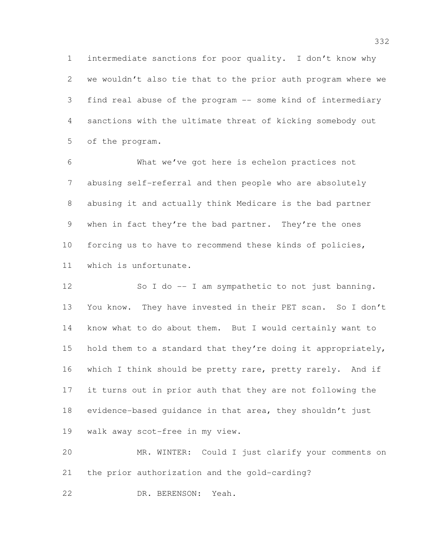intermediate sanctions for poor quality. I don't know why we wouldn't also tie that to the prior auth program where we find real abuse of the program -- some kind of intermediary sanctions with the ultimate threat of kicking somebody out of the program.

 What we've got here is echelon practices not abusing self-referral and then people who are absolutely abusing it and actually think Medicare is the bad partner when in fact they're the bad partner. They're the ones forcing us to have to recommend these kinds of policies, which is unfortunate.

 So I do -- I am sympathetic to not just banning. You know. They have invested in their PET scan. So I don't know what to do about them. But I would certainly want to hold them to a standard that they're doing it appropriately, 16 which I think should be pretty rare, pretty rarely. And if it turns out in prior auth that they are not following the evidence-based guidance in that area, they shouldn't just walk away scot-free in my view.

 MR. WINTER: Could I just clarify your comments on the prior authorization and the gold-carding?

DR. BERENSON: Yeah.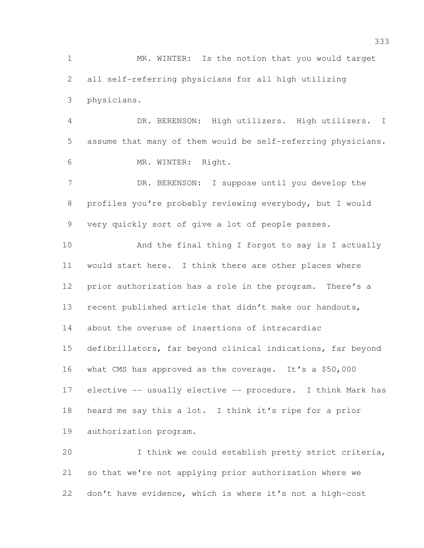MR. WINTER: Is the notion that you would target all self-referring physicians for all high utilizing physicians.

 DR. BERENSON: High utilizers. High utilizers. I assume that many of them would be self-referring physicians. MR. WINTER: Right.

 DR. BERENSON: I suppose until you develop the profiles you're probably reviewing everybody, but I would very quickly sort of give a lot of people passes.

 And the final thing I forgot to say is I actually would start here. I think there are other places where prior authorization has a role in the program. There's a recent published article that didn't make our handouts, about the overuse of insertions of intracardiac defibrillators, far beyond clinical indications, far beyond what CMS has approved as the coverage. It's a \$50,000 elective -- usually elective -- procedure. I think Mark has heard me say this a lot. I think it's ripe for a prior authorization program.

 I think we could establish pretty strict criteria, so that we're not applying prior authorization where we don't have evidence, which is where it's not a high-cost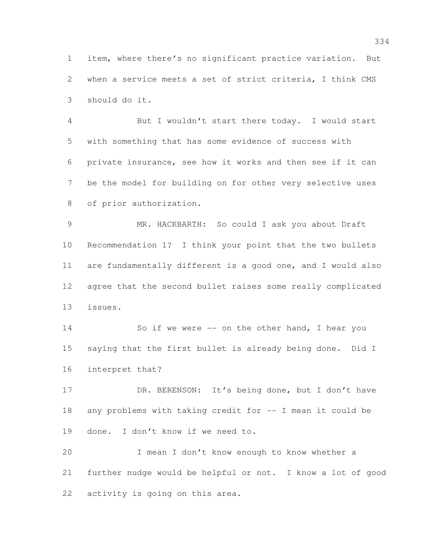item, where there's no significant practice variation. But when a service meets a set of strict criteria, I think CMS should do it.

 But I wouldn't start there today. I would start with something that has some evidence of success with private insurance, see how it works and then see if it can be the model for building on for other very selective uses of prior authorization.

 MR. HACKBARTH: So could I ask you about Draft Recommendation 1? I think your point that the two bullets are fundamentally different is a good one, and I would also agree that the second bullet raises some really complicated issues.

 So if we were -- on the other hand, I hear you saying that the first bullet is already being done. Did I interpret that?

17 DR. BERENSON: It's being done, but I don't have any problems with taking credit for -- I mean it could be done. I don't know if we need to.

 I mean I don't know enough to know whether a further nudge would be helpful or not. I know a lot of good activity is going on this area.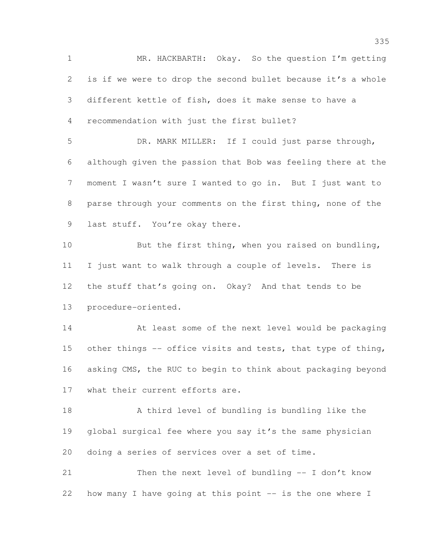MR. HACKBARTH: Okay. So the question I'm getting is if we were to drop the second bullet because it's a whole different kettle of fish, does it make sense to have a recommendation with just the first bullet?

 DR. MARK MILLER: If I could just parse through, although given the passion that Bob was feeling there at the moment I wasn't sure I wanted to go in. But I just want to parse through your comments on the first thing, none of the 9 last stuff. You're okay there.

 But the first thing, when you raised on bundling, I just want to walk through a couple of levels. There is the stuff that's going on. Okay? And that tends to be procedure-oriented.

 At least some of the next level would be packaging 15 other things -- office visits and tests, that type of thing, asking CMS, the RUC to begin to think about packaging beyond what their current efforts are.

 A third level of bundling is bundling like the global surgical fee where you say it's the same physician doing a series of services over a set of time.

 Then the next level of bundling -- I don't know how many I have going at this point -- is the one where I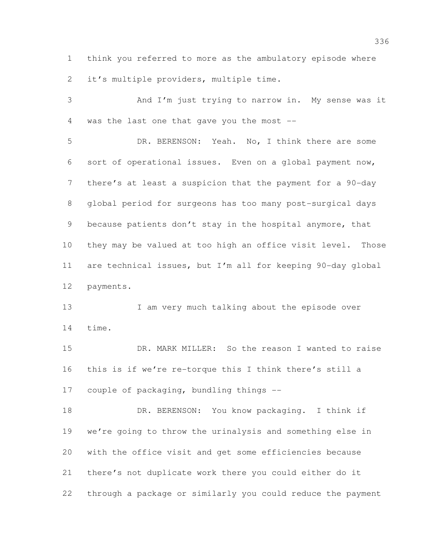think you referred to more as the ambulatory episode where it's multiple providers, multiple time.

 And I'm just trying to narrow in. My sense was it was the last one that gave you the most -- DR. BERENSON: Yeah. No, I think there are some sort of operational issues. Even on a global payment now, there's at least a suspicion that the payment for a 90-day global period for surgeons has too many post-surgical days because patients don't stay in the hospital anymore, that they may be valued at too high an office visit level. Those are technical issues, but I'm all for keeping 90-day global payments. 13 I am very much talking about the episode over

time.

 DR. MARK MILLER: So the reason I wanted to raise this is if we're re-torque this I think there's still a couple of packaging, bundling things --

 DR. BERENSON: You know packaging. I think if we're going to throw the urinalysis and something else in with the office visit and get some efficiencies because there's not duplicate work there you could either do it through a package or similarly you could reduce the payment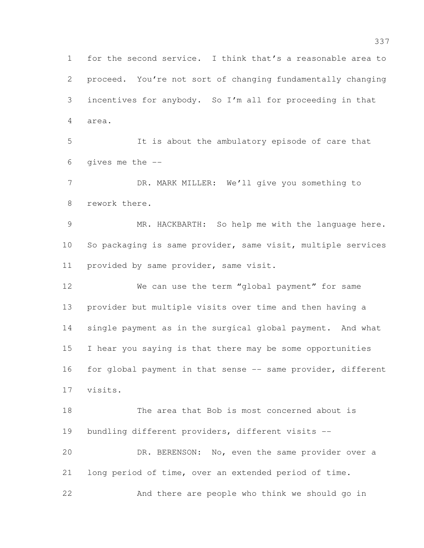for the second service. I think that's a reasonable area to proceed. You're not sort of changing fundamentally changing incentives for anybody. So I'm all for proceeding in that area. It is about the ambulatory episode of care that gives me the -- DR. MARK MILLER: We'll give you something to rework there. MR. HACKBARTH: So help me with the language here. So packaging is same provider, same visit, multiple services provided by same provider, same visit. We can use the term "global payment" for same provider but multiple visits over time and then having a single payment as in the surgical global payment. And what I hear you saying is that there may be some opportunities 16 for global payment in that sense -- same provider, different visits. The area that Bob is most concerned about is bundling different providers, different visits -- DR. BERENSON: No, even the same provider over a long period of time, over an extended period of time. And there are people who think we should go in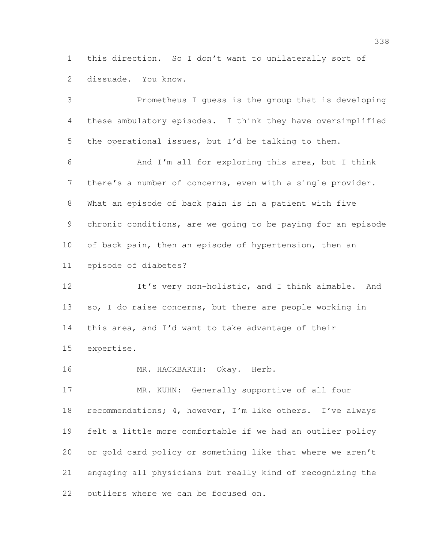this direction. So I don't want to unilaterally sort of dissuade. You know.

 Prometheus I guess is the group that is developing these ambulatory episodes. I think they have oversimplified the operational issues, but I'd be talking to them. And I'm all for exploring this area, but I think there's a number of concerns, even with a single provider. What an episode of back pain is in a patient with five chronic conditions, are we going to be paying for an episode 10 of back pain, then an episode of hypertension, then an episode of diabetes?

 It's very non-holistic, and I think aimable. And so, I do raise concerns, but there are people working in this area, and I'd want to take advantage of their expertise.

MR. HACKBARTH: Okay. Herb.

17 MR. KUHN: Generally supportive of all four recommendations; 4, however, I'm like others. I've always felt a little more comfortable if we had an outlier policy or gold card policy or something like that where we aren't engaging all physicians but really kind of recognizing the outliers where we can be focused on.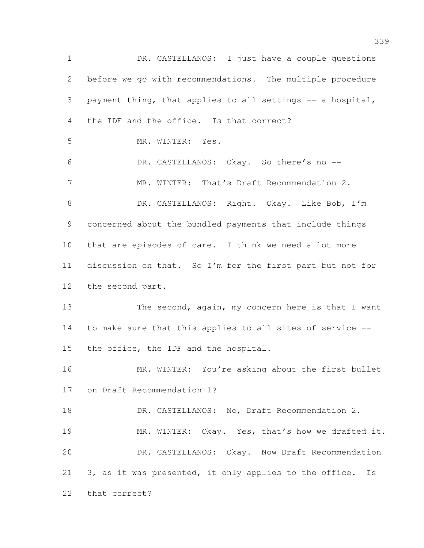1 DR. CASTELLANOS: I just have a couple questions before we go with recommendations. The multiple procedure payment thing, that applies to all settings -- a hospital, 4 the IDF and the office. Is that correct? MR. WINTER: Yes. DR. CASTELLANOS: Okay. So there's no -- 7 MR. WINTER: That's Draft Recommendation 2. 8 DR. CASTELLANOS: Right. Okay. Like Bob, I'm concerned about the bundled payments that include things that are episodes of care. I think we need a lot more discussion on that. So I'm for the first part but not for the second part. 13 The second, again, my concern here is that I want to make sure that this applies to all sites of service -- the office, the IDF and the hospital. 16 MR. WINTER: You're asking about the first bullet on Draft Recommendation 1? 18 DR. CASTELLANOS: No, Draft Recommendation 2. 19 MR. WINTER: Okay. Yes, that's how we drafted it. DR. CASTELLANOS: Okay. Now Draft Recommendation 3, as it was presented, it only applies to the office. Is that correct?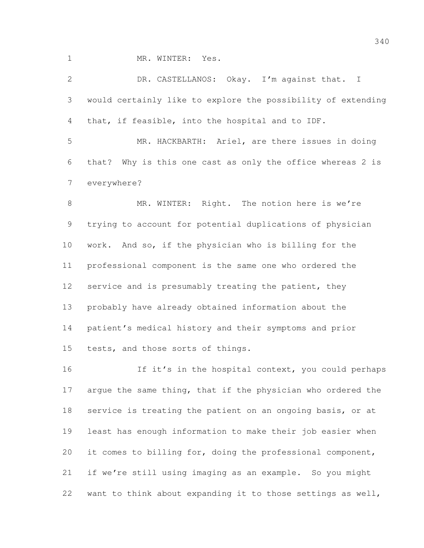1 MR. WINTER: Yes.

| 2               | DR. CASTELLANOS: Okay. I'm against that. I                   |
|-----------------|--------------------------------------------------------------|
| 3               | would certainly like to explore the possibility of extending |
| 4               | that, if feasible, into the hospital and to IDF.             |
| 5               | MR. HACKBARTH: Ariel, are there issues in doing              |
| 6               | that? Why is this one cast as only the office whereas 2 is   |
| $7\phantom{.0}$ | everywhere?                                                  |
| $8\,$           | MR. WINTER: Right. The notion here is we're                  |
| 9               | trying to account for potential duplications of physician    |
| 10              | work. And so, if the physician who is billing for the        |
| 11              | professional component is the same one who ordered the       |
| 12              | service and is presumably treating the patient, they         |
| 13              | probably have already obtained information about the         |
| 14              | patient's medical history and their symptoms and prior       |
| 15              | tests, and those sorts of things.                            |
| 16              | If it's in the hospital context, you could perhaps           |
| 17              | arque the same thing, that if the physician who ordered the  |
| 18              | service is treating the patient on an ongoing basis, or at   |
| 19              | least has enough information to make their job easier when   |
| 20              | it comes to billing for, doing the professional component,   |
| 21              | if we're still using imaging as an example. So you might     |
| 22              | want to think about expanding it to those settings as well,  |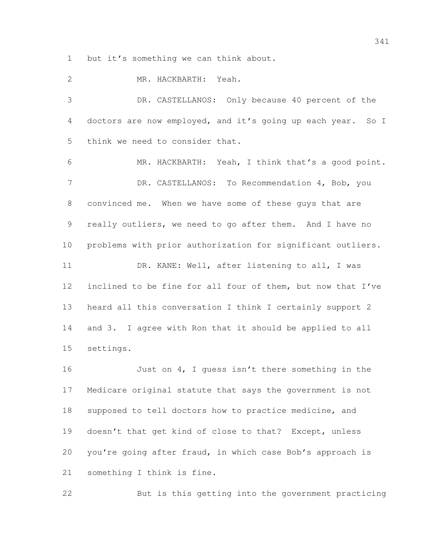but it's something we can think about.

 MR. HACKBARTH: Yeah. DR. CASTELLANOS: Only because 40 percent of the doctors are now employed, and it's going up each year. So I think we need to consider that. MR. HACKBARTH: Yeah, I think that's a good point. 7 DR. CASTELLANOS: To Recommendation 4, Bob, you convinced me. When we have some of these guys that are 9 really outliers, we need to go after them. And I have no problems with prior authorization for significant outliers. 11 DR. KANE: Well, after listening to all, I was inclined to be fine for all four of them, but now that I've heard all this conversation I think I certainly support 2 and 3. I agree with Ron that it should be applied to all settings. Just on 4, I guess isn't there something in the

 Medicare original statute that says the government is not supposed to tell doctors how to practice medicine, and doesn't that get kind of close to that? Except, unless you're going after fraud, in which case Bob's approach is something I think is fine.

But is this getting into the government practicing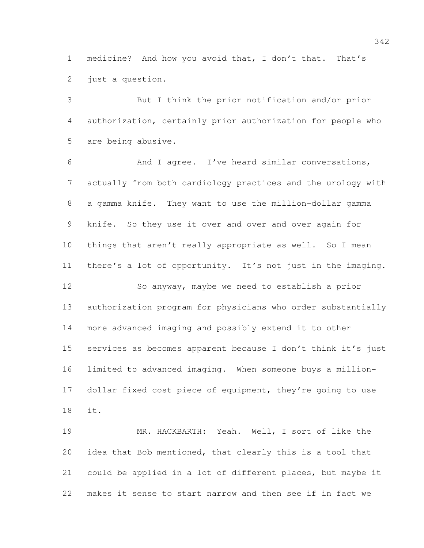medicine? And how you avoid that, I don't that. That's just a question.

 But I think the prior notification and/or prior authorization, certainly prior authorization for people who are being abusive.

 And I agree. I've heard similar conversations, actually from both cardiology practices and the urology with a gamma knife. They want to use the million-dollar gamma knife. So they use it over and over and over again for things that aren't really appropriate as well. So I mean there's a lot of opportunity. It's not just in the imaging. So anyway, maybe we need to establish a prior authorization program for physicians who order substantially more advanced imaging and possibly extend it to other services as becomes apparent because I don't think it's just limited to advanced imaging. When someone buys a million-17 dollar fixed cost piece of equipment, they're going to use it.

 MR. HACKBARTH: Yeah. Well, I sort of like the idea that Bob mentioned, that clearly this is a tool that could be applied in a lot of different places, but maybe it makes it sense to start narrow and then see if in fact we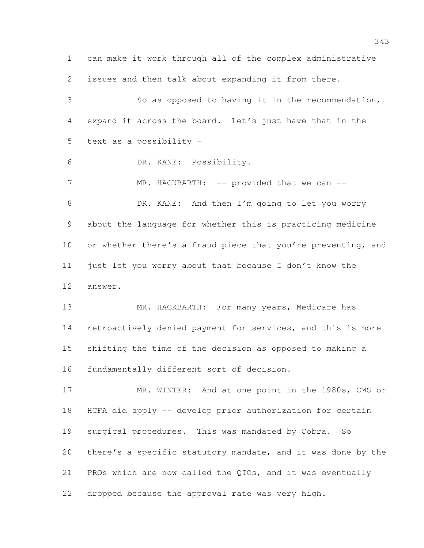can make it work through all of the complex administrative issues and then talk about expanding it from there.

 So as opposed to having it in the recommendation, expand it across the board. Let's just have that in the text as a possibility –

DR. KANE: Possibility.

7 MR. HACKBARTH: -- provided that we can --8 DR. KANE: And then I'm going to let you worry about the language for whether this is practicing medicine 10 or whether there's a fraud piece that you're preventing, and just let you worry about that because I don't know the answer.

13 MR. HACKBARTH: For many years, Medicare has retroactively denied payment for services, and this is more shifting the time of the decision as opposed to making a fundamentally different sort of decision.

 MR. WINTER: And at one point in the 1980s, CMS or HCFA did apply -- develop prior authorization for certain surgical procedures. This was mandated by Cobra. So there's a specific statutory mandate, and it was done by the PROs which are now called the QIOs, and it was eventually dropped because the approval rate was very high.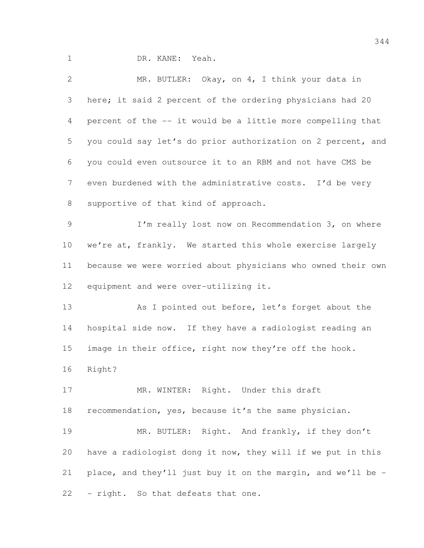DR. KANE: Yeah.

 MR. BUTLER: Okay, on 4, I think your data in here; it said 2 percent of the ordering physicians had 20 percent of the -- it would be a little more compelling that you could say let's do prior authorization on 2 percent, and you could even outsource it to an RBM and not have CMS be even burdened with the administrative costs. I'd be very supportive of that kind of approach. 9 I'm really lost now on Recommendation 3, on where we're at, frankly. We started this whole exercise largely because we were worried about physicians who owned their own equipment and were over-utilizing it. As I pointed out before, let's forget about the hospital side now. If they have a radiologist reading an 15 image in their office, right now they're off the hook. Right? 17 MR. WINTER: Right. Under this draft recommendation, yes, because it's the same physician. MR. BUTLER: Right. And frankly, if they don't have a radiologist dong it now, they will if we put in this place, and they'll just buy it on the margin, and we'll be - - right. So that defeats that one.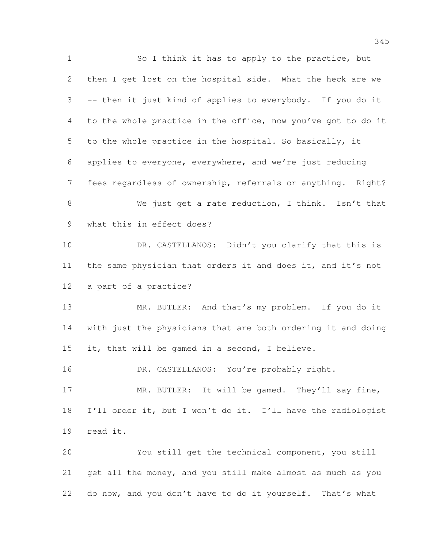1 So I think it has to apply to the practice, but then I get lost on the hospital side. What the heck are we -- then it just kind of applies to everybody. If you do it to the whole practice in the office, now you've got to do it to the whole practice in the hospital. So basically, it applies to everyone, everywhere, and we're just reducing fees regardless of ownership, referrals or anything. Right? We just get a rate reduction, I think. Isn't that what this in effect does? 10 DR. CASTELLANOS: Didn't you clarify that this is 11 the same physician that orders it and does it, and it's not a part of a practice? 13 MR. BUTLER: And that's my problem. If you do it with just the physicians that are both ordering it and doing it, that will be gamed in a second, I believe. 16 DR. CASTELLANOS: You're probably right. 17 MR. BUTLER: It will be gamed. They'll say fine, I'll order it, but I won't do it. I'll have the radiologist read it. You still get the technical component, you still get all the money, and you still make almost as much as you 22 do now, and you don't have to do it yourself. That's what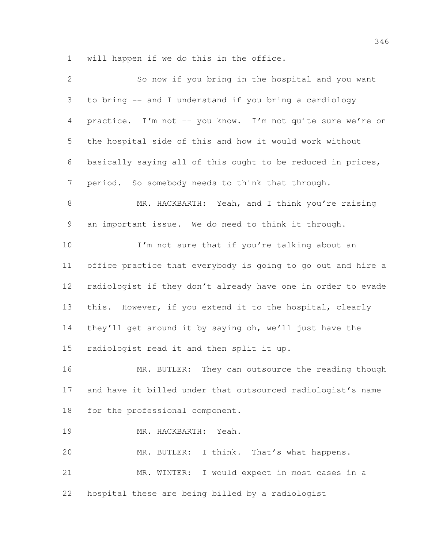will happen if we do this in the office.

| 2              | So now if you bring in the hospital and you want             |
|----------------|--------------------------------------------------------------|
| 3              | to bring -- and I understand if you bring a cardiology       |
| $\overline{4}$ | practice. I'm not -- you know. I'm not quite sure we're on   |
| 5              | the hospital side of this and how it would work without      |
| 6              | basically saying all of this ought to be reduced in prices,  |
| $\overline{7}$ | period. So somebody needs to think that through.             |
| $\,8\,$        | MR. HACKBARTH: Yeah, and I think you're raising              |
| 9              | an important issue. We do need to think it through.          |
| 10             | I'm not sure that if you're talking about an                 |
| 11             | office practice that everybody is going to go out and hire a |
| 12             | radiologist if they don't already have one in order to evade |
| 13             | this. However, if you extend it to the hospital, clearly     |
| 14             | they'll get around it by saying oh, we'll just have the      |
| 15             | radiologist read it and then split it up.                    |
| 16             | MR. BUTLER: They can outsource the reading though            |
| 17             | and have it billed under that outsourced radiologist's name  |
| 18             | for the professional component.                              |
| 19             | MR. HACKBARTH:<br>Yeah.                                      |
| 20             | MR. BUTLER:<br>I think. That's what happens.                 |
| 21             | MR. WINTER: I would expect in most cases in a                |
| 22             | hospital these are being billed by a radiologist             |
|                |                                                              |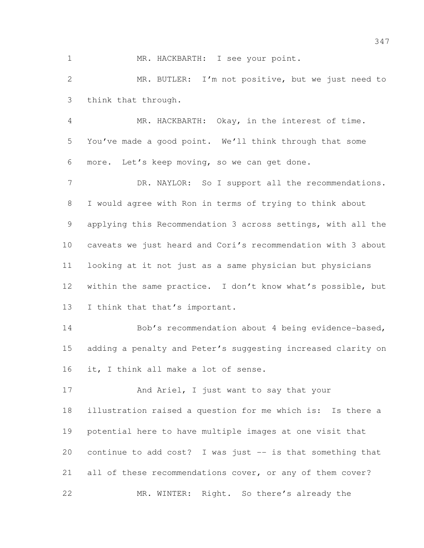1 MR. HACKBARTH: I see your point.

 MR. BUTLER: I'm not positive, but we just need to think that through.

 MR. HACKBARTH: Okay, in the interest of time. You've made a good point. We'll think through that some more. Let's keep moving, so we can get done.

7 DR. NAYLOR: So I support all the recommendations. I would agree with Ron in terms of trying to think about applying this Recommendation 3 across settings, with all the caveats we just heard and Cori's recommendation with 3 about looking at it not just as a same physician but physicians within the same practice. I don't know what's possible, but 13 I think that that's important.

 Bob's recommendation about 4 being evidence-based, adding a penalty and Peter's suggesting increased clarity on it, I think all make a lot of sense.

17 And Ariel, I just want to say that your illustration raised a question for me which is: Is there a potential here to have multiple images at one visit that continue to add cost? I was just -- is that something that 21 all of these recommendations cover, or any of them cover? MR. WINTER: Right. So there's already the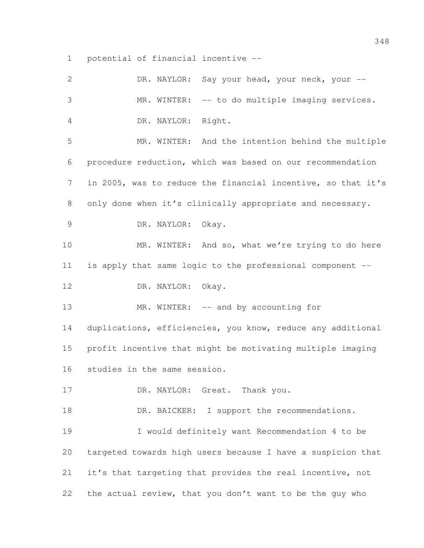potential of financial incentive --

| $\mathbf{2}$  | DR. NAYLOR: Say your head, your neck, your --                |
|---------------|--------------------------------------------------------------|
| 3             | MR. WINTER: -- to do multiple imaging services.              |
| 4             | DR. NAYLOR: Right.                                           |
| 5             | MR. WINTER: And the intention behind the multiple            |
| 6             | procedure reduction, which was based on our recommendation   |
| 7             | in 2005, was to reduce the financial incentive, so that it's |
| 8             | only done when it's clinically appropriate and necessary.    |
| $\mathcal{G}$ | DR. NAYLOR: Okay.                                            |
| 10            | MR. WINTER: And so, what we're trying to do here             |
| 11            | is apply that same logic to the professional component --    |
| 12            | DR. NAYLOR: Okay.                                            |
| 13            | MR. WINTER: -- and by accounting for                         |
| 14            | duplications, efficiencies, you know, reduce any additional  |
| 15            | profit incentive that might be motivating multiple imaging   |
| 16            | studies in the same session.                                 |
| 17            | DR. NAYLOR: Great. Thank you.                                |
| 18            | DR. BAICKER: I support the recommendations.                  |
| 19            | I would definitely want Recommendation 4 to be               |
| 20            | targeted towards high users because I have a suspicion that  |
| 21            | it's that targeting that provides the real incentive, not    |
| 22            | the actual review, that you don't want to be the guy who     |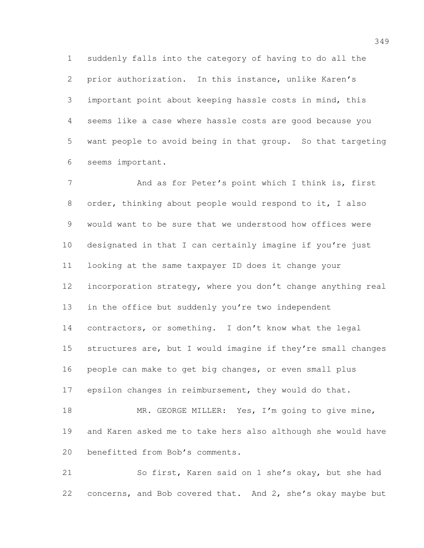suddenly falls into the category of having to do all the prior authorization. In this instance, unlike Karen's important point about keeping hassle costs in mind, this seems like a case where hassle costs are good because you want people to avoid being in that group. So that targeting seems important.

7 And as for Peter's point which I think is, first order, thinking about people would respond to it, I also would want to be sure that we understood how offices were designated in that I can certainly imagine if you're just looking at the same taxpayer ID does it change your 12 incorporation strategy, where you don't change anything real in the office but suddenly you're two independent contractors, or something. I don't know what the legal structures are, but I would imagine if they're small changes people can make to get big changes, or even small plus 17 epsilon changes in reimbursement, they would do that. 18 MR. GEORGE MILLER: Yes, I'm going to give mine,

 and Karen asked me to take hers also although she would have benefitted from Bob's comments.

 So first, Karen said on 1 she's okay, but she had concerns, and Bob covered that. And 2, she's okay maybe but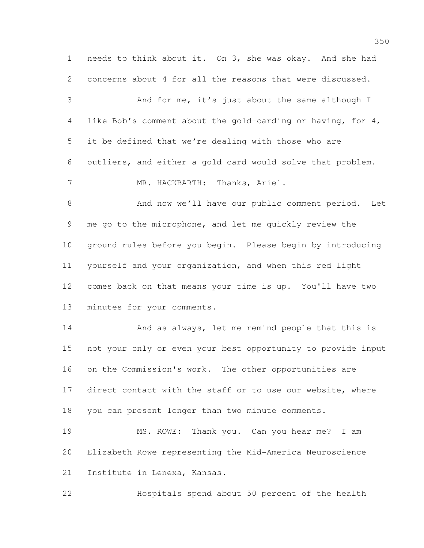needs to think about it. On 3, she was okay. And she had concerns about 4 for all the reasons that were discussed.

 And for me, it's just about the same although I like Bob's comment about the gold-carding or having, for 4, it be defined that we're dealing with those who are outliers, and either a gold card would solve that problem. 7 MR. HACKBARTH: Thanks, Ariel. 8 And now we'll have our public comment period. Let me go to the microphone, and let me quickly review the ground rules before you begin. Please begin by introducing yourself and your organization, and when this red light comes back on that means your time is up. You'll have two

minutes for your comments.

14 And as always, let me remind people that this is not your only or even your best opportunity to provide input on the Commission's work. The other opportunities are 17 direct contact with the staff or to use our website, where you can present longer than two minute comments.

 MS. ROWE: Thank you. Can you hear me? I am Elizabeth Rowe representing the Mid-America Neuroscience Institute in Lenexa, Kansas.

Hospitals spend about 50 percent of the health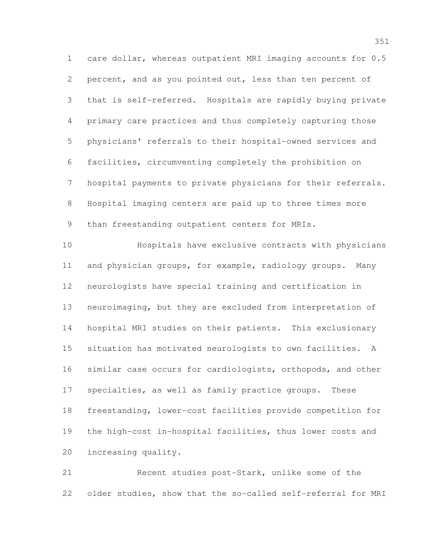care dollar, whereas outpatient MRI imaging accounts for 0.5 percent, and as you pointed out, less than ten percent of that is self-referred. Hospitals are rapidly buying private primary care practices and thus completely capturing those physicians' referrals to their hospital-owned services and facilities, circumventing completely the prohibition on hospital payments to private physicians for their referrals. Hospital imaging centers are paid up to three times more than freestanding outpatient centers for MRIs.

 Hospitals have exclusive contracts with physicians and physician groups, for example, radiology groups. Many neurologists have special training and certification in neuroimaging, but they are excluded from interpretation of hospital MRI studies on their patients. This exclusionary situation has motivated neurologists to own facilities. A similar case occurs for cardiologists, orthopods, and other specialties, as well as family practice groups. These freestanding, lower-cost facilities provide competition for the high-cost in-hospital facilities, thus lower costs and increasing quality.

 Recent studies post-Stark, unlike some of the older studies, show that the so-called self-referral for MRI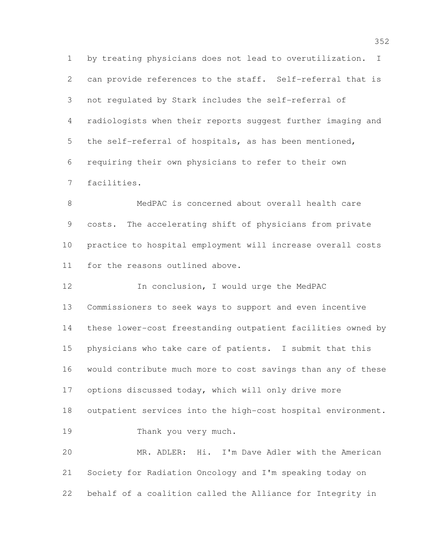by treating physicians does not lead to overutilization. I can provide references to the staff. Self-referral that is not regulated by Stark includes the self-referral of radiologists when their reports suggest further imaging and the self-referral of hospitals, as has been mentioned, requiring their own physicians to refer to their own facilities.

 MedPAC is concerned about overall health care costs. The accelerating shift of physicians from private practice to hospital employment will increase overall costs for the reasons outlined above.

 In conclusion, I would urge the MedPAC Commissioners to seek ways to support and even incentive these lower-cost freestanding outpatient facilities owned by physicians who take care of patients. I submit that this would contribute much more to cost savings than any of these options discussed today, which will only drive more outpatient services into the high-cost hospital environment. Thank you very much. MR. ADLER: Hi. I'm Dave Adler with the American Society for Radiation Oncology and I'm speaking today on

behalf of a coalition called the Alliance for Integrity in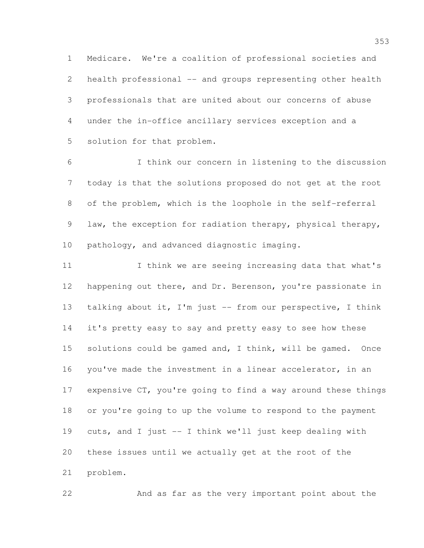Medicare. We're a coalition of professional societies and health professional -- and groups representing other health professionals that are united about our concerns of abuse under the in-office ancillary services exception and a solution for that problem.

 I think our concern in listening to the discussion today is that the solutions proposed do not get at the root of the problem, which is the loophole in the self-referral 9 law, the exception for radiation therapy, physical therapy, pathology, and advanced diagnostic imaging.

11 I think we are seeing increasing data that what's 12 happening out there, and Dr. Berenson, you're passionate in 13 talking about it, I'm just -- from our perspective, I think it's pretty easy to say and pretty easy to see how these solutions could be gamed and, I think, will be gamed. Once you've made the investment in a linear accelerator, in an expensive CT, you're going to find a way around these things or you're going to up the volume to respond to the payment cuts, and I just -- I think we'll just keep dealing with these issues until we actually get at the root of the problem.

And as far as the very important point about the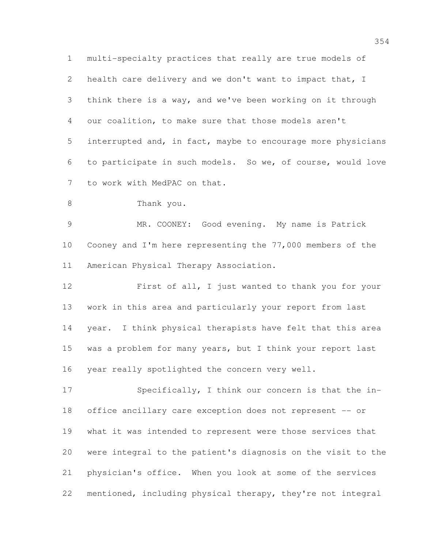multi-specialty practices that really are true models of health care delivery and we don't want to impact that, I think there is a way, and we've been working on it through our coalition, to make sure that those models aren't interrupted and, in fact, maybe to encourage more physicians to participate in such models. So we, of course, would love to work with MedPAC on that. Thank you. MR. COONEY: Good evening. My name is Patrick Cooney and I'm here representing the 77,000 members of the American Physical Therapy Association. First of all, I just wanted to thank you for your work in this area and particularly your report from last year. I think physical therapists have felt that this area 15 was a problem for many years, but I think your report last year really spotlighted the concern very well. Specifically, I think our concern is that the in- office ancillary care exception does not represent -- or what it was intended to represent were those services that

 were integral to the patient's diagnosis on the visit to the physician's office. When you look at some of the services mentioned, including physical therapy, they're not integral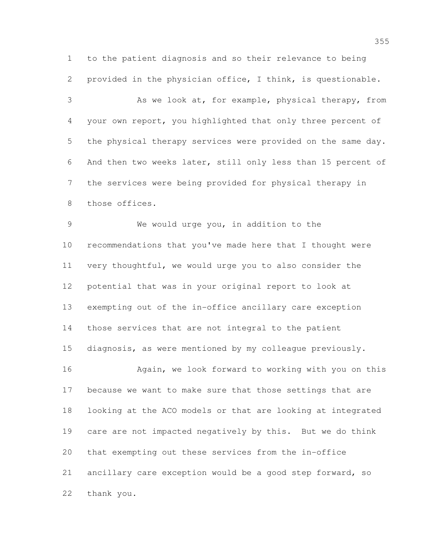to the patient diagnosis and so their relevance to being provided in the physician office, I think, is questionable.

 As we look at, for example, physical therapy, from your own report, you highlighted that only three percent of the physical therapy services were provided on the same day. And then two weeks later, still only less than 15 percent of the services were being provided for physical therapy in those offices.

 We would urge you, in addition to the recommendations that you've made here that I thought were very thoughtful, we would urge you to also consider the potential that was in your original report to look at exempting out of the in-office ancillary care exception those services that are not integral to the patient diagnosis, as were mentioned by my colleague previously. Again, we look forward to working with you on this because we want to make sure that those settings that are

 looking at the ACO models or that are looking at integrated care are not impacted negatively by this. But we do think that exempting out these services from the in-office ancillary care exception would be a good step forward, so thank you.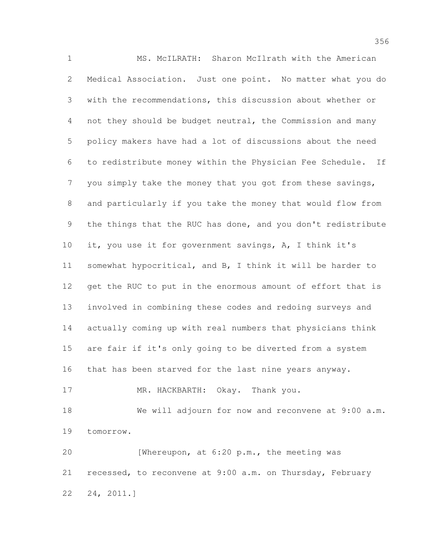MS. McILRATH: Sharon McIlrath with the American Medical Association. Just one point. No matter what you do with the recommendations, this discussion about whether or not they should be budget neutral, the Commission and many policy makers have had a lot of discussions about the need to redistribute money within the Physician Fee Schedule. If you simply take the money that you got from these savings, and particularly if you take the money that would flow from the things that the RUC has done, and you don't redistribute it, you use it for government savings, A, I think it's somewhat hypocritical, and B, I think it will be harder to get the RUC to put in the enormous amount of effort that is involved in combining these codes and redoing surveys and actually coming up with real numbers that physicians think are fair if it's only going to be diverted from a system that has been starved for the last nine years anyway. 17 MR. HACKBARTH: Okay. Thank you. We will adjourn for now and reconvene at 9:00 a.m. tomorrow. [Whereupon, at 6:20 p.m., the meeting was recessed, to reconvene at 9:00 a.m. on Thursday, February 24, 2011.]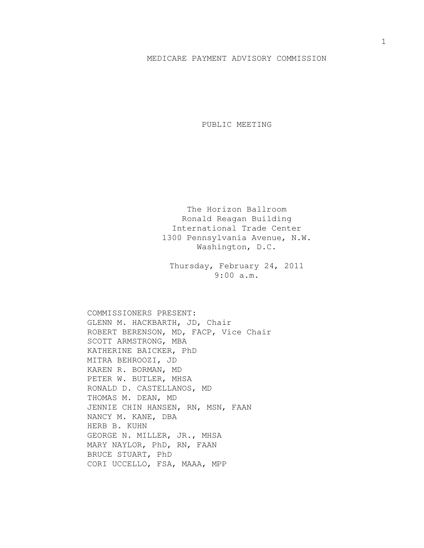## MEDICARE PAYMENT ADVISORY COMMISSION

PUBLIC MEETING

The Horizon Ballroom Ronald Reagan Building International Trade Center 1300 Pennsylvania Avenue, N.W. Washington, D.C.

Thursday, February 24, 2011 9:00 a.m.

COMMISSIONERS PRESENT: GLENN M. HACKBARTH, JD, Chair ROBERT BERENSON, MD, FACP, Vice Chair SCOTT ARMSTRONG, MBA KATHERINE BAICKER, PhD MITRA BEHROOZI, JD KAREN R. BORMAN, MD PETER W. BUTLER, MHSA RONALD D. CASTELLANOS, MD THOMAS M. DEAN, MD JENNIE CHIN HANSEN, RN, MSN, FAAN NANCY M. KANE, DBA HERB B. KUHN GEORGE N. MILLER, JR., MHSA MARY NAYLOR, PhD, RN, FAAN BRUCE STUART, PhD CORI UCCELLO, FSA, MAAA, MPP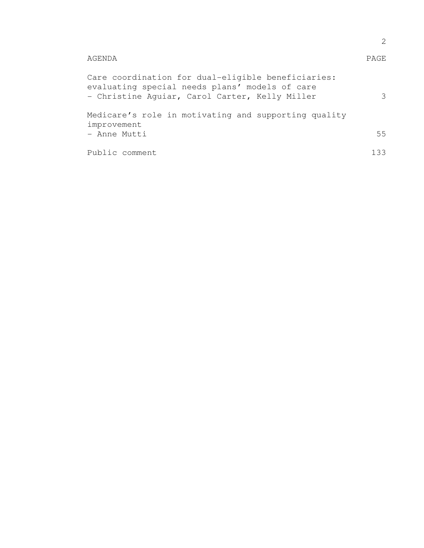| AGENDA                                                                                                                                                 | PAGE |
|--------------------------------------------------------------------------------------------------------------------------------------------------------|------|
| Care coordination for dual-eligible beneficiaries:<br>evaluating special needs plans' models of care<br>- Christine Aquiar, Carol Carter, Kelly Miller | 3    |
| Medicare's role in motivating and supporting quality<br>improvement<br>- Anne Mutti                                                                    | 5.5  |
| Public comment                                                                                                                                         | 133. |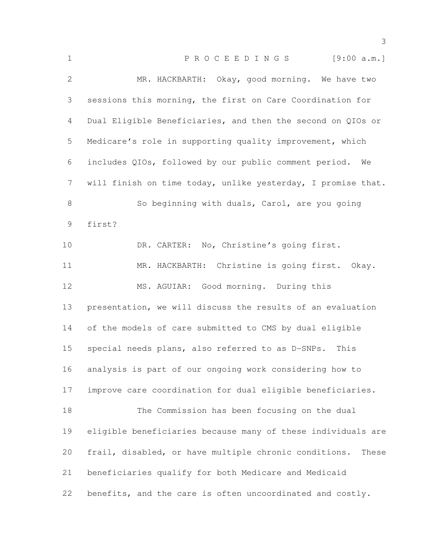| $\mathbf 1$    | PROCEEDINGS [9:00 a.m.]                                        |
|----------------|----------------------------------------------------------------|
| $\mathbf{2}$   | MR. HACKBARTH: Okay, good morning. We have two                 |
| 3              | sessions this morning, the first on Care Coordination for      |
| $\overline{4}$ | Dual Eligible Beneficiaries, and then the second on QIOs or    |
| 5              | Medicare's role in supporting quality improvement, which       |
| 6              | includes QIOs, followed by our public comment period. We       |
| $\overline{7}$ | will finish on time today, unlike yesterday, I promise that.   |
| $8\,$          | So beginning with duals, Carol, are you going                  |
| 9              | first?                                                         |
| 10             | DR. CARTER: No, Christine's going first.                       |
| 11             | MR. HACKBARTH: Christine is going first. Okay.                 |
| 12             | MS. AGUIAR: Good morning. During this                          |
| 13             | presentation, we will discuss the results of an evaluation     |
| 14             | of the models of care submitted to CMS by dual eligible        |
| 15             | special needs plans, also referred to as D-SNPs.<br>This       |
| 16             | analysis is part of our ongoing work considering how to        |
| 17             | improve care coordination for dual eligible beneficiaries.     |
| 18             | The Commission has been focusing on the dual                   |
| 19             | eligible beneficiaries because many of these individuals are   |
| 20             | frail, disabled, or have multiple chronic conditions.<br>These |
| 21             | beneficiaries qualify for both Medicare and Medicaid           |
| 22             | benefits, and the care is often uncoordinated and costly.      |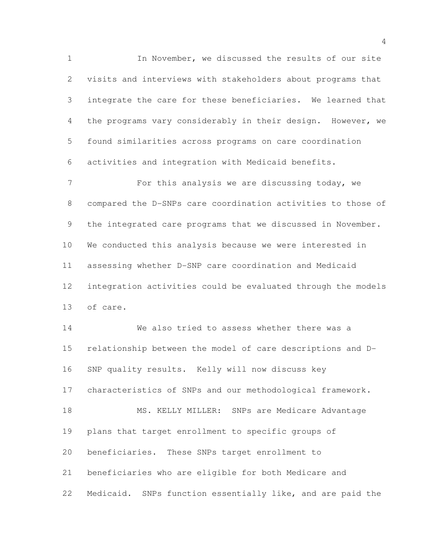In November, we discussed the results of our site visits and interviews with stakeholders about programs that integrate the care for these beneficiaries. We learned that the programs vary considerably in their design. However, we found similarities across programs on care coordination activities and integration with Medicaid benefits.

 For this analysis we are discussing today, we compared the D-SNPs care coordination activities to those of 9 the integrated care programs that we discussed in November. We conducted this analysis because we were interested in assessing whether D-SNP care coordination and Medicaid integration activities could be evaluated through the models of care.

 We also tried to assess whether there was a relationship between the model of care descriptions and D- SNP quality results. Kelly will now discuss key characteristics of SNPs and our methodological framework. 18 MS. KELLY MILLER: SNPs are Medicare Advantage plans that target enrollment to specific groups of beneficiaries. These SNPs target enrollment to beneficiaries who are eligible for both Medicare and Medicaid. SNPs function essentially like, and are paid the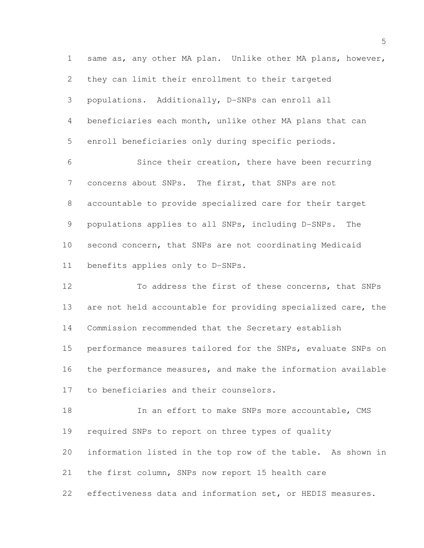same as, any other MA plan. Unlike other MA plans, however, they can limit their enrollment to their targeted populations. Additionally, D-SNPs can enroll all beneficiaries each month, unlike other MA plans that can enroll beneficiaries only during specific periods.

 Since their creation, there have been recurring concerns about SNPs. The first, that SNPs are not accountable to provide specialized care for their target populations applies to all SNPs, including D-SNPs. The second concern, that SNPs are not coordinating Medicaid benefits applies only to D-SNPs.

 To address the first of these concerns, that SNPs are not held accountable for providing specialized care, the Commission recommended that the Secretary establish performance measures tailored for the SNPs, evaluate SNPs on the performance measures, and make the information available to beneficiaries and their counselors.

18 In an effort to make SNPs more accountable, CMS required SNPs to report on three types of quality information listed in the top row of the table. As shown in the first column, SNPs now report 15 health care effectiveness data and information set, or HEDIS measures.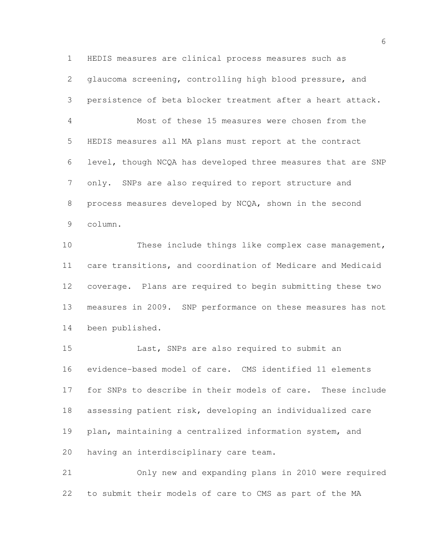HEDIS measures are clinical process measures such as glaucoma screening, controlling high blood pressure, and persistence of beta blocker treatment after a heart attack.

 Most of these 15 measures were chosen from the HEDIS measures all MA plans must report at the contract level, though NCQA has developed three measures that are SNP only. SNPs are also required to report structure and process measures developed by NCQA, shown in the second column.

 These include things like complex case management, care transitions, and coordination of Medicare and Medicaid coverage. Plans are required to begin submitting these two measures in 2009. SNP performance on these measures has not been published.

 Last, SNPs are also required to submit an evidence-based model of care. CMS identified 11 elements for SNPs to describe in their models of care. These include assessing patient risk, developing an individualized care plan, maintaining a centralized information system, and having an interdisciplinary care team.

 Only new and expanding plans in 2010 were required to submit their models of care to CMS as part of the MA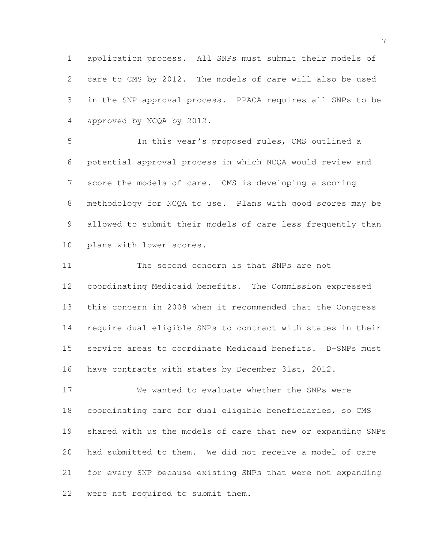application process. All SNPs must submit their models of care to CMS by 2012. The models of care will also be used in the SNP approval process. PPACA requires all SNPs to be approved by NCQA by 2012.

 In this year's proposed rules, CMS outlined a potential approval process in which NCQA would review and score the models of care. CMS is developing a scoring methodology for NCQA to use. Plans with good scores may be allowed to submit their models of care less frequently than plans with lower scores.

 The second concern is that SNPs are not coordinating Medicaid benefits. The Commission expressed this concern in 2008 when it recommended that the Congress require dual eligible SNPs to contract with states in their service areas to coordinate Medicaid benefits. D-SNPs must have contracts with states by December 31st, 2012.

 We wanted to evaluate whether the SNPs were coordinating care for dual eligible beneficiaries, so CMS shared with us the models of care that new or expanding SNPs had submitted to them. We did not receive a model of care for every SNP because existing SNPs that were not expanding were not required to submit them.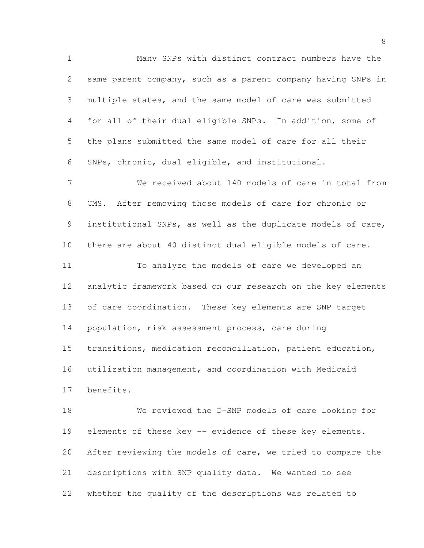Many SNPs with distinct contract numbers have the same parent company, such as a parent company having SNPs in multiple states, and the same model of care was submitted for all of their dual eligible SNPs. In addition, some of the plans submitted the same model of care for all their SNPs, chronic, dual eligible, and institutional.

 We received about 140 models of care in total from CMS. After removing those models of care for chronic or institutional SNPs, as well as the duplicate models of care, there are about 40 distinct dual eligible models of care. To analyze the models of care we developed an analytic framework based on our research on the key elements of care coordination. These key elements are SNP target population, risk assessment process, care during transitions, medication reconciliation, patient education, utilization management, and coordination with Medicaid benefits.

 We reviewed the D-SNP models of care looking for elements of these key -- evidence of these key elements. After reviewing the models of care, we tried to compare the descriptions with SNP quality data. We wanted to see whether the quality of the descriptions was related to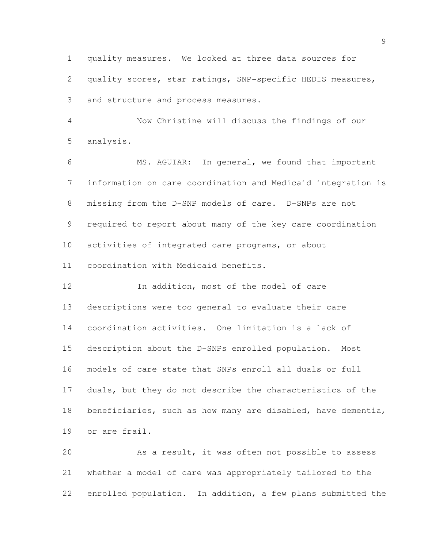quality measures. We looked at three data sources for

 quality scores, star ratings, SNP-specific HEDIS measures, and structure and process measures.

 Now Christine will discuss the findings of our analysis.

 MS. AGUIAR: In general, we found that important information on care coordination and Medicaid integration is missing from the D-SNP models of care. D-SNPs are not required to report about many of the key care coordination activities of integrated care programs, or about coordination with Medicaid benefits.

 In addition, most of the model of care descriptions were too general to evaluate their care coordination activities. One limitation is a lack of description about the D-SNPs enrolled population. Most models of care state that SNPs enroll all duals or full duals, but they do not describe the characteristics of the beneficiaries, such as how many are disabled, have dementia, or are frail.

 As a result, it was often not possible to assess whether a model of care was appropriately tailored to the enrolled population. In addition, a few plans submitted the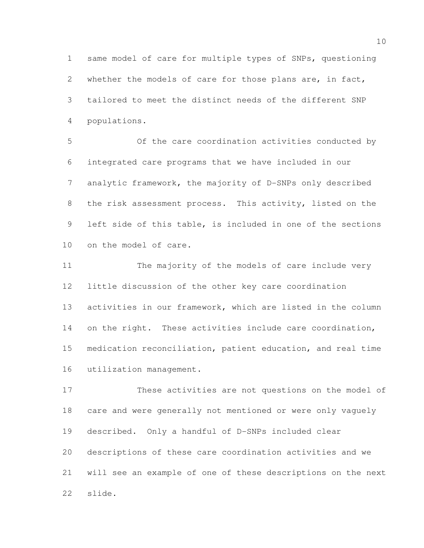same model of care for multiple types of SNPs, questioning whether the models of care for those plans are, in fact, tailored to meet the distinct needs of the different SNP populations.

 Of the care coordination activities conducted by integrated care programs that we have included in our analytic framework, the majority of D-SNPs only described the risk assessment process. This activity, listed on the left side of this table, is included in one of the sections on the model of care.

 The majority of the models of care include very little discussion of the other key care coordination activities in our framework, which are listed in the column 14 on the right. These activities include care coordination, medication reconciliation, patient education, and real time utilization management.

 These activities are not questions on the model of care and were generally not mentioned or were only vaguely described. Only a handful of D-SNPs included clear descriptions of these care coordination activities and we will see an example of one of these descriptions on the next slide.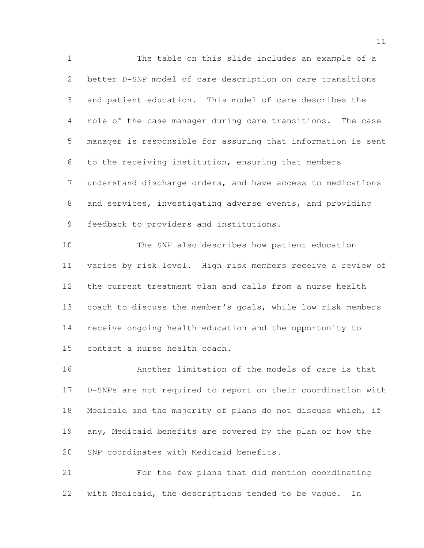The table on this slide includes an example of a better D-SNP model of care description on care transitions and patient education. This model of care describes the role of the case manager during care transitions. The case manager is responsible for assuring that information is sent to the receiving institution, ensuring that members understand discharge orders, and have access to medications and services, investigating adverse events, and providing feedback to providers and institutions. The SNP also describes how patient education varies by risk level. High risk members receive a review of the current treatment plan and calls from a nurse health coach to discuss the member's goals, while low risk members receive ongoing health education and the opportunity to

contact a nurse health coach.

 Another limitation of the models of care is that D-SNPs are not required to report on their coordination with Medicaid and the majority of plans do not discuss which, if any, Medicaid benefits are covered by the plan or how the SNP coordinates with Medicaid benefits.

 For the few plans that did mention coordinating with Medicaid, the descriptions tended to be vague. In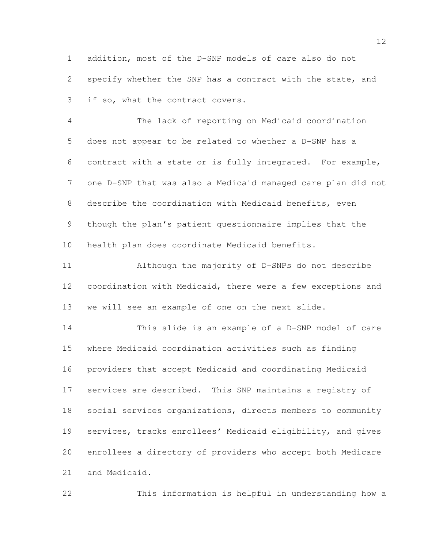addition, most of the D-SNP models of care also do not 2 specify whether the SNP has a contract with the state, and if so, what the contract covers.

 The lack of reporting on Medicaid coordination does not appear to be related to whether a D-SNP has a contract with a state or is fully integrated. For example, one D-SNP that was also a Medicaid managed care plan did not describe the coordination with Medicaid benefits, even though the plan's patient questionnaire implies that the health plan does coordinate Medicaid benefits.

 Although the majority of D-SNPs do not describe coordination with Medicaid, there were a few exceptions and we will see an example of one on the next slide.

 This slide is an example of a D-SNP model of care where Medicaid coordination activities such as finding providers that accept Medicaid and coordinating Medicaid services are described. This SNP maintains a registry of social services organizations, directs members to community services, tracks enrollees' Medicaid eligibility, and gives enrollees a directory of providers who accept both Medicare and Medicaid.

This information is helpful in understanding how a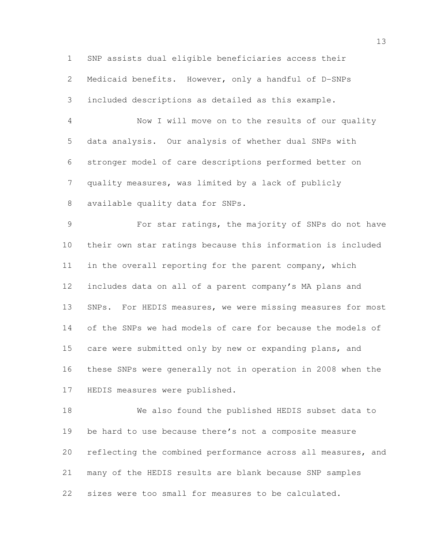SNP assists dual eligible beneficiaries access their

 Medicaid benefits. However, only a handful of D-SNPs included descriptions as detailed as this example.

 Now I will move on to the results of our quality data analysis. Our analysis of whether dual SNPs with stronger model of care descriptions performed better on quality measures, was limited by a lack of publicly available quality data for SNPs.

 For star ratings, the majority of SNPs do not have their own star ratings because this information is included 11 in the overall reporting for the parent company, which includes data on all of a parent company's MA plans and 13 SNPs. For HEDIS measures, we were missing measures for most of the SNPs we had models of care for because the models of care were submitted only by new or expanding plans, and these SNPs were generally not in operation in 2008 when the HEDIS measures were published.

 We also found the published HEDIS subset data to be hard to use because there's not a composite measure reflecting the combined performance across all measures, and many of the HEDIS results are blank because SNP samples sizes were too small for measures to be calculated.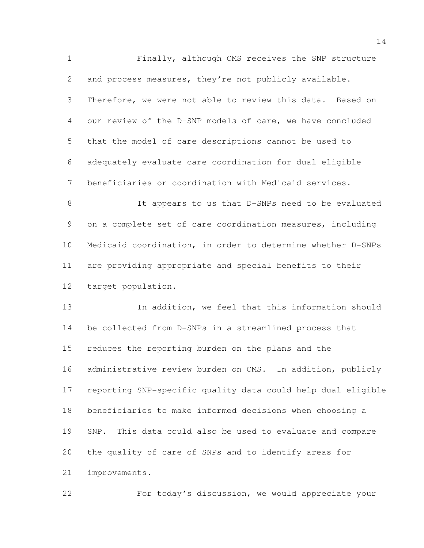Finally, although CMS receives the SNP structure 2 and process measures, they're not publicly available. Therefore, we were not able to review this data. Based on our review of the D-SNP models of care, we have concluded that the model of care descriptions cannot be used to adequately evaluate care coordination for dual eligible beneficiaries or coordination with Medicaid services.

 It appears to us that D-SNPs need to be evaluated on a complete set of care coordination measures, including Medicaid coordination, in order to determine whether D-SNPs are providing appropriate and special benefits to their target population.

 In addition, we feel that this information should be collected from D-SNPs in a streamlined process that reduces the reporting burden on the plans and the administrative review burden on CMS. In addition, publicly reporting SNP-specific quality data could help dual eligible beneficiaries to make informed decisions when choosing a SNP. This data could also be used to evaluate and compare the quality of care of SNPs and to identify areas for improvements.

For today's discussion, we would appreciate your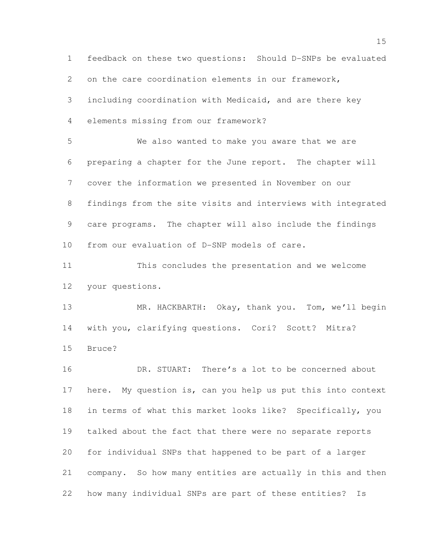feedback on these two questions: Should D-SNPs be evaluated on the care coordination elements in our framework, including coordination with Medicaid, and are there key elements missing from our framework? We also wanted to make you aware that we are preparing a chapter for the June report. The chapter will cover the information we presented in November on our findings from the site visits and interviews with integrated care programs. The chapter will also include the findings from our evaluation of D-SNP models of care. This concludes the presentation and we welcome your questions. 13 MR. HACKBARTH: Okay, thank you. Tom, we'll begin with you, clarifying questions. Cori? Scott? Mitra? Bruce? DR. STUART: There's a lot to be concerned about here. My question is, can you help us put this into context in terms of what this market looks like? Specifically, you talked about the fact that there were no separate reports for individual SNPs that happened to be part of a larger company. So how many entities are actually in this and then how many individual SNPs are part of these entities? Is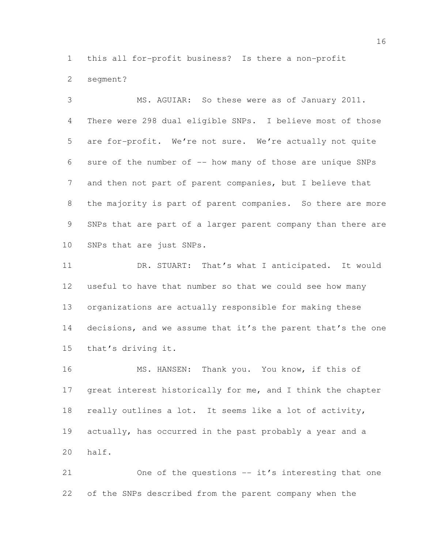this all for-profit business? Is there a non-profit segment?

 MS. AGUIAR: So these were as of January 2011. There were 298 dual eligible SNPs. I believe most of those are for-profit. We're not sure. We're actually not quite sure of the number of -- how many of those are unique SNPs and then not part of parent companies, but I believe that the majority is part of parent companies. So there are more SNPs that are part of a larger parent company than there are SNPs that are just SNPs.

11 DR. STUART: That's what I anticipated. It would useful to have that number so that we could see how many organizations are actually responsible for making these 14 decisions, and we assume that it's the parent that's the one that's driving it.

 MS. HANSEN: Thank you. You know, if this of 17 great interest historically for me, and I think the chapter really outlines a lot. It seems like a lot of activity, actually, has occurred in the past probably a year and a half.

 One of the questions -- it's interesting that one of the SNPs described from the parent company when the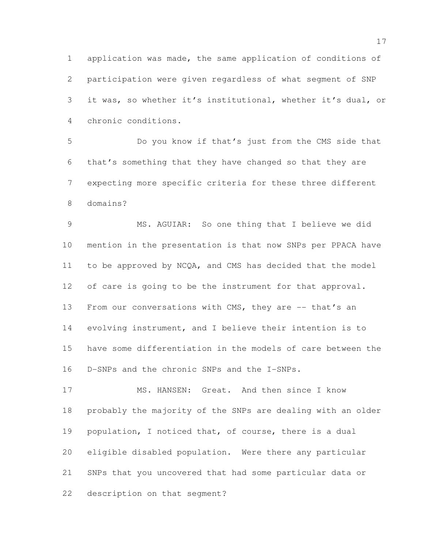application was made, the same application of conditions of participation were given regardless of what segment of SNP it was, so whether it's institutional, whether it's dual, or chronic conditions.

 Do you know if that's just from the CMS side that that's something that they have changed so that they are expecting more specific criteria for these three different domains?

 MS. AGUIAR: So one thing that I believe we did mention in the presentation is that now SNPs per PPACA have to be approved by NCQA, and CMS has decided that the model 12 of care is going to be the instrument for that approval. 13 From our conversations with CMS, they are -- that's an evolving instrument, and I believe their intention is to have some differentiation in the models of care between the D-SNPs and the chronic SNPs and the I-SNPs.

17 MS. HANSEN: Great. And then since I know probably the majority of the SNPs are dealing with an older population, I noticed that, of course, there is a dual eligible disabled population. Were there any particular SNPs that you uncovered that had some particular data or description on that segment?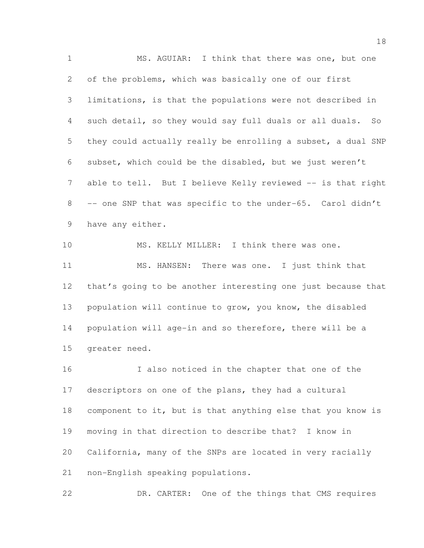MS. AGUIAR: I think that there was one, but one of the problems, which was basically one of our first limitations, is that the populations were not described in such detail, so they would say full duals or all duals. So they could actually really be enrolling a subset, a dual SNP subset, which could be the disabled, but we just weren't 7 able to tell. But I believe Kelly reviewed -- is that right 8 -- one SNP that was specific to the under-65. Carol didn't have any either. MS. KELLY MILLER: I think there was one. MS. HANSEN: There was one. I just think that that's going to be another interesting one just because that

 population will continue to grow, you know, the disabled population will age-in and so therefore, there will be a greater need.

 I also noticed in the chapter that one of the descriptors on one of the plans, they had a cultural component to it, but is that anything else that you know is moving in that direction to describe that? I know in California, many of the SNPs are located in very racially non-English speaking populations.

DR. CARTER: One of the things that CMS requires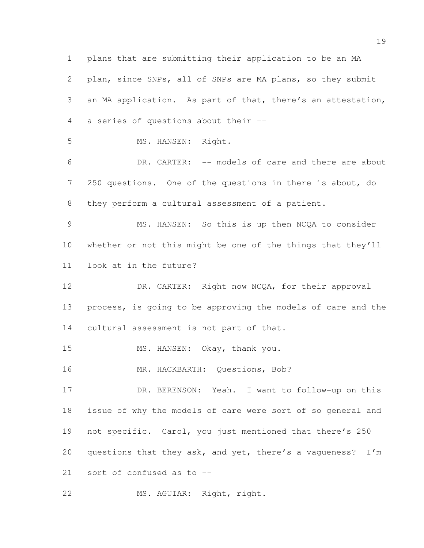plans that are submitting their application to be an MA plan, since SNPs, all of SNPs are MA plans, so they submit an MA application. As part of that, there's an attestation, a series of questions about their -- MS. HANSEN: Right. DR. CARTER: -- models of care and there are about 250 questions. One of the questions in there is about, do they perform a cultural assessment of a patient. MS. HANSEN: So this is up then NCQA to consider whether or not this might be one of the things that they'll look at in the future? DR. CARTER: Right now NCQA, for their approval process, is going to be approving the models of care and the 14 cultural assessment is not part of that. MS. HANSEN: Okay, thank you. MR. HACKBARTH: Questions, Bob? DR. BERENSON: Yeah. I want to follow-up on this issue of why the models of care were sort of so general and not specific. Carol, you just mentioned that there's 250 20 questions that they ask, and yet, there's a vagueness? I'm sort of confused as to -- MS. AGUIAR: Right, right.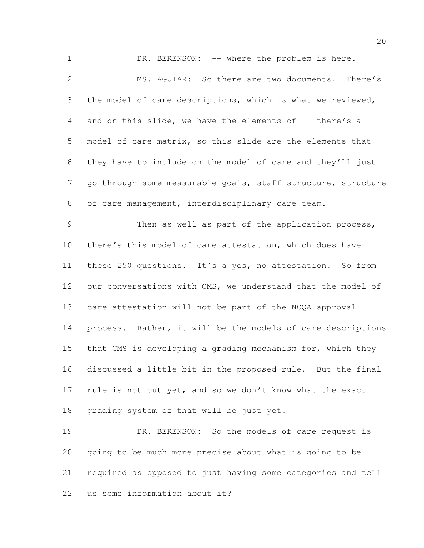1 DR. BERENSON: -- where the problem is here. MS. AGUIAR: So there are two documents. There's the model of care descriptions, which is what we reviewed, 4 and on this slide, we have the elements of -- there's a model of care matrix, so this slide are the elements that they have to include on the model of care and they'll just go through some measurable goals, staff structure, structure 8 of care management, interdisciplinary care team. 9 Then as well as part of the application process, there's this model of care attestation, which does have these 250 questions. It's a yes, no attestation. So from 12 our conversations with CMS, we understand that the model of care attestation will not be part of the NCQA approval process. Rather, it will be the models of care descriptions 15 that CMS is developing a grading mechanism for, which they discussed a little bit in the proposed rule. But the final 17 rule is not out yet, and so we don't know what the exact grading system of that will be just yet. 19 DR. BERENSON: So the models of care request is going to be much more precise about what is going to be

required as opposed to just having some categories and tell

us some information about it?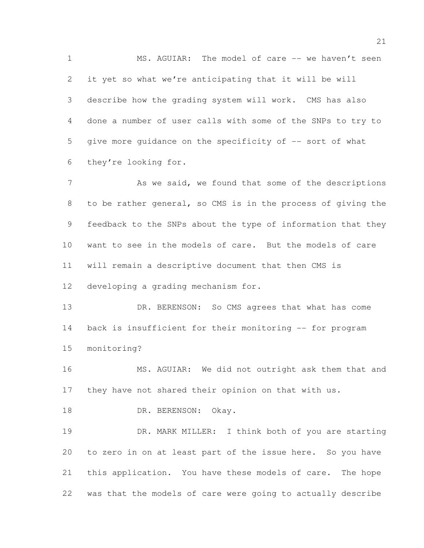MS. AGUIAR: The model of care -- we haven't seen it yet so what we're anticipating that it will be will describe how the grading system will work. CMS has also done a number of user calls with some of the SNPs to try to give more guidance on the specificity of -- sort of what they're looking for.

7 As we said, we found that some of the descriptions to be rather general, so CMS is in the process of giving the feedback to the SNPs about the type of information that they want to see in the models of care. But the models of care will remain a descriptive document that then CMS is developing a grading mechanism for.

13 DR. BERENSON: So CMS agrees that what has come back is insufficient for their monitoring -- for program monitoring?

 MS. AGUIAR: We did not outright ask them that and they have not shared their opinion on that with us.

18 DR. BERENSON: Okay.

19 DR. MARK MILLER: I think both of you are starting to zero in on at least part of the issue here. So you have this application. You have these models of care. The hope was that the models of care were going to actually describe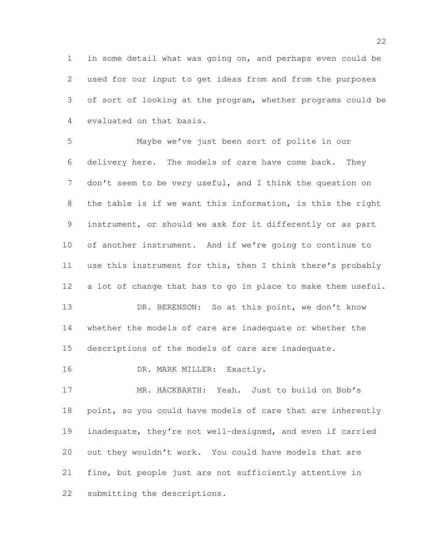in some detail what was going on, and perhaps even could be used for our input to get ideas from and from the purposes of sort of looking at the program, whether programs could be evaluated on that basis.

 Maybe we've just been sort of polite in our delivery here. The models of care have come back. They don't seem to be very useful, and I think the question on the table is if we want this information, is this the right instrument, or should we ask for it differently or as part of another instrument. And if we're going to continue to use this instrument for this, then I think there's probably a lot of change that has to go in place to make them useful. 13 DR. BERENSON: So at this point, we don't know whether the models of care are inadequate or whether the descriptions of the models of care are inadequate.

16 DR. MARK MILLER: Exactly.

 MR. HACKBARTH: Yeah. Just to build on Bob's 18 point, so you could have models of care that are inherently inadequate, they're not well-designed, and even if carried out they wouldn't work. You could have models that are fine, but people just are not sufficiently attentive in submitting the descriptions.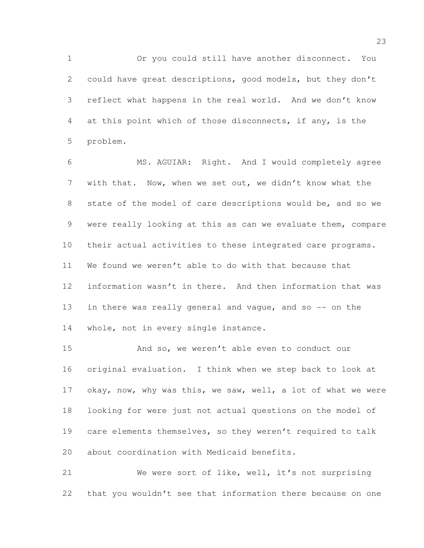Or you could still have another disconnect. You could have great descriptions, good models, but they don't reflect what happens in the real world. And we don't know at this point which of those disconnects, if any, is the problem.

 MS. AGUIAR: Right. And I would completely agree with that. Now, when we set out, we didn't know what the state of the model of care descriptions would be, and so we were really looking at this as can we evaluate them, compare their actual activities to these integrated care programs. We found we weren't able to do with that because that information wasn't in there. And then information that was 13 in there was really general and vague, and so -- on the whole, not in every single instance.

 And so, we weren't able even to conduct our original evaluation. I think when we step back to look at okay, now, why was this, we saw, well, a lot of what we were looking for were just not actual questions on the model of care elements themselves, so they weren't required to talk about coordination with Medicaid benefits.

 We were sort of like, well, it's not surprising that you wouldn't see that information there because on one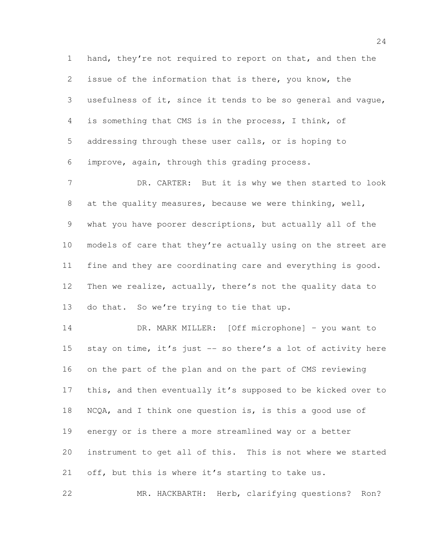hand, they're not required to report on that, and then the issue of the information that is there, you know, the usefulness of it, since it tends to be so general and vague, is something that CMS is in the process, I think, of addressing through these user calls, or is hoping to improve, again, through this grading process.

7 DR. CARTER: But it is why we then started to look at the quality measures, because we were thinking, well, what you have poorer descriptions, but actually all of the models of care that they're actually using on the street are fine and they are coordinating care and everything is good. Then we realize, actually, there's not the quality data to 13 do that. So we're trying to tie that up.

 DR. MARK MILLER: [Off microphone] – you want to 15 stay on time, it's just -- so there's a lot of activity here on the part of the plan and on the part of CMS reviewing this, and then eventually it's supposed to be kicked over to NCQA, and I think one question is, is this a good use of energy or is there a more streamlined way or a better instrument to get all of this. This is not where we started off, but this is where it's starting to take us.

MR. HACKBARTH: Herb, clarifying questions? Ron?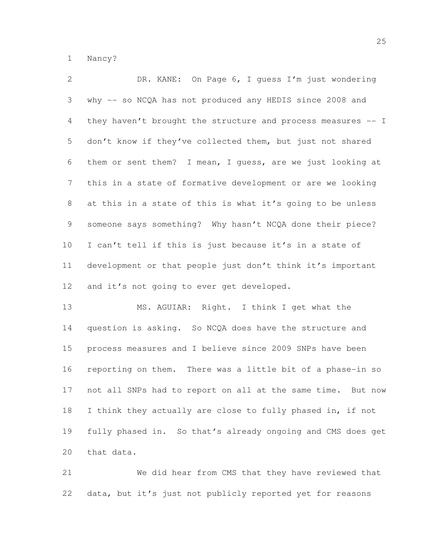Nancy?

 DR. KANE: On Page 6, I guess I'm just wondering why -- so NCQA has not produced any HEDIS since 2008 and they haven't brought the structure and process measures -- I don't know if they've collected them, but just not shared them or sent them? I mean, I guess, are we just looking at this in a state of formative development or are we looking at this in a state of this is what it's going to be unless someone says something? Why hasn't NCQA done their piece? I can't tell if this is just because it's in a state of development or that people just don't think it's important 12 and it's not going to ever get developed. MS. AGUIAR: Right. I think I get what the question is asking. So NCQA does have the structure and process measures and I believe since 2009 SNPs have been reporting on them. There was a little bit of a phase-in so

 not all SNPs had to report on all at the same time. But now I think they actually are close to fully phased in, if not fully phased in. So that's already ongoing and CMS does get that data.

 We did hear from CMS that they have reviewed that data, but it's just not publicly reported yet for reasons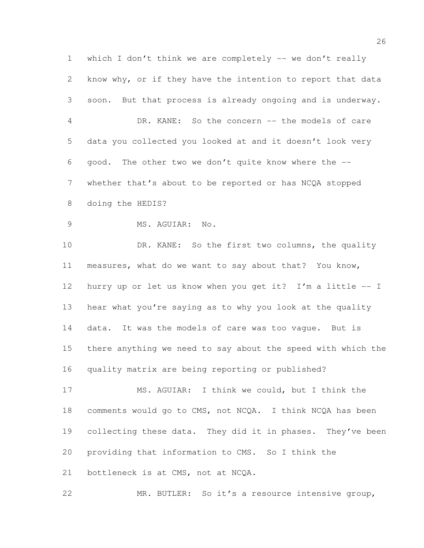which I don't think we are completely -- we don't really know why, or if they have the intention to report that data soon. But that process is already ongoing and is underway. DR. KANE: So the concern -- the models of care data you collected you looked at and it doesn't look very good. The other two we don't quite know where the -- whether that's about to be reported or has NCQA stopped doing the HEDIS? MS. AGUIAR: No. 10 DR. KANE: So the first two columns, the quality measures, what do we want to say about that? You know, hurry up or let us know when you get it? I'm a little -- I hear what you're saying as to why you look at the quality data. It was the models of care was too vague. But is there anything we need to say about the speed with which the quality matrix are being reporting or published? MS. AGUIAR: I think we could, but I think the comments would go to CMS, not NCQA. I think NCQA has been 19 collecting these data. They did it in phases. They've been providing that information to CMS. So I think the bottleneck is at CMS, not at NCQA. MR. BUTLER: So it's a resource intensive group,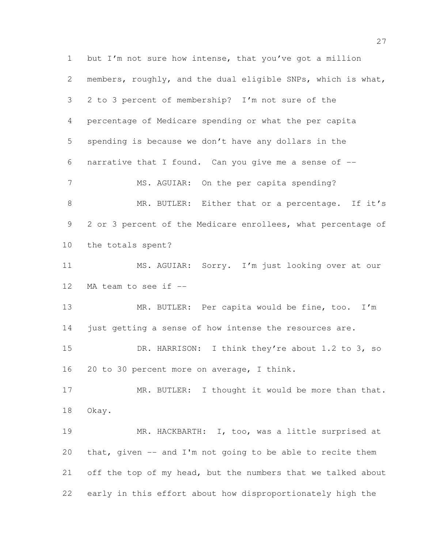but I'm not sure how intense, that you've got a million members, roughly, and the dual eligible SNPs, which is what, 2 to 3 percent of membership? I'm not sure of the percentage of Medicare spending or what the per capita spending is because we don't have any dollars in the narrative that I found. Can you give me a sense of -- 7 MS. AGUIAR: On the per capita spending? 8 MR. BUTLER: Either that or a percentage. If it's 2 or 3 percent of the Medicare enrollees, what percentage of the totals spent? MS. AGUIAR: Sorry. I'm just looking over at our 12 MA team to see if --13 MR. BUTLER: Per capita would be fine, too. I'm 14 just getting a sense of how intense the resources are. DR. HARRISON: I think they're about 1.2 to 3, so 20 to 30 percent more on average, I think. 17 MR. BUTLER: I thought it would be more than that. Okay. MR. HACKBARTH: I, too, was a little surprised at that, given -- and I'm not going to be able to recite them off the top of my head, but the numbers that we talked about early in this effort about how disproportionately high the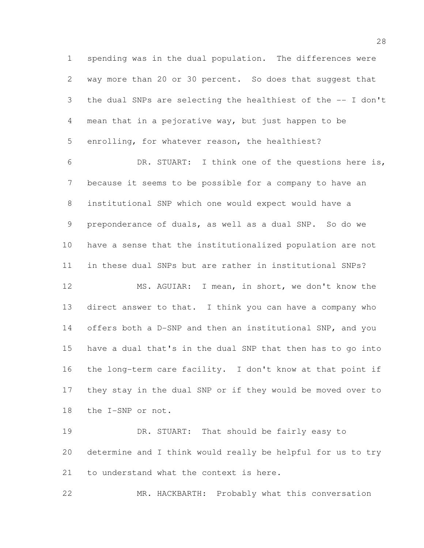spending was in the dual population. The differences were way more than 20 or 30 percent. So does that suggest that the dual SNPs are selecting the healthiest of the -- I don't mean that in a pejorative way, but just happen to be enrolling, for whatever reason, the healthiest?

 DR. STUART: I think one of the questions here is, because it seems to be possible for a company to have an institutional SNP which one would expect would have a preponderance of duals, as well as a dual SNP. So do we have a sense that the institutionalized population are not in these dual SNPs but are rather in institutional SNPs? MS. AGUIAR: I mean, in short, we don't know the direct answer to that. I think you can have a company who offers both a D-SNP and then an institutional SNP, and you have a dual that's in the dual SNP that then has to go into the long-term care facility. I don't know at that point if

 they stay in the dual SNP or if they would be moved over to the I-SNP or not.

19 DR. STUART: That should be fairly easy to determine and I think would really be helpful for us to try to understand what the context is here.

MR. HACKBARTH: Probably what this conversation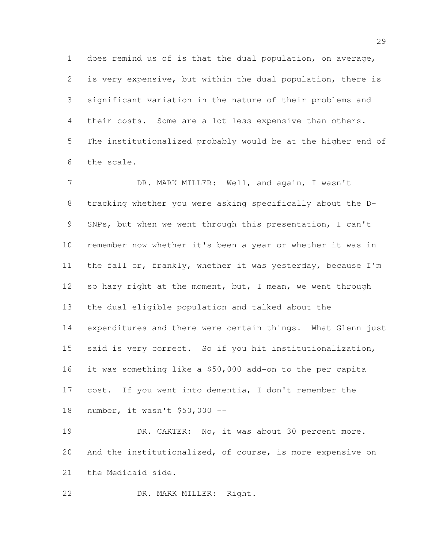does remind us of is that the dual population, on average, is very expensive, but within the dual population, there is significant variation in the nature of their problems and their costs. Some are a lot less expensive than others. The institutionalized probably would be at the higher end of the scale.

7 DR. MARK MILLER: Well, and again, I wasn't tracking whether you were asking specifically about the D- SNPs, but when we went through this presentation, I can't remember now whether it's been a year or whether it was in the fall or, frankly, whether it was yesterday, because I'm 12 so hazy right at the moment, but, I mean, we went through the dual eligible population and talked about the expenditures and there were certain things. What Glenn just said is very correct. So if you hit institutionalization, it was something like a \$50,000 add-on to the per capita cost. If you went into dementia, I don't remember the number, it wasn't \$50,000 --

19 DR. CARTER: No, it was about 30 percent more. And the institutionalized, of course, is more expensive on the Medicaid side.

DR. MARK MILLER: Right.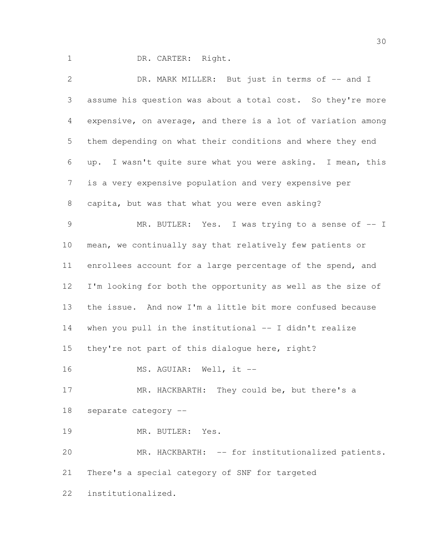DR. CARTER: Right.

2 DR. MARK MILLER: But just in terms of -- and I assume his question was about a total cost. So they're more expensive, on average, and there is a lot of variation among them depending on what their conditions and where they end up. I wasn't quite sure what you were asking. I mean, this is a very expensive population and very expensive per capita, but was that what you were even asking? 9 MR. BUTLER: Yes. I was trying to a sense of  $-1$  mean, we continually say that relatively few patients or enrollees account for a large percentage of the spend, and I'm looking for both the opportunity as well as the size of the issue. And now I'm a little bit more confused because when you pull in the institutional -- I didn't realize they're not part of this dialogue here, right? 16 MS. AGUIAR: Well, it --17 MR. HACKBARTH: They could be, but there's a separate category -- MR. BUTLER: Yes. MR. HACKBARTH: -- for institutionalized patients. There's a special category of SNF for targeted institutionalized.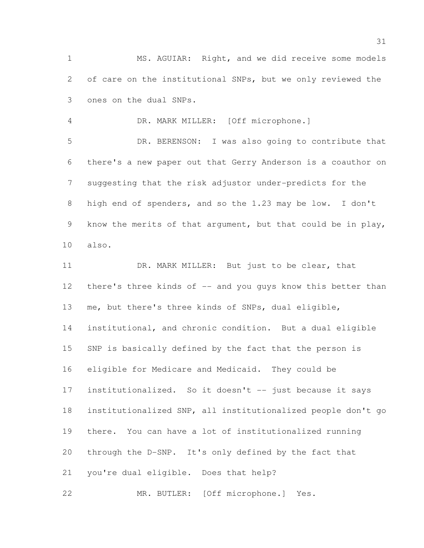MS. AGUIAR: Right, and we did receive some models of care on the institutional SNPs, but we only reviewed the ones on the dual SNPs.

DR. MARK MILLER: [Off microphone.]

 DR. BERENSON: I was also going to contribute that there's a new paper out that Gerry Anderson is a coauthor on suggesting that the risk adjustor under-predicts for the high end of spenders, and so the 1.23 may be low. I don't know the merits of that argument, but that could be in play, also.

 DR. MARK MILLER: But just to be clear, that 12 there's three kinds of -- and you guys know this better than me, but there's three kinds of SNPs, dual eligible, institutional, and chronic condition. But a dual eligible SNP is basically defined by the fact that the person is eligible for Medicare and Medicaid. They could be institutionalized. So it doesn't -- just because it says institutionalized SNP, all institutionalized people don't go there. You can have a lot of institutionalized running through the D-SNP. It's only defined by the fact that you're dual eligible. Does that help?

MR. BUTLER: [Off microphone.] Yes.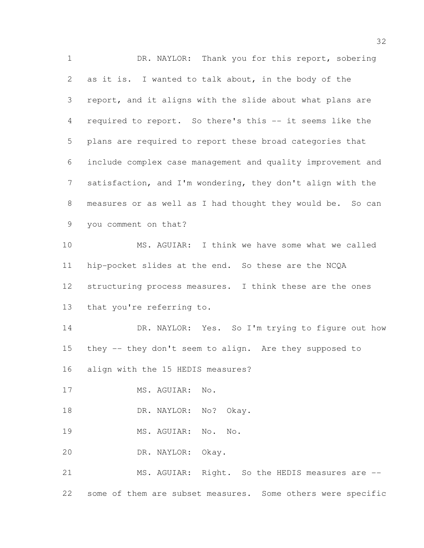1 DR. NAYLOR: Thank you for this report, sobering as it is. I wanted to talk about, in the body of the report, and it aligns with the slide about what plans are required to report. So there's this -- it seems like the plans are required to report these broad categories that include complex case management and quality improvement and satisfaction, and I'm wondering, they don't align with the measures or as well as I had thought they would be. So can you comment on that? MS. AGUIAR: I think we have some what we called hip-pocket slides at the end. So these are the NCQA structuring process measures. I think these are the ones that you're referring to. 14 DR. NAYLOR: Yes. So I'm trying to figure out how they -- they don't seem to align. Are they supposed to align with the 15 HEDIS measures? 17 MS. AGUIAR: No. 18 DR. NAYLOR: No? Okay. MS. AGUIAR: No. No. DR. NAYLOR: Okay. MS. AGUIAR: Right. So the HEDIS measures are -- some of them are subset measures. Some others were specific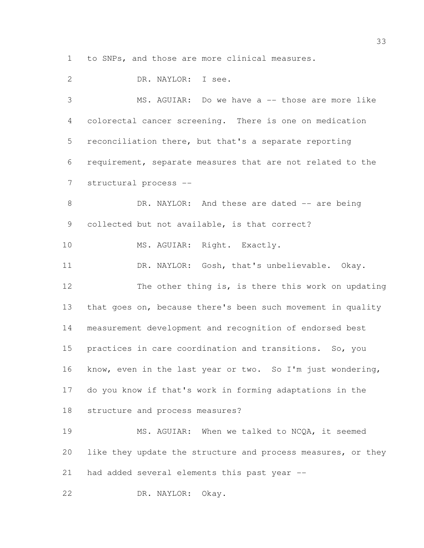to SNPs, and those are more clinical measures.

 DR. NAYLOR: I see. MS. AGUIAR: Do we have a -- those are more like colorectal cancer screening. There is one on medication reconciliation there, but that's a separate reporting requirement, separate measures that are not related to the structural process -- 8 DR. NAYLOR: And these are dated -- are being collected but not available, is that correct? 10 MS. AGUIAR: Right. Exactly. DR. NAYLOR: Gosh, that's unbelievable. Okay. The other thing is, is there this work on updating that goes on, because there's been such movement in quality measurement development and recognition of endorsed best practices in care coordination and transitions. So, you know, even in the last year or two. So I'm just wondering, do you know if that's work in forming adaptations in the structure and process measures? MS. AGUIAR: When we talked to NCQA, it seemed like they update the structure and process measures, or they had added several elements this past year -- DR. NAYLOR: Okay.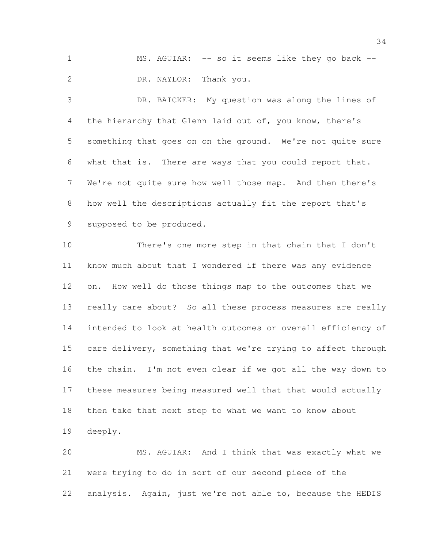MS. AGUIAR: -- so it seems like they go back -- DR. NAYLOR: Thank you.

 DR. BAICKER: My question was along the lines of the hierarchy that Glenn laid out of, you know, there's something that goes on on the ground. We're not quite sure what that is. There are ways that you could report that. We're not quite sure how well those map. And then there's how well the descriptions actually fit the report that's supposed to be produced.

 There's one more step in that chain that I don't know much about that I wondered if there was any evidence on. How well do those things map to the outcomes that we really care about? So all these process measures are really intended to look at health outcomes or overall efficiency of care delivery, something that we're trying to affect through the chain. I'm not even clear if we got all the way down to these measures being measured well that that would actually then take that next step to what we want to know about deeply.

 MS. AGUIAR: And I think that was exactly what we were trying to do in sort of our second piece of the analysis. Again, just we're not able to, because the HEDIS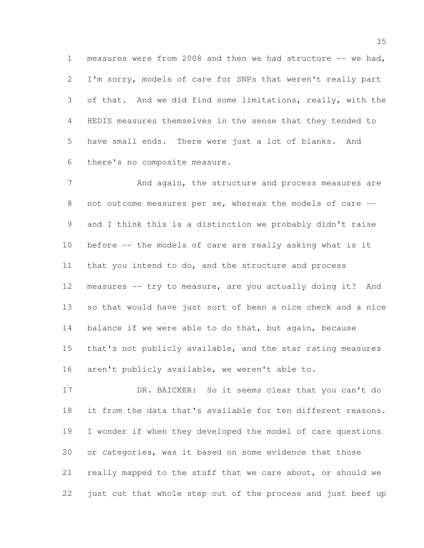measures were from 2008 and then we had structure -- we had, I'm sorry, models of care for SNPs that weren't really part of that. And we did find some limitations, really, with the HEDIS measures themselves in the sense that they tended to have small ends. There were just a lot of blanks. And there's no composite measure.

7 And again, the structure and process measures are not outcome measures per se, whereas the models of care -- and I think this is a distinction we probably didn't raise before -- the models of care are really asking what is it that you intend to do, and the structure and process measures -- try to measure, are you actually doing it? And so that would have just sort of been a nice check and a nice 14 balance if we were able to do that, but again, because that's not publicly available, and the star rating measures aren't publicly available, we weren't able to.

 DR. BAICKER: So it seems clear that you can't do it from the data that's available for ten different reasons. I wonder if when they developed the model of care questions or categories, was it based on some evidence that those really mapped to the stuff that we care about, or should we just cut that whole step out of the process and just beef up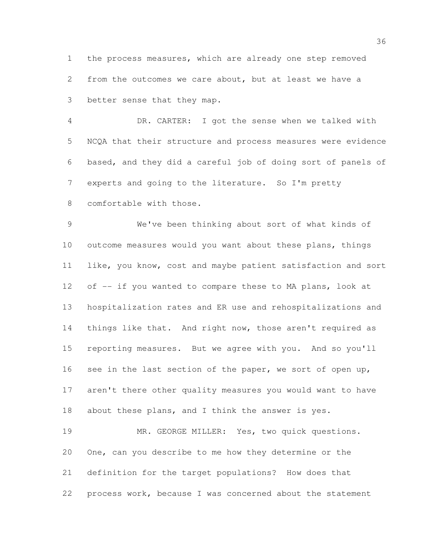the process measures, which are already one step removed from the outcomes we care about, but at least we have a better sense that they map.

 DR. CARTER: I got the sense when we talked with NCQA that their structure and process measures were evidence based, and they did a careful job of doing sort of panels of experts and going to the literature. So I'm pretty comfortable with those.

 We've been thinking about sort of what kinds of outcome measures would you want about these plans, things like, you know, cost and maybe patient satisfaction and sort 12 of -- if you wanted to compare these to MA plans, look at hospitalization rates and ER use and rehospitalizations and 14 things like that. And right now, those aren't required as reporting measures. But we agree with you. And so you'll 16 see in the last section of the paper, we sort of open up, aren't there other quality measures you would want to have about these plans, and I think the answer is yes.

 MR. GEORGE MILLER: Yes, two quick questions. One, can you describe to me how they determine or the definition for the target populations? How does that process work, because I was concerned about the statement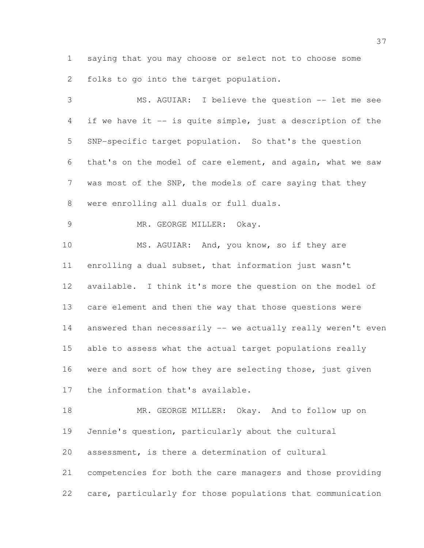saying that you may choose or select not to choose some folks to go into the target population.

 MS. AGUIAR: I believe the question -- let me see if we have it -- is quite simple, just a description of the SNP-specific target population. So that's the question that's on the model of care element, and again, what we saw was most of the SNP, the models of care saying that they were enrolling all duals or full duals. 9 MR. GEORGE MILLER: Okay. 10 MS. AGUIAR: And, you know, so if they are enrolling a dual subset, that information just wasn't available. I think it's more the question on the model of care element and then the way that those questions were answered than necessarily -- we actually really weren't even able to assess what the actual target populations really 16 were and sort of how they are selecting those, just given the information that's available. 18 MR. GEORGE MILLER: Okay. And to follow up on Jennie's question, particularly about the cultural assessment, is there a determination of cultural competencies for both the care managers and those providing care, particularly for those populations that communication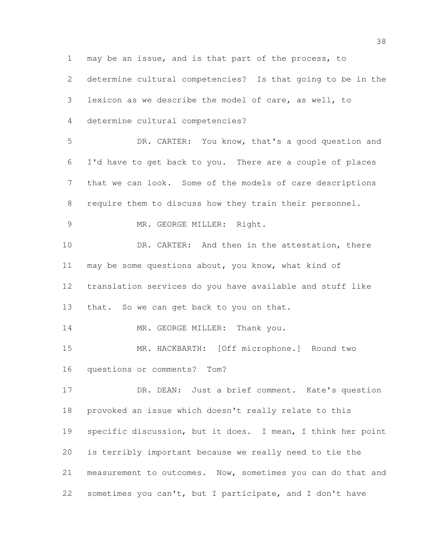may be an issue, and is that part of the process, to determine cultural competencies? Is that going to be in the lexicon as we describe the model of care, as well, to determine cultural competencies? DR. CARTER: You know, that's a good question and I'd have to get back to you. There are a couple of places that we can look. Some of the models of care descriptions require them to discuss how they train their personnel. 9 MR. GEORGE MILLER: Right. 10 DR. CARTER: And then in the attestation, there may be some questions about, you know, what kind of translation services do you have available and stuff like 13 that. So we can get back to you on that. 14 MR. GEORGE MILLER: Thank you. MR. HACKBARTH: [Off microphone.] Round two questions or comments? Tom? DR. DEAN: Just a brief comment. Kate's question provoked an issue which doesn't really relate to this specific discussion, but it does. I mean, I think her point is terribly important because we really need to tie the measurement to outcomes. Now, sometimes you can do that and sometimes you can't, but I participate, and I don't have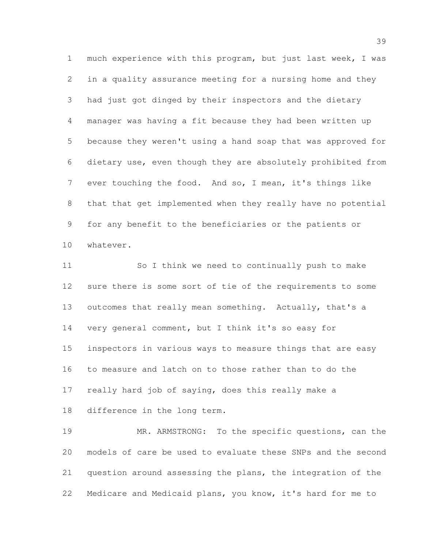much experience with this program, but just last week, I was in a quality assurance meeting for a nursing home and they had just got dinged by their inspectors and the dietary manager was having a fit because they had been written up because they weren't using a hand soap that was approved for dietary use, even though they are absolutely prohibited from ever touching the food. And so, I mean, it's things like that that get implemented when they really have no potential for any benefit to the beneficiaries or the patients or whatever.

 So I think we need to continually push to make sure there is some sort of tie of the requirements to some outcomes that really mean something. Actually, that's a very general comment, but I think it's so easy for inspectors in various ways to measure things that are easy to measure and latch on to those rather than to do the really hard job of saying, does this really make a difference in the long term.

 MR. ARMSTRONG: To the specific questions, can the models of care be used to evaluate these SNPs and the second question around assessing the plans, the integration of the Medicare and Medicaid plans, you know, it's hard for me to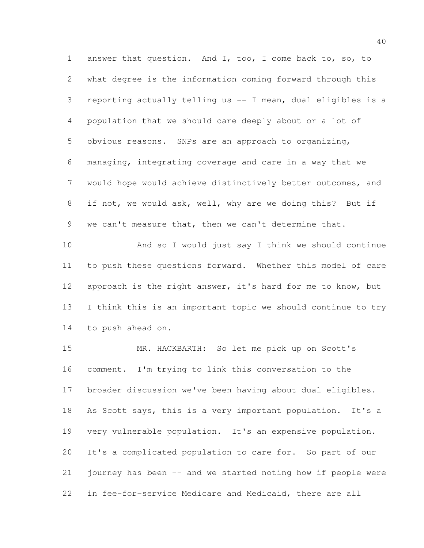answer that question. And I, too, I come back to, so, to what degree is the information coming forward through this reporting actually telling us -- I mean, dual eligibles is a population that we should care deeply about or a lot of obvious reasons. SNPs are an approach to organizing, managing, integrating coverage and care in a way that we would hope would achieve distinctively better outcomes, and if not, we would ask, well, why are we doing this? But if we can't measure that, then we can't determine that.

 And so I would just say I think we should continue to push these questions forward. Whether this model of care 12 approach is the right answer, it's hard for me to know, but I think this is an important topic we should continue to try to push ahead on.

 MR. HACKBARTH: So let me pick up on Scott's comment. I'm trying to link this conversation to the broader discussion we've been having about dual eligibles. As Scott says, this is a very important population. It's a very vulnerable population. It's an expensive population. It's a complicated population to care for. So part of our journey has been -- and we started noting how if people were in fee-for-service Medicare and Medicaid, there are all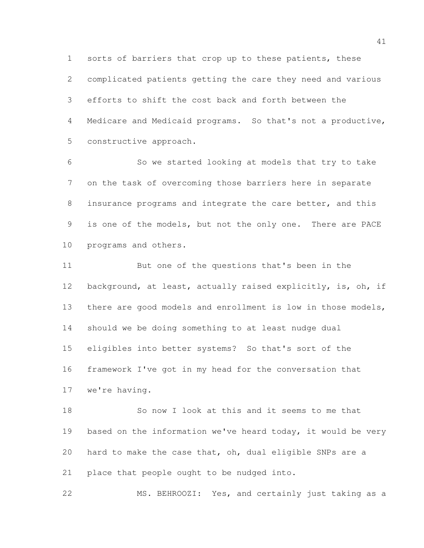sorts of barriers that crop up to these patients, these complicated patients getting the care they need and various efforts to shift the cost back and forth between the Medicare and Medicaid programs. So that's not a productive, constructive approach.

 So we started looking at models that try to take on the task of overcoming those barriers here in separate insurance programs and integrate the care better, and this is one of the models, but not the only one. There are PACE programs and others.

 But one of the questions that's been in the background, at least, actually raised explicitly, is, oh, if there are good models and enrollment is low in those models, should we be doing something to at least nudge dual eligibles into better systems? So that's sort of the framework I've got in my head for the conversation that we're having.

 So now I look at this and it seems to me that based on the information we've heard today, it would be very hard to make the case that, oh, dual eligible SNPs are a 21 place that people ought to be nudged into.

MS. BEHROOZI: Yes, and certainly just taking as a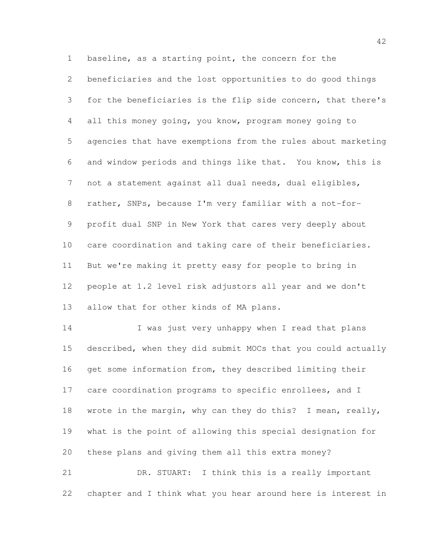baseline, as a starting point, the concern for the beneficiaries and the lost opportunities to do good things for the beneficiaries is the flip side concern, that there's all this money going, you know, program money going to agencies that have exemptions from the rules about marketing and window periods and things like that. You know, this is not a statement against all dual needs, dual eligibles, rather, SNPs, because I'm very familiar with a not-for- profit dual SNP in New York that cares very deeply about care coordination and taking care of their beneficiaries. But we're making it pretty easy for people to bring in people at 1.2 level risk adjustors all year and we don't allow that for other kinds of MA plans.

14 I was just very unhappy when I read that plans described, when they did submit MOCs that you could actually get some information from, they described limiting their 17 care coordination programs to specific enrollees, and I 18 wrote in the margin, why can they do this? I mean, really, what is the point of allowing this special designation for these plans and giving them all this extra money? DR. STUART: I think this is a really important

chapter and I think what you hear around here is interest in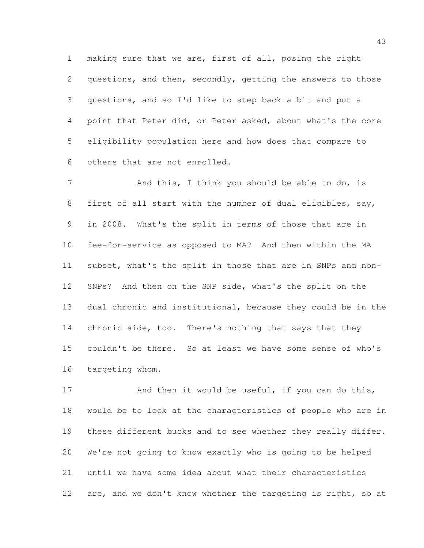making sure that we are, first of all, posing the right questions, and then, secondly, getting the answers to those questions, and so I'd like to step back a bit and put a point that Peter did, or Peter asked, about what's the core eligibility population here and how does that compare to others that are not enrolled.

7 And this, I think you should be able to do, is 8 first of all start with the number of dual eligibles, say, in 2008. What's the split in terms of those that are in fee-for-service as opposed to MA? And then within the MA subset, what's the split in those that are in SNPs and non- SNPs? And then on the SNP side, what's the split on the dual chronic and institutional, because they could be in the chronic side, too. There's nothing that says that they couldn't be there. So at least we have some sense of who's targeting whom.

17 And then it would be useful, if you can do this, would be to look at the characteristics of people who are in these different bucks and to see whether they really differ. We're not going to know exactly who is going to be helped until we have some idea about what their characteristics 22 are, and we don't know whether the targeting is right, so at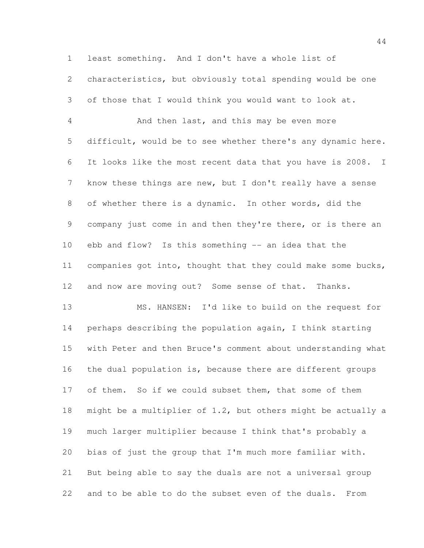least something. And I don't have a whole list of characteristics, but obviously total spending would be one of those that I would think you would want to look at. And then last, and this may be even more difficult, would be to see whether there's any dynamic here. It looks like the most recent data that you have is 2008. I know these things are new, but I don't really have a sense of whether there is a dynamic. In other words, did the company just come in and then they're there, or is there an ebb and flow? Is this something -- an idea that the 11 companies got into, thought that they could make some bucks, and now are moving out? Some sense of that. Thanks. MS. HANSEN: I'd like to build on the request for perhaps describing the population again, I think starting with Peter and then Bruce's comment about understanding what 16 the dual population is, because there are different groups of them. So if we could subset them, that some of them might be a multiplier of 1.2, but others might be actually a much larger multiplier because I think that's probably a bias of just the group that I'm much more familiar with. But being able to say the duals are not a universal group and to be able to do the subset even of the duals. From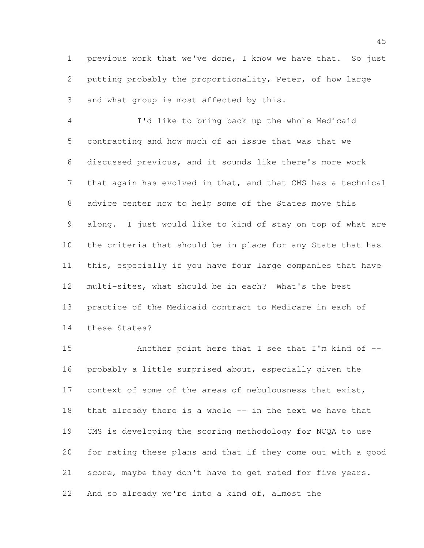previous work that we've done, I know we have that. So just putting probably the proportionality, Peter, of how large and what group is most affected by this.

 I'd like to bring back up the whole Medicaid contracting and how much of an issue that was that we discussed previous, and it sounds like there's more work that again has evolved in that, and that CMS has a technical advice center now to help some of the States move this along. I just would like to kind of stay on top of what are the criteria that should be in place for any State that has this, especially if you have four large companies that have multi-sites, what should be in each? What's the best practice of the Medicaid contract to Medicare in each of these States?

 Another point here that I see that I'm kind of -- probably a little surprised about, especially given the context of some of the areas of nebulousness that exist, that already there is a whole -- in the text we have that CMS is developing the scoring methodology for NCQA to use for rating these plans and that if they come out with a good score, maybe they don't have to get rated for five years. And so already we're into a kind of, almost the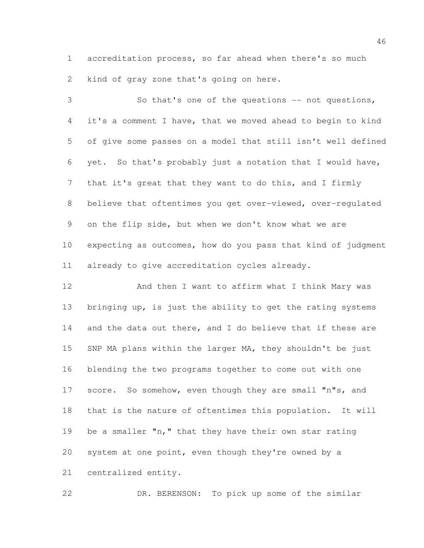accreditation process, so far ahead when there's so much kind of gray zone that's going on here.

 So that's one of the questions -- not questions, it's a comment I have, that we moved ahead to begin to kind of give some passes on a model that still isn't well defined yet. So that's probably just a notation that I would have, that it's great that they want to do this, and I firmly believe that oftentimes you get over-viewed, over-regulated on the flip side, but when we don't know what we are expecting as outcomes, how do you pass that kind of judgment already to give accreditation cycles already.

 And then I want to affirm what I think Mary was bringing up, is just the ability to get the rating systems 14 and the data out there, and I do believe that if these are SNP MA plans within the larger MA, they shouldn't be just blending the two programs together to come out with one 17 score. So somehow, even though they are small "n"s, and that is the nature of oftentimes this population. It will 19 be a smaller "n," that they have their own star rating system at one point, even though they're owned by a centralized entity.

DR. BERENSON: To pick up some of the similar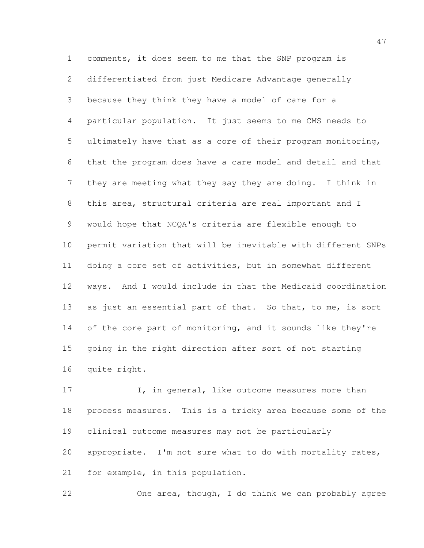comments, it does seem to me that the SNP program is differentiated from just Medicare Advantage generally because they think they have a model of care for a particular population. It just seems to me CMS needs to ultimately have that as a core of their program monitoring, that the program does have a care model and detail and that they are meeting what they say they are doing. I think in this area, structural criteria are real important and I would hope that NCQA's criteria are flexible enough to permit variation that will be inevitable with different SNPs doing a core set of activities, but in somewhat different ways. And I would include in that the Medicaid coordination 13 as just an essential part of that. So that, to me, is sort 14 of the core part of monitoring, and it sounds like they're going in the right direction after sort of not starting quite right.

17 I, in general, like outcome measures more than process measures. This is a tricky area because some of the clinical outcome measures may not be particularly appropriate. I'm not sure what to do with mortality rates, for example, in this population.

One area, though, I do think we can probably agree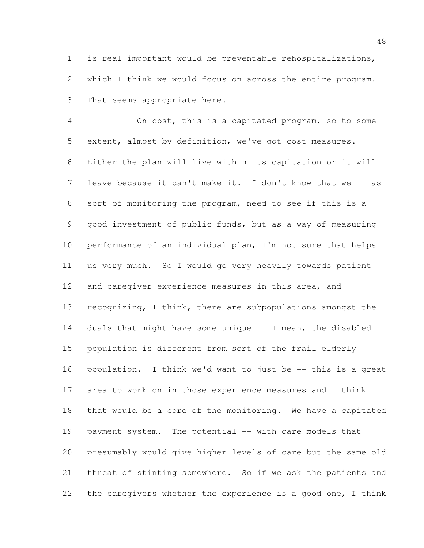is real important would be preventable rehospitalizations, which I think we would focus on across the entire program. That seems appropriate here.

 On cost, this is a capitated program, so to some extent, almost by definition, we've got cost measures. Either the plan will live within its capitation or it will 7 leave because it can't make it. I don't know that we -- as sort of monitoring the program, need to see if this is a good investment of public funds, but as a way of measuring performance of an individual plan, I'm not sure that helps us very much. So I would go very heavily towards patient 12 and caregiver experience measures in this area, and recognizing, I think, there are subpopulations amongst the 14 duals that might have some unique -- I mean, the disabled population is different from sort of the frail elderly population. I think we'd want to just be -- this is a great area to work on in those experience measures and I think that would be a core of the monitoring. We have a capitated payment system. The potential -- with care models that presumably would give higher levels of care but the same old threat of stinting somewhere. So if we ask the patients and the caregivers whether the experience is a good one, I think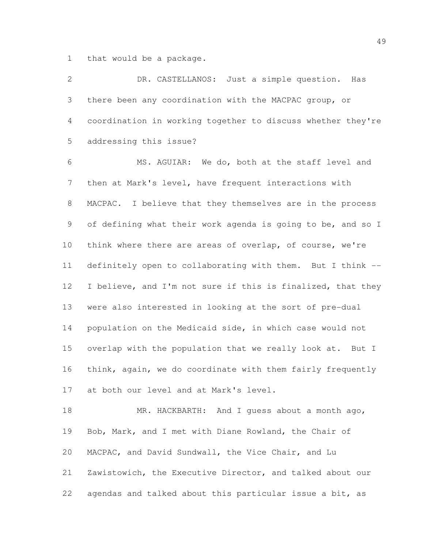that would be a package.

| $\overline{2}$ | DR. CASTELLANOS: Just a simple question. Has                |
|----------------|-------------------------------------------------------------|
| 3              | there been any coordination with the MACPAC group, or       |
| 4              | coordination in working together to discuss whether they're |
| 5              | addressing this issue?                                      |
| 6              | MS. AGUIAR: We do, both at the staff level and              |
| $\overline{7}$ | then at Mark's level, have frequent interactions with       |
| $\,8\,$        | MACPAC. I believe that they themselves are in the process   |
| $\mathsf 9$    | of defining what their work agenda is going to be, and so I |
| 10             | think where there are areas of overlap, of course, we're    |
| 11             | definitely open to collaborating with them. But I think --  |
| 12             | I believe, and I'm not sure if this is finalized, that they |
| 13             | were also interested in looking at the sort of pre-dual     |
| 14             | population on the Medicaid side, in which case would not    |
| 15             | overlap with the population that we really look at. But I   |
| 16             | think, again, we do coordinate with them fairly frequently  |
| 17             | at both our level and at Mark's level.                      |
| 18             | MR. HACKBARTH: And I guess about a month ago,               |
| 19             | Bob, Mark, and I met with Diane Rowland, the Chair of       |
| 20             | MACPAC, and David Sundwall, the Vice Chair, and Lu          |
| 21             | Zawistowich, the Executive Director, and talked about our   |
| 22             | agendas and talked about this particular issue a bit, as    |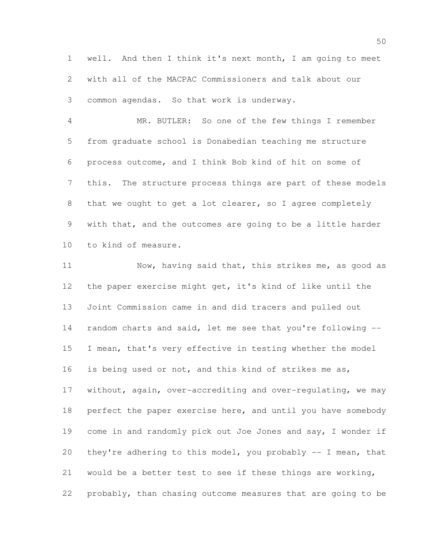well. And then I think it's next month, I am going to meet with all of the MACPAC Commissioners and talk about our common agendas. So that work is underway.

 MR. BUTLER: So one of the few things I remember from graduate school is Donabedian teaching me structure process outcome, and I think Bob kind of hit on some of this. The structure process things are part of these models that we ought to get a lot clearer, so I agree completely with that, and the outcomes are going to be a little harder to kind of measure.

 Now, having said that, this strikes me, as good as the paper exercise might get, it's kind of like until the Joint Commission came in and did tracers and pulled out 14 random charts and said, let me see that you're following -- I mean, that's very effective in testing whether the model is being used or not, and this kind of strikes me as, without, again, over-accrediting and over-regulating, we may 18 perfect the paper exercise here, and until you have somebody 19 come in and randomly pick out Joe Jones and say, I wonder if they're adhering to this model, you probably -- I mean, that would be a better test to see if these things are working, probably, than chasing outcome measures that are going to be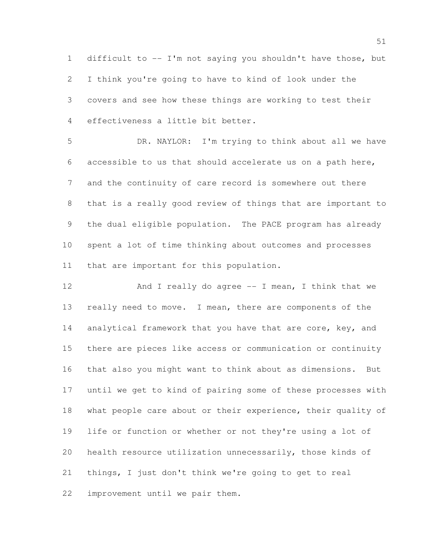difficult to -- I'm not saying you shouldn't have those, but I think you're going to have to kind of look under the covers and see how these things are working to test their effectiveness a little bit better.

 DR. NAYLOR: I'm trying to think about all we have accessible to us that should accelerate us on a path here, and the continuity of care record is somewhere out there that is a really good review of things that are important to the dual eligible population. The PACE program has already spent a lot of time thinking about outcomes and processes that are important for this population.

12 And I really do agree -- I mean, I think that we really need to move. I mean, there are components of the 14 analytical framework that you have that are core, key, and there are pieces like access or communication or continuity that also you might want to think about as dimensions. But until we get to kind of pairing some of these processes with what people care about or their experience, their quality of life or function or whether or not they're using a lot of health resource utilization unnecessarily, those kinds of things, I just don't think we're going to get to real improvement until we pair them.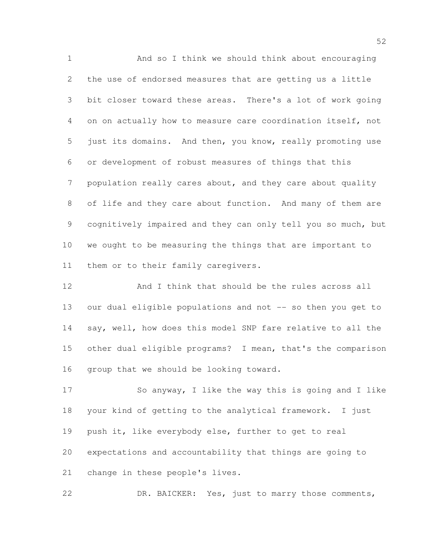And so I think we should think about encouraging the use of endorsed measures that are getting us a little bit closer toward these areas. There's a lot of work going on on actually how to measure care coordination itself, not just its domains. And then, you know, really promoting use or development of robust measures of things that this population really cares about, and they care about quality of life and they care about function. And many of them are cognitively impaired and they can only tell you so much, but we ought to be measuring the things that are important to them or to their family caregivers.

 And I think that should be the rules across all our dual eligible populations and not -- so then you get to 14 say, well, how does this model SNP fare relative to all the other dual eligible programs? I mean, that's the comparison 16 group that we should be looking toward.

 So anyway, I like the way this is going and I like your kind of getting to the analytical framework. I just push it, like everybody else, further to get to real expectations and accountability that things are going to change in these people's lives.

DR. BAICKER: Yes, just to marry those comments,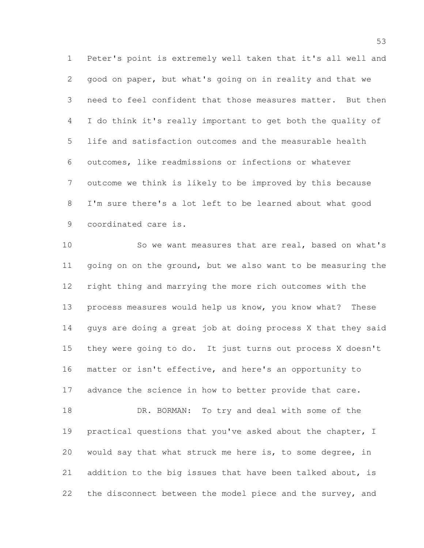Peter's point is extremely well taken that it's all well and good on paper, but what's going on in reality and that we need to feel confident that those measures matter. But then I do think it's really important to get both the quality of life and satisfaction outcomes and the measurable health outcomes, like readmissions or infections or whatever outcome we think is likely to be improved by this because I'm sure there's a lot left to be learned about what good coordinated care is.

 So we want measures that are real, based on what's going on on the ground, but we also want to be measuring the right thing and marrying the more rich outcomes with the process measures would help us know, you know what? These guys are doing a great job at doing process X that they said they were going to do. It just turns out process X doesn't matter or isn't effective, and here's an opportunity to advance the science in how to better provide that care. 18 DR. BORMAN: To try and deal with some of the 19 practical questions that you've asked about the chapter, I would say that what struck me here is, to some degree, in addition to the big issues that have been talked about, is

the disconnect between the model piece and the survey, and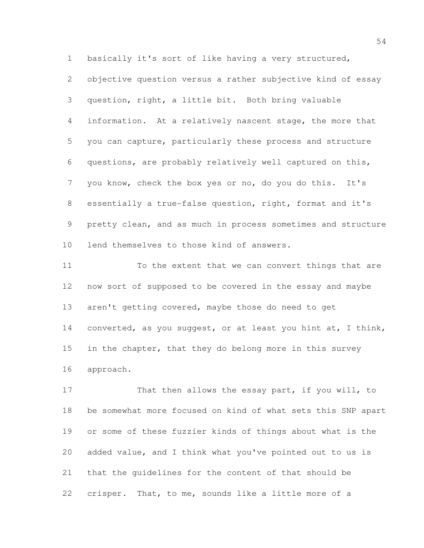objective question versus a rather subjective kind of essay question, right, a little bit. Both bring valuable information. At a relatively nascent stage, the more that you can capture, particularly these process and structure questions, are probably relatively well captured on this, you know, check the box yes or no, do you do this. It's essentially a true-false question, right, format and it's pretty clean, and as much in process sometimes and structure lend themselves to those kind of answers.

basically it's sort of like having a very structured,

11 To the extent that we can convert things that are now sort of supposed to be covered in the essay and maybe aren't getting covered, maybe those do need to get 14 converted, as you suggest, or at least you hint at, I think, 15 in the chapter, that they do belong more in this survey approach.

17 That then allows the essay part, if you will, to be somewhat more focused on kind of what sets this SNP apart or some of these fuzzier kinds of things about what is the added value, and I think what you've pointed out to us is that the guidelines for the content of that should be crisper. That, to me, sounds like a little more of a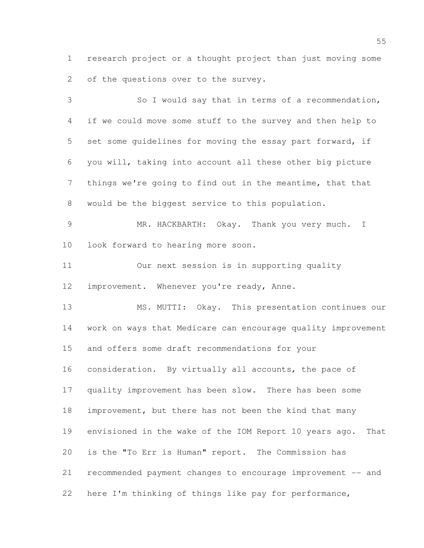research project or a thought project than just moving some 2 of the questions over to the survey.

 So I would say that in terms of a recommendation, if we could move some stuff to the survey and then help to set some guidelines for moving the essay part forward, if you will, taking into account all these other big picture things we're going to find out in the meantime, that that would be the biggest service to this population. 9 MR. HACKBARTH: Okay. Thank you very much. I look forward to hearing more soon. Our next session is in supporting quality 12 improvement. Whenever you're ready, Anne. MS. MUTTI: Okay. This presentation continues our work on ways that Medicare can encourage quality improvement and offers some draft recommendations for your consideration. By virtually all accounts, the pace of quality improvement has been slow. There has been some improvement, but there has not been the kind that many envisioned in the wake of the IOM Report 10 years ago. That is the "To Err is Human" report. The Commission has recommended payment changes to encourage improvement -- and here I'm thinking of things like pay for performance,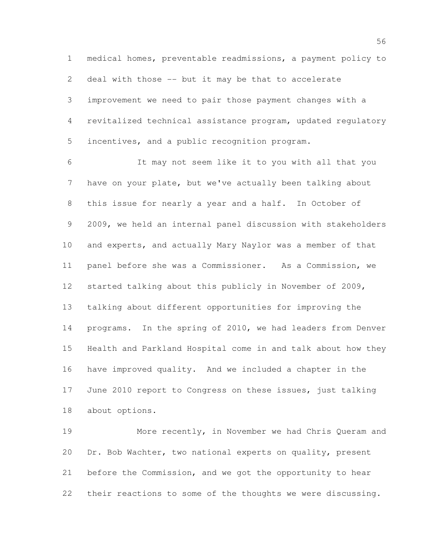medical homes, preventable readmissions, a payment policy to deal with those -- but it may be that to accelerate improvement we need to pair those payment changes with a revitalized technical assistance program, updated regulatory incentives, and a public recognition program.

 It may not seem like it to you with all that you have on your plate, but we've actually been talking about this issue for nearly a year and a half. In October of 2009, we held an internal panel discussion with stakeholders and experts, and actually Mary Naylor was a member of that panel before she was a Commissioner. As a Commission, we started talking about this publicly in November of 2009, talking about different opportunities for improving the programs. In the spring of 2010, we had leaders from Denver Health and Parkland Hospital come in and talk about how they have improved quality. And we included a chapter in the June 2010 report to Congress on these issues, just talking about options.

 More recently, in November we had Chris Queram and Dr. Bob Wachter, two national experts on quality, present before the Commission, and we got the opportunity to hear their reactions to some of the thoughts we were discussing.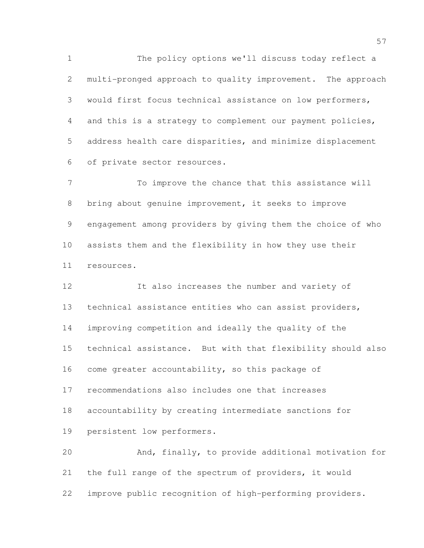The policy options we'll discuss today reflect a multi-pronged approach to quality improvement. The approach would first focus technical assistance on low performers, and this is a strategy to complement our payment policies, address health care disparities, and minimize displacement of private sector resources.

 To improve the chance that this assistance will bring about genuine improvement, it seeks to improve engagement among providers by giving them the choice of who assists them and the flexibility in how they use their resources.

 It also increases the number and variety of technical assistance entities who can assist providers, improving competition and ideally the quality of the technical assistance. But with that flexibility should also come greater accountability, so this package of recommendations also includes one that increases accountability by creating intermediate sanctions for persistent low performers. And, finally, to provide additional motivation for the full range of the spectrum of providers, it would

improve public recognition of high-performing providers.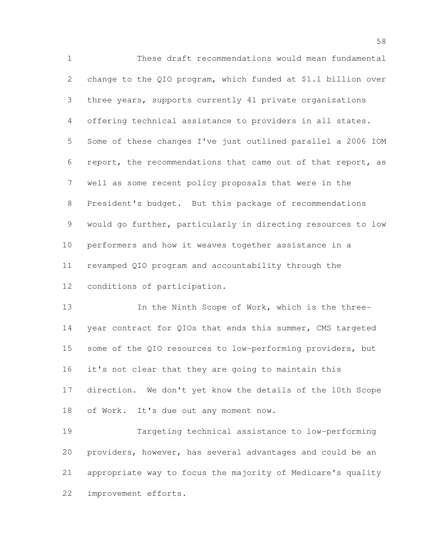These draft recommendations would mean fundamental change to the QIO program, which funded at \$1.1 billion over three years, supports currently 41 private organizations offering technical assistance to providers in all states. Some of these changes I've just outlined parallel a 2006 IOM report, the recommendations that came out of that report, as well as some recent policy proposals that were in the President's budget. But this package of recommendations would go further, particularly in directing resources to low performers and how it weaves together assistance in a revamped QIO program and accountability through the conditions of participation.

 In the Ninth Scope of Work, which is the three-14 year contract for QIOs that ends this summer, CMS targeted 15 some of the QIO resources to low-performing providers, but it's not clear that they are going to maintain this direction. We don't yet know the details of the 10th Scope of Work. It's due out any moment now.

 Targeting technical assistance to low-performing providers, however, has several advantages and could be an appropriate way to focus the majority of Medicare's quality improvement efforts.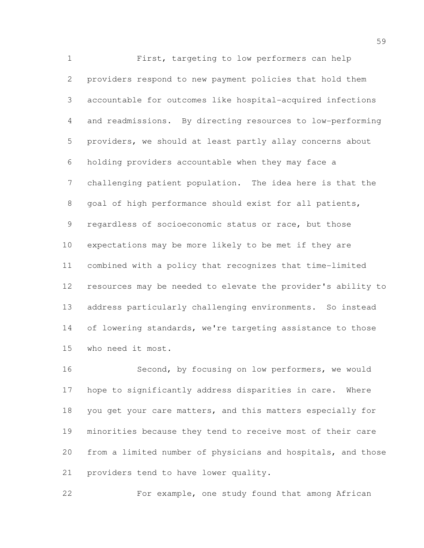First, targeting to low performers can help providers respond to new payment policies that hold them accountable for outcomes like hospital-acquired infections and readmissions. By directing resources to low-performing providers, we should at least partly allay concerns about holding providers accountable when they may face a challenging patient population. The idea here is that the goal of high performance should exist for all patients, 9 regardless of socioeconomic status or race, but those expectations may be more likely to be met if they are combined with a policy that recognizes that time-limited resources may be needed to elevate the provider's ability to address particularly challenging environments. So instead 14 of lowering standards, we're targeting assistance to those who need it most.

 Second, by focusing on low performers, we would hope to significantly address disparities in care. Where 18 you get your care matters, and this matters especially for minorities because they tend to receive most of their care from a limited number of physicians and hospitals, and those providers tend to have lower quality.

For example, one study found that among African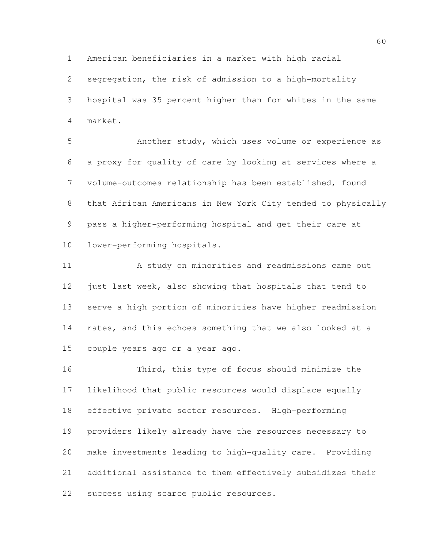American beneficiaries in a market with high racial

 segregation, the risk of admission to a high-mortality hospital was 35 percent higher than for whites in the same market.

**Another study, which uses volume or experience as**  a proxy for quality of care by looking at services where a volume-outcomes relationship has been established, found that African Americans in New York City tended to physically pass a higher-performing hospital and get their care at lower-performing hospitals.

 A study on minorities and readmissions came out 12 just last week, also showing that hospitals that tend to serve a high portion of minorities have higher readmission 14 rates, and this echoes something that we also looked at a couple years ago or a year ago.

 Third, this type of focus should minimize the likelihood that public resources would displace equally effective private sector resources. High-performing providers likely already have the resources necessary to make investments leading to high-quality care. Providing additional assistance to them effectively subsidizes their success using scarce public resources.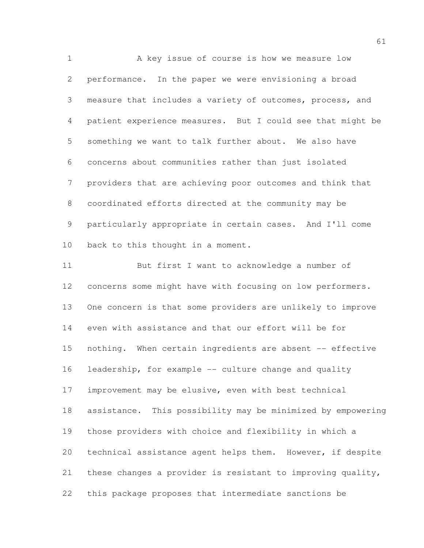A key issue of course is how we measure low performance. In the paper we were envisioning a broad measure that includes a variety of outcomes, process, and patient experience measures. But I could see that might be something we want to talk further about. We also have concerns about communities rather than just isolated providers that are achieving poor outcomes and think that coordinated efforts directed at the community may be particularly appropriate in certain cases. And I'll come 10 back to this thought in a moment.

 But first I want to acknowledge a number of concerns some might have with focusing on low performers. One concern is that some providers are unlikely to improve even with assistance and that our effort will be for nothing. When certain ingredients are absent -- effective leadership, for example -- culture change and quality improvement may be elusive, even with best technical assistance. This possibility may be minimized by empowering those providers with choice and flexibility in which a technical assistance agent helps them. However, if despite these changes a provider is resistant to improving quality, this package proposes that intermediate sanctions be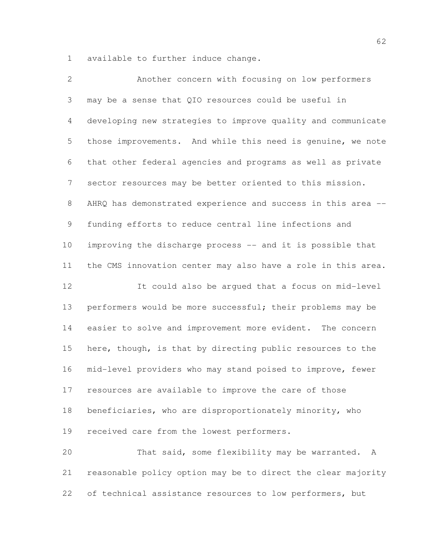available to further induce change.

 Another concern with focusing on low performers may be a sense that QIO resources could be useful in developing new strategies to improve quality and communicate those improvements. And while this need is genuine, we note that other federal agencies and programs as well as private sector resources may be better oriented to this mission. AHRQ has demonstrated experience and success in this area -- funding efforts to reduce central line infections and 10 improving the discharge process -- and it is possible that the CMS innovation center may also have a role in this area. It could also be argued that a focus on mid-level 13 performers would be more successful; their problems may be easier to solve and improvement more evident. The concern 15 here, though, is that by directing public resources to the mid-level providers who may stand poised to improve, fewer resources are available to improve the care of those beneficiaries, who are disproportionately minority, who received care from the lowest performers. That said, some flexibility may be warranted. A reasonable policy option may be to direct the clear majority

22 of technical assistance resources to low performers, but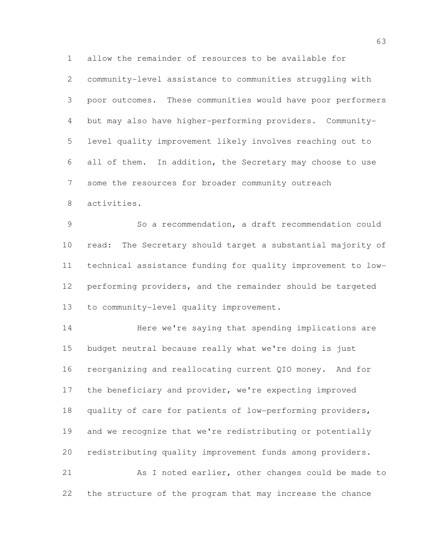allow the remainder of resources to be available for

 community-level assistance to communities struggling with poor outcomes. These communities would have poor performers but may also have higher-performing providers. Community- level quality improvement likely involves reaching out to all of them. In addition, the Secretary may choose to use some the resources for broader community outreach activities.

 So a recommendation, a draft recommendation could read: The Secretary should target a substantial majority of technical assistance funding for quality improvement to low- performing providers, and the remainder should be targeted to community-level quality improvement.

14 Here we're saying that spending implications are budget neutral because really what we're doing is just reorganizing and reallocating current QIO money. And for 17 the beneficiary and provider, we're expecting improved quality of care for patients of low-performing providers, and we recognize that we're redistributing or potentially redistributing quality improvement funds among providers. As I noted earlier, other changes could be made to

the structure of the program that may increase the chance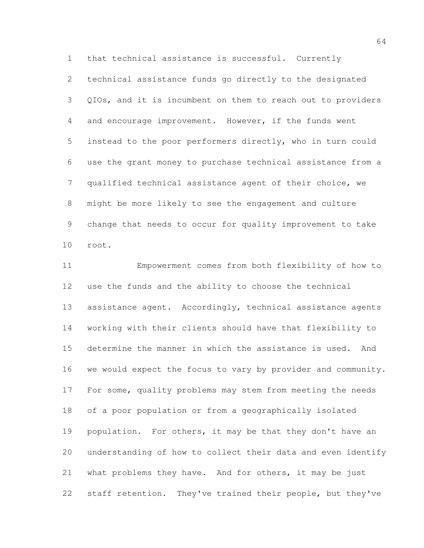that technical assistance is successful. Currently technical assistance funds go directly to the designated QIOs, and it is incumbent on them to reach out to providers and encourage improvement. However, if the funds went instead to the poor performers directly, who in turn could use the grant money to purchase technical assistance from a qualified technical assistance agent of their choice, we might be more likely to see the engagement and culture change that needs to occur for quality improvement to take root.

 Empowerment comes from both flexibility of how to use the funds and the ability to choose the technical 13 assistance agent. Accordingly, technical assistance agents working with their clients should have that flexibility to determine the manner in which the assistance is used. And we would expect the focus to vary by provider and community. For some, quality problems may stem from meeting the needs of a poor population or from a geographically isolated 19 population. For others, it may be that they don't have an understanding of how to collect their data and even identify what problems they have. And for others, it may be just staff retention. They've trained their people, but they've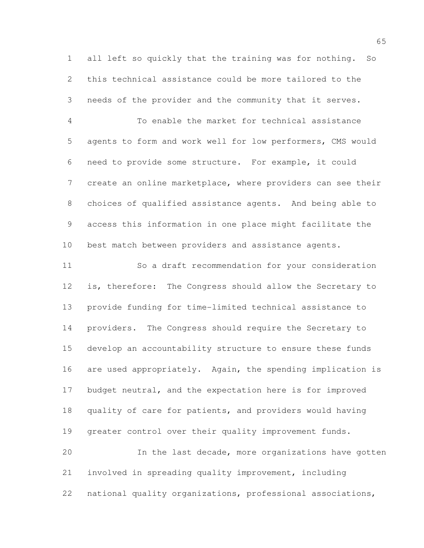all left so quickly that the training was for nothing. So this technical assistance could be more tailored to the needs of the provider and the community that it serves.

 To enable the market for technical assistance agents to form and work well for low performers, CMS would need to provide some structure. For example, it could create an online marketplace, where providers can see their choices of qualified assistance agents. And being able to access this information in one place might facilitate the best match between providers and assistance agents.

 So a draft recommendation for your consideration is, therefore: The Congress should allow the Secretary to provide funding for time-limited technical assistance to providers. The Congress should require the Secretary to develop an accountability structure to ensure these funds are used appropriately. Again, the spending implication is budget neutral, and the expectation here is for improved quality of care for patients, and providers would having greater control over their quality improvement funds.

 In the last decade, more organizations have gotten involved in spreading quality improvement, including national quality organizations, professional associations,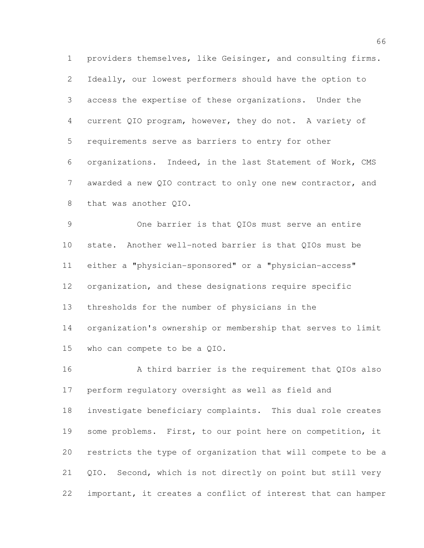providers themselves, like Geisinger, and consulting firms. Ideally, our lowest performers should have the option to access the expertise of these organizations. Under the current QIO program, however, they do not. A variety of requirements serve as barriers to entry for other organizations. Indeed, in the last Statement of Work, CMS awarded a new QIO contract to only one new contractor, and that was another QIO.

 One barrier is that QIOs must serve an entire state. Another well-noted barrier is that QIOs must be either a "physician-sponsored" or a "physician-access" organization, and these designations require specific thresholds for the number of physicians in the organization's ownership or membership that serves to limit who can compete to be a QIO.

 A third barrier is the requirement that QIOs also perform regulatory oversight as well as field and investigate beneficiary complaints. This dual role creates some problems. First, to our point here on competition, it restricts the type of organization that will compete to be a QIO. Second, which is not directly on point but still very important, it creates a conflict of interest that can hamper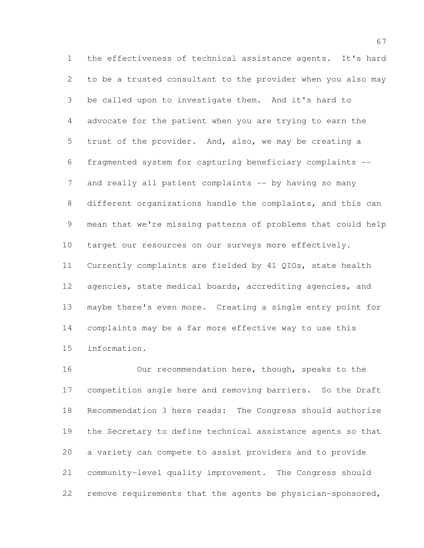the effectiveness of technical assistance agents. It's hard to be a trusted consultant to the provider when you also may be called upon to investigate them. And it's hard to advocate for the patient when you are trying to earn the trust of the provider. And, also, we may be creating a fragmented system for capturing beneficiary complaints -- 7 and really all patient complaints -- by having so many different organizations handle the complaints, and this can mean that we're missing patterns of problems that could help 10 target our resources on our surveys more effectively. Currently complaints are fielded by 41 QIOs, state health 12 agencies, state medical boards, accrediting agencies, and maybe there's even more. Creating a single entry point for complaints may be a far more effective way to use this information.

 Our recommendation here, though, speaks to the competition angle here and removing barriers. So the Draft Recommendation 3 here reads: The Congress should authorize the Secretary to define technical assistance agents so that a variety can compete to assist providers and to provide community-level quality improvement. The Congress should remove requirements that the agents be physician-sponsored,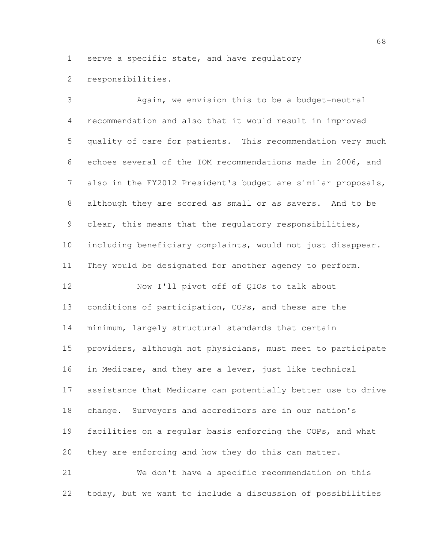serve a specific state, and have regulatory

responsibilities.

 Again, we envision this to be a budget-neutral recommendation and also that it would result in improved quality of care for patients. This recommendation very much echoes several of the IOM recommendations made in 2006, and also in the FY2012 President's budget are similar proposals, although they are scored as small or as savers. And to be clear, this means that the regulatory responsibilities, including beneficiary complaints, would not just disappear. They would be designated for another agency to perform. Now I'll pivot off of QIOs to talk about conditions of participation, COPs, and these are the minimum, largely structural standards that certain providers, although not physicians, must meet to participate in Medicare, and they are a lever, just like technical assistance that Medicare can potentially better use to drive change. Surveyors and accreditors are in our nation's facilities on a regular basis enforcing the COPs, and what they are enforcing and how they do this can matter. We don't have a specific recommendation on this today, but we want to include a discussion of possibilities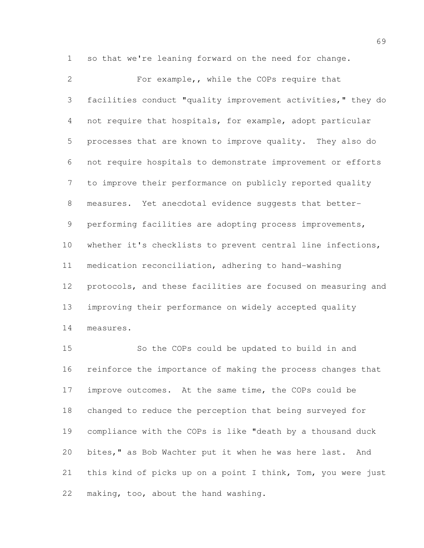so that we're leaning forward on the need for change.

 For example,, while the COPs require that facilities conduct "quality improvement activities," they do not require that hospitals, for example, adopt particular processes that are known to improve quality. They also do not require hospitals to demonstrate improvement or efforts to improve their performance on publicly reported quality measures. Yet anecdotal evidence suggests that better- performing facilities are adopting process improvements, whether it's checklists to prevent central line infections, medication reconciliation, adhering to hand-washing protocols, and these facilities are focused on measuring and improving their performance on widely accepted quality measures.

 So the COPs could be updated to build in and reinforce the importance of making the process changes that improve outcomes. At the same time, the COPs could be changed to reduce the perception that being surveyed for compliance with the COPs is like "death by a thousand duck 20 bites," as Bob Wachter put it when he was here last. And this kind of picks up on a point I think, Tom, you were just making, too, about the hand washing.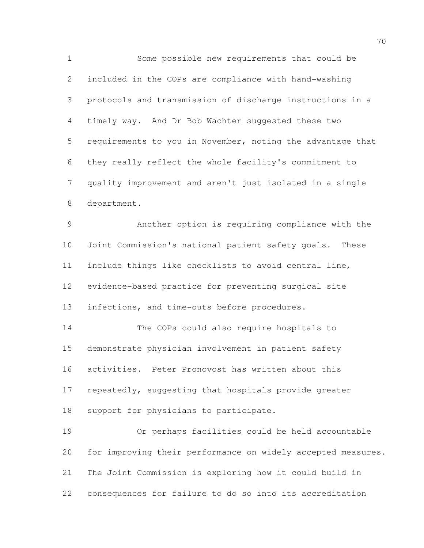Some possible new requirements that could be included in the COPs are compliance with hand-washing protocols and transmission of discharge instructions in a timely way. And Dr Bob Wachter suggested these two requirements to you in November, noting the advantage that they really reflect the whole facility's commitment to quality improvement and aren't just isolated in a single department. Another option is requiring compliance with the

 Joint Commission's national patient safety goals. These include things like checklists to avoid central line, evidence-based practice for preventing surgical site infections, and time-outs before procedures.

 The COPs could also require hospitals to demonstrate physician involvement in patient safety activities. Peter Pronovost has written about this 17 repeatedly, suggesting that hospitals provide greater support for physicians to participate.

 Or perhaps facilities could be held accountable for improving their performance on widely accepted measures. The Joint Commission is exploring how it could build in consequences for failure to do so into its accreditation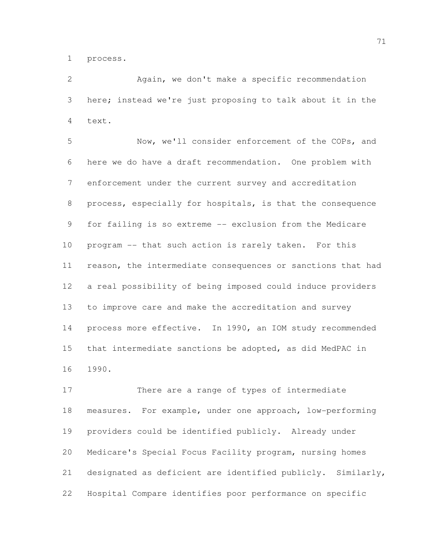process.

 Again, we don't make a specific recommendation here; instead we're just proposing to talk about it in the text.

 Now, we'll consider enforcement of the COPs, and here we do have a draft recommendation. One problem with enforcement under the current survey and accreditation process, especially for hospitals, is that the consequence for failing is so extreme -- exclusion from the Medicare program -- that such action is rarely taken. For this reason, the intermediate consequences or sanctions that had a real possibility of being imposed could induce providers to improve care and make the accreditation and survey process more effective. In 1990, an IOM study recommended that intermediate sanctions be adopted, as did MedPAC in 1990.

 There are a range of types of intermediate measures. For example, under one approach, low-performing providers could be identified publicly. Already under Medicare's Special Focus Facility program, nursing homes designated as deficient are identified publicly. Similarly, Hospital Compare identifies poor performance on specific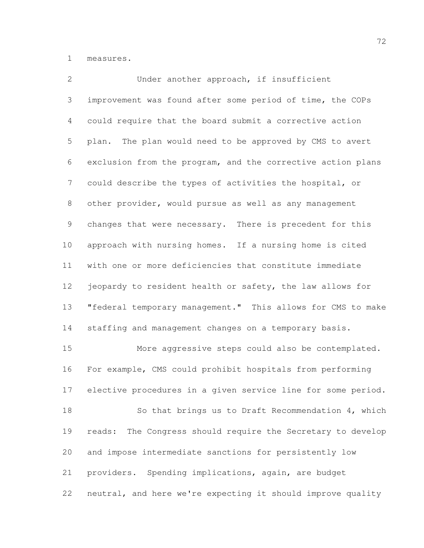measures.

| $\mathbf{2}$    | Under another approach, if insufficient                        |
|-----------------|----------------------------------------------------------------|
| 3               | improvement was found after some period of time, the COPs      |
| 4               | could require that the board submit a corrective action        |
| 5               | plan. The plan would need to be approved by CMS to avert       |
| 6               | exclusion from the program, and the corrective action plans    |
| $7\phantom{.0}$ | could describe the types of activities the hospital, or        |
| $8\,$           | other provider, would pursue as well as any management         |
| 9               | changes that were necessary. There is precedent for this       |
| 10              | approach with nursing homes. If a nursing home is cited        |
| 11              | with one or more deficiencies that constitute immediate        |
| 12              | jeopardy to resident health or safety, the law allows for      |
| 13              | "federal temporary management." This allows for CMS to make    |
| 14              | staffing and management changes on a temporary basis.          |
| 15              | More aggressive steps could also be contemplated.              |
| 16              | For example, CMS could prohibit hospitals from performing      |
| 17              | elective procedures in a given service line for some period.   |
| 18              | So that brings us to Draft Recommendation 4, which             |
| 19              | The Congress should require the Secretary to develop<br>reads: |
| 20              | and impose intermediate sanctions for persistently low         |
| 21              | providers. Spending implications, again, are budget            |
| 22              | neutral, and here we're expecting it should improve quality    |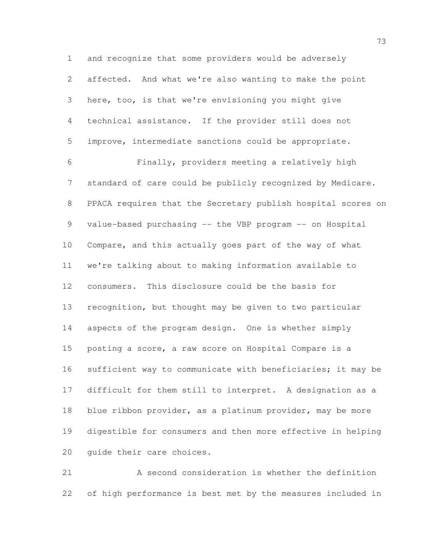and recognize that some providers would be adversely affected. And what we're also wanting to make the point here, too, is that we're envisioning you might give technical assistance. If the provider still does not improve, intermediate sanctions could be appropriate. Finally, providers meeting a relatively high standard of care could be publicly recognized by Medicare. PPACA requires that the Secretary publish hospital scores on value-based purchasing -- the VBP program -- on Hospital Compare, and this actually goes part of the way of what we're talking about to making information available to consumers. This disclosure could be the basis for recognition, but thought may be given to two particular aspects of the program design. One is whether simply posting a score, a raw score on Hospital Compare is a sufficient way to communicate with beneficiaries; it may be difficult for them still to interpret. A designation as a blue ribbon provider, as a platinum provider, may be more digestible for consumers and then more effective in helping guide their care choices.

 A second consideration is whether the definition of high performance is best met by the measures included in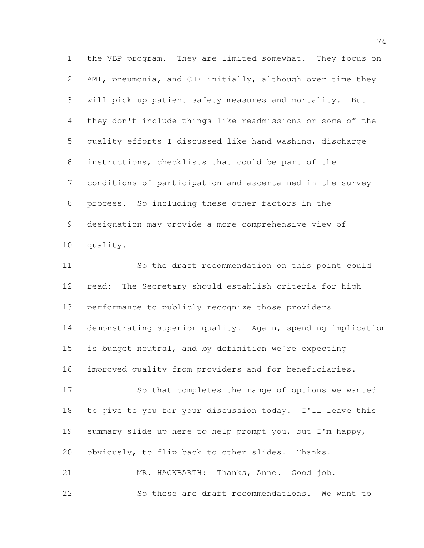the VBP program. They are limited somewhat. They focus on AMI, pneumonia, and CHF initially, although over time they will pick up patient safety measures and mortality. But they don't include things like readmissions or some of the quality efforts I discussed like hand washing, discharge instructions, checklists that could be part of the conditions of participation and ascertained in the survey process. So including these other factors in the designation may provide a more comprehensive view of quality.

 So the draft recommendation on this point could read: The Secretary should establish criteria for high performance to publicly recognize those providers demonstrating superior quality. Again, spending implication is budget neutral, and by definition we're expecting improved quality from providers and for beneficiaries.

 So that completes the range of options we wanted to give to you for your discussion today. I'll leave this summary slide up here to help prompt you, but I'm happy, obviously, to flip back to other slides. Thanks.

 MR. HACKBARTH: Thanks, Anne. Good job. So these are draft recommendations. We want to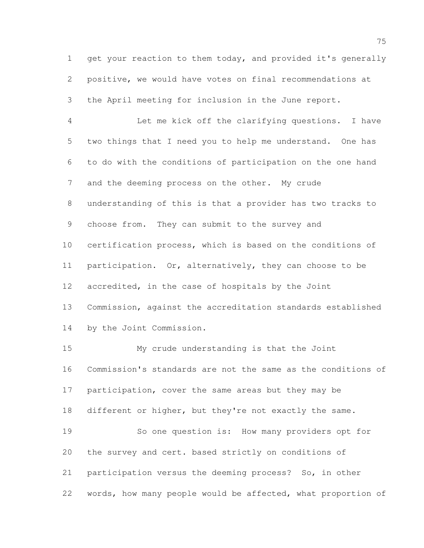get your reaction to them today, and provided it's generally positive, we would have votes on final recommendations at the April meeting for inclusion in the June report.

 Let me kick off the clarifying questions. I have two things that I need you to help me understand. One has to do with the conditions of participation on the one hand and the deeming process on the other. My crude understanding of this is that a provider has two tracks to choose from. They can submit to the survey and certification process, which is based on the conditions of participation. Or, alternatively, they can choose to be accredited, in the case of hospitals by the Joint Commission, against the accreditation standards established by the Joint Commission.

 My crude understanding is that the Joint Commission's standards are not the same as the conditions of participation, cover the same areas but they may be 18 different or higher, but they're not exactly the same. So one question is: How many providers opt for the survey and cert. based strictly on conditions of participation versus the deeming process? So, in other words, how many people would be affected, what proportion of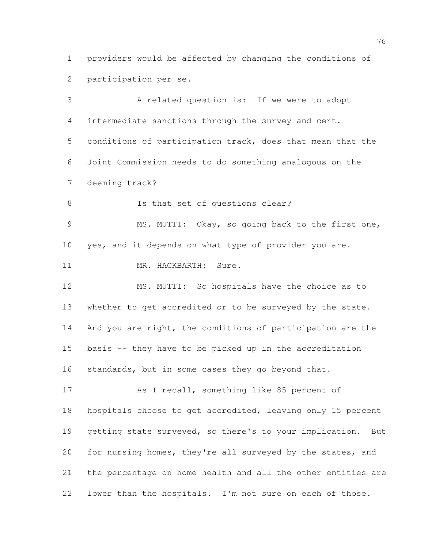providers would be affected by changing the conditions of participation per se.

 A related question is: If we were to adopt intermediate sanctions through the survey and cert. conditions of participation track, does that mean that the Joint Commission needs to do something analogous on the deeming track? 8 Is that set of questions clear? MS. MUTTI: Okay, so going back to the first one, yes, and it depends on what type of provider you are. 11 MR. HACKBARTH: Sure. MS. MUTTI: So hospitals have the choice as to whether to get accredited or to be surveyed by the state. 14 And you are right, the conditions of participation are the basis -- they have to be picked up in the accreditation 16 standards, but in some cases they go beyond that. As I recall, something like 85 percent of hospitals choose to get accredited, leaving only 15 percent getting state surveyed, so there's to your implication. But for nursing homes, they're all surveyed by the states, and the percentage on home health and all the other entities are lower than the hospitals. I'm not sure on each of those.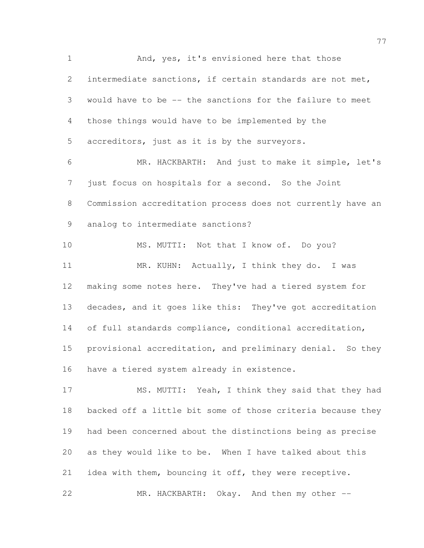1 And, yes, it's envisioned here that those intermediate sanctions, if certain standards are not met, would have to be -- the sanctions for the failure to meet those things would have to be implemented by the accreditors, just as it is by the surveyors. MR. HACKBARTH: And just to make it simple, let's just focus on hospitals for a second. So the Joint Commission accreditation process does not currently have an analog to intermediate sanctions? MS. MUTTI: Not that I know of. Do you? 11 MR. KUHN: Actually, I think they do. I was making some notes here. They've had a tiered system for decades, and it goes like this: They've got accreditation of full standards compliance, conditional accreditation, provisional accreditation, and preliminary denial. So they have a tiered system already in existence. 17 MS. MUTTI: Yeah, I think they said that they had backed off a little bit some of those criteria because they had been concerned about the distinctions being as precise as they would like to be. When I have talked about this idea with them, bouncing it off, they were receptive.

22 MR. HACKBARTH: Okay. And then my other --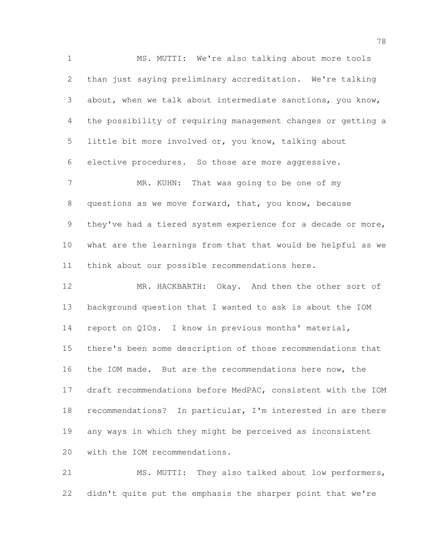MS. MUTTI: We're also talking about more tools than just saying preliminary accreditation. We're talking about, when we talk about intermediate sanctions, you know, the possibility of requiring management changes or getting a little bit more involved or, you know, talking about elective procedures. So those are more aggressive. 7 MR. KUHN: That was going to be one of my questions as we move forward, that, you know, because 9 they've had a tiered system experience for a decade or more, what are the learnings from that that would be helpful as we think about our possible recommendations here. MR. HACKBARTH: Okay. And then the other sort of background question that I wanted to ask is about the IOM report on QIOs. I know in previous months' material, there's been some description of those recommendations that the IOM made. But are the recommendations here now, the draft recommendations before MedPAC, consistent with the IOM recommendations? In particular, I'm interested in are there any ways in which they might be perceived as inconsistent

 MS. MUTTI: They also talked about low performers, didn't quite put the emphasis the sharper point that we're

with the IOM recommendations.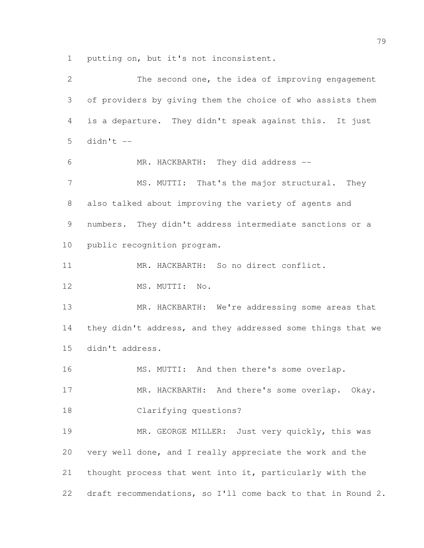putting on, but it's not inconsistent.

 The second one, the idea of improving engagement of providers by giving them the choice of who assists them is a departure. They didn't speak against this. It just 5 didn't  $-$  MR. HACKBARTH: They did address -- 7 MS. MUTTI: That's the major structural. They also talked about improving the variety of agents and numbers. They didn't address intermediate sanctions or a public recognition program. MR. HACKBARTH: So no direct conflict. 12 MS. MUTTI: No. 13 MR. HACKBARTH: We're addressing some areas that 14 they didn't address, and they addressed some things that we didn't address. 16 MS. MUTTI: And then there's some overlap. 17 MR. HACKBARTH: And there's some overlap. Okay. Clarifying questions? 19 MR. GEORGE MILLER: Just very quickly, this was very well done, and I really appreciate the work and the thought process that went into it, particularly with the draft recommendations, so I'll come back to that in Round 2.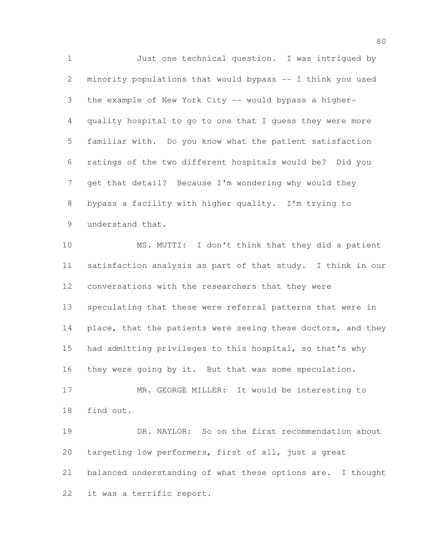Just one technical question. I was intrigued by minority populations that would bypass -- I think you used the example of New York City -- would bypass a higher- quality hospital to go to one that I guess they were more familiar with. Do you know what the patient satisfaction ratings of the two different hospitals would be? Did you get that detail? Because I'm wondering why would they bypass a facility with higher quality. I'm trying to understand that.

 MS. MUTTI: I don't think that they did a patient satisfaction analysis as part of that study. I think in our conversations with the researchers that they were speculating that these were referral patterns that were in 14 place, that the patients were seeing these doctors, and they had admitting privileges to this hospital, so that's why they were going by it. But that was some speculation. MR. GEORGE MILLER: It would be interesting to find out.

 DR. NAYLOR: So on the first recommendation about targeting low performers, first of all, just a great balanced understanding of what these options are. I thought it was a terrific report.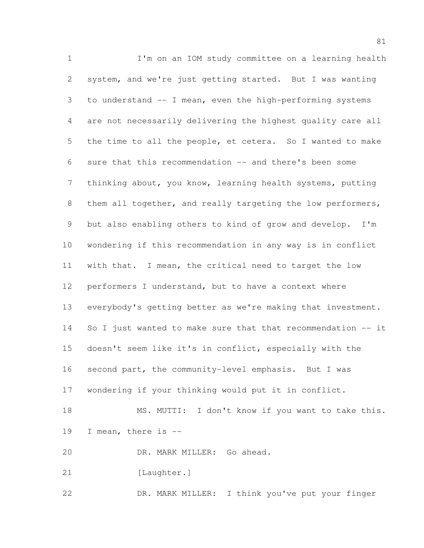I'm on an IOM study committee on a learning health system, and we're just getting started. But I was wanting to understand -- I mean, even the high-performing systems are not necessarily delivering the highest quality care all the time to all the people, et cetera. So I wanted to make sure that this recommendation -- and there's been some thinking about, you know, learning health systems, putting 8 them all together, and really targeting the low performers, but also enabling others to kind of grow and develop. I'm wondering if this recommendation in any way is in conflict with that. I mean, the critical need to target the low performers I understand, but to have a context where everybody's getting better as we're making that investment. So I just wanted to make sure that that recommendation -- it doesn't seem like it's in conflict, especially with the second part, the community-level emphasis. But I was wondering if your thinking would put it in conflict. 18 MS. MUTTI: I don't know if you want to take this. I mean, there is -- DR. MARK MILLER: Go ahead. 21 [Laughter.] DR. MARK MILLER: I think you've put your finger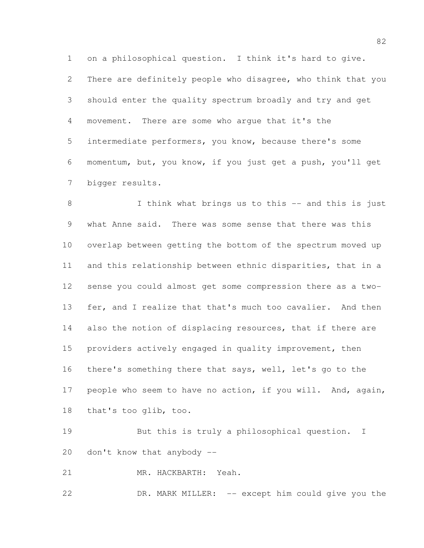on a philosophical question. I think it's hard to give. There are definitely people who disagree, who think that you should enter the quality spectrum broadly and try and get movement. There are some who argue that it's the intermediate performers, you know, because there's some momentum, but, you know, if you just get a push, you'll get bigger results.

8 I think what brings us to this -- and this is just what Anne said. There was some sense that there was this overlap between getting the bottom of the spectrum moved up and this relationship between ethnic disparities, that in a sense you could almost get some compression there as a two-13 fer, and I realize that that's much too cavalier. And then 14 also the notion of displacing resources, that if there are providers actively engaged in quality improvement, then there's something there that says, well, let's go to the 17 people who seem to have no action, if you will. And, again, that's too glib, too.

 But this is truly a philosophical question. I don't know that anybody --

MR. HACKBARTH: Yeah.

DR. MARK MILLER: -- except him could give you the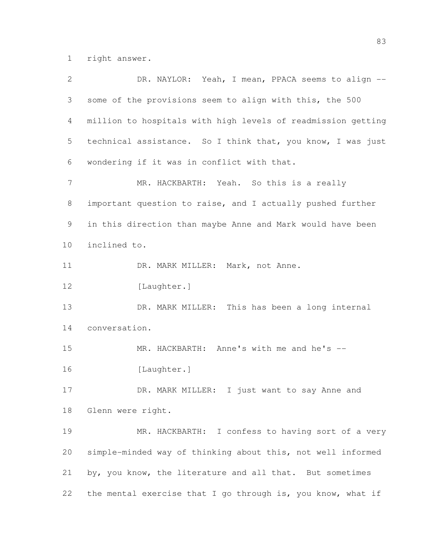right answer.

| $\overline{2}$ | DR. NAYLOR: Yeah, I mean, PPACA seems to align --            |
|----------------|--------------------------------------------------------------|
| 3              | some of the provisions seem to align with this, the 500      |
| 4              | million to hospitals with high levels of readmission getting |
| 5              | technical assistance. So I think that, you know, I was just  |
| 6              | wondering if it was in conflict with that.                   |
| 7              | MR. HACKBARTH: Yeah. So this is a really                     |
| 8              | important question to raise, and I actually pushed further   |
| 9              | in this direction than maybe Anne and Mark would have been   |
| 10             | inclined to.                                                 |
| 11             | DR. MARK MILLER: Mark, not Anne.                             |
| 12             | [Laughter.]                                                  |
| 13             | DR. MARK MILLER: This has been a long internal               |
| 14             | conversation.                                                |
| 15             | MR. HACKBARTH: Anne's with me and he's --                    |
| 16             | [Laughter.]                                                  |
| 17             | DR. MARK MILLER: I just want to say Anne and                 |
| 18             | Glenn were right.                                            |
| 19             | MR. HACKBARTH: I confess to having sort of a very            |
| 20             | simple-minded way of thinking about this, not well informed  |
| 21             | by, you know, the literature and all that. But sometimes     |
| 22             | the mental exercise that I go through is, you know, what if  |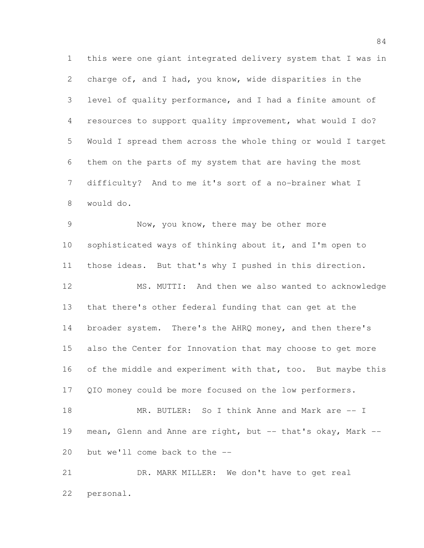this were one giant integrated delivery system that I was in charge of, and I had, you know, wide disparities in the level of quality performance, and I had a finite amount of resources to support quality improvement, what would I do? Would I spread them across the whole thing or would I target them on the parts of my system that are having the most difficulty? And to me it's sort of a no-brainer what I would do.

 Now, you know, there may be other more sophisticated ways of thinking about it, and I'm open to those ideas. But that's why I pushed in this direction.

 MS. MUTTI: And then we also wanted to acknowledge that there's other federal funding that can get at the broader system. There's the AHRQ money, and then there's also the Center for Innovation that may choose to get more 16 of the middle and experiment with that, too. But maybe this QIO money could be more focused on the low performers.

 MR. BUTLER: So I think Anne and Mark are -- I mean, Glenn and Anne are right, but -- that's okay, Mark -- but we'll come back to the --

 DR. MARK MILLER: We don't have to get real personal.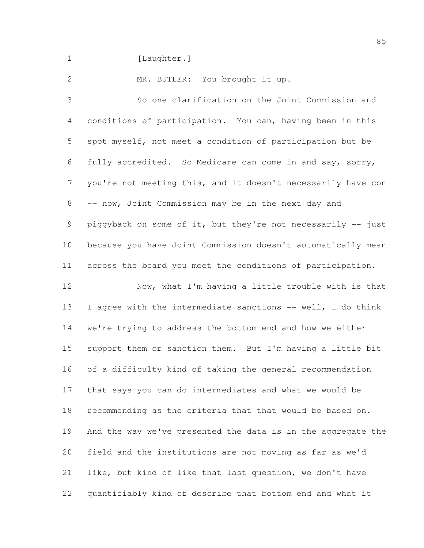1 [Laughter.]

MR. BUTLER: You brought it up.

 So one clarification on the Joint Commission and conditions of participation. You can, having been in this spot myself, not meet a condition of participation but be fully accredited. So Medicare can come in and say, sorry, you're not meeting this, and it doesn't necessarily have con -- now, Joint Commission may be in the next day and 9 piggyback on some of it, but they're not necessarily -- just because you have Joint Commission doesn't automatically mean across the board you meet the conditions of participation.

 Now, what I'm having a little trouble with is that 13 I agree with the intermediate sanctions -- well, I do think we're trying to address the bottom end and how we either 15 support them or sanction them. But I'm having a little bit of a difficulty kind of taking the general recommendation that says you can do intermediates and what we would be recommending as the criteria that that would be based on. And the way we've presented the data is in the aggregate the field and the institutions are not moving as far as we'd like, but kind of like that last question, we don't have quantifiably kind of describe that bottom end and what it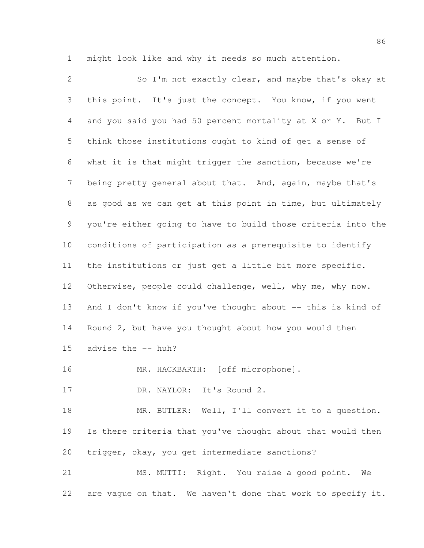might look like and why it needs so much attention.

 So I'm not exactly clear, and maybe that's okay at this point. It's just the concept. You know, if you went and you said you had 50 percent mortality at X or Y. But I think those institutions ought to kind of get a sense of what it is that might trigger the sanction, because we're being pretty general about that. And, again, maybe that's as good as we can get at this point in time, but ultimately you're either going to have to build those criteria into the conditions of participation as a prerequisite to identify the institutions or just get a little bit more specific. Otherwise, people could challenge, well, why me, why now. And I don't know if you've thought about -- this is kind of Round 2, but have you thought about how you would then advise the -- huh? 16 MR. HACKBARTH: [off microphone]. 17 DR. NAYLOR: It's Round 2. 18 MR. BUTLER: Well, I'll convert it to a question. Is there criteria that you've thought about that would then trigger, okay, you get intermediate sanctions?

 MS. MUTTI: Right. You raise a good point. We 22 are vague on that. We haven't done that work to specify it.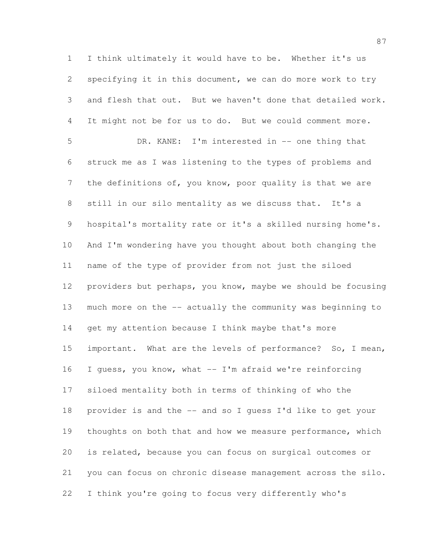I think ultimately it would have to be. Whether it's us specifying it in this document, we can do more work to try and flesh that out. But we haven't done that detailed work. It might not be for us to do. But we could comment more. DR. KANE: I'm interested in -- one thing that struck me as I was listening to the types of problems and the definitions of, you know, poor quality is that we are still in our silo mentality as we discuss that. It's a hospital's mortality rate or it's a skilled nursing home's. And I'm wondering have you thought about both changing the name of the type of provider from not just the siloed providers but perhaps, you know, maybe we should be focusing much more on the -- actually the community was beginning to 14 get my attention because I think maybe that's more 15 important. What are the levels of performance? So, I mean, I guess, you know, what -- I'm afraid we're reinforcing siloed mentality both in terms of thinking of who the provider is and the -- and so I guess I'd like to get your 19 thoughts on both that and how we measure performance, which is related, because you can focus on surgical outcomes or you can focus on chronic disease management across the silo. I think you're going to focus very differently who's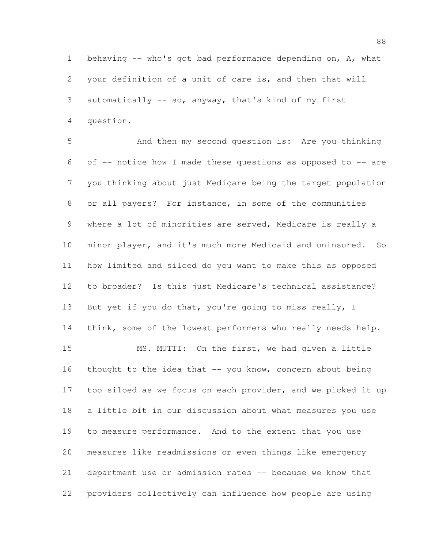behaving -- who's got bad performance depending on, A, what your definition of a unit of care is, and then that will automatically -- so, anyway, that's kind of my first question.

 And then my second question is: Are you thinking of -- notice how I made these questions as opposed to -- are you thinking about just Medicare being the target population or all payers? For instance, in some of the communities where a lot of minorities are served, Medicare is really a minor player, and it's much more Medicaid and uninsured. So how limited and siloed do you want to make this as opposed to broader? Is this just Medicare's technical assistance? 13 But yet if you do that, you're going to miss really, I 14 think, some of the lowest performers who really needs help. MS. MUTTI: On the first, we had given a little 16 thought to the idea that -- you know, concern about being too siloed as we focus on each provider, and we picked it up a little bit in our discussion about what measures you use to measure performance. And to the extent that you use measures like readmissions or even things like emergency department use or admission rates -- because we know that providers collectively can influence how people are using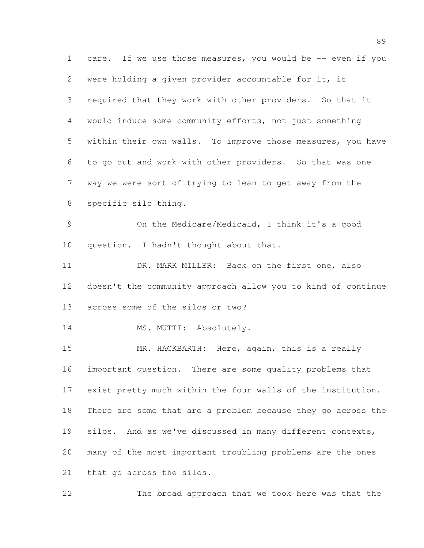care. If we use those measures, you would be -- even if you were holding a given provider accountable for it, it required that they work with other providers. So that it would induce some community efforts, not just something within their own walls. To improve those measures, you have to go out and work with other providers. So that was one way we were sort of trying to lean to get away from the specific silo thing. On the Medicare/Medicaid, I think it's a good 10 question. I hadn't thought about that. DR. MARK MILLER: Back on the first one, also doesn't the community approach allow you to kind of continue across some of the silos or two? 14 MS. MUTTI: Absolutely. MR. HACKBARTH: Here, again, this is a really important question. There are some quality problems that exist pretty much within the four walls of the institution. There are some that are a problem because they go across the silos. And as we've discussed in many different contexts, many of the most important troubling problems are the ones that go across the silos.

The broad approach that we took here was that the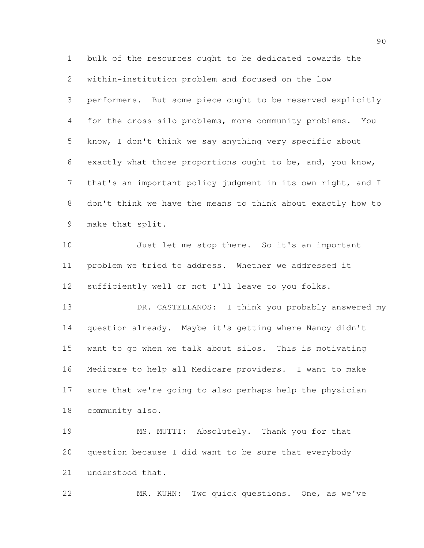bulk of the resources ought to be dedicated towards the within-institution problem and focused on the low performers. But some piece ought to be reserved explicitly for the cross-silo problems, more community problems. You know, I don't think we say anything very specific about exactly what those proportions ought to be, and, you know, that's an important policy judgment in its own right, and I don't think we have the means to think about exactly how to make that split.

 Just let me stop there. So it's an important problem we tried to address. Whether we addressed it sufficiently well or not I'll leave to you folks.

13 DR. CASTELLANOS: I think you probably answered my question already. Maybe it's getting where Nancy didn't want to go when we talk about silos. This is motivating Medicare to help all Medicare providers. I want to make sure that we're going to also perhaps help the physician community also.

 MS. MUTTI: Absolutely. Thank you for that question because I did want to be sure that everybody understood that.

MR. KUHN: Two quick questions. One, as we've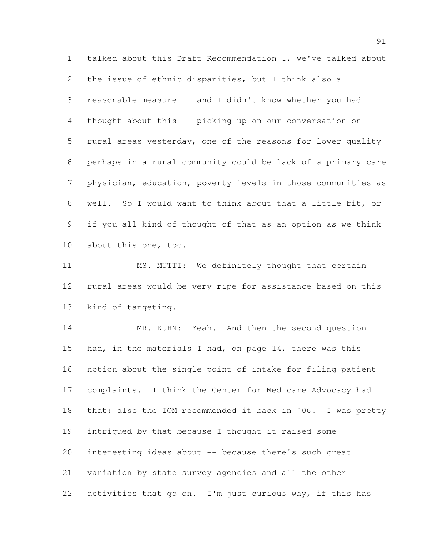talked about this Draft Recommendation 1, we've talked about the issue of ethnic disparities, but I think also a reasonable measure -- and I didn't know whether you had thought about this -- picking up on our conversation on rural areas yesterday, one of the reasons for lower quality perhaps in a rural community could be lack of a primary care physician, education, poverty levels in those communities as well. So I would want to think about that a little bit, or if you all kind of thought of that as an option as we think about this one, too.

 MS. MUTTI: We definitely thought that certain rural areas would be very ripe for assistance based on this kind of targeting.

14 MR. KUHN: Yeah. And then the second question I had, in the materials I had, on page 14, there was this notion about the single point of intake for filing patient complaints. I think the Center for Medicare Advocacy had that; also the IOM recommended it back in '06. I was pretty intrigued by that because I thought it raised some interesting ideas about -- because there's such great variation by state survey agencies and all the other activities that go on. I'm just curious why, if this has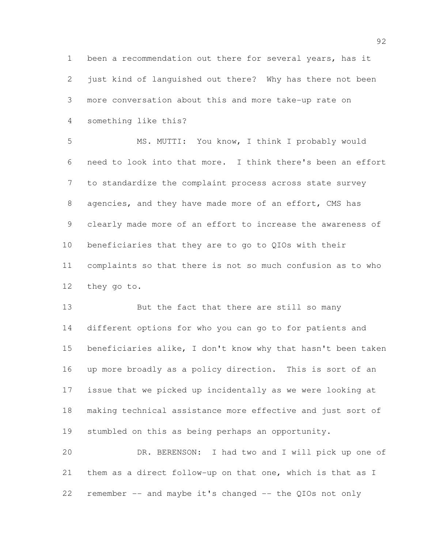been a recommendation out there for several years, has it just kind of languished out there? Why has there not been more conversation about this and more take-up rate on something like this?

 MS. MUTTI: You know, I think I probably would need to look into that more. I think there's been an effort to standardize the complaint process across state survey agencies, and they have made more of an effort, CMS has clearly made more of an effort to increase the awareness of beneficiaries that they are to go to QIOs with their complaints so that there is not so much confusion as to who they go to.

13 But the fact that there are still so many different options for who you can go to for patients and beneficiaries alike, I don't know why that hasn't been taken up more broadly as a policy direction. This is sort of an issue that we picked up incidentally as we were looking at making technical assistance more effective and just sort of stumbled on this as being perhaps an opportunity.

 DR. BERENSON: I had two and I will pick up one of them as a direct follow-up on that one, which is that as I remember -- and maybe it's changed -- the QIOs not only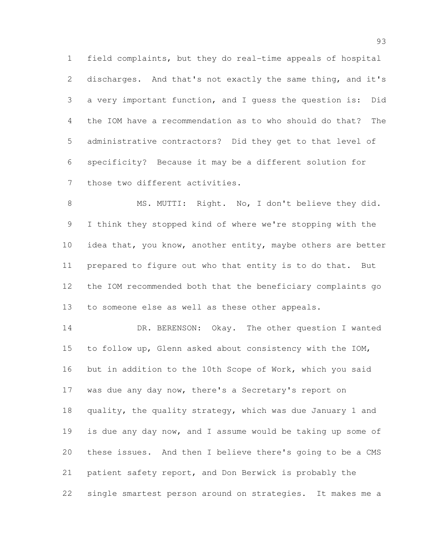field complaints, but they do real-time appeals of hospital discharges. And that's not exactly the same thing, and it's a very important function, and I guess the question is: Did the IOM have a recommendation as to who should do that? The administrative contractors? Did they get to that level of specificity? Because it may be a different solution for those two different activities.

8 MS. MUTTI: Right. No, I don't believe they did. I think they stopped kind of where we're stopping with the 10 idea that, you know, another entity, maybe others are better prepared to figure out who that entity is to do that. But the IOM recommended both that the beneficiary complaints go to someone else as well as these other appeals.

 DR. BERENSON: Okay. The other question I wanted to follow up, Glenn asked about consistency with the IOM, but in addition to the 10th Scope of Work, which you said was due any day now, there's a Secretary's report on 18 quality, the quality strategy, which was due January 1 and is due any day now, and I assume would be taking up some of these issues. And then I believe there's going to be a CMS patient safety report, and Don Berwick is probably the single smartest person around on strategies. It makes me a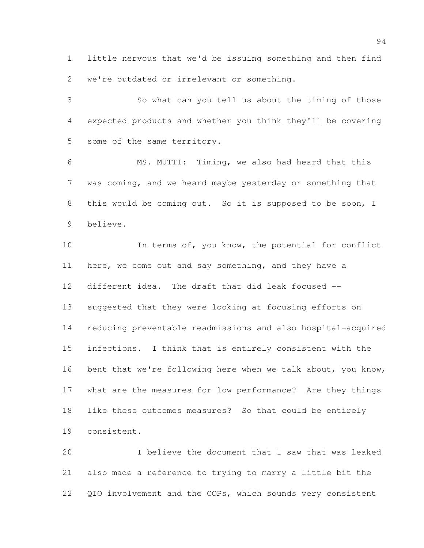little nervous that we'd be issuing something and then find we're outdated or irrelevant or something.

 So what can you tell us about the timing of those expected products and whether you think they'll be covering some of the same territory.

 MS. MUTTI: Timing, we also had heard that this was coming, and we heard maybe yesterday or something that this would be coming out. So it is supposed to be soon, I believe.

10 In terms of, you know, the potential for conflict 11 here, we come out and say something, and they have a different idea. The draft that did leak focused -- suggested that they were looking at focusing efforts on reducing preventable readmissions and also hospital-acquired infections. I think that is entirely consistent with the 16 bent that we're following here when we talk about, you know, what are the measures for low performance? Are they things like these outcomes measures? So that could be entirely consistent.

 I believe the document that I saw that was leaked also made a reference to trying to marry a little bit the QIO involvement and the COPs, which sounds very consistent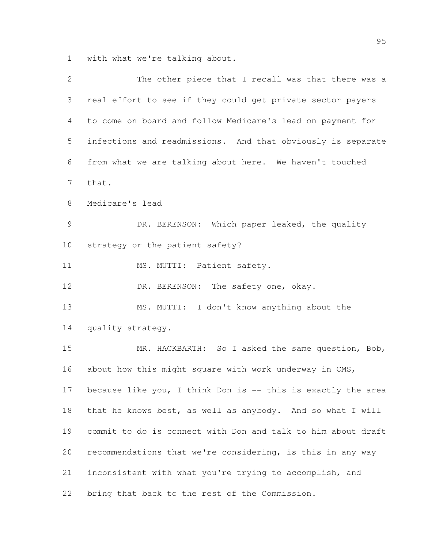with what we're talking about.

| 2              | The other piece that I recall was that there was a           |
|----------------|--------------------------------------------------------------|
| 3              | real effort to see if they could get private sector payers   |
| 4              | to come on board and follow Medicare's lead on payment for   |
| 5              | infections and readmissions. And that obviously is separate  |
| 6              | from what we are talking about here. We haven't touched      |
| $\overline{7}$ | that.                                                        |
| 8              | Medicare's lead                                              |
| $\mathcal{G}$  | DR. BERENSON: Which paper leaked, the quality                |
| 10             | strategy or the patient safety?                              |
| 11             | MS. MUTTI: Patient safety.                                   |
| 12             | DR. BERENSON: The safety one, okay.                          |
| 13             | MS. MUTTI: I don't know anything about the                   |
| 14             | quality strategy.                                            |
| 15             | MR. HACKBARTH: So I asked the same question, Bob,            |
| 16             | about how this might square with work underway in CMS,       |
| 17             | because like you, I think Don is -- this is exactly the area |
| 18             | that he knows best, as well as anybody. And so what I will   |
| 19             | commit to do is connect with Don and talk to him about draft |
| 20             | recommendations that we're considering, is this in any way   |
| 21             | inconsistent with what you're trying to accomplish, and      |
| 22             | bring that back to the rest of the Commission.               |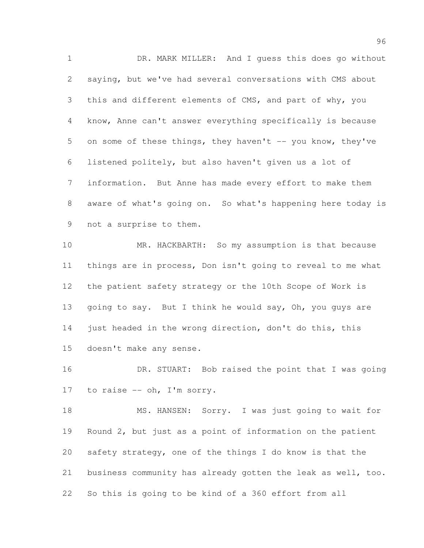DR. MARK MILLER: And I guess this does go without saying, but we've had several conversations with CMS about this and different elements of CMS, and part of why, you know, Anne can't answer everything specifically is because on some of these things, they haven't -- you know, they've listened politely, but also haven't given us a lot of information. But Anne has made every effort to make them aware of what's going on. So what's happening here today is not a surprise to them.

 MR. HACKBARTH: So my assumption is that because things are in process, Don isn't going to reveal to me what the patient safety strategy or the 10th Scope of Work is going to say. But I think he would say, Oh, you guys are just headed in the wrong direction, don't do this, this doesn't make any sense.

16 DR. STUART: Bob raised the point that I was going 17 to raise -- oh, I'm sorry.

18 MS. HANSEN: Sorry. I was just going to wait for Round 2, but just as a point of information on the patient safety strategy, one of the things I do know is that the business community has already gotten the leak as well, too. So this is going to be kind of a 360 effort from all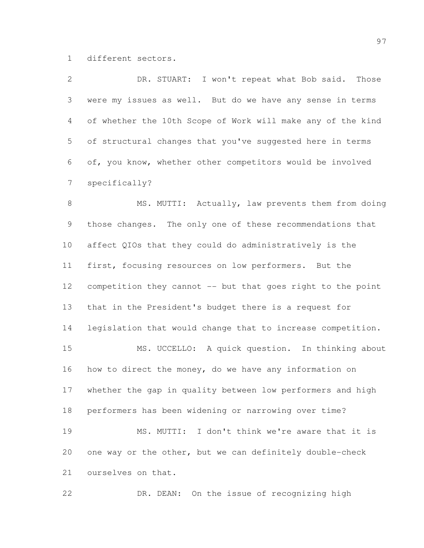different sectors.

| $\overline{2}$ | DR. STUART: I won't repeat what Bob said. Those               |
|----------------|---------------------------------------------------------------|
| 3              | were my issues as well. But do we have any sense in terms     |
|                | 4 of whether the 10th Scope of Work will make any of the kind |
|                | 5 of structural changes that you've suggested here in terms   |
|                | 6 of, you know, whether other competitors would be involved   |
| 7              | specifically?                                                 |
|                |                                                               |

8 MS. MUTTI: Actually, law prevents them from doing those changes. The only one of these recommendations that affect QIOs that they could do administratively is the first, focusing resources on low performers. But the competition they cannot -- but that goes right to the point that in the President's budget there is a request for legislation that would change that to increase competition. MS. UCCELLO: A quick question. In thinking about how to direct the money, do we have any information on whether the gap in quality between low performers and high performers has been widening or narrowing over time? MS. MUTTI: I don't think we're aware that it is one way or the other, but we can definitely double-check ourselves on that.

DR. DEAN: On the issue of recognizing high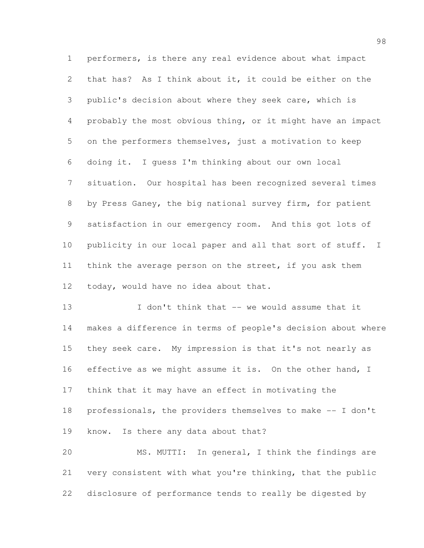performers, is there any real evidence about what impact that has? As I think about it, it could be either on the public's decision about where they seek care, which is probably the most obvious thing, or it might have an impact on the performers themselves, just a motivation to keep doing it. I guess I'm thinking about our own local situation. Our hospital has been recognized several times by Press Ganey, the big national survey firm, for patient satisfaction in our emergency room. And this got lots of publicity in our local paper and all that sort of stuff. I 11 think the average person on the street, if you ask them today, would have no idea about that.

13 I don't think that -- we would assume that it makes a difference in terms of people's decision about where they seek care. My impression is that it's not nearly as 16 effective as we might assume it is. On the other hand, I think that it may have an effect in motivating the professionals, the providers themselves to make -- I don't know. Is there any data about that?

 MS. MUTTI: In general, I think the findings are very consistent with what you're thinking, that the public disclosure of performance tends to really be digested by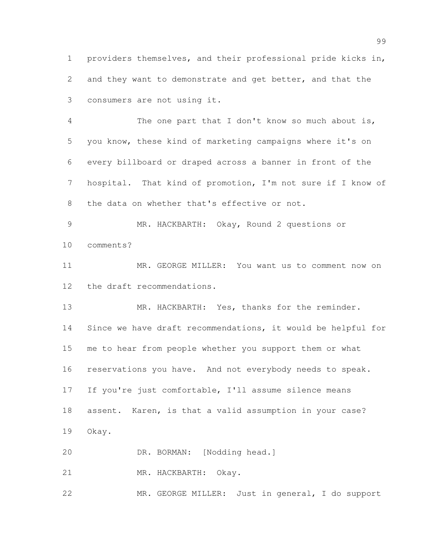providers themselves, and their professional pride kicks in, and they want to demonstrate and get better, and that the consumers are not using it.

 The one part that I don't know so much about is, you know, these kind of marketing campaigns where it's on every billboard or draped across a banner in front of the hospital. That kind of promotion, I'm not sure if I know of the data on whether that's effective or not.

 MR. HACKBARTH: Okay, Round 2 questions or comments?

 MR. GEORGE MILLER: You want us to comment now on the draft recommendations.

13 MR. HACKBARTH: Yes, thanks for the reminder. Since we have draft recommendations, it would be helpful for me to hear from people whether you support them or what reservations you have. And not everybody needs to speak. If you're just comfortable, I'll assume silence means assent. Karen, is that a valid assumption in your case? Okay.

DR. BORMAN: [Nodding head.]

21 MR. HACKBARTH: Okay.

MR. GEORGE MILLER: Just in general, I do support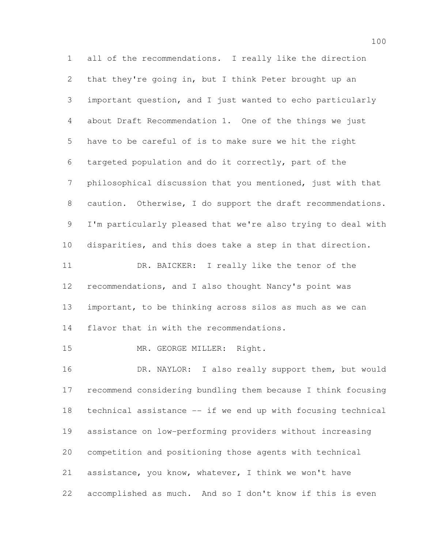all of the recommendations. I really like the direction 2 that they're going in, but I think Peter brought up an important question, and I just wanted to echo particularly about Draft Recommendation 1. One of the things we just have to be careful of is to make sure we hit the right targeted population and do it correctly, part of the philosophical discussion that you mentioned, just with that caution. Otherwise, I do support the draft recommendations. I'm particularly pleased that we're also trying to deal with disparities, and this does take a step in that direction. DR. BAICKER: I really like the tenor of the recommendations, and I also thought Nancy's point was important, to be thinking across silos as much as we can 14 flavor that in with the recommendations. 15 MR. GEORGE MILLER: Right. 16 DR. NAYLOR: I also really support them, but would recommend considering bundling them because I think focusing technical assistance -- if we end up with focusing technical assistance on low-performing providers without increasing competition and positioning those agents with technical assistance, you know, whatever, I think we won't have

accomplished as much. And so I don't know if this is even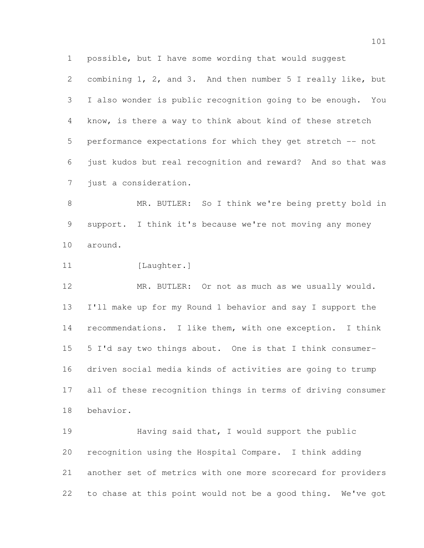possible, but I have some wording that would suggest

 combining 1, 2, and 3. And then number 5 I really like, but I also wonder is public recognition going to be enough. You know, is there a way to think about kind of these stretch performance expectations for which they get stretch -- not just kudos but real recognition and reward? And so that was just a consideration.

 MR. BUTLER: So I think we're being pretty bold in support. I think it's because we're not moving any money around.

11 [Laughter.]

 MR. BUTLER: Or not as much as we usually would. I'll make up for my Round 1 behavior and say I support the recommendations. I like them, with one exception. I think 5 I'd say two things about. One is that I think consumer- driven social media kinds of activities are going to trump all of these recognition things in terms of driving consumer behavior.

 Having said that, I would support the public recognition using the Hospital Compare. I think adding another set of metrics with one more scorecard for providers to chase at this point would not be a good thing. We've got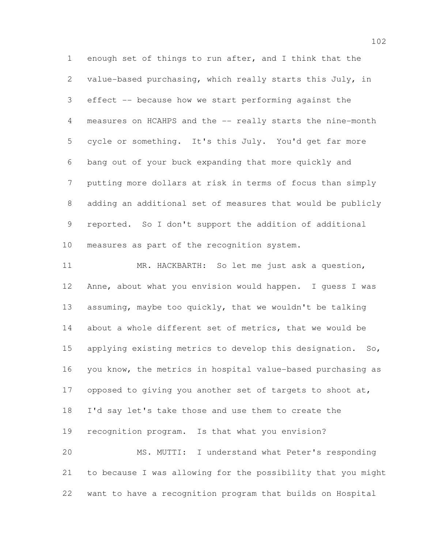enough set of things to run after, and I think that the value-based purchasing, which really starts this July, in effect -- because how we start performing against the measures on HCAHPS and the -- really starts the nine-month cycle or something. It's this July. You'd get far more bang out of your buck expanding that more quickly and putting more dollars at risk in terms of focus than simply adding an additional set of measures that would be publicly reported. So I don't support the addition of additional measures as part of the recognition system.

 MR. HACKBARTH: So let me just ask a question, Anne, about what you envision would happen. I guess I was assuming, maybe too quickly, that we wouldn't be talking about a whole different set of metrics, that we would be applying existing metrics to develop this designation. So, you know, the metrics in hospital value-based purchasing as 17 opposed to giving you another set of targets to shoot at, I'd say let's take those and use them to create the recognition program. Is that what you envision? MS. MUTTI: I understand what Peter's responding to because I was allowing for the possibility that you might want to have a recognition program that builds on Hospital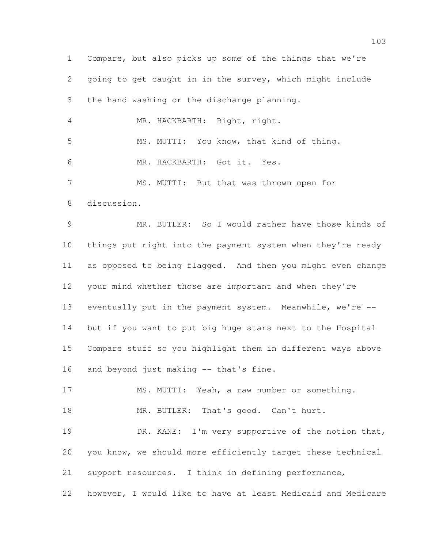Compare, but also picks up some of the things that we're going to get caught in in the survey, which might include the hand washing or the discharge planning. MR. HACKBARTH: Right, right. MS. MUTTI: You know, that kind of thing. MR. HACKBARTH: Got it. Yes. MS. MUTTI: But that was thrown open for discussion. MR. BUTLER: So I would rather have those kinds of things put right into the payment system when they're ready as opposed to being flagged. And then you might even change your mind whether those are important and when they're eventually put in the payment system. Meanwhile, we're -- but if you want to put big huge stars next to the Hospital Compare stuff so you highlight them in different ways above 16 and beyond just making -- that's fine. 17 MS. MUTTI: Yeah, a raw number or something. 18 MR. BUTLER: That's good. Can't hurt. 19 DR. KANE: I'm very supportive of the notion that, you know, we should more efficiently target these technical support resources. I think in defining performance, however, I would like to have at least Medicaid and Medicare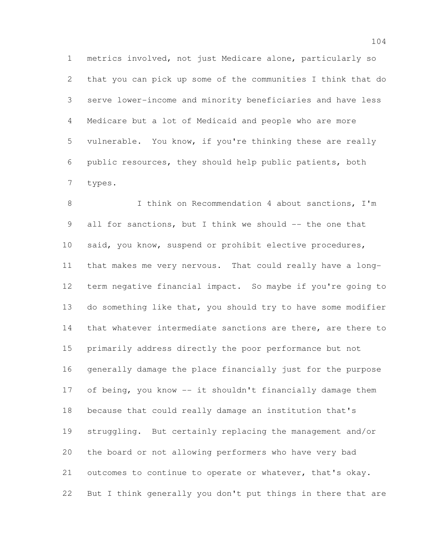metrics involved, not just Medicare alone, particularly so that you can pick up some of the communities I think that do serve lower-income and minority beneficiaries and have less Medicare but a lot of Medicaid and people who are more vulnerable. You know, if you're thinking these are really public resources, they should help public patients, both types.

8 I think on Recommendation 4 about sanctions, I'm 9 all for sanctions, but I think we should -- the one that said, you know, suspend or prohibit elective procedures, that makes me very nervous. That could really have a long- term negative financial impact. So maybe if you're going to 13 do something like that, you should try to have some modifier that whatever intermediate sanctions are there, are there to primarily address directly the poor performance but not generally damage the place financially just for the purpose of being, you know -- it shouldn't financially damage them because that could really damage an institution that's struggling. But certainly replacing the management and/or the board or not allowing performers who have very bad outcomes to continue to operate or whatever, that's okay. But I think generally you don't put things in there that are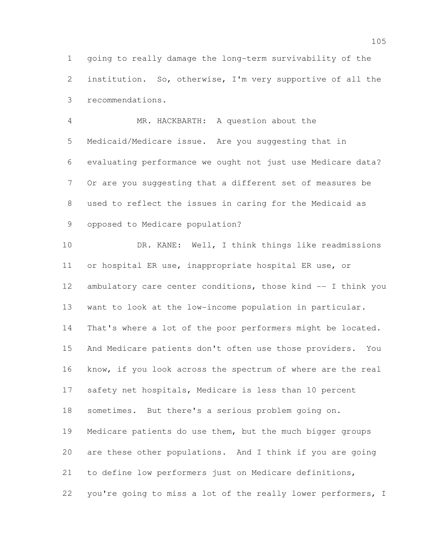going to really damage the long-term survivability of the institution. So, otherwise, I'm very supportive of all the recommendations.

 MR. HACKBARTH: A question about the Medicaid/Medicare issue. Are you suggesting that in evaluating performance we ought not just use Medicare data? Or are you suggesting that a different set of measures be used to reflect the issues in caring for the Medicaid as opposed to Medicare population?

 DR. KANE: Well, I think things like readmissions or hospital ER use, inappropriate hospital ER use, or ambulatory care center conditions, those kind -- I think you want to look at the low-income population in particular. That's where a lot of the poor performers might be located. And Medicare patients don't often use those providers. You know, if you look across the spectrum of where are the real safety net hospitals, Medicare is less than 10 percent sometimes. But there's a serious problem going on. Medicare patients do use them, but the much bigger groups are these other populations. And I think if you are going to define low performers just on Medicare definitions, you're going to miss a lot of the really lower performers, I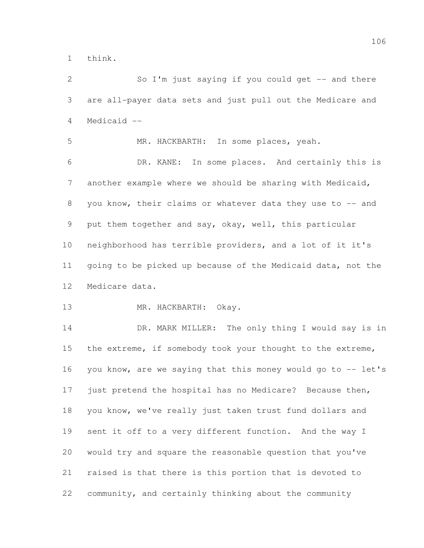think.

2 So I'm just saying if you could get -- and there are all-payer data sets and just pull out the Medicare and Medicaid -- MR. HACKBARTH: In some places, yeah. DR. KANE: In some places. And certainly this is another example where we should be sharing with Medicaid, 8 you know, their claims or whatever data they use to -- and put them together and say, okay, well, this particular neighborhood has terrible providers, and a lot of it it's going to be picked up because of the Medicaid data, not the Medicare data. MR. HACKBARTH: Okay. 14 DR. MARK MILLER: The only thing I would say is in

 the extreme, if somebody took your thought to the extreme, 16 you know, are we saying that this money would go to -- let's just pretend the hospital has no Medicare? Because then, you know, we've really just taken trust fund dollars and sent it off to a very different function. And the way I would try and square the reasonable question that you've raised is that there is this portion that is devoted to community, and certainly thinking about the community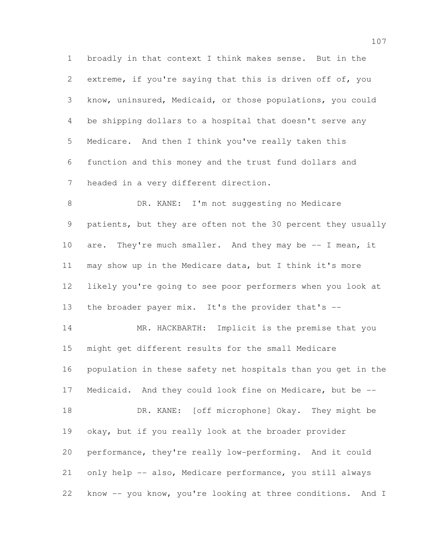broadly in that context I think makes sense. But in the extreme, if you're saying that this is driven off of, you know, uninsured, Medicaid, or those populations, you could be shipping dollars to a hospital that doesn't serve any Medicare. And then I think you've really taken this function and this money and the trust fund dollars and headed in a very different direction.

8 DR. KANE: I'm not suggesting no Medicare patients, but they are often not the 30 percent they usually are. They're much smaller. And they may be -- I mean, it may show up in the Medicare data, but I think it's more likely you're going to see poor performers when you look at the broader payer mix. It's the provider that's --

14 MR. HACKBARTH: Implicit is the premise that you might get different results for the small Medicare population in these safety net hospitals than you get in the Medicaid. And they could look fine on Medicare, but be -- 18 DR. KANE: [off microphone] Okay. They might be okay, but if you really look at the broader provider performance, they're really low-performing. And it could only help -- also, Medicare performance, you still always know -- you know, you're looking at three conditions. And I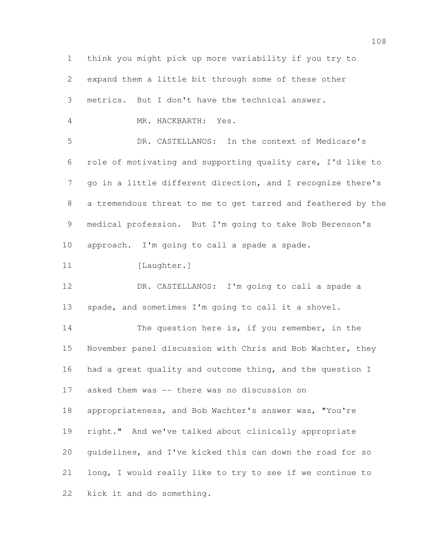think you might pick up more variability if you try to expand them a little bit through some of these other metrics. But I don't have the technical answer. MR. HACKBARTH: Yes. DR. CASTELLANOS: In the context of Medicare's role of motivating and supporting quality care, I'd like to go in a little different direction, and I recognize there's a tremendous threat to me to get tarred and feathered by the medical profession. But I'm going to take Bob Berenson's approach. I'm going to call a spade a spade. 11 [Laughter.] DR. CASTELLANOS: I'm going to call a spade a spade, and sometimes I'm going to call it a shovel. The question here is, if you remember, in the November panel discussion with Chris and Bob Wachter, they had a great quality and outcome thing, and the question I asked them was -- there was no discussion on appropriateness, and Bob Wachter's answer was, "You're right." And we've talked about clinically appropriate guidelines, and I've kicked this can down the road for so long, I would really like to try to see if we continue to kick it and do something.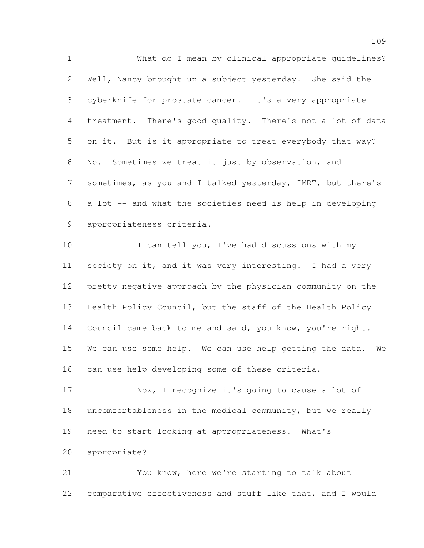What do I mean by clinical appropriate guidelines? Well, Nancy brought up a subject yesterday. She said the cyberknife for prostate cancer. It's a very appropriate treatment. There's good quality. There's not a lot of data on it. But is it appropriate to treat everybody that way? No. Sometimes we treat it just by observation, and sometimes, as you and I talked yesterday, IMRT, but there's a lot -- and what the societies need is help in developing appropriateness criteria.

10 I can tell you, I've had discussions with my society on it, and it was very interesting. I had a very pretty negative approach by the physician community on the Health Policy Council, but the staff of the Health Policy Council came back to me and said, you know, you're right. We can use some help. We can use help getting the data. We can use help developing some of these criteria.

 Now, I recognize it's going to cause a lot of uncomfortableness in the medical community, but we really need to start looking at appropriateness. What's appropriate?

 You know, here we're starting to talk about comparative effectiveness and stuff like that, and I would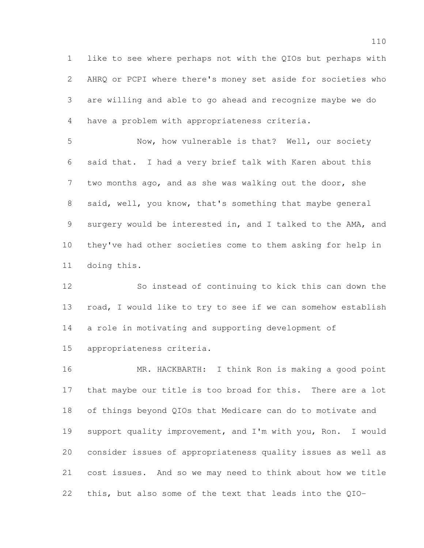like to see where perhaps not with the QIOs but perhaps with AHRQ or PCPI where there's money set aside for societies who are willing and able to go ahead and recognize maybe we do have a problem with appropriateness criteria.

 Now, how vulnerable is that? Well, our society said that. I had a very brief talk with Karen about this two months ago, and as she was walking out the door, she said, well, you know, that's something that maybe general surgery would be interested in, and I talked to the AMA, and they've had other societies come to them asking for help in doing this.

 So instead of continuing to kick this can down the road, I would like to try to see if we can somehow establish a role in motivating and supporting development of appropriateness criteria.

 MR. HACKBARTH: I think Ron is making a good point that maybe our title is too broad for this. There are a lot of things beyond QIOs that Medicare can do to motivate and support quality improvement, and I'm with you, Ron. I would consider issues of appropriateness quality issues as well as cost issues. And so we may need to think about how we title this, but also some of the text that leads into the QIO-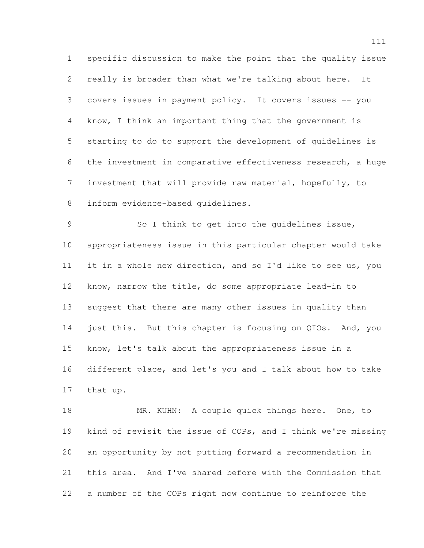specific discussion to make the point that the quality issue really is broader than what we're talking about here. It covers issues in payment policy. It covers issues -- you know, I think an important thing that the government is starting to do to support the development of guidelines is the investment in comparative effectiveness research, a huge investment that will provide raw material, hopefully, to inform evidence-based guidelines.

 So I think to get into the guidelines issue, appropriateness issue in this particular chapter would take it in a whole new direction, and so I'd like to see us, you know, narrow the title, do some appropriate lead-in to suggest that there are many other issues in quality than 14 just this. But this chapter is focusing on QIOs. And, you know, let's talk about the appropriateness issue in a different place, and let's you and I talk about how to take that up.

 MR. KUHN: A couple quick things here. One, to kind of revisit the issue of COPs, and I think we're missing an opportunity by not putting forward a recommendation in this area. And I've shared before with the Commission that a number of the COPs right now continue to reinforce the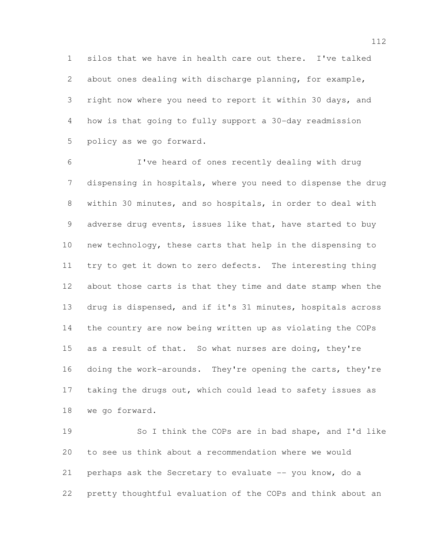silos that we have in health care out there. I've talked about ones dealing with discharge planning, for example, right now where you need to report it within 30 days, and how is that going to fully support a 30-day readmission policy as we go forward.

 I've heard of ones recently dealing with drug dispensing in hospitals, where you need to dispense the drug within 30 minutes, and so hospitals, in order to deal with adverse drug events, issues like that, have started to buy new technology, these carts that help in the dispensing to try to get it down to zero defects. The interesting thing about those carts is that they time and date stamp when the drug is dispensed, and if it's 31 minutes, hospitals across the country are now being written up as violating the COPs as a result of that. So what nurses are doing, they're 16 doing the work-arounds. They're opening the carts, they're 17 taking the drugs out, which could lead to safety issues as we go forward.

 So I think the COPs are in bad shape, and I'd like to see us think about a recommendation where we would perhaps ask the Secretary to evaluate -- you know, do a pretty thoughtful evaluation of the COPs and think about an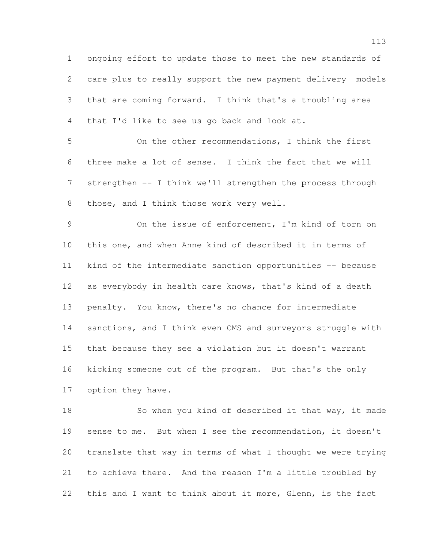ongoing effort to update those to meet the new standards of care plus to really support the new payment delivery models that are coming forward. I think that's a troubling area that I'd like to see us go back and look at.

 On the other recommendations, I think the first three make a lot of sense. I think the fact that we will strengthen -- I think we'll strengthen the process through 8 those, and I think those work very well.

 On the issue of enforcement, I'm kind of torn on this one, and when Anne kind of described it in terms of kind of the intermediate sanction opportunities -- because as everybody in health care knows, that's kind of a death penalty. You know, there's no chance for intermediate sanctions, and I think even CMS and surveyors struggle with that because they see a violation but it doesn't warrant kicking someone out of the program. But that's the only option they have.

18 So when you kind of described it that way, it made sense to me. But when I see the recommendation, it doesn't translate that way in terms of what I thought we were trying to achieve there. And the reason I'm a little troubled by 22 this and I want to think about it more, Glenn, is the fact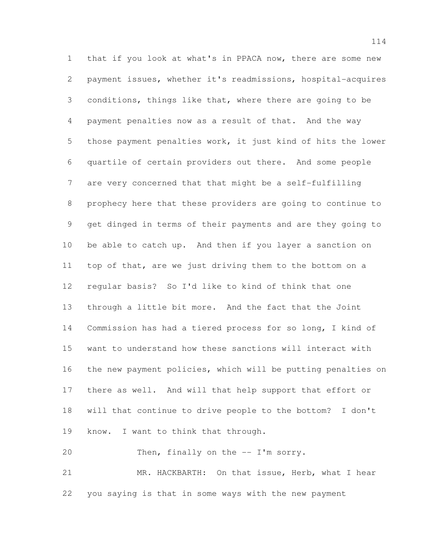that if you look at what's in PPACA now, there are some new payment issues, whether it's readmissions, hospital-acquires conditions, things like that, where there are going to be payment penalties now as a result of that. And the way those payment penalties work, it just kind of hits the lower quartile of certain providers out there. And some people are very concerned that that might be a self-fulfilling prophecy here that these providers are going to continue to get dinged in terms of their payments and are they going to be able to catch up. And then if you layer a sanction on top of that, are we just driving them to the bottom on a regular basis? So I'd like to kind of think that one through a little bit more. And the fact that the Joint Commission has had a tiered process for so long, I kind of want to understand how these sanctions will interact with the new payment policies, which will be putting penalties on there as well. And will that help support that effort or will that continue to drive people to the bottom? I don't know. I want to think that through. 20 Then, finally on the -- I'm sorry.

 MR. HACKBARTH: On that issue, Herb, what I hear you saying is that in some ways with the new payment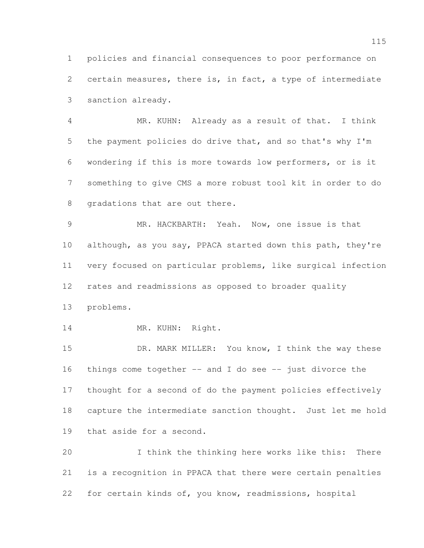policies and financial consequences to poor performance on certain measures, there is, in fact, a type of intermediate sanction already.

 MR. KUHN: Already as a result of that. I think the payment policies do drive that, and so that's why I'm wondering if this is more towards low performers, or is it something to give CMS a more robust tool kit in order to do 8 gradations that are out there.

 MR. HACKBARTH: Yeah. Now, one issue is that 10 although, as you say, PPACA started down this path, they're very focused on particular problems, like surgical infection rates and readmissions as opposed to broader quality problems.

14 MR. KUHN: Right.

15 DR. MARK MILLER: You know, I think the way these things come together -- and I do see -- just divorce the thought for a second of do the payment policies effectively capture the intermediate sanction thought. Just let me hold that aside for a second.

 I think the thinking here works like this: There is a recognition in PPACA that there were certain penalties for certain kinds of, you know, readmissions, hospital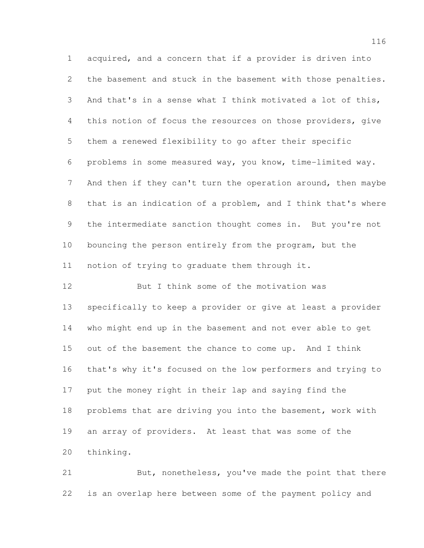acquired, and a concern that if a provider is driven into the basement and stuck in the basement with those penalties. And that's in a sense what I think motivated a lot of this, this notion of focus the resources on those providers, give them a renewed flexibility to go after their specific problems in some measured way, you know, time-limited way. 7 And then if they can't turn the operation around, then maybe that is an indication of a problem, and I think that's where the intermediate sanction thought comes in. But you're not bouncing the person entirely from the program, but the notion of trying to graduate them through it.

 But I think some of the motivation was specifically to keep a provider or give at least a provider who might end up in the basement and not ever able to get out of the basement the chance to come up. And I think that's why it's focused on the low performers and trying to put the money right in their lap and saying find the problems that are driving you into the basement, work with an array of providers. At least that was some of the thinking.

21 But, nonetheless, you've made the point that there is an overlap here between some of the payment policy and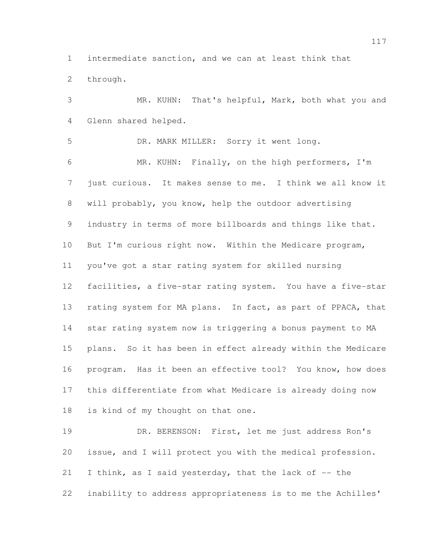intermediate sanction, and we can at least think that through.

 MR. KUHN: That's helpful, Mark, both what you and Glenn shared helped.

 DR. MARK MILLER: Sorry it went long. MR. KUHN: Finally, on the high performers, I'm just curious. It makes sense to me. I think we all know it will probably, you know, help the outdoor advertising industry in terms of more billboards and things like that. But I'm curious right now. Within the Medicare program, you've got a star rating system for skilled nursing facilities, a five-star rating system. You have a five-star 13 rating system for MA plans. In fact, as part of PPACA, that star rating system now is triggering a bonus payment to MA plans. So it has been in effect already within the Medicare program. Has it been an effective tool? You know, how does this differentiate from what Medicare is already doing now is kind of my thought on that one.

 DR. BERENSON: First, let me just address Ron's issue, and I will protect you with the medical profession. 21 I think, as I said yesterday, that the lack of -- the inability to address appropriateness is to me the Achilles'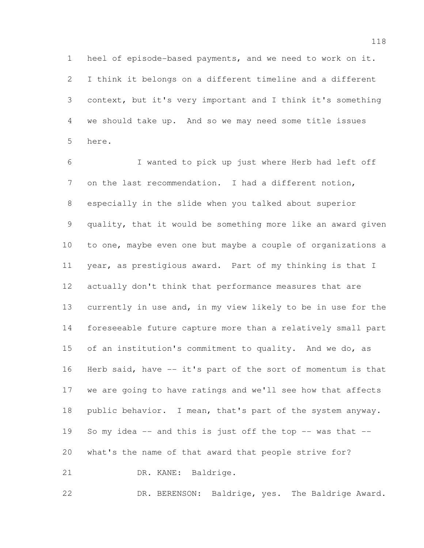heel of episode-based payments, and we need to work on it. I think it belongs on a different timeline and a different context, but it's very important and I think it's something we should take up. And so we may need some title issues here.

 I wanted to pick up just where Herb had left off on the last recommendation. I had a different notion, especially in the slide when you talked about superior quality, that it would be something more like an award given to one, maybe even one but maybe a couple of organizations a year, as prestigious award. Part of my thinking is that I actually don't think that performance measures that are currently in use and, in my view likely to be in use for the foreseeable future capture more than a relatively small part of an institution's commitment to quality. And we do, as Herb said, have -- it's part of the sort of momentum is that we are going to have ratings and we'll see how that affects 18 public behavior. I mean, that's part of the system anyway. So my idea -- and this is just off the top -- was that -- what's the name of that award that people strive for? 21 DR. KANE: Baldrige.

DR. BERENSON: Baldrige, yes. The Baldrige Award.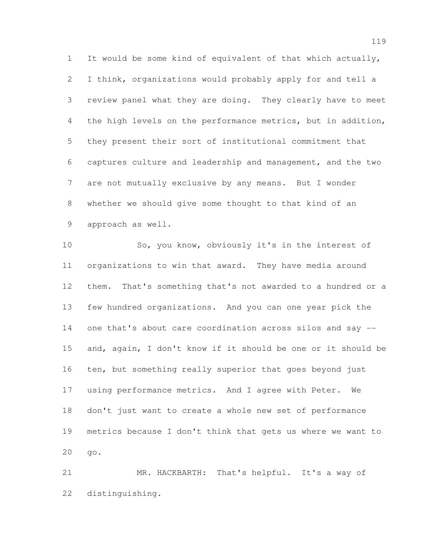It would be some kind of equivalent of that which actually, I think, organizations would probably apply for and tell a review panel what they are doing. They clearly have to meet the high levels on the performance metrics, but in addition, they present their sort of institutional commitment that captures culture and leadership and management, and the two are not mutually exclusive by any means. But I wonder whether we should give some thought to that kind of an approach as well.

 So, you know, obviously it's in the interest of organizations to win that award. They have media around them. That's something that's not awarded to a hundred or a few hundred organizations. And you can one year pick the one that's about care coordination across silos and say -- and, again, I don't know if it should be one or it should be ten, but something really superior that goes beyond just using performance metrics. And I agree with Peter. We don't just want to create a whole new set of performance metrics because I don't think that gets us where we want to go.

 MR. HACKBARTH: That's helpful. It's a way of distinguishing.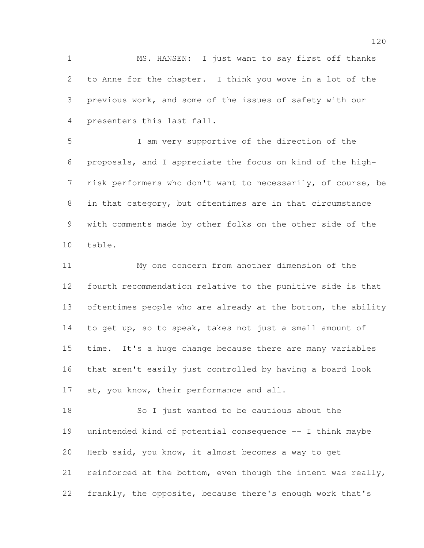MS. HANSEN: I just want to say first off thanks to Anne for the chapter. I think you wove in a lot of the previous work, and some of the issues of safety with our presenters this last fall.

 I am very supportive of the direction of the proposals, and I appreciate the focus on kind of the high- risk performers who don't want to necessarily, of course, be in that category, but oftentimes are in that circumstance with comments made by other folks on the other side of the table.

 My one concern from another dimension of the fourth recommendation relative to the punitive side is that 13 oftentimes people who are already at the bottom, the ability to get up, so to speak, takes not just a small amount of time. It's a huge change because there are many variables that aren't easily just controlled by having a board look 17 at, you know, their performance and all.

 So I just wanted to be cautious about the unintended kind of potential consequence -- I think maybe Herb said, you know, it almost becomes a way to get 21 reinforced at the bottom, even though the intent was really, frankly, the opposite, because there's enough work that's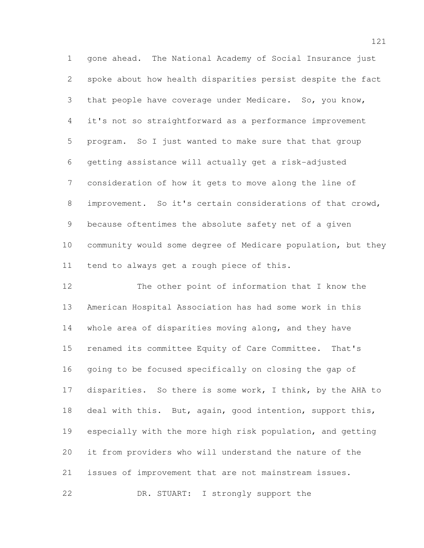gone ahead. The National Academy of Social Insurance just spoke about how health disparities persist despite the fact that people have coverage under Medicare. So, you know, it's not so straightforward as a performance improvement program. So I just wanted to make sure that that group getting assistance will actually get a risk-adjusted consideration of how it gets to move along the line of improvement. So it's certain considerations of that crowd, because oftentimes the absolute safety net of a given community would some degree of Medicare population, but they tend to always get a rough piece of this.

 The other point of information that I know the American Hospital Association has had some work in this whole area of disparities moving along, and they have renamed its committee Equity of Care Committee. That's going to be focused specifically on closing the gap of 17 disparities. So there is some work, I think, by the AHA to deal with this. But, again, good intention, support this, especially with the more high risk population, and getting it from providers who will understand the nature of the issues of improvement that are not mainstream issues. DR. STUART: I strongly support the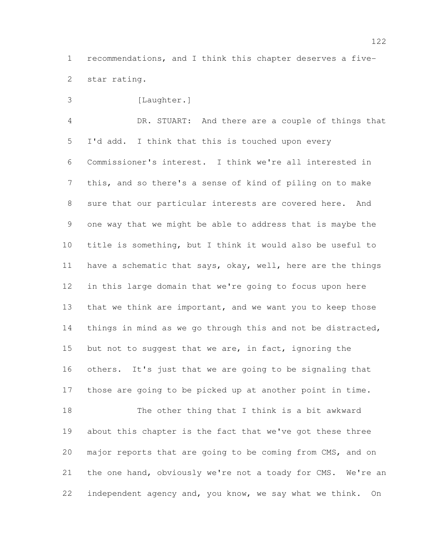recommendations, and I think this chapter deserves a five-star rating.

3 [Laughter.]

 DR. STUART: And there are a couple of things that I'd add. I think that this is touched upon every Commissioner's interest. I think we're all interested in this, and so there's a sense of kind of piling on to make sure that our particular interests are covered here. And one way that we might be able to address that is maybe the title is something, but I think it would also be useful to have a schematic that says, okay, well, here are the things in this large domain that we're going to focus upon here 13 that we think are important, and we want you to keep those 14 things in mind as we go through this and not be distracted, 15 but not to suggest that we are, in fact, ignoring the others. It's just that we are going to be signaling that those are going to be picked up at another point in time. The other thing that I think is a bit awkward about this chapter is the fact that we've got these three

 major reports that are going to be coming from CMS, and on the one hand, obviously we're not a toady for CMS. We're an independent agency and, you know, we say what we think. On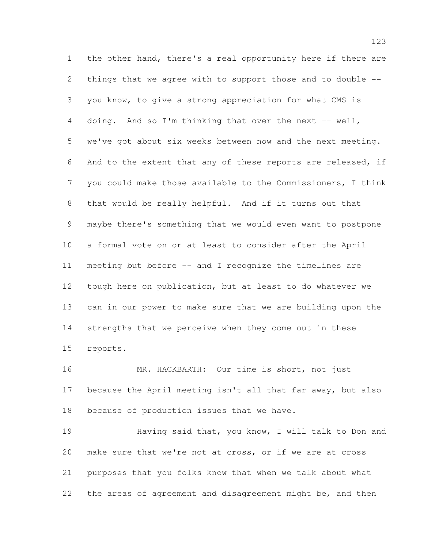the other hand, there's a real opportunity here if there are things that we agree with to support those and to double -- you know, to give a strong appreciation for what CMS is 4 doing. And so I'm thinking that over the next -- well, we've got about six weeks between now and the next meeting. And to the extent that any of these reports are released, if you could make those available to the Commissioners, I think that would be really helpful. And if it turns out that maybe there's something that we would even want to postpone a formal vote on or at least to consider after the April meeting but before -- and I recognize the timelines are tough here on publication, but at least to do whatever we can in our power to make sure that we are building upon the strengths that we perceive when they come out in these reports.

 MR. HACKBARTH: Our time is short, not just 17 because the April meeting isn't all that far away, but also because of production issues that we have.

 Having said that, you know, I will talk to Don and make sure that we're not at cross, or if we are at cross purposes that you folks know that when we talk about what 22 the areas of agreement and disagreement might be, and then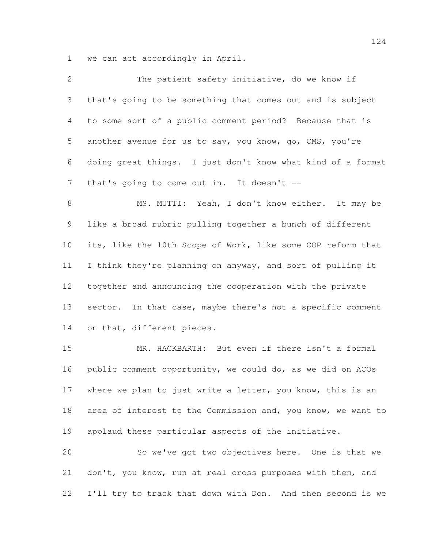we can act accordingly in April.

| $\mathbf{2}$ | The patient safety initiative, do we know if                 |
|--------------|--------------------------------------------------------------|
| 3            | that's going to be something that comes out and is subject   |
| 4            | to some sort of a public comment period? Because that is     |
| 5            | another avenue for us to say, you know, go, CMS, you're      |
| 6            | doing great things. I just don't know what kind of a format  |
| 7            | that's going to come out in. It doesn't --                   |
| $8\,$        | MS. MUTTI: Yeah, I don't know either. It may be              |
| 9            | like a broad rubric pulling together a bunch of different    |
| 10           | its, like the 10th Scope of Work, like some COP reform that  |
| 11           | I think they're planning on anyway, and sort of pulling it   |
| 12           | together and announcing the cooperation with the private     |
| 13           | sector. In that case, maybe there's not a specific comment   |
| 14           | on that, different pieces.                                   |
| 15           | MR. HACKBARTH: But even if there isn't a formal              |
| 16           | public comment opportunity, we could do, as we did on ACOs   |
| 17           | where we plan to just write a letter, you know, this is an   |
| 18           | area of interest to the Commission and, you know, we want to |
| 19           | applaud these particular aspects of the initiative.          |

 So we've got two objectives here. One is that we don't, you know, run at real cross purposes with them, and I'll try to track that down with Don. And then second is we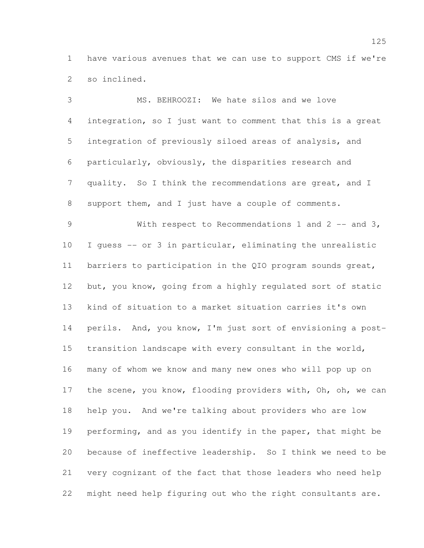have various avenues that we can use to support CMS if we're so inclined.

 MS. BEHROOZI: We hate silos and we love integration, so I just want to comment that this is a great integration of previously siloed areas of analysis, and particularly, obviously, the disparities research and quality. So I think the recommendations are great, and I support them, and I just have a couple of comments. 9 With respect to Recommendations 1 and 2 -- and 3, I guess -- or 3 in particular, eliminating the unrealistic barriers to participation in the QIO program sounds great, but, you know, going from a highly regulated sort of static kind of situation to a market situation carries it's own 14 perils. And, you know, I'm just sort of envisioning a post- transition landscape with every consultant in the world, many of whom we know and many new ones who will pop up on 17 the scene, you know, flooding providers with, Oh, oh, we can help you. And we're talking about providers who are low performing, and as you identify in the paper, that might be because of ineffective leadership. So I think we need to be very cognizant of the fact that those leaders who need help might need help figuring out who the right consultants are.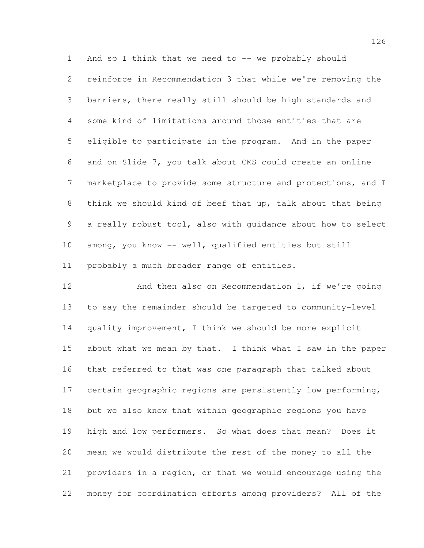And so I think that we need to -- we probably should reinforce in Recommendation 3 that while we're removing the barriers, there really still should be high standards and some kind of limitations around those entities that are eligible to participate in the program. And in the paper and on Slide 7, you talk about CMS could create an online marketplace to provide some structure and protections, and I think we should kind of beef that up, talk about that being a really robust tool, also with guidance about how to select among, you know -- well, qualified entities but still probably a much broader range of entities.

 And then also on Recommendation 1, if we're going to say the remainder should be targeted to community-level quality improvement, I think we should be more explicit about what we mean by that. I think what I saw in the paper that referred to that was one paragraph that talked about certain geographic regions are persistently low performing, but we also know that within geographic regions you have high and low performers. So what does that mean? Does it mean we would distribute the rest of the money to all the providers in a region, or that we would encourage using the money for coordination efforts among providers? All of the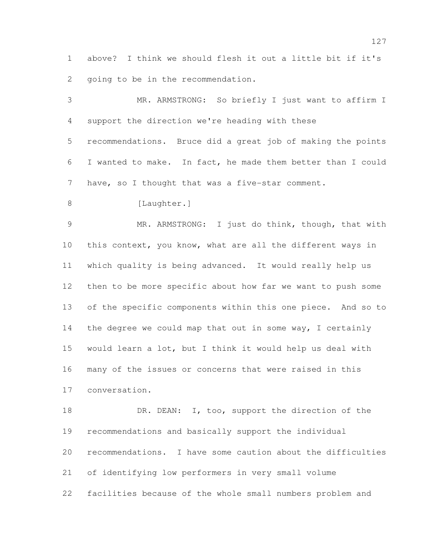above? I think we should flesh it out a little bit if it's going to be in the recommendation.

 MR. ARMSTRONG: So briefly I just want to affirm I support the direction we're heading with these recommendations. Bruce did a great job of making the points I wanted to make. In fact, he made them better than I could 7 have, so I thought that was a five-star comment. 8 [Laughter.] MR. ARMSTRONG: I just do think, though, that with 10 this context, you know, what are all the different ways in which quality is being advanced. It would really help us then to be more specific about how far we want to push some 13 of the specific components within this one piece. And so to 14 the degree we could map that out in some way, I certainly would learn a lot, but I think it would help us deal with many of the issues or concerns that were raised in this conversation.

18 DR. DEAN: I, too, support the direction of the recommendations and basically support the individual recommendations. I have some caution about the difficulties of identifying low performers in very small volume facilities because of the whole small numbers problem and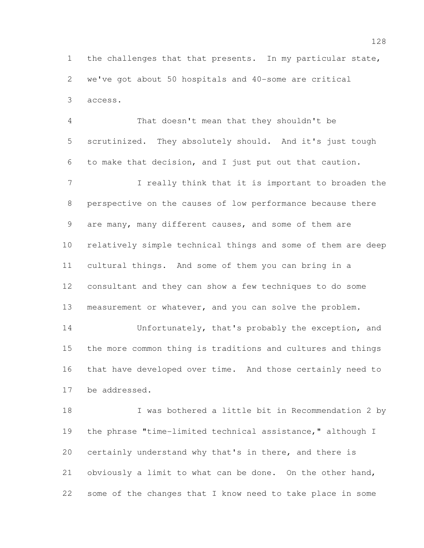the challenges that that presents. In my particular state, we've got about 50 hospitals and 40-some are critical access.

 That doesn't mean that they shouldn't be scrutinized. They absolutely should. And it's just tough to make that decision, and I just put out that caution. 7 I really think that it is important to broaden the perspective on the causes of low performance because there are many, many different causes, and some of them are relatively simple technical things and some of them are deep cultural things. And some of them you can bring in a consultant and they can show a few techniques to do some measurement or whatever, and you can solve the problem. Unfortunately, that's probably the exception, and the more common thing is traditions and cultures and things that have developed over time. And those certainly need to be addressed.

18 I was bothered a little bit in Recommendation 2 by the phrase "time-limited technical assistance," although I certainly understand why that's in there, and there is obviously a limit to what can be done. On the other hand, some of the changes that I know need to take place in some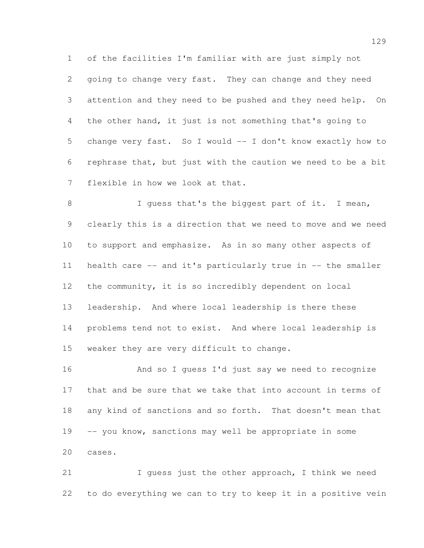of the facilities I'm familiar with are just simply not going to change very fast. They can change and they need attention and they need to be pushed and they need help. On the other hand, it just is not something that's going to change very fast. So I would -- I don't know exactly how to rephrase that, but just with the caution we need to be a bit flexible in how we look at that.

8 I guess that's the biggest part of it. I mean, clearly this is a direction that we need to move and we need to support and emphasize. As in so many other aspects of health care -- and it's particularly true in -- the smaller the community, it is so incredibly dependent on local leadership. And where local leadership is there these problems tend not to exist. And where local leadership is weaker they are very difficult to change.

 And so I guess I'd just say we need to recognize that and be sure that we take that into account in terms of any kind of sanctions and so forth. That doesn't mean that -- you know, sanctions may well be appropriate in some cases.

 I guess just the other approach, I think we need to do everything we can to try to keep it in a positive vein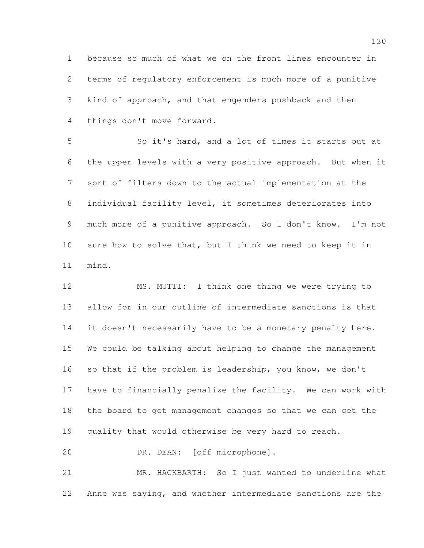because so much of what we on the front lines encounter in terms of regulatory enforcement is much more of a punitive kind of approach, and that engenders pushback and then things don't move forward.

 So it's hard, and a lot of times it starts out at the upper levels with a very positive approach. But when it sort of filters down to the actual implementation at the individual facility level, it sometimes deteriorates into much more of a punitive approach. So I don't know. I'm not sure how to solve that, but I think we need to keep it in mind.

 MS. MUTTI: I think one thing we were trying to allow for in our outline of intermediate sanctions is that 14 it doesn't necessarily have to be a monetary penalty here. We could be talking about helping to change the management so that if the problem is leadership, you know, we don't have to financially penalize the facility. We can work with the board to get management changes so that we can get the quality that would otherwise be very hard to reach. DR. DEAN: [off microphone].

 MR. HACKBARTH: So I just wanted to underline what Anne was saying, and whether intermediate sanctions are the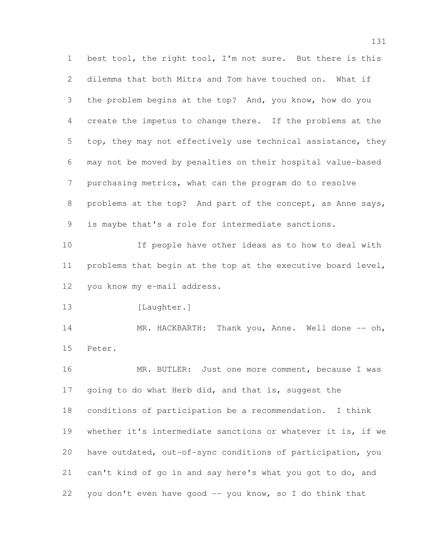best tool, the right tool, I'm not sure. But there is this dilemma that both Mitra and Tom have touched on. What if the problem begins at the top? And, you know, how do you create the impetus to change there. If the problems at the top, they may not effectively use technical assistance, they may not be moved by penalties on their hospital value-based purchasing metrics, what can the program do to resolve 8 problems at the top? And part of the concept, as Anne says, is maybe that's a role for intermediate sanctions. If people have other ideas as to how to deal with problems that begin at the top at the executive board level, you know my e-mail address. 13 [Laughter.] 14 MR. HACKBARTH: Thank you, Anne. Well done -- oh, Peter. 16 MR. BUTLER: Just one more comment, because I was 17 going to do what Herb did, and that is, suggest the conditions of participation be a recommendation. I think whether it's intermediate sanctions or whatever it is, if we have outdated, out-of-sync conditions of participation, you can't kind of go in and say here's what you got to do, and you don't even have good -- you know, so I do think that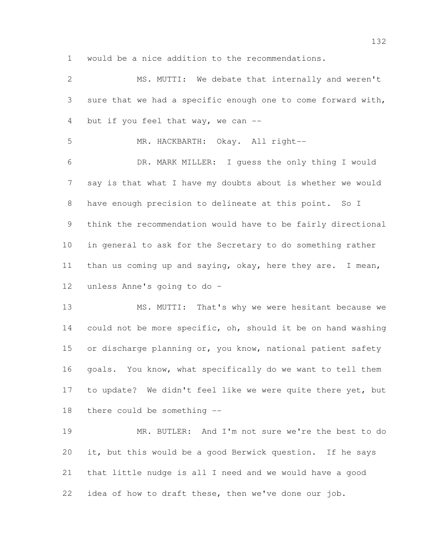would be a nice addition to the recommendations.

| 2  | MS. MUTTI: We debate that internally and weren't             |
|----|--------------------------------------------------------------|
| 3  | sure that we had a specific enough one to come forward with, |
| 4  | but if you feel that way, we can --                          |
| 5  | MR. HACKBARTH: Okay. All right--                             |
| 6  | DR. MARK MILLER: I guess the only thing I would              |
| 7  | say is that what I have my doubts about is whether we would  |
| 8  | have enough precision to delineate at this point. So I       |
| 9  | think the recommendation would have to be fairly directional |
| 10 | in general to ask for the Secretary to do something rather   |
| 11 | than us coming up and saying, okay, here they are. I mean,   |
| 12 | unless Anne's going to do -                                  |
| 13 | MS. MUTTI: That's why we were hesitant because we            |
| 14 | could not be more specific, oh, should it be on hand washing |
| 15 | or discharge planning or, you know, national patient safety  |
| 16 | goals. You know, what specifically do we want to tell them   |
| 17 | to update? We didn't feel like we were quite there yet, but  |
| 18 | there could be something --                                  |
| 19 | MR. BUTLER: And I'm not sure we're the best to do            |

 it, but this would be a good Berwick question. If he says that little nudge is all I need and we would have a good idea of how to draft these, then we've done our job.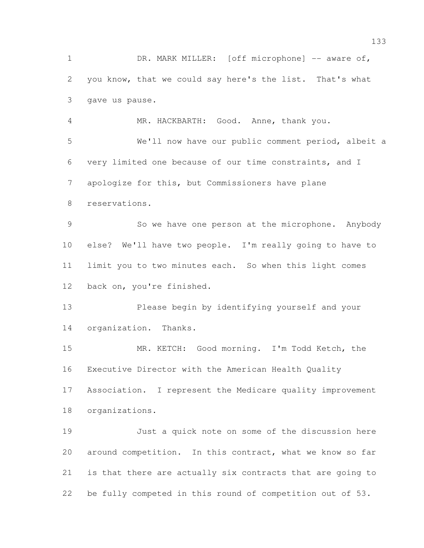1 DR. MARK MILLER: [off microphone] -- aware of, you know, that we could say here's the list. That's what gave us pause.

 MR. HACKBARTH: Good. Anne, thank you. We'll now have our public comment period, albeit a very limited one because of our time constraints, and I apologize for this, but Commissioners have plane reservations.

 So we have one person at the microphone. Anybody else? We'll have two people. I'm really going to have to limit you to two minutes each. So when this light comes back on, you're finished.

 Please begin by identifying yourself and your organization. Thanks.

 MR. KETCH: Good morning. I'm Todd Ketch, the Executive Director with the American Health Quality Association. I represent the Medicare quality improvement organizations.

 Just a quick note on some of the discussion here around competition. In this contract, what we know so far is that there are actually six contracts that are going to be fully competed in this round of competition out of 53.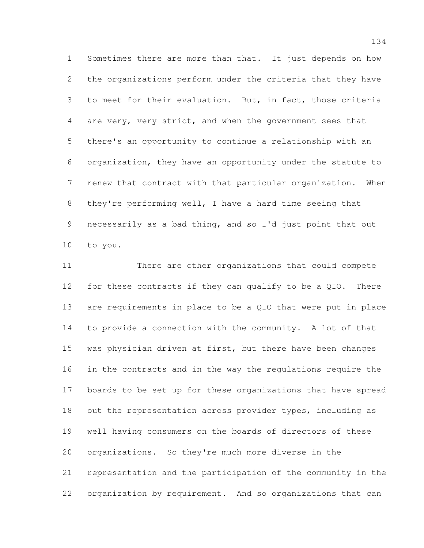Sometimes there are more than that. It just depends on how the organizations perform under the criteria that they have to meet for their evaluation. But, in fact, those criteria are very, very strict, and when the government sees that there's an opportunity to continue a relationship with an organization, they have an opportunity under the statute to renew that contract with that particular organization. When they're performing well, I have a hard time seeing that necessarily as a bad thing, and so I'd just point that out to you.

 There are other organizations that could compete for these contracts if they can qualify to be a QIO. There are requirements in place to be a QIO that were put in place to provide a connection with the community. A lot of that 15 was physician driven at first, but there have been changes in the contracts and in the way the regulations require the boards to be set up for these organizations that have spread 18 out the representation across provider types, including as well having consumers on the boards of directors of these organizations. So they're much more diverse in the representation and the participation of the community in the organization by requirement. And so organizations that can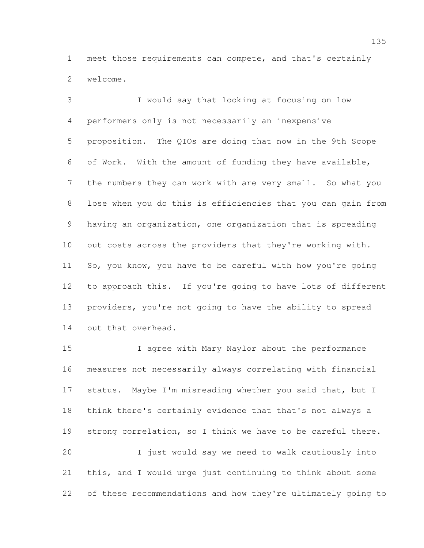meet those requirements can compete, and that's certainly welcome.

 I would say that looking at focusing on low performers only is not necessarily an inexpensive proposition. The QIOs are doing that now in the 9th Scope of Work. With the amount of funding they have available, 7 the numbers they can work with are very small. So what you lose when you do this is efficiencies that you can gain from having an organization, one organization that is spreading out costs across the providers that they're working with. So, you know, you have to be careful with how you're going to approach this. If you're going to have lots of different providers, you're not going to have the ability to spread out that overhead.

 I agree with Mary Naylor about the performance measures not necessarily always correlating with financial status. Maybe I'm misreading whether you said that, but I think there's certainly evidence that that's not always a 19 strong correlation, so I think we have to be careful there. I just would say we need to walk cautiously into this, and I would urge just continuing to think about some of these recommendations and how they're ultimately going to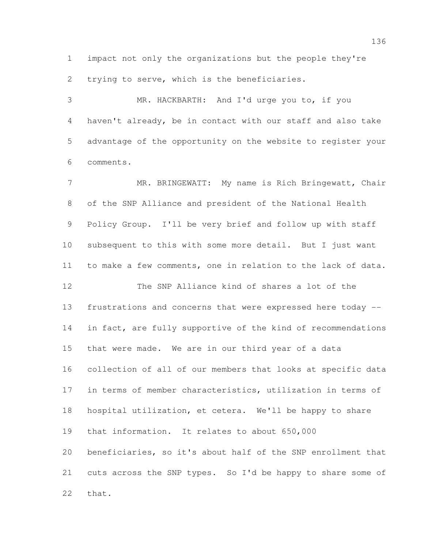impact not only the organizations but the people they're trying to serve, which is the beneficiaries.

 MR. HACKBARTH: And I'd urge you to, if you haven't already, be in contact with our staff and also take advantage of the opportunity on the website to register your comments.

7 MR. BRINGEWATT: My name is Rich Bringewatt, Chair of the SNP Alliance and president of the National Health Policy Group. I'll be very brief and follow up with staff subsequent to this with some more detail. But I just want to make a few comments, one in relation to the lack of data. The SNP Alliance kind of shares a lot of the frustrations and concerns that were expressed here today -- in fact, are fully supportive of the kind of recommendations that were made. We are in our third year of a data collection of all of our members that looks at specific data in terms of member characteristics, utilization in terms of hospital utilization, et cetera. We'll be happy to share

that information. It relates to about 650,000

 beneficiaries, so it's about half of the SNP enrollment that cuts across the SNP types. So I'd be happy to share some of that.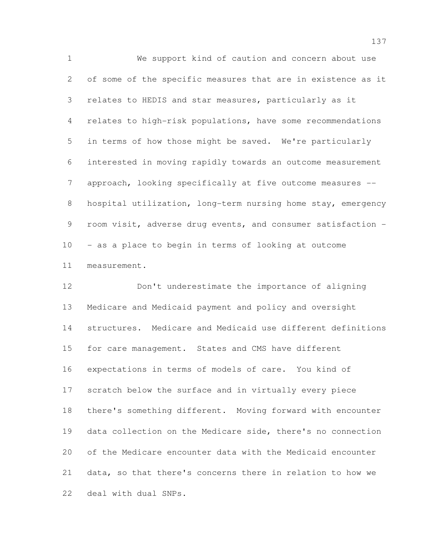We support kind of caution and concern about use of some of the specific measures that are in existence as it relates to HEDIS and star measures, particularly as it relates to high-risk populations, have some recommendations in terms of how those might be saved. We're particularly interested in moving rapidly towards an outcome measurement approach, looking specifically at five outcome measures -- hospital utilization, long-term nursing home stay, emergency room visit, adverse drug events, and consumer satisfaction - - as a place to begin in terms of looking at outcome measurement.

 Don't underestimate the importance of aligning Medicare and Medicaid payment and policy and oversight structures. Medicare and Medicaid use different definitions for care management. States and CMS have different expectations in terms of models of care. You kind of scratch below the surface and in virtually every piece there's something different. Moving forward with encounter data collection on the Medicare side, there's no connection of the Medicare encounter data with the Medicaid encounter data, so that there's concerns there in relation to how we deal with dual SNPs.